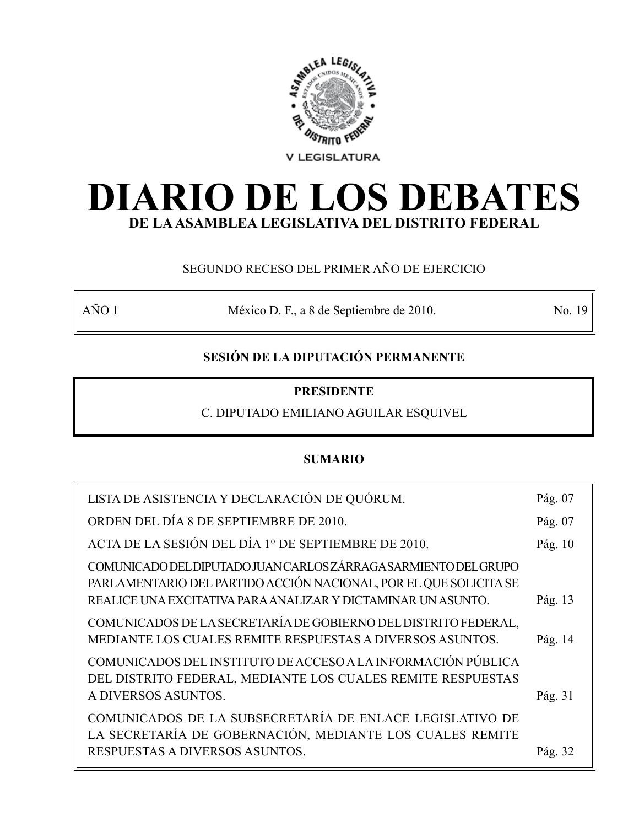

# **DIARIO DE LOS DEBATES DE LA ASAMBLEA LEGISLATIVA DEL DISTRITO FEDERAL**

## SEGUNDO RECESO DEL PRIMER AÑO DE EJERCICIO

AÑO 1 México D. F., a 8 de Septiembre de 2010. No. 19

## **SESIÓN DE LA DIPUTACIÓN PERMANENTE**

## **PRESIDENTE**

C. DIPUTADO EMILIANO AGUILAR ESQUIVEL

## **SUMARIO**

| LISTA DE ASISTENCIA Y DECLARACIÓN DE QUÓRUM.                                                                                                                                                         | Pág. 07 |
|------------------------------------------------------------------------------------------------------------------------------------------------------------------------------------------------------|---------|
| ORDEN DEL DÍA 8 DE SEPTIEMBRE DE 2010.                                                                                                                                                               | Pág. 07 |
| ACTA DE LA SESIÓN DEL DÍA 1° DE SEPTIEMBRE DE 2010.                                                                                                                                                  | Pág. 10 |
| COMUNICADO DEL DIPUTADO JUAN CARLOS ZÁRRAGA SARMIENTO DEL GRUPO<br>PARLAMENTARIO DEL PARTIDO ACCIÓN NACIONAL, POR EL QUE SOLICITA SE<br>REALICE UNA EXCITATIVA PARA ANALIZAR Y DICTAMINAR UN ASUNTO. | Pág. 13 |
| COMUNICADOS DE LA SECRETARÍA DE GOBIERNO DEL DISTRITO FEDERAL,<br>MEDIANTE LOS CUALES REMITE RESPUESTAS A DIVERSOS ASUNTOS.                                                                          | Pág. 14 |
| COMUNICADOS DEL INSTITUTO DE ACCESO A LA INFORMACIÓN PÚBLICA<br>DEL DISTRITO FEDERAL, MEDIANTE LOS CUALES REMITE RESPUESTAS<br>A DIVERSOS ASUNTOS.                                                   | Pág. 31 |
| COMUNICADOS DE LA SUBSECRETARÍA DE ENLACE LEGISLATIVO DE<br>LA SECRETARÍA DE GOBERNACIÓN, MEDIANTE LOS CUALES REMITE<br>RESPUESTAS A DIVERSOS ASUNTOS.                                               | Pág. 32 |
|                                                                                                                                                                                                      |         |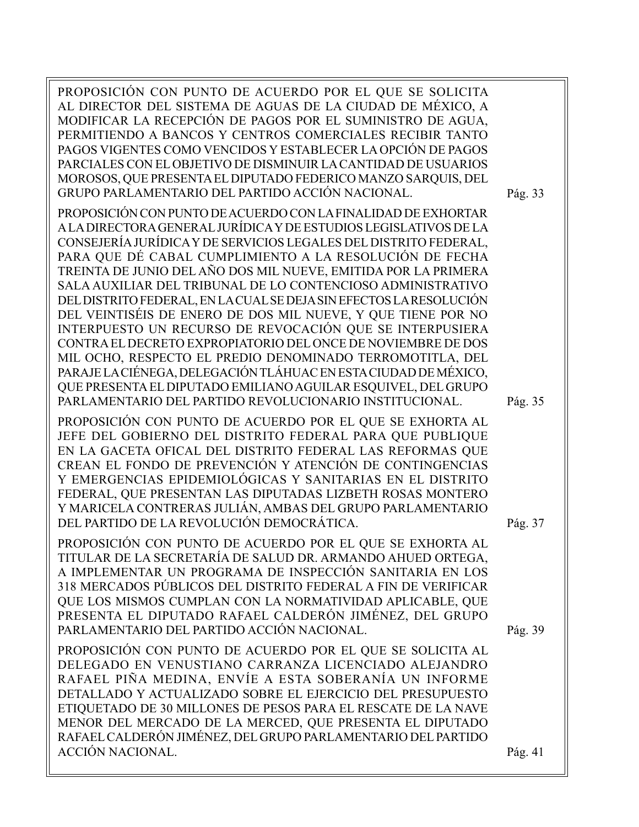| PROPOSICIÓN CON PUNTO DE ACUERDO POR EL QUE SE SOLICITA<br>AL DIRECTOR DEL SISTEMA DE AGUAS DE LA CIUDAD DE MÉXICO, A<br>MODIFICAR LA RECEPCIÓN DE PAGOS POR EL SUMINISTRO DE AGUA,<br>PERMITIENDO A BANCOS Y CENTROS COMERCIALES RECIBIR TANTO<br>PAGOS VIGENTES COMO VENCIDOS Y ESTABLECER LA OPCIÓN DE PAGOS<br>PARCIALES CON EL OBJETIVO DE DISMINUIR LA CANTIDAD DE USUARIOS<br>MOROSOS, QUE PRESENTA EL DIPUTADO FEDERICO MANZO SARQUIS, DEL<br>GRUPO PARLAMENTARIO DEL PARTIDO ACCIÓN NACIONAL.                                                                                                                                                                                                                                                                                                                                                                                                                         | Pág. 33 |
|--------------------------------------------------------------------------------------------------------------------------------------------------------------------------------------------------------------------------------------------------------------------------------------------------------------------------------------------------------------------------------------------------------------------------------------------------------------------------------------------------------------------------------------------------------------------------------------------------------------------------------------------------------------------------------------------------------------------------------------------------------------------------------------------------------------------------------------------------------------------------------------------------------------------------------|---------|
| PROPOSICIÓN CON PUNTO DE ACUERDO CON LA FINALIDAD DE EXHORTAR<br>A LA DIRECTORA GENERAL JURÍDICA Y DE ESTUDIOS LEGISLATIVOS DE LA<br>CONSEJERÍA JURÍDICA Y DE SERVICIOS LEGALES DEL DISTRITO FEDERAL,<br>PARA QUE DÉ CABAL CUMPLIMIENTO A LA RESOLUCIÓN DE FECHA<br>TREINTA DE JUNIO DEL AÑO DOS MIL NUEVE, EMITIDA POR LA PRIMERA<br>SALA AUXILIAR DEL TRIBUNAL DE LO CONTENCIOSO ADMINISTRATIVO<br>DEL DISTRITO FEDERAL, EN LACUAL SE DEJA SIN EFECTOS LA RESOLUCIÓN<br>DEL VEINTISÉIS DE ENERO DE DOS MIL NUEVE, Y QUE TIENE POR NO<br>INTERPUESTO UN RECURSO DE REVOCACIÓN QUE SE INTERPUSIERA<br>CONTRA EL DECRETO EXPROPIATORIO DEL ONCE DE NOVIEMBRE DE DOS<br>MIL OCHO, RESPECTO EL PREDIO DENOMINADO TERROMOTITLA, DEL<br>PARAJE LA CIÉNEGA, DELEGACIÓN TLÁHUAC EN ESTA CIUDAD DE MÉXICO,<br>QUE PRESENTA EL DIPUTADO EMILIANO AGUILAR ESQUIVEL, DEL GRUPO<br>PARLAMENTARIO DEL PARTIDO REVOLUCIONARIO INSTITUCIONAL. | Pág. 35 |
| PROPOSICIÓN CON PUNTO DE ACUERDO POR EL QUE SE EXHORTA AL<br>JEFE DEL GOBIERNO DEL DISTRITO FEDERAL PARA QUE PUBLIQUE<br>EN LA GACETA OFICAL DEL DISTRITO FEDERAL LAS REFORMAS QUE<br>CREAN EL FONDO DE PREVENCIÓN Y ATENCIÓN DE CONTINGENCIAS<br>Y EMERGENCIAS EPIDEMIOLÓGICAS Y SANITARIAS EN EL DISTRITO<br>FEDERAL, QUE PRESENTAN LAS DIPUTADAS LIZBETH ROSAS MONTERO<br>Y MARICELA CONTRERAS JULIÁN, AMBAS DEL GRUPO PARLAMENTARIO<br>DEL PARTIDO DE LA REVOLUCIÓN DEMOCRÁTICA.                                                                                                                                                                                                                                                                                                                                                                                                                                           | Pág. 37 |
| PROPOSICIÓN CON PUNTO DE ACUERDO POR EL QUE SE EXHORTA AL<br>TITULAR DE LA SECRETARÍA DE SALUD DR. ARMANDO AHUED ORTEGA,<br>A IMPLEMENTAR UN PROGRAMA DE INSPECCIÓN SANITARIA EN LOS<br>318 MERCADOS PÚBLICOS DEL DISTRITO FEDERAL A FIN DE VERIFICAR<br>QUE LOS MISMOS CUMPLAN CON LA NORMATIVIDAD APLICABLE, QUE<br>PRESENTA EL DIPUTADO RAFAEL CALDERÓN JIMÉNEZ, DEL GRUPO<br>PARLAMENTARIO DEL PARTIDO ACCIÓN NACIONAL.                                                                                                                                                                                                                                                                                                                                                                                                                                                                                                    | Pág. 39 |
| PROPOSICIÓN CON PUNTO DE ACUERDO POR EL QUE SE SOLICITA AL<br>DELEGADO EN VENUSTIANO CARRANZA LICENCIADO ALEJANDRO<br>RAFAEL PIÑA MEDINA, ENVÍE A ESTA SOBERANÍA UN INFORME<br>DETALLADO Y ACTUALIZADO SOBRE EL EJERCICIO DEL PRESUPUESTO<br>ETIQUETADO DE 30 MILLONES DE PESOS PARA EL RESCATE DE LA NAVE<br>MENOR DEL MERCADO DE LA MERCED, QUE PRESENTA EL DIPUTADO<br>RAFAEL CALDERÓN JIMÉNEZ, DEL GRUPO PARLAMENTARIO DEL PARTIDO<br><b>ACCIÓN NACIONAL.</b>                                                                                                                                                                                                                                                                                                                                                                                                                                                              | Pág. 41 |
|                                                                                                                                                                                                                                                                                                                                                                                                                                                                                                                                                                                                                                                                                                                                                                                                                                                                                                                                |         |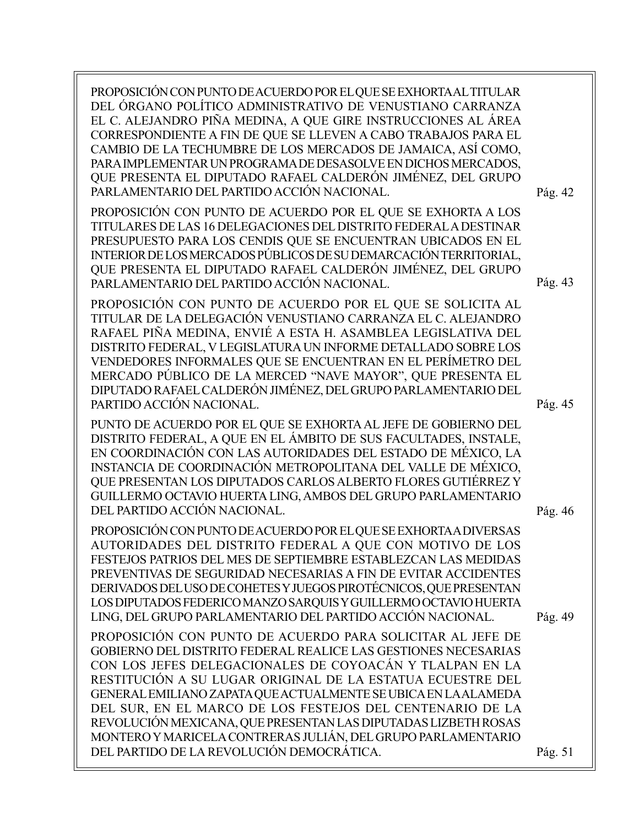PROPOSICIÓN CON PUNTO DE ACUERDO POR EL QUE SE EXHORTA AL TITULAR DEL ÓRGANO POLÍTICO ADMINISTRATIVO DE VENUSTIANO CARRANZA EL C. ALEJANDRO PIÑA MEDINA, A QUE GIRE INSTRUCCIONES AL ÁREA CORRESPONDIENTE A FIN DE QUE SE LLEVEN A CABO TRABAJOS PARA EL CAMBIO DE LA TECHUMBRE DE LOS MERCADOS DE JAMAICA, ASÍ COMO, PARA IMPLEMENTAR UN PROGRAMA DE DESASOLVE EN DICHOS MERCADOS, QUE PRESENTA EL DIPUTADO RAFAEL CALDERÓN JIMÉNEZ, DEL GRUPO PARLAMENTARIO DEL PARTIDO ACCIÓN NACIONAL. PROPOSICIÓN CON PUNTO DE ACUERDO POR EL QUE SE EXHORTA A LOS TITULARES DE LAS 16 DELEGACIONES DEL DISTRITO FEDERAL A DESTINAR PRESUPUESTO PARA LOS CENDIS QUE SE ENCUENTRAN UBICADOS EN EL INTERIOR DE LOS MERCADOS PÚBLICOS DE SU DEMARCACIÓN TERRITORIAL, QUE PRESENTA EL DIPUTADO RAFAEL CALDERÓN JIMÉNEZ, DEL GRUPO PARLAMENTARIO DEL PARTIDO ACCIÓN NACIONAL. PROPOSICIÓN CON PUNTO DE ACUERDO POR EL QUE SE SOLICITA AL TITULAR DE LA DELEGACIÓN VENUSTIANO CARRANZA EL C. ALEJANDRO RAFAEL PIÑA MEDINA, ENVIÉ A ESTA H. ASAMBLEA LEGISLATIVA DEL DISTRITO FEDERAL, V LEGISLATURA UN INFORME DETALLADO SOBRE LOS VENDEDORES INFORMALES QUE SE ENCUENTRAN EN EL PERÍMETRO DEL MERCADO PÚBLICO DE LA MERCED "NAVE MAYOR", QUE PRESENTA EL DIPUTADO RAFAEL CALDERÓN JIMÉNEZ, DEL GRUPO PARLAMENTARIO DEL PARTIDO ACCIÓN NACIONAL. PUNTO DE ACUERDO POR EL QUE SE EXHORTA AL JEFE DE GOBIERNO DEL DISTRITO FEDERAL, A QUE EN EL ÁMBITO DE SUS FACULTADES, INSTALE, EN COORDINACIÓN CON LAS AUTORIDADES DEL ESTADO DE MÉXICO, LA INSTANCIA DE COORDINACIÓN METROPOLITANA DEL VALLE DE MÉXICO, QUE PRESENTAN LOS DIPUTADOS CARLOS ALBERTO FLORES GUTIÉRREZ Y GUILLERMO OCTAVIO HUERTA LING, AMBOS DEL GRUPO PARLAMENTARIO DEL PARTIDO ACCIÓN NACIONAL. PROPOSICIÓN CON PUNTO DE ACUERDO POR EL QUE SE EXHORTA A DIVERSAS AUTORIDADES DEL DISTRITO FEDERAL A QUE CON MOTIVO DE LOS FESTEJOS PATRIOS DEL MES DE SEPTIEMBRE ESTABLEZCAN LAS MEDIDAS PREVENTIVAS DE SEGURIDAD NECESARIAS A FIN DE EVITAR ACCIDENTES DERIVADOS DEL USO DE COHETES Y JUEGOS PIROTÉCNICOS, QUE PRESENTAN LOS DIPUTADOS FEDERICO MANZO SARQUIS Y GUILLERMO OCTAVIO HUERTA LING, DEL GRUPO PARLAMENTARIO DEL PARTIDO ACCIÓN NACIONAL. PROPOSICIÓN CON PUNTO DE ACUERDO PARA SOLICITAR AL JEFE DE GOBIERNO DEL DISTRITO FEDERAL REALICE LAS GESTIONES NECESARIAS CON LOS JEFES DELEGACIONALES DE COYOACÁN Y TLALPAN EN LA RESTITUCIÓN A SU LUGAR ORIGINAL DE LA ESTATUA ECUESTRE DEL GENERAL EMILIANO ZAPATA QUE ACTUALMENTE SE UBICA EN LA ALAMEDA DEL SUR, EN EL MARCO DE LOS FESTEJOS DEL CENTENARIO DE LA REVOLUCIÓN MEXICANA, QUE PRESENTAN LAS DIPUTADAS LIZBETH ROSAS MONTERO Y MARICELA CONTRERAS JULIÁN, DEL GRUPO PARLAMENTARIO DEL PARTIDO DE LA REVOLUCIÓN DEMOCRÁTICA. Pág. 42 Pág. 45 Pág. 43 Pág. 46 Pág. 49 Pág. 51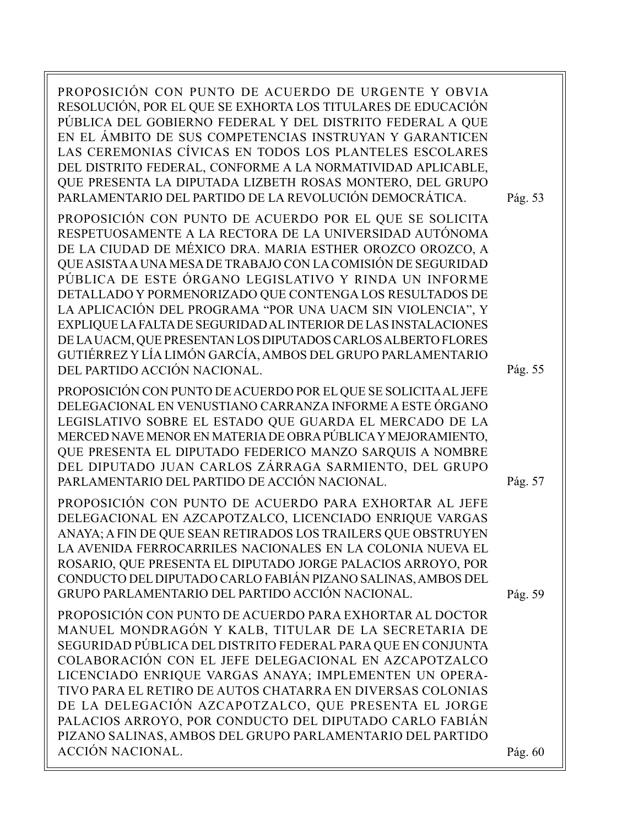PROPOSICIÓN CON PUNTO DE ACUERDO DE URGENTE Y OBVIA RESOLUCIÓN, POR EL QUE SE EXHORTA LOS TITULARES DE EDUCACIÓN PÚBLICA DEL GOBIERNO FEDERAL Y DEL DISTRITO FEDERAL A QUE EN EL ÁMBITO DE SUS COMPETENCIAS INSTRUYAN Y GARANTICEN LAS CEREMONIAS CÍVICAS EN TODOS LOS PLANTELES ESCOLARES DEL DISTRITO FEDERAL, CONFORME A LA NORMATIVIDAD APLICABLE, QUE PRESENTA LA DIPUTADA LIZBETH ROSAS MONTERO, DEL GRUPO PARLAMENTARIO DEL PARTIDO DE LA REVOLUCIÓN DEMOCRÁTICA. PROPOSICIÓN CON PUNTO DE ACUERDO POR EL QUE SE SOLICITA RESPETUOSAMENTE A LA RECTORA DE LA UNIVERSIDAD AUTÓNOMA DE LA CIUDAD DE MÉXICO DRA. MARIA ESTHER OROZCO OROZCO, A QUE ASISTA A UNA MESA DE TRABAJO CON LA COMISIÓN DE SEGURIDAD PÚBLICA DE ESTE ÓRGANO LEGISLATIVO Y RINDA UN INFORME DETALLADO Y PORMENORIZADO QUE CONTENGA LOS RESULTADOS DE LA APLICACIÓN DEL PROGRAMA "POR UNA UACM SIN VIOLENCIA", Y EXPLIQUE LA FALTA DE SEGURIDAD AL INTERIOR DE LAS INSTALACIONES DE LA UACM, QUE PRESENTAN LOS DIPUTADOS CARLOS ALBERTO FLORES GUTIÉRREZ Y LÍA LIMÓN GARCÍA, AMBOS DEL GRUPO PARLAMENTARIO DEL PARTIDO ACCIÓN NACIONAL. PROPOSICIÓN CON PUNTO DE ACUERDO POR EL QUE SE SOLICITA AL JEFE DELEGACIONAL EN VENUSTIANO CARRANZA INFORME A ESTE ÓRGANO LEGISLATIVO SOBRE EL ESTADO QUE GUARDA EL MERCADO DE LA MERCED NAVE MENOR EN MATERIA DE OBRA PÚBLICA Y MEJORAMIENTO, QUE PRESENTA EL DIPUTADO FEDERICO MANZO SARQUIS A NOMBRE DEL DIPUTADO JUAN CARLOS ZÁRRAGA SARMIENTO, DEL GRUPO PARLAMENTARIO DEL PARTIDO DE ACCIÓN NACIONAL. PROPOSICIÓN CON PUNTO DE ACUERDO PARA EXHORTAR AL JEFE DELEGACIONAL EN AZCAPOTZALCO, LICENCIADO ENRIQUE VARGAS ANAYA; A FIN DE QUE SEAN RETIRADOS LOS TRAILERS QUE OBSTRUYEN LA AVENIDA FERROCARRILES NACIONALES EN LA COLONIA NUEVA EL ROSARIO, QUE PRESENTA EL DIPUTADO JORGE PALACIOS ARROYO, POR CONDUCTO DEL DIPUTADO CARLO FABIÁN PIZANO SALINAS, AMBOS DEL GRUPO PARLAMENTARIO DEL PARTIDO ACCIÓN NACIONAL. PROPOSICIÓN CON PUNTO DE ACUERDO PARA EXHORTAR AL DOCTOR MANUEL MONDRAGÓN Y KALB, TITULAR DE LA SECRETARIA DE SEGURIDAD PÚBLICA DEL DISTRITO FEDERAL PARA QUE EN CONJUNTA COLABORACIÓN CON EL JEFE DELEGACIONAL EN AZCAPOTZALCO LICENCIADO ENRIQUE VARGAS ANAYA; IMPLEMENTEN UN OPERA-TIVO PARA EL RETIRO DE AUTOS CHATARRA EN DIVERSAS COLONIAS DE LA DELEGACIÓN AZCAPOTZALCO, QUE PRESENTA EL JORGE PALACIOS ARROYO, POR CONDUCTO DEL DIPUTADO CARLO FABIÁN PIZANO SALINAS, AMBOS DEL GRUPO PARLAMENTARIO DEL PARTIDO ACCIÓN NACIONAL. Pág. 55 Pág. 57 Pág. 53 Pág. 59 Pág. 60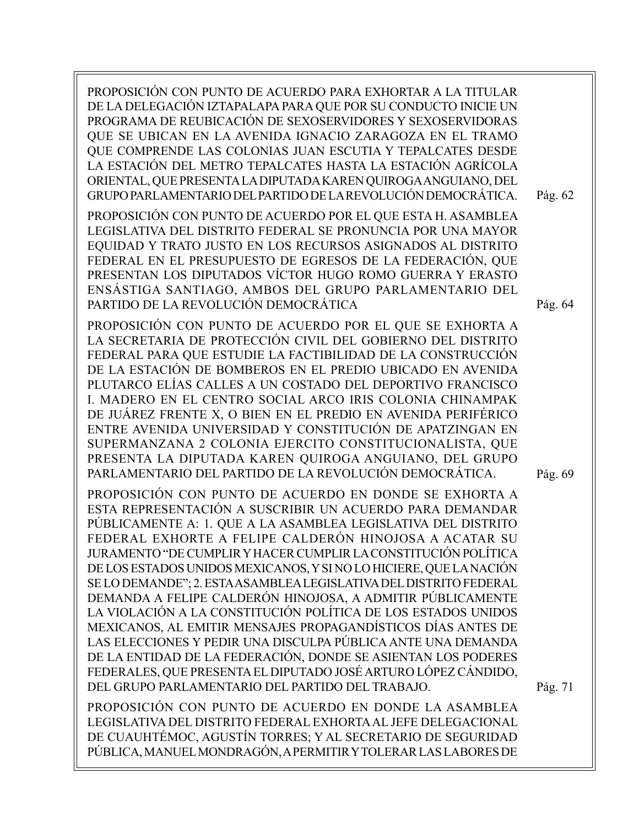PROPOSICIÓN CON PUNTO DE ACUERDO PARA EXHORTAR A LA TITULAR DE LA DELEGACIÓN IZTAPALAPA PARA QUE POR SU CONDUCTO INICIE UN PROGRAMA DE REUBICACIÓN DE SEXOSERVIDORES Y SEXOSERVIDORAS QUE SE UBICAN EN LA AVENIDA IGNACIO ZARAGOZA EN EL TRAMO QUE COMPRENDE LAS COLONIAS JUAN ESCUTIA Y TEPALCATES DESDE LA ESTACIÓN DEL METRO TEPALCATES HASTA LA ESTACIÓN AGRÍCOLA ORIENTAL, QUE PRESENTA LA DIPUTADA KAREN QUIROGA ANGUIANO, DEL GRUPO PARLAMENTARIO DEL PARTIDO DE LA REVOLUCIÓN DEMOCRÁTICA. PROPOSICIÓN CON PUNTO DE ACUERDO POR EL QUE ESTA H. ASAMBLEA LEGISLATIVA DEL DISTRITO FEDERAL SE PRONUNCIA POR UNA MAYOR EQUIDAD Y TRATO JUSTO EN LOS RECURSOS ASIGNADOS AL DISTRITO FEDERAL EN EL PRESUPUESTO DE EGRESOS DE LA FEDERACIÓN, QUE PRESENTAN LOS DIPUTADOS VÍCTOR HUGO ROMO GUERRA Y ERASTO ENSÁSTIGA SANTIAGO, AMBOS DEL GRUPO PARLAMENTARIO DEL PARTIDO DE LA REVOLUCIÓN DEMOCRÁTICA PROPOSICIÓN CON PUNTO DE ACUERDO POR EL QUE SE EXHORTA A LA SECRETARIA DE PROTECCIÓN CIVIL DEL GOBIERNO DEL DISTRITO FEDERAL PARA QUE ESTUDIE LA FACTIBILIDAD DE LA CONSTRUCCIÓN DE LA ESTACIÓN DE BOMBEROS EN EL PREDIO UBICADO EN AVENIDA PLUTARCO ELÍAS CALLES A UN COSTADO DEL DEPORTIVO FRANCISCO I. MADERO EN EL CENTRO SOCIAL ARCO IRIS COLONIA CHINAMPAK DE JUÁREZ FRENTE X, O BIEN EN EL PREDIO EN AVENIDA PERIFÉRICO ENTRE AVENIDA UNIVERSIDAD Y CONSTITUCIÓN DE APATZINGAN EN SUPERMANZANA 2 COLONIA EJERCITO CONSTITUCIONALISTA, QUE PRESENTA LA DIPUTADA KAREN QUIROGA ANGUIANO, DEL GRUPO PARLAMENTARIO DEL PARTIDO DE LA REVOLUCIÓN DEMOCRÁTICA. PROPOSICIÓN CON PUNTO DE ACUERDO EN DONDE SE EXHORTA A ESTA REPRESENTACIÓN A SUSCRIBIR UN ACUERDO PARA DEMANDAR PÚBLICAMENTE A: 1. QUE A LA ASAMBLEA LEGISLATIVA DEL DISTRITO FEDERAL EXHORTE A FELIPE CALDERÓN HINOJOSA A ACATAR SU JURAMENTO "DE CUMPLIR Y HACER CUMPLIR LA CONSTITUCIÓN POLÍTICA DE LOS ESTADOS UNIDOS MEXICANOS, Y SI NO LO HICIERE, QUE LA NACIÓN SE LO DEMANDE"; 2. ESTA ASAMBLEA LEGISLATIVA DEL DISTRITO FEDERAL DEMANDA A FELIPE CALDERÓN HINOJOSA, A ADMITIR PÚBLICAMENTE LA VIOLACIÓN A LA CONSTITUCIÓN POLÍTICA DE LOS ESTADOS UNIDOS MEXICANOS, AL EMITIR MENSAJES PROPAGANDÍSTICOS DÍAS ANTES DE LAS ELECCIONES Y PEDIR UNA DISCULPA PÚBLICA ANTE UNA DEMANDA DE LA ENTIDAD DE LA FEDERACIÓN, DONDE SE ASIENTAN LOS PODERES FEDERALES, QUE PRESENTA EL DIPUTADO JOSÉ ARTURO LÓPEZ CÁNDIDO, DEL GRUPO PARLAMENTARIO DEL PARTIDO DEL TRABAJO. PROPOSICIÓN CON PUNTO DE ACUERDO EN DONDE LA ASAMBLEA LEGISLATIVA DEL DISTRITO FEDERAL EXHORTA AL JEFE DELEGACIONAL DE CUAUHTÉMOC, AGUSTÍN TORRES; Y AL SECRETARIO DE SEGURIDAD PÚBLICA, MANUEL MONDRAGÓN, A PERMITIR Y TOLERAR LAS LABORES DE Pág. 71 Pág. 69 Pág. 64 Pág. 62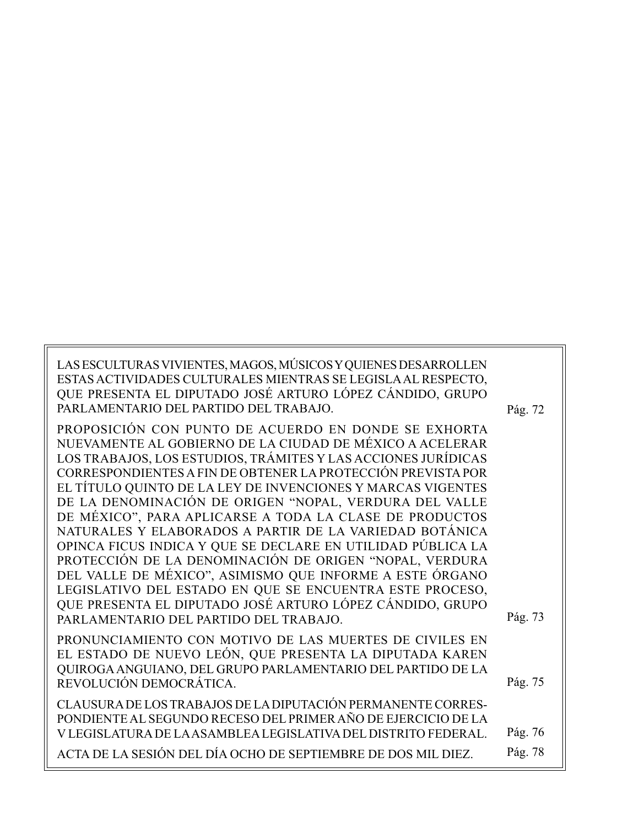| LAS ESCULTURAS VIVIENTES, MAGOS, MÚSICOS Y QUIENES DESARROLLEN<br>ESTAS ACTIVIDADES CULTURALES MIENTRAS SE LEGISLA AL RESPECTO,<br>QUE PRESENTA EL DIPUTADO JOSÉ ARTURO LÓPEZ CÁNDIDO, GRUPO<br>PARLAMENTARIO DEL PARTIDO DEL TRABAJO.                                                                           | Pág. 72 |
|------------------------------------------------------------------------------------------------------------------------------------------------------------------------------------------------------------------------------------------------------------------------------------------------------------------|---------|
| PROPOSICIÓN CON PUNTO DE ACUERDO EN DONDE SE EXHORTA<br>NUEVAMENTE AL GOBIERNO DE LA CIUDAD DE MÉXICO A ACELERAR<br>LOS TRABAJOS, LOS ESTUDIOS, TRÁMITES Y LAS ACCIONES JURÍDICAS<br>CORRESPONDIENTES A FIN DE OBTENER LA PROTECCIÓN PREVISTA POR<br>EL TÍTULO QUINTO DE LA LEY DE INVENCIONES Y MARCAS VIGENTES |         |
| DE LA DENOMINACIÓN DE ORIGEN "NOPAL, VERDURA DEL VALLE<br>DE MÉXICO", PARA APLICARSE A TODA LA CLASE DE PRODUCTOS<br>NATURALES Y ELABORADOS A PARTIR DE LA VARIEDAD BOTÁNICA<br>OPINCA FICUS INDICA Y QUE SE DECLARE EN UTILIDAD PÚBLICA LA                                                                      |         |
| PROTECCIÓN DE LA DENOMINACIÓN DE ORIGEN "NOPAL, VERDURA<br>DEL VALLE DE MÉXICO", ASIMISMO QUE INFORME A ESTE ÓRGANO<br>LEGISLATIVO DEL ESTADO EN QUE SE ENCUENTRA ESTE PROCESO,<br>QUE PRESENTA EL DIPUTADO JOSÉ ARTURO LÓPEZ CÁNDIDO, GRUPO                                                                     |         |
| PARLAMENTARIO DEL PARTIDO DEL TRABAJO.                                                                                                                                                                                                                                                                           | Pág. 73 |
| PRONUNCIAMIENTO CON MOTIVO DE LAS MUERTES DE CIVILES EN<br>EL ESTADO DE NUEVO LEÓN, QUE PRESENTA LA DIPUTADA KAREN<br>QUIROGA ANGUIANO, DEL GRUPO PARLAMENTARIO DEL PARTIDO DE LA                                                                                                                                |         |
| REVOLUCIÓN DEMOCRÁTICA.                                                                                                                                                                                                                                                                                          | Pág. 75 |
| CLAUSURA DE LOS TRABAJOS DE LA DIPUTACIÓN PERMANENTE CORRES-<br>PONDIENTE AL SEGUNDO RECESO DEL PRIMER AÑO DE EJERCICIO DE LA                                                                                                                                                                                    |         |
| V LEGISLATURA DE LA ASAMBLEA LEGISLATIVA DEL DISTRITO FEDERAL.                                                                                                                                                                                                                                                   | Pág. 76 |
| ACTA DE LA SESIÓN DEL DÍA OCHO DE SEPTIEMBRE DE DOS MIL DIEZ.                                                                                                                                                                                                                                                    | Pág. 78 |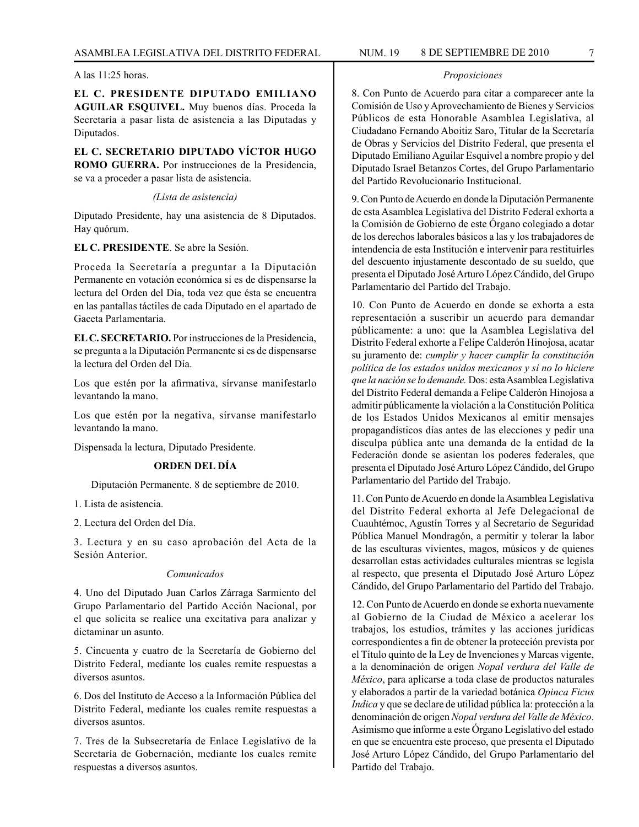**EL C. PRESIDENTE DIPUTADO EMILIANO AGUILAR ESQUIVEL.** Muy buenos días. Proceda la Secretaría a pasar lista de asistencia a las Diputadas y Diputados.

**EL C. SECRETARIO DIPUTADO VÍCTOR HUGO ROMO GUERRA.** Por instrucciones de la Presidencia, se va a proceder a pasar lista de asistencia.

*(Lista de asistencia)*

Diputado Presidente, hay una asistencia de 8 Diputados. Hay quórum.

**EL C. PRESIDENTE**. Se abre la Sesión.

Proceda la Secretaría a preguntar a la Diputación Permanente en votación económica si es de dispensarse la lectura del Orden del Día, toda vez que ésta se encuentra en las pantallas táctiles de cada Diputado en el apartado de Gaceta Parlamentaria.

**EL C. SECRETARIO.** Por instrucciones de la Presidencia, se pregunta a la Diputación Permanente si es de dispensarse la lectura del Orden del Día.

Los que estén por la afirmativa, sírvanse manifestarlo levantando la mano.

Los que estén por la negativa, sírvanse manifestarlo levantando la mano.

Dispensada la lectura, Diputado Presidente.

## **ORDEN DEL DÍA**

Diputación Permanente. 8 de septiembre de 2010.

1. Lista de asistencia.

2. Lectura del Orden del Día.

3. Lectura y en su caso aprobación del Acta de la Sesión Anterior.

#### *Comunicados*

4. Uno del Diputado Juan Carlos Zárraga Sarmiento del Grupo Parlamentario del Partido Acción Nacional, por el que solicita se realice una excitativa para analizar y dictaminar un asunto.

5. Cincuenta y cuatro de la Secretaría de Gobierno del Distrito Federal, mediante los cuales remite respuestas a diversos asuntos.

6. Dos del Instituto de Acceso a la Información Pública del Distrito Federal, mediante los cuales remite respuestas a diversos asuntos.

7. Tres de la Subsecretaría de Enlace Legislativo de la Secretaría de Gobernación, mediante los cuales remite respuestas a diversos asuntos.

#### *Proposiciones*

8. Con Punto de Acuerdo para citar a comparecer ante la Comisión de Uso y Aprovechamiento de Bienes y Servicios Públicos de esta Honorable Asamblea Legislativa, al Ciudadano Fernando Aboitiz Saro, Titular de la Secretaría de Obras y Servicios del Distrito Federal, que presenta el Diputado Emiliano Aguilar Esquivel a nombre propio y del Diputado Israel Betanzos Cortes, del Grupo Parlamentario del Partido Revolucionario Institucional.

9. Con Punto de Acuerdo en donde la Diputación Permanente de esta Asamblea Legislativa del Distrito Federal exhorta a la Comisión de Gobierno de este Órgano colegiado a dotar de los derechos laborales básicos a las y los trabajadores de intendencia de esta Institución e intervenir para restituirles del descuento injustamente descontado de su sueldo, que presenta el Diputado José Arturo López Cándido, del Grupo Parlamentario del Partido del Trabajo.

10. Con Punto de Acuerdo en donde se exhorta a esta representación a suscribir un acuerdo para demandar públicamente: a uno: que la Asamblea Legislativa del Distrito Federal exhorte a Felipe Calderón Hinojosa, acatar su juramento de: *cumplir y hacer cumplir la constitución política de los estados unidos mexicanos y si no lo hiciere que la nación se lo demande.* Dos: esta Asamblea Legislativa del Distrito Federal demanda a Felipe Calderón Hinojosa a admitir públicamente la violación a la Constitución Política de los Estados Unidos Mexicanos al emitir mensajes propagandísticos días antes de las elecciones y pedir una disculpa pública ante una demanda de la entidad de la Federación donde se asientan los poderes federales, que presenta el Diputado José Arturo López Cándido, del Grupo Parlamentario del Partido del Trabajo.

11. Con Punto de Acuerdo en donde la Asamblea Legislativa del Distrito Federal exhorta al Jefe Delegacional de Cuauhtémoc, Agustín Torres y al Secretario de Seguridad Pública Manuel Mondragón, a permitir y tolerar la labor de las esculturas vivientes, magos, músicos y de quienes desarrollan estas actividades culturales mientras se legisla al respecto, que presenta el Diputado José Arturo López Cándido, del Grupo Parlamentario del Partido del Trabajo.

12. Con Punto de Acuerdo en donde se exhorta nuevamente al Gobierno de la Ciudad de México a acelerar los trabajos, los estudios, trámites y las acciones jurídicas correspondientes a fin de obtener la protección prevista por el Título quinto de la Ley de Invenciones y Marcas vigente, a la denominación de origen *Nopal verdura del Valle de México*, para aplicarse a toda clase de productos naturales y elaborados a partir de la variedad botánica *Opinca Ficus Indica* y que se declare de utilidad pública la: protección a la denominación de origen *Nopal verdura del Valle de México*. Asimismo que informe a este Órgano Legislativo del estado en que se encuentra este proceso, que presenta el Diputado José Arturo López Cándido, del Grupo Parlamentario del Partido del Trabajo.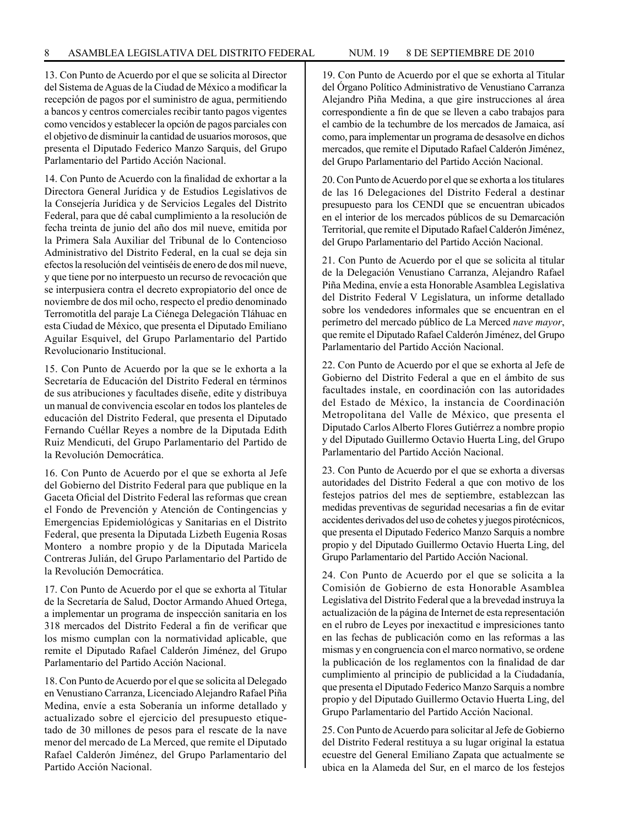13. Con Punto de Acuerdo por el que se solicita al Director del Sistema de Aguas de la Ciudad de México a modificar la recepción de pagos por el suministro de agua, permitiendo a bancos y centros comerciales recibir tanto pagos vigentes como vencidos y establecer la opción de pagos parciales con el objetivo de disminuir la cantidad de usuarios morosos, que presenta el Diputado Federico Manzo Sarquis, del Grupo Parlamentario del Partido Acción Nacional.

14. Con Punto de Acuerdo con la finalidad de exhortar a la Directora General Jurídica y de Estudios Legislativos de la Consejería Jurídica y de Servicios Legales del Distrito Federal, para que dé cabal cumplimiento a la resolución de fecha treinta de junio del año dos mil nueve, emitida por la Primera Sala Auxiliar del Tribunal de lo Contencioso Administrativo del Distrito Federal, en la cual se deja sin efectos la resolución del veintiséis de enero de dos mil nueve, y que tiene por no interpuesto un recurso de revocación que se interpusiera contra el decreto expropiatorio del once de noviembre de dos mil ocho, respecto el predio denominado Terromotitla del paraje La Ciénega Delegación Tláhuac en esta Ciudad de México, que presenta el Diputado Emiliano Aguilar Esquivel, del Grupo Parlamentario del Partido Revolucionario Institucional.

15. Con Punto de Acuerdo por la que se le exhorta a la Secretaría de Educación del Distrito Federal en términos de sus atribuciones y facultades diseñe, edite y distribuya un manual de convivencia escolar en todos los planteles de educación del Distrito Federal, que presenta el Diputado Fernando Cuéllar Reyes a nombre de la Diputada Edith Ruiz Mendicuti, del Grupo Parlamentario del Partido de la Revolución Democrática.

16. Con Punto de Acuerdo por el que se exhorta al Jefe del Gobierno del Distrito Federal para que publique en la Gaceta Oficial del Distrito Federal las reformas que crean el Fondo de Prevención y Atención de Contingencias y Emergencias Epidemiológicas y Sanitarias en el Distrito Federal, que presenta la Diputada Lizbeth Eugenia Rosas Montero a nombre propio y de la Diputada Maricela Contreras Julián, del Grupo Parlamentario del Partido de la Revolución Democrática.

17. Con Punto de Acuerdo por el que se exhorta al Titular de la Secretaría de Salud, Doctor Armando Ahued Ortega, a implementar un programa de inspección sanitaria en los 318 mercados del Distrito Federal a fin de verificar que los mismo cumplan con la normatividad aplicable, que remite el Diputado Rafael Calderón Jiménez, del Grupo Parlamentario del Partido Acción Nacional.

18. Con Punto de Acuerdo por el que se solicita al Delegado en Venustiano Carranza, Licenciado Alejandro Rafael Piña Medina, envíe a esta Soberanía un informe detallado y actualizado sobre el ejercicio del presupuesto etiquetado de 30 millones de pesos para el rescate de la nave menor del mercado de La Merced, que remite el Diputado Rafael Calderón Jiménez, del Grupo Parlamentario del Partido Acción Nacional.

19. Con Punto de Acuerdo por el que se exhorta al Titular del Órgano Político Administrativo de Venustiano Carranza Alejandro Piña Medina, a que gire instrucciones al área correspondiente a fin de que se lleven a cabo trabajos para el cambio de la techumbre de los mercados de Jamaica, así como, para implementar un programa de desasolve en dichos mercados, que remite el Diputado Rafael Calderón Jiménez, del Grupo Parlamentario del Partido Acción Nacional.

20. Con Punto de Acuerdo por el que se exhorta a los titulares de las 16 Delegaciones del Distrito Federal a destinar presupuesto para los CENDI que se encuentran ubicados en el interior de los mercados públicos de su Demarcación Territorial, que remite el Diputado Rafael Calderón Jiménez, del Grupo Parlamentario del Partido Acción Nacional.

21. Con Punto de Acuerdo por el que se solicita al titular de la Delegación Venustiano Carranza, Alejandro Rafael Piña Medina, envíe a esta Honorable Asamblea Legislativa del Distrito Federal V Legislatura, un informe detallado sobre los vendedores informales que se encuentran en el perímetro del mercado público de La Merced *nave mayor*, que remite el Diputado Rafael Calderón Jiménez, del Grupo Parlamentario del Partido Acción Nacional.

22. Con Punto de Acuerdo por el que se exhorta al Jefe de Gobierno del Distrito Federal a que en el ámbito de sus facultades instale, en coordinación con las autoridades del Estado de México, la instancia de Coordinación Metropolitana del Valle de México, que presenta el Diputado Carlos Alberto Flores Gutiérrez a nombre propio y del Diputado Guillermo Octavio Huerta Ling, del Grupo Parlamentario del Partido Acción Nacional.

23. Con Punto de Acuerdo por el que se exhorta a diversas autoridades del Distrito Federal a que con motivo de los festejos patrios del mes de septiembre, establezcan las medidas preventivas de seguridad necesarias a fin de evitar accidentes derivados del uso de cohetes y juegos pirotécnicos, que presenta el Diputado Federico Manzo Sarquis a nombre propio y del Diputado Guillermo Octavio Huerta Ling, del Grupo Parlamentario del Partido Acción Nacional.

24. Con Punto de Acuerdo por el que se solicita a la Comisión de Gobierno de esta Honorable Asamblea Legislativa del Distrito Federal que a la brevedad instruya la actualización de la página de Internet de esta representación en el rubro de Leyes por inexactitud e impresiciones tanto en las fechas de publicación como en las reformas a las mismas y en congruencia con el marco normativo, se ordene la publicación de los reglamentos con la finalidad de dar cumplimiento al principio de publicidad a la Ciudadanía, que presenta el Diputado Federico Manzo Sarquis a nombre propio y del Diputado Guillermo Octavio Huerta Ling, del Grupo Parlamentario del Partido Acción Nacional.

25. Con Punto de Acuerdo para solicitar al Jefe de Gobierno del Distrito Federal restituya a su lugar original la estatua ecuestre del General Emiliano Zapata que actualmente se ubica en la Alameda del Sur, en el marco de los festejos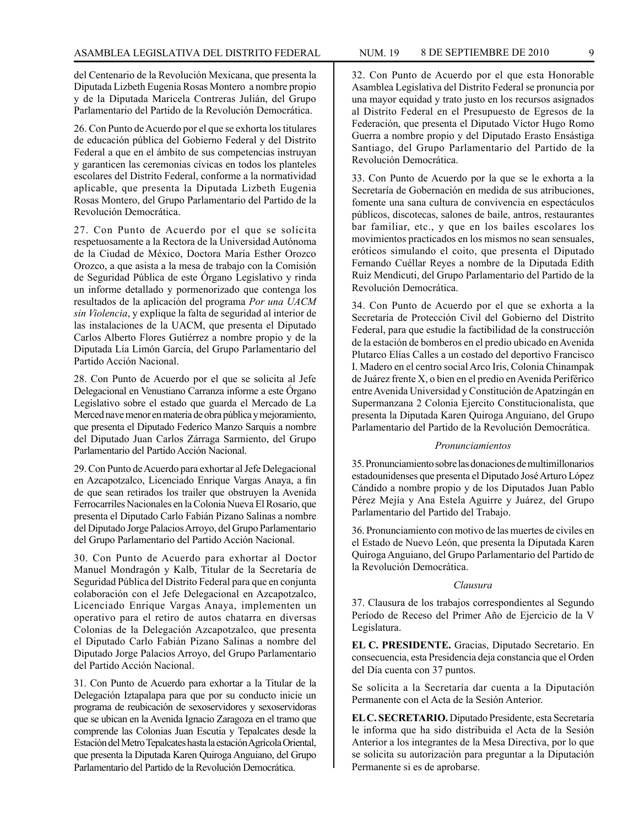del Centenario de la Revolución Mexicana, que presenta la Diputada Lizbeth Eugenia Rosas Montero a nombre propio y de la Diputada Maricela Contreras Julián, del Grupo Parlamentario del Partido de la Revolución Democrática.

26. Con Punto de Acuerdo por el que se exhorta los titulares de educación pública del Gobierno Federal y del Distrito Federal a que en el ámbito de sus competencias instruyan y garanticen las ceremonias cívicas en todos los planteles escolares del Distrito Federal, conforme a la normatividad aplicable, que presenta la Diputada Lizbeth Eugenia Rosas Montero, del Grupo Parlamentario del Partido de la Revolución Democrática.

27. Con Punto de Acuerdo por el que se solicita respetuosamente a la Rectora de la Universidad Autónoma de la Ciudad de México, Doctora María Esther Orozco Orozco, a que asista a la mesa de trabajo con la Comisión de Seguridad Pública de este Órgano Legislativo y rinda un informe detallado y pormenorizado que contenga los resultados de la aplicación del programa *Por una UACM sin Violencia*, y explique la falta de seguridad al interior de las instalaciones de la UACM, que presenta el Diputado Carlos Alberto Flores Gutiérrez a nombre propio y de la Diputada Lía Limón García, del Grupo Parlamentario del Partido Acción Nacional.

28. Con Punto de Acuerdo por el que se solicita al Jefe Delegacional en Venustiano Carranza informe a este Órgano Legislativo sobre el estado que guarda el Mercado de La Merced nave menor en materia de obra pública y mejoramiento, que presenta el Diputado Federico Manzo Sarquis a nombre del Diputado Juan Carlos Zárraga Sarmiento, del Grupo Parlamentario del Partido Acción Nacional.

29. Con Punto de Acuerdo para exhortar al Jefe Delegacional en Azcapotzalco, Licenciado Enrique Vargas Anaya, a fin de que sean retirados los trailer que obstruyen la Avenida Ferrocarriles Nacionales en la Colonia Nueva El Rosario, que presenta el Diputado Carlo Fabián Pizano Salinas a nombre del Diputado Jorge Palacios Arroyo, del Grupo Parlamentario del Grupo Parlamentario del Partido Acción Nacional.

30. Con Punto de Acuerdo para exhortar al Doctor Manuel Mondragón y Kalb, Titular de la Secretaría de Seguridad Pública del Distrito Federal para que en conjunta colaboración con el Jefe Delegacional en Azcapotzalco, Licenciado Enrique Vargas Anaya, implementen un operativo para el retiro de autos chatarra en diversas Colonias de la Delegación Azcapotzalco, que presenta el Diputado Carlo Fabián Pizano Salinas a nombre del Diputado Jorge Palacios Arroyo, del Grupo Parlamentario del Partido Acción Nacional.

31. Con Punto de Acuerdo para exhortar a la Titular de la Delegación Iztapalapa para que por su conducto inicie un programa de reubicación de sexoservidores y sexoservidoras que se ubican en la Avenida Ignacio Zaragoza en el tramo que comprende las Colonias Juan Escutia y Tepalcates desde la Estación del Metro Tepalcates hasta la estación Agrícola Oriental, que presenta la Diputada Karen Quiroga Anguiano, del Grupo Parlamentario del Partido de la Revolución Democrática.

32. Con Punto de Acuerdo por el que esta Honorable Asamblea Legislativa del Distrito Federal se pronuncia por una mayor equidad y trato justo en los recursos asignados al Distrito Federal en el Presupuesto de Egresos de la Federación, que presenta el Diputado Víctor Hugo Romo Guerra a nombre propio y del Diputado Erasto Ensástiga Santiago, del Grupo Parlamentario del Partido de la Revolución Democrática.

33. Con Punto de Acuerdo por la que se le exhorta a la Secretaría de Gobernación en medida de sus atribuciones, fomente una sana cultura de convivencia en espectáculos públicos, discotecas, salones de baile, antros, restaurantes bar familiar, etc., y que en los bailes escolares los movimientos practicados en los mismos no sean sensuales, eróticos simulando el coito, que presenta el Diputado Fernando Cuéllar Reyes a nombre de la Diputada Edith Ruiz Mendicuti, del Grupo Parlamentario del Partido de la Revolución Democrática.

34. Con Punto de Acuerdo por el que se exhorta a la Secretaría de Protección Civil del Gobierno del Distrito Federal, para que estudie la factibilidad de la construcción de la estación de bomberos en el predio ubicado en Avenida Plutarco Elías Calles a un costado del deportivo Francisco I. Madero en el centro social Arco Iris, Colonia Chinampak de Juárez frente X, o bien en el predio en Avenida Periférico entre Avenida Universidad y Constitución de Apatzingán en Supermanzana 2 Colonia Ejercito Constitucionalista, que presenta la Diputada Karen Quiroga Anguiano, del Grupo Parlamentario del Partido de la Revolución Democrática.

#### *Pronunciamientos*

35. Pronunciamiento sobre las donaciones de multimillonarios estadounidenses que presenta el Diputado José Arturo López Cándido a nombre propio y de los Diputados Juan Pablo Pérez Mejía y Ana Estela Aguirre y Juárez, del Grupo Parlamentario del Partido del Trabajo.

36. Pronunciamiento con motivo de las muertes de civiles en el Estado de Nuevo León, que presenta la Diputada Karen Quiroga Anguiano, del Grupo Parlamentario del Partido de la Revolución Democrática.

## *Clausura*

37. Clausura de los trabajos correspondientes al Segundo Período de Receso del Primer Año de Ejercicio de la V Legislatura.

**EL C. PRESIDENTE.** Gracias, Diputado Secretario. En consecuencia, esta Presidencia deja constancia que el Orden del Día cuenta con 37 puntos.

Se solicita a la Secretaría dar cuenta a la Diputación Permanente con el Acta de la Sesión Anterior.

**EL C. SECRETARIO.** Diputado Presidente, esta Secretaría le informa que ha sido distribuida el Acta de la Sesión Anterior a los integrantes de la Mesa Directiva, por lo que se solicita su autorización para preguntar a la Diputación Permanente si es de aprobarse.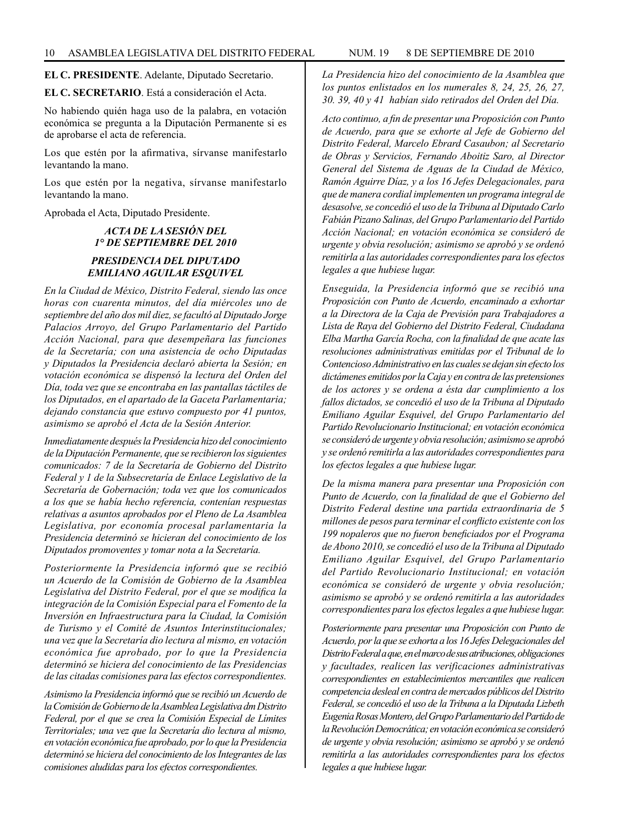**EL C. PRESIDENTE**. Adelante, Diputado Secretario.

**EL C. SECRETARIO**. Está a consideración el Acta.

No habiendo quién haga uso de la palabra, en votación económica se pregunta a la Diputación Permanente si es de aprobarse el acta de referencia.

Los que estén por la afirmativa, sírvanse manifestarlo levantando la mano.

Los que estén por la negativa, sírvanse manifestarlo levantando la mano.

Aprobada el Acta, Diputado Presidente.

## *ACTA DE LA SESIÓN DEL 1° DE SEPTIEMBRE DEL 2010 PRESIDENCIA DEL DIPUTADO EMILIANO AGUILAR ESQUIVEL*

*En la Ciudad de México, Distrito Federal, siendo las once horas con cuarenta minutos, del día miércoles uno de septiembre del año dos mil diez, se facultó al Diputado Jorge Palacios Arroyo, del Grupo Parlamentario del Partido Acción Nacional, para que desempeñara las funciones de la Secretaría; con una asistencia de ocho Diputadas y Diputados la Presidencia declaró abierta la Sesión; en votación económica se dispensó la lectura del Orden del Día, toda vez que se encontraba en las pantallas táctiles de los Diputados, en el apartado de la Gaceta Parlamentaria; dejando constancia que estuvo compuesto por 41 puntos, asimismo se aprobó el Acta de la Sesión Anterior.*

*Inmediatamente después la Presidencia hizo del conocimiento de la Diputación Permanente, que se recibieron los siguientes comunicados: 7 de la Secretaría de Gobierno del Distrito Federal y 1 de la Subsecretaría de Enlace Legislativo de la Secretaría de Gobernación; toda vez que los comunicados a los que se había hecho referencia, contenían respuestas relativas a asuntos aprobados por el Pleno de La Asamblea Legislativa, por economía procesal parlamentaria la Presidencia determinó se hicieran del conocimiento de los Diputados promoventes y tomar nota a la Secretaría.*

*Posteriormente la Presidencia informó que se recibió un Acuerdo de la Comisión de Gobierno de la Asamblea Legislativa del Distrito Federal, por el que se modifica la integración de la Comisión Especial para el Fomento de la Inversión en Infraestructura para la Ciudad, la Comisión de Turismo y el Comité de Asuntos Interinstitucionales; una vez que la Secretaría dio lectura al mismo, en votación económica fue aprobado, por lo que la Presidencia determinó se hiciera del conocimiento de las Presidencias de las citadas comisiones para las efectos correspondientes.*

*Asimismo la Presidencia informó que se recibió un Acuerdo de la Comisión de Gobierno de la Asamblea Legislativa dm Distrito Federal, por el que se crea la Comisión Especial de Límites Territoriales; una vez que la Secretaría dio lectura al mismo, en votación económica fue aprobado, por lo que la Presidencia determinó se hiciera del conocimiento de los Integrantes de las comisiones aludidas para los efectos correspondientes.*

*La Presidencia hizo del conocimiento de la Asamblea que los puntos enlistados en los numerales 8, 24, 25, 26, 27, 30. 39, 40 y 41 habían sido retirados del Orden del Día.*

*Acto continuo, a fin de presentar una Proposición con Punto de Acuerdo, para que se exhorte al Jefe de Gobierno del Distrito Federal, Marcelo Ebrard Casaubon; al Secretario de Obras y Servicios, Fernando Aboitiz Saro, al Director General del Sistema de Aguas de la Ciudad de México, Ramón Aguirre Díaz, y a los 16 Jefes Delegacionales, para que de manera cordial implementen un programa integral de desasolve, se concedió el uso de la Tribuna al Diputado Carlo Fabián Pizano Salinas, del Grupo Parlamentario del Partido Acción Nacional; en votación económica se consideró de urgente y obvia resolución; asimismo se aprobó y se ordenó remitirla a las autoridades correspondientes para los efectos legales a que hubiese lugar.*

*Enseguida, la Presidencia informó que se recibió una Proposición con Punto de Acuerdo, encaminado a exhortar a la Directora de la Caja de Previsión para Trabajadores a Lista de Raya del Gobierno del Distrito Federal, Ciudadana Elba Martha García Rocha, con la finalidad de que acate las resoluciones administrativas emitidas por el Tribunal de lo Contencioso Administrativo en las cuales se dejan sin efecto los dictámenes emitidos por la Caja y en contra de las pretensiones de los actores y se ordena a ésta dar cumplimiento a los fallos dictados, se concedió el uso de la Tribuna al Diputado Emiliano Aguilar Esquivel, del Grupo Parlamentario del Partido Revolucionario Institucional; en votación económica se consideró de urgente y obvia resolución; asimismo se aprobó y se ordenó remitirla a las autoridades correspondientes para los efectos legales a que hubiese lugar.*

*De la misma manera para presentar una Proposición con Punto de Acuerdo, con la finalidad de que el Gobierno del Distrito Federal destine una partida extraordinaria de 5 millones de pesos para terminar el conflicto existente con los 199 nopaleros que no fueron beneficiados por el Programa de Abono 2010, se concedió el uso de la Tribuna al Diputado Emiliano Aguilar Esquivel, del Grupo Parlamentario del Partido Revolucionario Institucional; en votación económica se consideró de urgente y obvia resolución; asimismo se aprobó y se ordenó remitirla a las autoridades correspondientes para los efectos legales a que hubiese lugar.*

*Posteriormente para presentar una Proposición con Punto de Acuerdo, por la que se exhorta a los 16 Jefes Delegacionales del Distrito Federal a que, en el marco de sus atribuciones, obligaciones y facultades, realicen las verificaciones administrativas correspondientes en establecimientos mercantiles que realicen competencia desleal en contra de mercados públicos del Distrito Federal, se concedió el uso de la Tribuna a la Diputada Lizbeth Eugenia Rosas Montero, del Grupo Parlamentario del Partido de la Revolución Democrática; en votación económica se consideró de urgente y obvia resolución; asimismo se aprobó y se ordenó remitirla a las autoridades correspondientes para los efectos legales a que hubiese lugar.*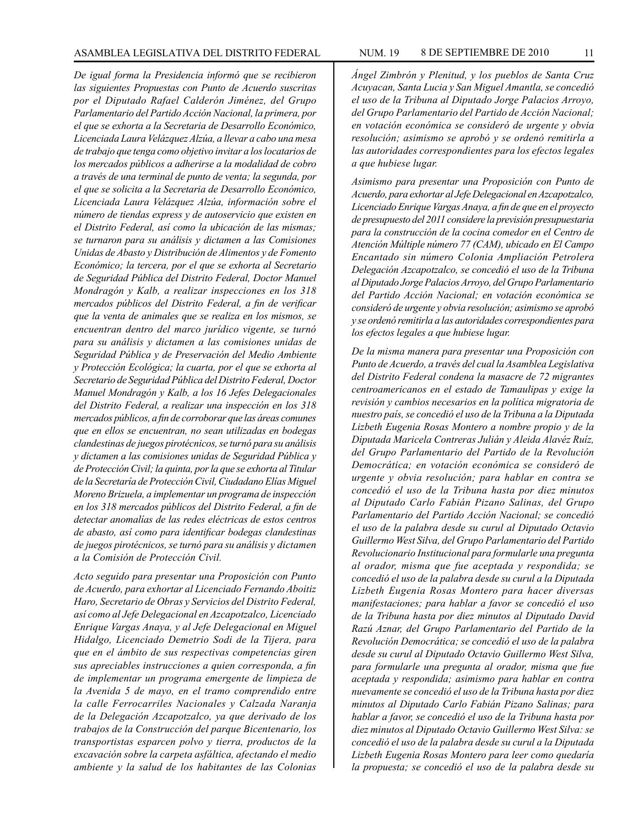*De igual forma la Presidencia informó que se recibieron las siguientes Propuestas con Punto de Acuerdo suscritas por el Diputado Rafael Calderón Jiménez, del Grupo Parlamentario del Partido Acción Nacional, la primera, por el que se exhorta a la Secretaria de Desarrollo Económico, Licenciada Laura Velázquez Alzúa, a llevar a cabo una mesa de trabajo que tenga como objetivo invitar a los locatarios de los mercados públicos a adherirse a la modalidad de cobro a través de una terminal de punto de venta; la segunda, por el que se solicita a la Secretaria de Desarrollo Económico, Licenciada Laura Velázquez Alzúa, información sobre el número de tiendas express y de autoservicio que existen en el Distrito Federal, así como la ubicación de las mismas; se turnaron para su análisis y dictamen a las Comisiones Unidas de Abasto y Distribución de Alimentos y de Fomento Económico; la tercera, por el que se exhorta al Secretario de Seguridad Pública del Distrito Federal, Doctor Manuel Mondragón y Kalb, a realizar inspecciones en los 318 mercados públicos del Distrito Federal, a fin de verificar que la venta de animales que se realiza en los mismos, se encuentran dentro del marco jurídico vigente, se turnó para su análisis y dictamen a las comisiones unidas de Seguridad Pública y de Preservación del Medio Ambiente y Protección Ecológica; la cuarta, por el que se exhorta al Secretario de Seguridad Pública del Distrito Federal, Doctor Manuel Mondragón y Kalb, a los 16 Jefes Delegacionales del Distrito Federal, a realizar una inspección en los 318 mercados públicos, a fin de corroborar que las áreas comunes que en ellos se encuentran, no sean utilizadas en bodegas clandestinas de juegos pirotécnicos, se turnó para su análisis y dictamen a las comisiones unidas de Seguridad Pública y de Protección Civil; la quinta, por la que se exhorta al Titular de la Secretaría de Protección Civil, Ciudadano Elías Miguel Moreno Brizuela, a implementar un programa de inspección en los 318 mercados públicos del Distrito Federal, a fin de detectar anomalías de las redes eléctricas de estos centros de abasto, así como para identificar bodegas clandestinas de juegos pirotécnicos, se turnó para su análisis y dictamen a la Comisión de Protección Civil.*

*Acto seguido para presentar una Proposición con Punto de Acuerdo, para exhortar al Licenciado Fernando Aboitiz Haro, Secretario de Obras y Servicios del Distrito Federal, así como al Jefe Delegacional en Azcapotzalco, Licenciado Enrique Vargas Anaya, y al Jefe Delegacional en Miguel Hidalgo, Licenciado Demetrio Sodi de la Tijera, para que en el ámbito de sus respectivas competencias giren sus apreciables instrucciones a quien corresponda, a fin de implementar un programa emergente de limpieza de la Avenida 5 de mayo, en el tramo comprendido entre la calle Ferrocarriles Nacionales y Calzada Naranja de la Delegación Azcapotzalco, ya que derivado de los trabajos de la Construcción del parque Bicentenario, los transportistas esparcen polvo y tierra, productos de la excavación sobre la carpeta asfáltica, afectando el medio ambiente y la salud de los habitantes de las Colonias* *Ángel Zimbrón y Plenitud, y los pueblos de Santa Cruz Acuyacan, Santa Lucia y San Miguel Amantla, se concedió el uso de la Tribuna al Diputado Jorge Palacios Arroyo, del Grupo Parlamentario del Partido de Acción Nacional; en votación económica se consideró de urgente y obvia resolución; asimismo se aprobó y se ordenó remitirla a las autoridades correspondientes para los efectos legales a que hubiese lugar.*

*Asimismo para presentar una Proposición con Punto de Acuerdo, para exhortar al Jefe Delegacional en Azcapotzalco, Licenciado Enrique Vargas Anaya, a fin de que en el proyecto de presupuesto del 2011 considere la previsión presupuestaria para la construcción de la cocina comedor en el Centro de Atención Múltiple número 77 (CAM), ubicado en El Campo Encantado sin número Colonia Ampliación Petrolera Delegación Azcapotzalco, se concedió el uso de la Tribuna al Diputado Jorge Palacios Arroyo, del Grupo Parlamentario del Partido Acción Nacional; en votación económica se consideró de urgente y obvia resolución; asimismo se aprobó y se ordenó remitirla a las autoridades correspondientes para los efectos legales a que hubiese lugar.*

*De la misma manera para presentar una Proposición con Punto de Acuerdo, a través del cual la Asamblea Legislativa del Distrito Federal condena la masacre de 72 migrantes centroamericanos en el estado de Tamaulipas y exige la revisión y cambios necesarios en la política migratoria de nuestro país, se concedió el uso de la Tribuna a la Diputada Lizbeth Eugenia Rosas Montero a nombre propio y de la Diputada Maricela Contreras Julián y Aleida Alavéz Ruíz, del Grupo Parlamentario del Partido de la Revolución Democrática; en votación económica se consideró de urgente y obvia resolución; para hablar en contra se concedió el uso de la Tribuna hasta por diez minutos al Diputado Carlo Fabián Pizano Salinas, del Grupo Parlamentario del Partido Acción Nacional; se concedió el uso de la palabra desde su curul al Diputado Octavio Guillermo West Silva, del Grupo Parlamentario del Partido Revolucionario Institucional para formularle una pregunta al orador, misma que fue aceptada y respondida; se concedió el uso de la palabra desde su curul a la Diputada Lizbeth Eugenia Rosas Montero para hacer diversas manifestaciones; para hablar a favor se concedió el uso de la Tribuna hasta por diez minutos al Diputado David Razú Aznar, del Grupo Parlamentario del Partido de la Revolución Democrática; se concedió el uso de la palabra desde su curul al Diputado Octavio Guillermo West Silva, para formularle una pregunta al orador, misma que fue aceptada y respondida; asimismo para hablar en contra nuevamente se concedió el uso de la Tribuna hasta por diez minutos al Diputado Carlo Fabián Pizano Salinas; para hablar a favor, se concedió el uso de la Tribuna hasta por diez minutos al Diputado Octavio Guillermo West Silva: se concedió el uso de la palabra desde su curul a la Diputada Lizbeth Eugenia Rosas Montero para leer como quedaría la propuesta; se concedió el uso de la palabra desde su*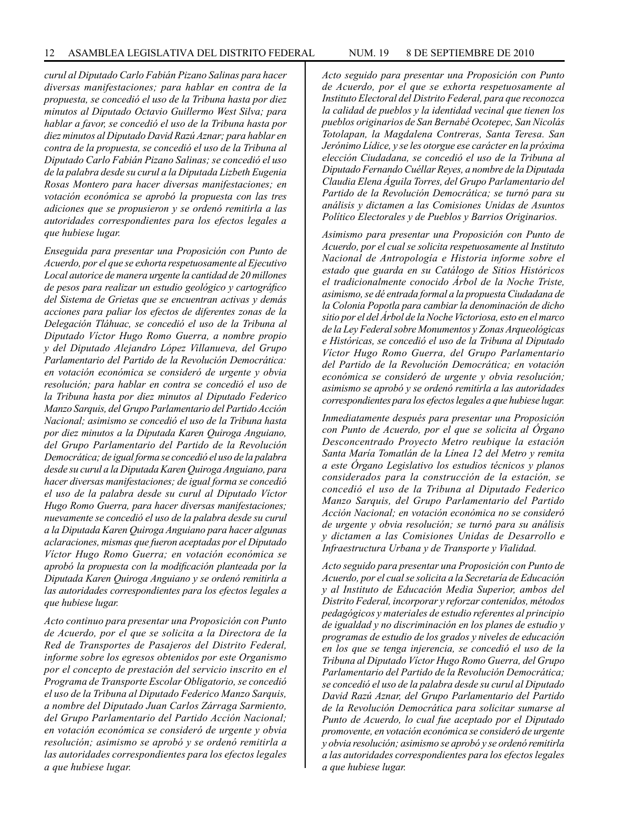*curul al Diputado Carlo Fabián Pizano Salinas para hacer diversas manifestaciones; para hablar en contra de la propuesta, se concedió el uso de la Tribuna hasta por diez minutos al Diputado Octavio Guillermo West Silva; para hablar a favor, se concedió el uso de la Tribuna hasta por diez minutos al Diputado David Razú Aznar; para hablar en contra de la propuesta, se concedió el uso de la Tribuna al Diputado Carlo Fabián Pizano Salinas; se concedió el uso de la palabra desde su curul a la Diputada Lizbeth Eugenia Rosas Montero para hacer diversas manifestaciones; en votación económica se aprobó la propuesta con las tres adiciones que se propusieron y se ordenó remitirla a las autoridades correspondientes para los efectos legales a que hubiese lugar.*

*Enseguida para presentar una Proposición con Punto de Acuerdo, por el que se exhorta respetuosamente al Ejecutivo Local autorice de manera urgente la cantidad de 20 millones de pesos para realizar un estudio geológico y cartográfico del Sistema de Grietas que se encuentran activas y demás acciones para paliar los efectos de diferentes zonas de la Delegación Tláhuac, se concedió el uso de la Tribuna al Diputado Víctor Hugo Romo Guerra, a nombre propio y del Diputado Alejandro López Villanueva, del Grupo Parlamentario del Partido de la Revolución Democrática: en votación económica se consideró de urgente y obvia resolución; para hablar en contra se concedió el uso de la Tribuna hasta por diez minutos al Diputado Federico Manzo Sarquis, del Grupo Parlamentario del Partido Acción Nacional; asimismo se concedió el uso de la Tribuna hasta por diez minutos a la Diputada Karen Quiroga Anguiano, del Grupo Parlamentario del Partido de la Revolución Democrática; de igual forma se concedió el uso de la palabra desde su curul a la Diputada Karen Quiroga Anguiano, para hacer diversas manifestaciones; de igual forma se concedió el uso de la palabra desde su curul al Diputado Víctor Hugo Romo Guerra, para hacer diversas manifestaciones; nuevamente se concedió el uso de la palabra desde su curul a la Diputada Karen Quiroga Anguiano para hacer algunas aclaraciones, mismas que fueron aceptadas por el Diputado Víctor Hugo Romo Guerra; en votación económica se aprobó la propuesta con la modificación planteada por la Diputada Karen Quiroga Anguiano y se ordenó remitirla a las autoridades correspondientes para los efectos legales a que hubiese lugar.*

*Acto continuo para presentar una Proposición con Punto de Acuerdo, por el que se solicita a la Directora de la Red de Transportes de Pasajeros del Distrito Federal, informe sobre los egresos obtenidos por este Organismo por el concepto de prestación del servicio inscrito en el Programa de Transporte Escolar Obligatorio, se concedió el uso de la Tribuna al Diputado Federico Manzo Sarquis, a nombre del Diputado Juan Carlos Zárraga Sarmiento, del Grupo Parlamentario del Partido Acción Nacional; en votación económica se consideró de urgente y obvia resolución; asimismo se aprobó y se ordenó remitirla a las autoridades correspondientes para los efectos legales a que hubiese lugar.*

*Acto seguido para presentar una Proposición con Punto de Acuerdo, por el que se exhorta respetuosamente al Instituto Electoral del Distrito Federal, para que reconozca* 

*la calidad de pueblos y la identidad vecinal que tienen los pueblos originarios de San Bernabé Ocotepec, San Nicolás Totolapan, la Magdalena Contreras, Santa Teresa. San Jerónimo Lídice, y se les otorgue ese carácter en la próxima elección Ciudadana, se concedió el uso de la Tribuna al Diputado Fernando Cuéllar Reyes, a nombre de la Diputada Claudia Elena Águila Torres, del Grupo Parlamentario del Partido de la Revolución Democrática; se turnó para su análisis y dictamen a las Comisiones Unidas de Asuntos Político Electorales y de Pueblos y Barrios Originarios.*

*Asimismo para presentar una Proposición con Punto de Acuerdo, por el cual se solicita respetuosamente al Instituto Nacional de Antropología e Historia informe sobre el estado que guarda en su Catálogo de Sitios Históricos el tradicionalmente conocido Árbol de la Noche Triste, asimismo, se dé entrada formal a la propuesta Ciudadana de la Colonia Popotla para cambiar la denominación de dicho sitio por el del Árbol de la Noche Victoriosa, esto en el marco de la Ley Federal sobre Monumentos y Zonas Arqueológicas e Históricas, se concedió el uso de la Tribuna al Diputado Víctor Hugo Romo Guerra, del Grupo Parlamentario del Partido de la Revolución Democrática; en votación económica se consideró de urgente y obvia resolución; asimismo se aprobó y se ordenó remitirla a las autoridades correspondientes para los efectos legales a que hubiese lugar.*

*Inmediatamente después para presentar una Proposición con Punto de Acuerdo, por el que se solicita al Órgano Desconcentrado Proyecto Metro reubique la estación Santa María Tomatlán de la Línea 12 del Metro y remita a este Órgano Legislativo los estudios técnicos y planos considerados para la construcción de la estación, se concedió el uso de la Tribuna al Diputado Federico Manzo Sarquis, del Grupo Parlamentario del Partido Acción Nacional; en votación económica no se consideró de urgente y obvia resolución; se turnó para su análisis y dictamen a las Comisiones Unidas de Desarrollo e Infraestructura Urbana y de Transporte y Vialidad.*

*Acto seguido para presentar una Proposición con Punto de Acuerdo, por el cual se solicita a la Secretaría de Educación y al Instituto de Educación Media Superior, ambos del Distrito Federal, incorporar y reforzar contenidos, métodos pedagógicos y materiales de estudio referentes al principio de igualdad y no discriminación en los planes de estudio y programas de estudio de los grados y niveles de educación en los que se tenga injerencia, se concedió el uso de la Tribuna al Diputado Víctor Hugo Romo Guerra, del Grupo Parlamentario del Partido de la Revolución Democrática; se concedió el uso de la palabra desde su curul al Diputado David Razú Aznar, del Grupo Parlamentario del Partido de la Revolución Democrática para solicitar sumarse al Punto de Acuerdo, lo cual fue aceptado por el Diputado promovente, en votación económica se consideró de urgente y obvia resolución; asimismo se aprobó y se ordenó remitirla a las autoridades correspondientes para los efectos legales a que hubiese lugar.*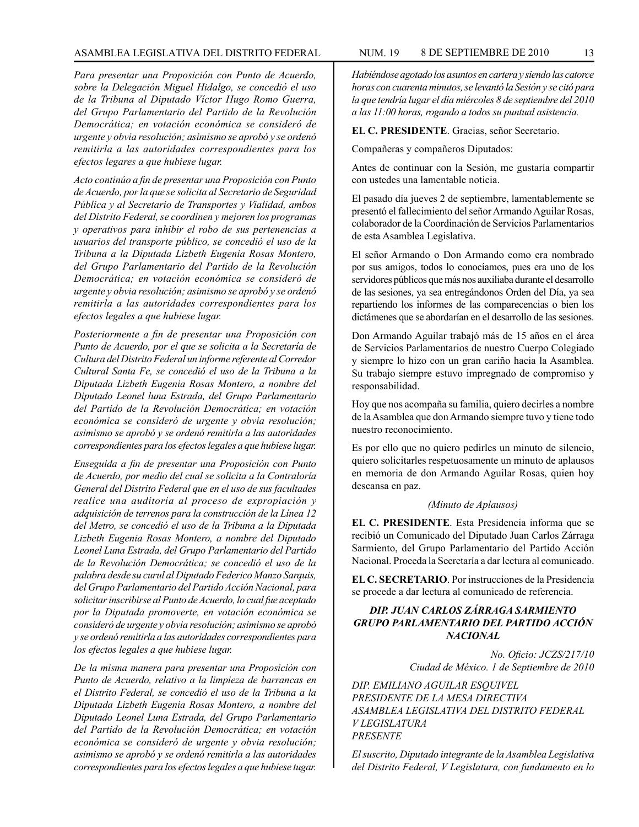*Para presentar una Proposición con Punto de Acuerdo, sobre la Delegación Miguel Hidalgo, se concedió el uso de la Tribuna al Diputado Víctor Hugo Romo Guerra, del Grupo Parlamentario del Partido de la Revolución Democrática; en votación económica se consideró de urgente y obvia resolución; asimismo se aprobó y se ordenó remitirla a las autoridades correspondientes para los efectos legares a que hubiese lugar.*

*Acto continúo a fin de presentar una Proposición con Punto de Acuerdo, por la que se solicita al Secretario de Seguridad Pública y al Secretario de Transportes y Vialidad, ambos del Distrito Federal, se coordinen y mejoren los programas y operativos para inhibir el robo de sus pertenencias a usuarios del transporte público, se concedió el uso de la Tribuna a la Diputada Lizbeth Eugenia Rosas Montero, del Grupo Parlamentario del Partido de la Revolución Democrática; en votación económica se consideró de urgente y obvia resolución; asimismo se aprobó y se ordenó remitirla a las autoridades correspondientes para los efectos legales a que hubiese lugar.*

*Posteriormente a fin de presentar una Proposición con Punto de Acuerdo, por el que se solicita a la Secretaría de Cultura del Distrito Federal un informe referente al Corredor Cultural Santa Fe, se concedió el uso de la Tribuna a la Diputada Lizbeth Eugenia Rosas Montero, a nombre del Diputado Leonel luna Estrada, del Grupo Parlamentario del Partido de la Revolución Democrática; en votación económica se consideró de urgente y obvia resolución; asimismo se aprobó y se ordenó remitirla a las autoridades correspondientes para los efectos legales a que hubiese lugar.*

*Enseguida a fin de presentar una Proposición con Punto de Acuerdo, por medio del cual se solicita a la Contraloría General del Distrito Federal que en el uso de sus facultades realice una auditoría al proceso de expropiación y adquisición de terrenos para la construcción de la Línea 12 del Metro, se concedió el uso de la Tribuna a la Diputada Lizbeth Eugenia Rosas Montero, a nombre del Diputado Leonel Luna Estrada, del Grupo Parlamentario del Partido de la Revolución Democrática; se concedió el uso de la palabra desde su curul al Diputado Federico Manzo Sarquis, del Grupo Parlamentario del Partido Acción Nacional, para solicitar inscribirse al Punto de Acuerdo, lo cual fue aceptado por la Diputada promoverte, en votación económica se consideró de urgente y obvia resolución; asimismo se aprobó y se ordenó remitirla a las autoridades correspondientes para los efectos legales a que hubiese lugar.*

*De la misma manera para presentar una Proposición con Punto de Acuerdo, relativo a la limpieza de barrancas en el Distrito Federal, se concedió el uso de la Tribuna a la Diputada Lizbeth Eugenia Rosas Montero, a nombre del Diputado Leonel Luna Estrada, del Grupo Parlamentario del Partido de la Revolución Democrática; en votación económica se consideró de urgente y obvia resolución; asimismo se aprobó y se ordenó remitirla a las autoridades correspondientes para los efectos legales a que hubiese tugar.*

*Habiéndose agotado los asuntos en cartera y siendo las catorce horas con cuarenta minutos, se levantó la Sesión y se citó para la que tendría lugar el día miércoles 8 de septiembre del 2010 a las 11:00 horas, rogando a todos su puntual asistencia.*

**EL C. PRESIDENTE**. Gracias, señor Secretario.

Compañeras y compañeros Diputados:

Antes de continuar con la Sesión, me gustaría compartir con ustedes una lamentable noticia.

El pasado día jueves 2 de septiembre, lamentablemente se presentó el fallecimiento del señor Armando Aguilar Rosas, colaborador de la Coordinación de Servicios Parlamentarios de esta Asamblea Legislativa.

El señor Armando o Don Armando como era nombrado por sus amigos, todos lo conocíamos, pues era uno de los servidores públicos que más nos auxiliaba durante el desarrollo de las sesiones, ya sea entregándonos Orden del Día, ya sea repartiendo los informes de las comparecencias o bien los dictámenes que se abordarían en el desarrollo de las sesiones.

Don Armando Aguilar trabajó más de 15 años en el área de Servicios Parlamentarios de nuestro Cuerpo Colegiado y siempre lo hizo con un gran cariño hacia la Asamblea. Su trabajo siempre estuvo impregnado de compromiso y responsabilidad.

Hoy que nos acompaña su familia, quiero decirles a nombre de la Asamblea que don Armando siempre tuvo y tiene todo nuestro reconocimiento.

Es por ello que no quiero pedirles un minuto de silencio, quiero solicitarles respetuosamente un minuto de aplausos en memoria de don Armando Aguilar Rosas, quien hoy descansa en paz.

#### *(Minuto de Aplausos)*

**EL C. PRESIDENTE**. Esta Presidencia informa que se recibió un Comunicado del Diputado Juan Carlos Zárraga Sarmiento, del Grupo Parlamentario del Partido Acción Nacional. Proceda la Secretaría a dar lectura al comunicado.

**EL C. SECRETARIO**. Por instrucciones de la Presidencia se procede a dar lectura al comunicado de referencia.

## *DIP. JUAN CARLOS ZÁRRAGA SARMIENTO GRUPO PARLAMENTARIO DEL PARTIDO ACCIÓN NACIONAL*

*No. Oficio: JCZS/217/10 Ciudad de México. 1 de Septiembre de 2010*

*DIP. EMILIANO AGUILAR ESQUIVEL PRESIDENTE DE LA MESA DIRECTIVA ASAMBLEA LEGISLATIVA DEL DISTRITO FEDERAL V LEGISLATURA PRESENTE*

*El suscrito, Diputado integrante de la Asamblea Legislativa del Distrito Federal, V Legislatura, con fundamento en lo*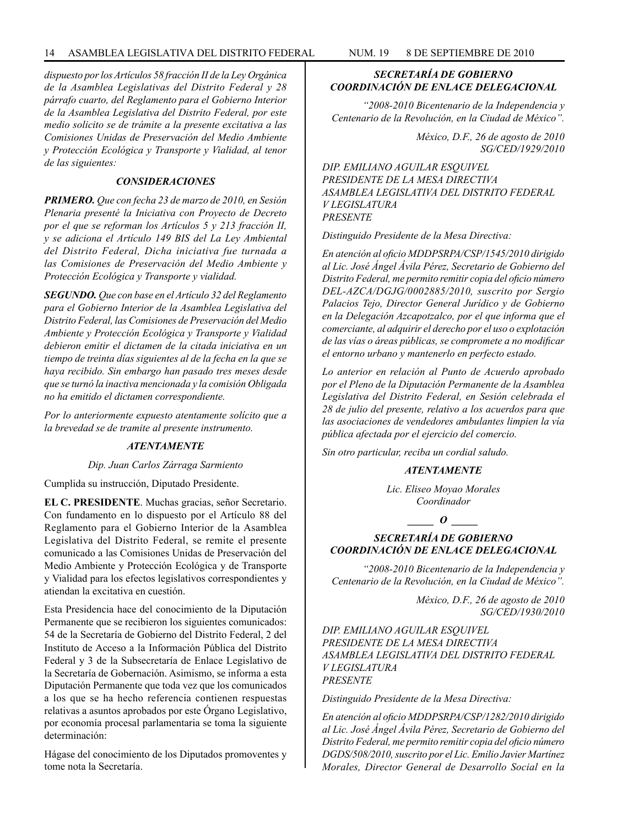*dispuesto por los Artículos 58 fracción II de la Ley Orgánica de la Asamblea Legislativas del Distrito Federal y 28 párrafo cuarto, del Reglamento para el Gobierno Interior de la Asamblea Legislativa del Distrito Federal, por este medio solicito se de trámite a la presente excitativa a las Comisiones Unidas de Preservación del Medio Ambiente y Protección Ecológica y Transporte y Vialidad, al tenor de las siguientes:*

## *CONSIDERACIONES*

*PRIMERO. Que con fecha 23 de marzo de 2010, en Sesión Plenaria presenté la Iniciativa con Proyecto de Decreto por el que se reforman los Artículos 5 y 213 fracción II, y se adiciona el Artículo 149 BIS del La Ley Ambiental del Distrito Federal, Dicha iniciativa fue turnada a las Comisiones de Preservación del Medio Ambiente y Protección Ecológica y Transporte y vialidad.*

*SEGUNDO. Que con base en el Artículo 32 del Reglamento para el Gobierno Interior de la Asamblea Legislativa del Distrito Federal, las Comisiones de Preservación del Medio Ambiente y Protección Ecológica y Transporte y Vialidad debieron emitir el dictamen de la citada iniciativa en un tiempo de treinta días siguientes al de la fecha en la que se haya recibido. Sin embargo han pasado tres meses desde que se turnó la inactiva mencionada y la comisión Obligada no ha emitido el dictamen correspondiente.*

*Por lo anteriormente expuesto atentamente solícito que a la brevedad se de tramite al presente instrumento.*

#### *ATENTAMENTE*

*Dip. Juan Carlos Zárraga Sarmiento*

Cumplida su instrucción, Diputado Presidente.

**EL C. PRESIDENTE**. Muchas gracias, señor Secretario. Con fundamento en lo dispuesto por el Artículo 88 del Reglamento para el Gobierno Interior de la Asamblea Legislativa del Distrito Federal, se remite el presente comunicado a las Comisiones Unidas de Preservación del Medio Ambiente y Protección Ecológica y de Transporte y Vialidad para los efectos legislativos correspondientes y atiendan la excitativa en cuestión.

Esta Presidencia hace del conocimiento de la Diputación Permanente que se recibieron los siguientes comunicados: 54 de la Secretaría de Gobierno del Distrito Federal, 2 del Instituto de Acceso a la Información Pública del Distrito Federal y 3 de la Subsecretaría de Enlace Legislativo de la Secretaría de Gobernación. Asimismo, se informa a esta Diputación Permanente que toda vez que los comunicados a los que se ha hecho referencia contienen respuestas relativas a asuntos aprobados por este Órgano Legislativo, por economía procesal parlamentaria se toma la siguiente determinación:

Hágase del conocimiento de los Diputados promoventes y tome nota la Secretaría.

## *SECRETARÍA DE GOBIERNO COORDINACIÓN DE ENLACE DELEGACIONAL*

*"2008-2010 Bicentenario de la Independencia y Centenario de la Revolución, en la Ciudad de México".*

> *México, D.F., 26 de agosto de 2010 SG/CED/1929/2010*

*DIP. EMILIANO AGUILAR ESQUIVEL PRESIDENTE DE LA MESA DIRECTIVA ASAMBLEA LEGISLATIVA DEL DISTRITO FEDERAL V LEGISLATURA PRESENTE*

*Distinguido Presidente de la Mesa Directiva:*

*En atención al oficio MDDPSRPA/CSP/1545/2010 dirigido al Lic. José Ángel Ávila Pérez, Secretario de Gobierno del Distrito Federal, me permito remitir copia del oficio número DEL-AZCA/DGJG/0002885/2010, suscrito por Sergio Palacios Tejo, Director General Jurídico y de Gobierno en la Delegación Azcapotzalco, por el que informa que el comerciante, al adquirir el derecho por el uso o explotación de las vías o áreas públicas, se compromete a no modificar el entorno urbano y mantenerlo en perfecto estado.*

*Lo anterior en relación al Punto de Acuerdo aprobado por el Pleno de la Diputación Permanente de la Asamblea Legislativa del Distrito Federal, en Sesión celebrada el 28 de julio del presente, relativo a los acuerdos para que las asociaciones de vendedores ambulantes limpien la vía pública afectada por el ejercicio del comercio.*

*Sin otro particular, reciba un cordial saludo.*

## *ATENTAMENTE*

*Lic. Eliseo Moyao Morales Coordinador*

*\_\_\_\_\_ O \_\_\_\_\_*

## *SECRETARÍA DE GOBIERNO COORDINACIÓN DE ENLACE DELEGACIONAL*

*"2008-2010 Bicentenario de la Independencia y Centenario de la Revolución, en la Ciudad de México".*

> *México, D.F., 26 de agosto de 2010 SG/CED/1930/2010*

*DIP. EMILIANO AGUILAR ESQUIVEL PRESIDENTE DE LA MESA DIRECTIVA ASAMBLEA LEGISLATIVA DEL DISTRITO FEDERAL V LEGISLATURA PRESENTE*

*Distinguido Presidente de la Mesa Directiva:*

*En atención al oficio MDDPSRPA/CSP/1282/2010 dirigido al Lic. José Ángel Ávila Pérez, Secretario de Gobierno del Distrito Federal, me permito remitir copia del oficio número DGDS/508/2010, suscrito por el Lic. Emilio Javier Martínez Morales, Director General de Desarrollo Social en la*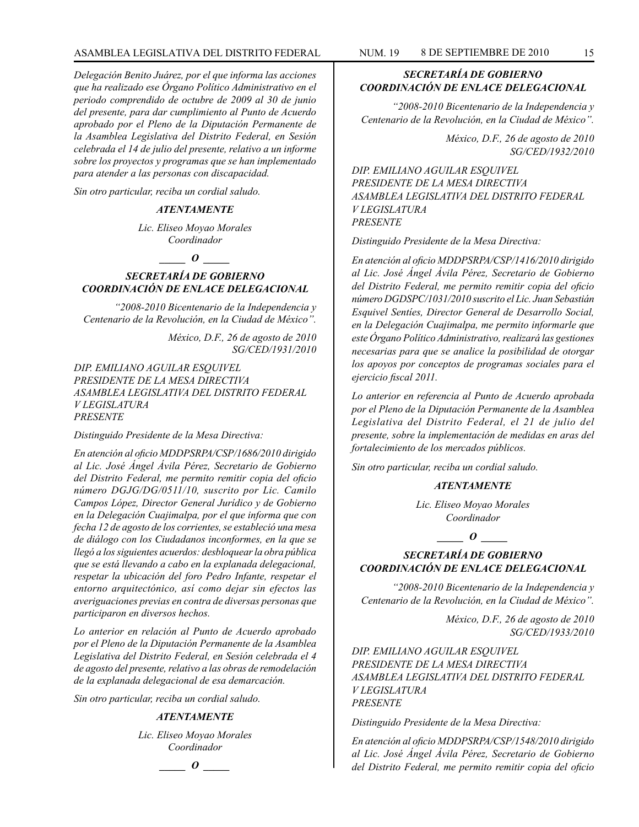*Delegación Benito Juárez, por el que informa las acciones que ha realizado ese Órgano Político Administrativo en el periodo comprendido de octubre de 2009 al 30 de junio del presente, para dar cumplimiento al Punto de Acuerdo aprobado por el Pleno de la Diputación Permanente de la Asamblea Legislativa del Distrito Federal, en Sesión celebrada el 14 de julio del presente, relativo a un informe sobre los proyectos y programas que se han implementado para atender a las personas con discapacidad.*

*Sin otro particular, reciba un cordial saludo.*

#### *ATENTAMENTE*

*Lic. Eliseo Moyao Morales Coordinador*

*\_\_\_\_\_ O \_\_\_\_\_*

## *SECRETARÍA DE GOBIERNO COORDINACIÓN DE ENLACE DELEGACIONAL*

*"2008-2010 Bicentenario de la Independencia y Centenario de la Revolución, en la Ciudad de México".*

> *México, D.F., 26 de agosto de 2010 SG/CED/1931/2010*

*DIP. EMILIANO AGUILAR ESQUIVEL PRESIDENTE DE LA MESA DIRECTIVA ASAMBLEA LEGISLATIVA DEL DISTRITO FEDERAL V LEGISLATURA PRESENTE*

*Distinguido Presidente de la Mesa Directiva:*

*En atención al oficio MDDPSRPA/CSP/1686/2010 dirigido al Lic. José Ángel Ávila Pérez, Secretario de Gobierno del Distrito Federal, me permito remitir copia del oficio número DGJG/DG/0511/10, suscrito por Lic. Camilo Campos López, Director General Jurídico y de Gobierno en la Delegación Cuajimalpa, por el que informa que con fecha 12 de agosto de los corrientes, se estableció una mesa de diálogo con los Ciudadanos inconformes, en la que se llegó a los siguientes acuerdos: desbloquear la obra pública que se está llevando a cabo en la explanada delegacional, respetar la ubicación del foro Pedro Infante, respetar el entorno arquitectónico, así como dejar sin efectos las averiguaciones previas en contra de diversas personas que participaron en diversos hechos.*

*Lo anterior en relación al Punto de Acuerdo aprobado por el Pleno de la Diputación Permanente de la Asamblea Legislativa del Distrito Federal, en Sesión celebrada el 4 de agosto del presente, relativo a las obras de remodelación de la explanada delegacional de esa demarcación.*

*Sin otro particular, reciba un cordial saludo.*

#### *ATENTAMENTE*

*Lic. Eliseo Moyao Morales Coordinador*



## *SECRETARÍA DE GOBIERNO COORDINACIÓN DE ENLACE DELEGACIONAL*

*"2008-2010 Bicentenario de la Independencia y Centenario de la Revolución, en la Ciudad de México".*

> *México, D.F., 26 de agosto de 2010 SG/CED/1932/2010*

*DIP. EMILIANO AGUILAR ESQUIVEL PRESIDENTE DE LA MESA DIRECTIVA ASAMBLEA LEGISLATIVA DEL DISTRITO FEDERAL V LEGISLATURA PRESENTE*

*Distinguido Presidente de la Mesa Directiva:*

*En atención al oficio MDDPSRPA/CSP/1416/2010 dirigido al Lic. José Ángel Ávila Pérez, Secretario de Gobierno del Distrito Federal, me permito remitir copia del oficio número DGDSPC/1031/2010 suscrito el Lic. Juan Sebastián Esquivel Sentíes, Director General de Desarrollo Social, en la Delegación Cuajimalpa, me permito informarle que este Órgano Político Administrativo, realizará las gestiones necesarias para que se analice la posibilidad de otorgar los apoyos por conceptos de programas sociales para el ejercicio fiscal 2011.*

*Lo anterior en referencia al Punto de Acuerdo aprobada por el Pleno de la Diputación Permanente de la Asamblea Legislativa del Distrito Federal, el 21 de julio del presente, sobre la implementación de medidas en aras del fortalecimiento de los mercados públicos.*

*Sin otro particular, reciba un cordial saludo.*

## *ATENTAMENTE*

*Lic. Eliseo Moyao Morales Coordinador*

*\_\_\_\_\_ O \_\_\_\_\_*

## *SECRETARÍA DE GOBIERNO COORDINACIÓN DE ENLACE DELEGACIONAL*

*"2008-2010 Bicentenario de la Independencia y Centenario de la Revolución, en la Ciudad de México".*

> *México, D.F., 26 de agosto de 2010 SG/CED/1933/2010*

*DIP. EMILIANO AGUILAR ESQUIVEL PRESIDENTE DE LA MESA DIRECTIVA ASAMBLEA LEGISLATIVA DEL DISTRITO FEDERAL V LEGISLATURA PRESENTE*

*Distinguido Presidente de la Mesa Directiva:*

*En atención al oficio MDDPSRPA/CSP/1548/2010 dirigido al Lic. José Ángel Ávila Pérez, Secretario de Gobierno del Distrito Federal, me permito remitir copia del oficio*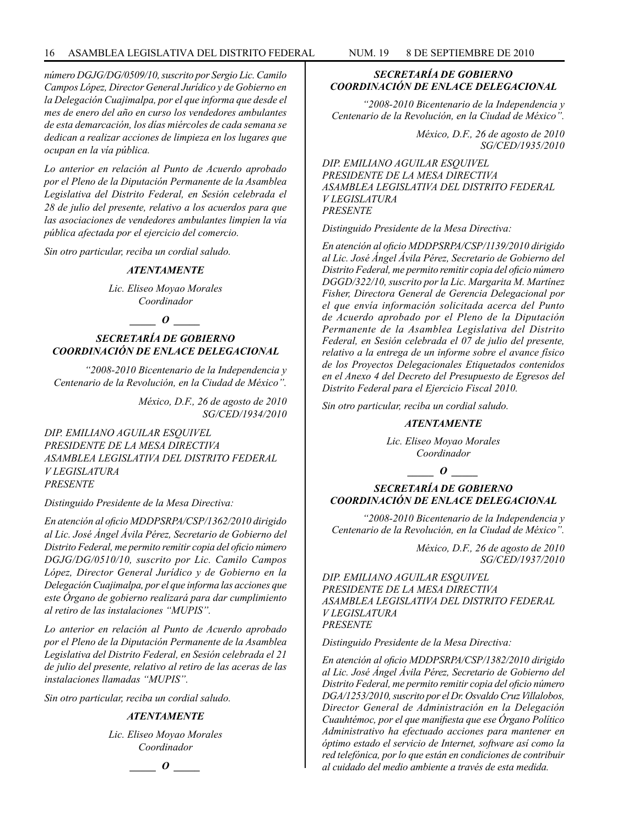*número DGJG/DG/0509/10, suscrito por Sergio Lic. Camilo Campos López, Director General Jurídico y de Gobierno en la Delegación Cuajimalpa, por el que informa que desde el mes de enero del año en curso los vendedores ambulantes de esta demarcación, los días miércoles de cada semana se dedican a realizar acciones de limpieza en los lugares que ocupan en la vía pública.*

*Lo anterior en relación al Punto de Acuerdo aprobado por el Pleno de la Diputación Permanente de la Asamblea Legislativa del Distrito Federal, en Sesión celebrada el 28 de julio del presente, relativo a los acuerdos para que las asociaciones de vendedores ambulantes limpien la vía pública afectada por el ejercicio del comercio.*

*Sin otro particular, reciba un cordial saludo.*

#### *ATENTAMENTE*

*Lic. Eliseo Moyao Morales Coordinador*

## *\_\_\_\_\_ O \_\_\_\_\_*

## *SECRETARÍA DE GOBIERNO COORDINACIÓN DE ENLACE DELEGACIONAL*

*"2008-2010 Bicentenario de la Independencia y Centenario de la Revolución, en la Ciudad de México".*

> *México, D.F., 26 de agosto de 2010 SG/CED/1934/2010*

*DIP. EMILIANO AGUILAR ESQUIVEL PRESIDENTE DE LA MESA DIRECTIVA ASAMBLEA LEGISLATIVA DEL DISTRITO FEDERAL V LEGISLATURA PRESENTE*

*Distinguido Presidente de la Mesa Directiva:*

*En atención al oficio MDDPSRPA/CSP/1362/2010 dirigido al Lic. José Ángel Ávila Pérez, Secretario de Gobierno del Distrito Federal, me permito remitir copia del oficio número DGJG/DG/0510/10, suscrito por Lic. Camilo Campos López, Director General Jurídico y de Gobierno en la Delegación Cuajimalpa, por el que informa las acciones que este Órgano de gobierno realizará para dar cumplimiento al retiro de las instalaciones "MUPIS".*

*Lo anterior en relación al Punto de Acuerdo aprobado por el Pleno de la Diputación Permanente de la Asamblea Legislativa del Distrito Federal, en Sesión celebrada el 21 de julio del presente, relativo al retiro de las aceras de las instalaciones llamadas "MUPIS".*

*Sin otro particular, reciba un cordial saludo.*

#### *ATENTAMENTE*

*Lic. Eliseo Moyao Morales Coordinador*

*\_\_\_\_\_ O \_\_\_\_\_*

## *SECRETARÍA DE GOBIERNO COORDINACIÓN DE ENLACE DELEGACIONAL*

*"2008-2010 Bicentenario de la Independencia y Centenario de la Revolución, en la Ciudad de México".*

> *México, D.F., 26 de agosto de 2010 SG/CED/1935/2010*

*DIP. EMILIANO AGUILAR ESQUIVEL PRESIDENTE DE LA MESA DIRECTIVA ASAMBLEA LEGISLATIVA DEL DISTRITO FEDERAL V LEGISLATURA PRESENTE*

*Distinguido Presidente de la Mesa Directiva:*

*En atención al oficio MDDPSRPA/CSP/1139/2010 dirigido al Lic. José Ángel Ávila Pérez, Secretario de Gobierno del Distrito Federal, me permito remitir copia del oficio número DGGD/322/10, suscrito por la Lic. Margarita M. Martínez Fisher, Directora General de Gerencia Delegacional por el que envía información solicitada acerca del Punto de Acuerdo aprobado por el Pleno de la Diputación Permanente de la Asamblea Legislativa del Distrito Federal, en Sesión celebrada el 07 de julio del presente, relativo a la entrega de un informe sobre el avance físico de los Proyectos Delegacionales Etiquetados contenidos en el Anexo 4 del Decreto del Presupuesto de Egresos del Distrito Federal para el Ejercicio Fiscal 2010.*

*Sin otro particular, reciba un cordial saludo.*

#### *ATENTAMENTE*

*Lic. Eliseo Moyao Morales Coordinador*

*\_\_\_\_\_ O \_\_\_\_\_*

## *SECRETARÍA DE GOBIERNO COORDINACIÓN DE ENLACE DELEGACIONAL*

*"2008-2010 Bicentenario de la Independencia y Centenario de la Revolución, en la Ciudad de México".*

> *México, D.F., 26 de agosto de 2010 SG/CED/1937/2010*

*DIP. EMILIANO AGUILAR ESQUIVEL PRESIDENTE DE LA MESA DIRECTIVA ASAMBLEA LEGISLATIVA DEL DISTRITO FEDERAL V LEGISLATURA PRESENTE*

*Distinguido Presidente de la Mesa Directiva:*

*En atención al oficio MDDPSRPA/CSP/1382/2010 dirigido al Lic. José Ángel Ávila Pérez, Secretario de Gobierno del Distrito Federal, me permito remitir copia del oficio número DGA/1253/2010, suscrito por el Dr. Osvaldo Cruz Villalobos, Director General de Administración en la Delegación Cuauhtémoc, por el que manifiesta que ese Órgano Político Administrativo ha efectuado acciones para mantener en óptimo estado el servicio de Internet, software así como la red telefónica, por lo que están en condiciones de contribuir al cuidado del medio ambiente a través de esta medida.*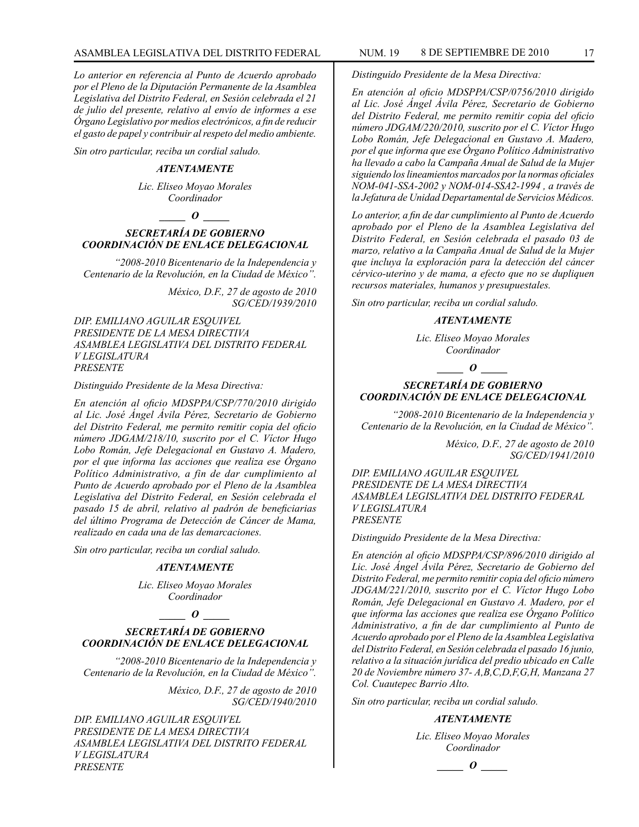*Lo anterior en referencia al Punto de Acuerdo aprobado por el Pleno de la Diputación Permanente de la Asamblea Legislativa del Distrito Federal, en Sesión celebrada el 21 de julio del presente, relativo al envío de informes a ese Órgano Legislativo por medios electrónicos, a fin de reducir el gasto de papel y contribuir al respeto del medio ambiente.*

*Sin otro particular, reciba un cordial saludo.*

#### *ATENTAMENTE*

*Lic. Eliseo Moyao Morales Coordinador*

#### $\bm{o}$

## *SECRETARÍA DE GOBIERNO COORDINACIÓN DE ENLACE DELEGACIONAL*

*"2008-2010 Bicentenario de la Independencia y Centenario de la Revolución, en la Ciudad de México".*

> *México, D.F., 27 de agosto de 2010 SG/CED/1939/2010*

*DIP. EMILIANO AGUILAR ESQUIVEL PRESIDENTE DE LA MESA DIRECTIVA ASAMBLEA LEGISLATIVA DEL DISTRITO FEDERAL V LEGISLATURA PRESENTE*

#### *Distinguido Presidente de la Mesa Directiva:*

*En atención al oficio MDSPPA/CSP/770/2010 dirigido al Lic. José Ángel Ávila Pérez, Secretario de Gobierno del Distrito Federal, me permito remitir copia del oficio número JDGAM/218/10, suscrito por el C. Víctor Hugo Lobo Román, Jefe Delegacional en Gustavo A. Madero, por el que informa las acciones que realiza ese Órgano Político Administrativo, a fin de dar cumplimiento al Punto de Acuerdo aprobado por el Pleno de la Asamblea Legislativa del Distrito Federal, en Sesión celebrada el pasado 15 de abril, relativo al padrón de beneficiarias del último Programa de Detección de Cáncer de Mama, realizado en cada una de las demarcaciones.*

*Sin otro particular, reciba un cordial saludo.*

#### *ATENTAMENTE*

*Lic. Eliseo Moyao Morales Coordinador*

#### *\_\_\_\_\_ O \_\_\_\_\_*

## *SECRETARÍA DE GOBIERNO COORDINACIÓN DE ENLACE DELEGACIONAL*

*"2008-2010 Bicentenario de la Independencia y Centenario de la Revolución, en la Ciudad de México".*

> *México, D.F., 27 de agosto de 2010 SG/CED/1940/2010*

*DIP. EMILIANO AGUILAR ESQUIVEL PRESIDENTE DE LA MESA DIRECTIVA ASAMBLEA LEGISLATIVA DEL DISTRITO FEDERAL V LEGISLATURA PRESENTE*

*Distinguido Presidente de la Mesa Directiva:*

*En atención al oficio MDSPPA/CSP/0756/2010 dirigido al Lic. José Ángel Ávila Pérez, Secretario de Gobierno del Distrito Federal, me permito remitir copia del oficio número JDGAM/220/2010, suscrito por el C. Víctor Hugo Lobo Román, Jefe Delegacional en Gustavo A. Madero, por el que informa que ese Órgano Político Administrativo ha llevado a cabo la Campaña Anual de Salud de la Mujer siguiendo los lineamientos marcados por la normas oficiales NOM-041-SSA-2002 y NOM-014-SSA2-1994 , a través de la Jefatura de Unidad Departamental de Servicios Médicos.*

*Lo anterior, a fin de dar cumplimiento al Punto de Acuerdo aprobado por el Pleno de la Asamblea Legislativa del Distrito Federal, en Sesión celebrada el pasado 03 de marzo, relativo a la Campaña Anual de Salud de la Mujer que incluya la exploración para la detección del cáncer cérvico-uterino y de mama, a efecto que no se dupliquen recursos materiales, humanos y presupuestales.*

*Sin otro particular, reciba un cordial saludo.*

#### *ATENTAMENTE*

*Lic. Eliseo Moyao Morales Coordinador*

*\_\_\_\_\_ O \_\_\_\_\_*

## *SECRETARÍA DE GOBIERNO COORDINACIÓN DE ENLACE DELEGACIONAL*

*"2008-2010 Bicentenario de la Independencia y Centenario de la Revolución, en la Ciudad de México".*

> *México, D.F., 27 de agosto de 2010 SG/CED/1941/2010*

*DIP. EMILIANO AGUILAR ESQUIVEL PRESIDENTE DE LA MESA DIRECTIVA ASAMBLEA LEGISLATIVA DEL DISTRITO FEDERAL V LEGISLATURA PRESENTE*

*Distinguido Presidente de la Mesa Directiva:*

*En atención al oficio MDSPPA/CSP/896/2010 dirigido al Lic. José Ángel Ávila Pérez, Secretario de Gobierno del Distrito Federal, me permito remitir copia del oficio número JDGAM/221/2010, suscrito por el C. Víctor Hugo Lobo Román, Jefe Delegacional en Gustavo A. Madero, por el que informa las acciones que realiza ese Órgano Político Administrativo, a fin de dar cumplimiento al Punto de Acuerdo aprobado por el Pleno de la Asamblea Legislativa del Distrito Federal, en Sesión celebrada el pasado 16 junio, relativo a la situación jurídica del predio ubicado en Calle 20 de Noviembre número 37- A,B,C,D,F,G,H, Manzana 27 Col. Cuautepec Barrio Alto.*

*Sin otro particular, reciba un cordial saludo.*

#### *ATENTAMENTE*

*Lic. Eliseo Moyao Morales Coordinador*

*\_\_\_\_\_ O \_\_\_\_\_*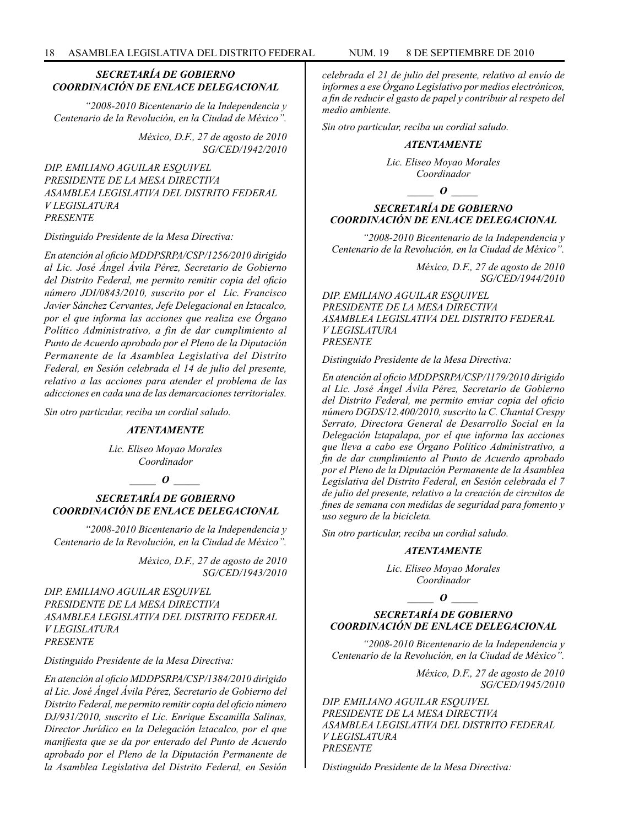## *SECRETARÍA DE GOBIERNO COORDINACIÓN DE ENLACE DELEGACIONAL*

*"2008-2010 Bicentenario de la Independencia y Centenario de la Revolución, en la Ciudad de México".*

> *México, D.F., 27 de agosto de 2010 SG/CED/1942/2010*

*DIP. EMILIANO AGUILAR ESQUIVEL PRESIDENTE DE LA MESA DIRECTIVA ASAMBLEA LEGISLATIVA DEL DISTRITO FEDERAL V LEGISLATURA PRESENTE*

#### *Distinguido Presidente de la Mesa Directiva:*

*En atención al oficio MDDPSRPA/CSP/1256/2010 dirigido al Lic. José Ángel Ávila Pérez, Secretario de Gobierno del Distrito Federal, me permito remitir copia del oficio número JDI/0843/2010, suscrito por el Lic. Francisco Javier Sánchez Cervantes, Jefe Delegacional en Iztacalco, por el que informa las acciones que realiza ese Órgano Político Administrativo, a fin de dar cumplimiento al Punto de Acuerdo aprobado por el Pleno de la Diputación Permanente de la Asamblea Legislativa del Distrito Federal, en Sesión celebrada el 14 de julio del presente, relativo a las acciones para atender el problema de las adicciones en cada una de las demarcaciones territoriales.*

*Sin otro particular, reciba un cordial saludo.*

#### *ATENTAMENTE*

*Lic. Eliseo Moyao Morales Coordinador*

## *\_\_\_\_\_ O \_\_\_\_\_*

## *SECRETARÍA DE GOBIERNO COORDINACIÓN DE ENLACE DELEGACIONAL*

*"2008-2010 Bicentenario de la Independencia y Centenario de la Revolución, en la Ciudad de México".*

> *México, D.F., 27 de agosto de 2010 SG/CED/1943/2010*

*DIP. EMILIANO AGUILAR ESQUIVEL PRESIDENTE DE LA MESA DIRECTIVA ASAMBLEA LEGISLATIVA DEL DISTRITO FEDERAL V LEGISLATURA PRESENTE*

*Distinguido Presidente de la Mesa Directiva:*

*En atención al oficio MDDPSRPA/CSP/1384/2010 dirigido al Lic. José Ángel Ávila Pérez, Secretario de Gobierno del Distrito Federal, me permito remitir copia del oficio número DJ/931/2010, suscrito el Lic. Enrique Escamilla Salinas, Director Jurídico en la Delegación lztacalco, por el que manifiesta que se da por enterado del Punto de Acuerdo aprobado por el Pleno de la Diputación Permanente de la Asamblea Legislativa del Distrito Federal, en Sesión* 

*celebrada el 21 de julio del presente, relativo al envío de informes a ese Órgano Legislativo por medios electrónicos, a fin de reducir el gasto de papel y contribuir al respeto del medio ambiente.*

*Sin otro particular, reciba un cordial saludo.*

#### *ATENTAMENTE*

*Lic. Eliseo Moyao Morales Coordinador*

*\_\_\_\_\_ O \_\_\_\_\_*

## *SECRETARÍA DE GOBIERNO COORDINACIÓN DE ENLACE DELEGACIONAL*

*"2008-2010 Bicentenario de la Independencia y Centenario de la Revolución, en la Ciudad de México".*

> *México, D.F., 27 de agosto de 2010 SG/CED/1944/2010*

*DIP. EMILIANO AGUILAR ESQUIVEL PRESIDENTE DE LA MESA DIRECTIVA ASAMBLEA LEGISLATIVA DEL DISTRITO FEDERAL V LEGISLATURA PRESENTE*

*Distinguido Presidente de la Mesa Directiva:*

*En atención al oficio MDDPSRPA/CSP/1179/2010 dirigido al Lic. José Ángel Ávila Pérez, Secretario de Gobierno del Distrito Federal, me permito enviar copia del oficio número DGDS/12.400/2010, suscrito la C. Chantal Crespy Serrato, Directora General de Desarrollo Social en la Delegación lztapalapa, por el que informa las acciones que lleva a cabo ese Órgano Político Administrativo, a fin de dar cumplimiento al Punto de Acuerdo aprobado por el Pleno de la Diputación Permanente de la Asamblea Legislativa del Distrito Federal, en Sesión celebrada el 7 de julio del presente, relativo a la creación de circuitos de fines de semana con medidas de seguridad para fomento y uso seguro de la bicicleta.*

*Sin otro particular, reciba un cordial saludo.*

#### *ATENTAMENTE*

*Lic. Eliseo Moyao Morales Coordinador*

## *SECRETARÍA DE GOBIERNO COORDINACIÓN DE ENLACE DELEGACIONAL*

*\_\_\_\_\_ O \_\_\_\_\_*

*"2008-2010 Bicentenario de la Independencia y Centenario de la Revolución, en la Ciudad de México".*

> *México, D.F., 27 de agosto de 2010 SG/CED/1945/2010*

*DIP. EMILIANO AGUILAR ESQUIVEL PRESIDENTE DE LA MESA DIRECTIVA ASAMBLEA LEGISLATIVA DEL DISTRITO FEDERAL V LEGISLATURA PRESENTE*

*Distinguido Presidente de la Mesa Directiva:*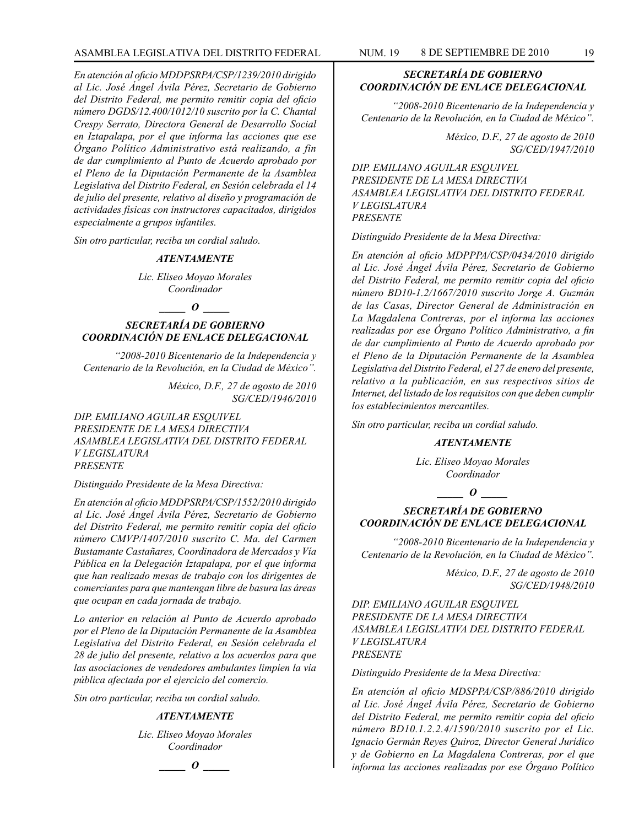*En atención al oficio MDDPSRPA/CSP/1239/2010 dirigido al Lic. José Ángel Ávila Pérez, Secretario de Gobierno del Distrito Federal, me permito remitir copia del oficio número DGDS/12.400/1012/10 suscrito por la C. Chantal Crespy Serrato, Directora General de Desarrollo Social en Iztapalapa, por el que informa las acciones que ese Órgano Político Administrativo está realizando, a fin de dar cumplimiento al Punto de Acuerdo aprobado por el Pleno de la Diputación Permanente de la Asamblea Legislativa del Distrito Federal, en Sesión celebrada el 14 de julio del presente, relativo al diseño y programación de actividades físicas con instructores capacitados, dirigidos especialmente a grupos infantiles.*

*Sin otro particular, reciba un cordial saludo.*

#### *ATENTAMENTE*

*Lic. Eliseo Moyao Morales Coordinador*

#### *\_\_\_\_\_ O \_\_\_\_\_*

*SECRETARÍA DE GOBIERNO COORDINACIÓN DE ENLACE DELEGACIONAL*

*"2008-2010 Bicentenario de la Independencia y Centenario de la Revolución, en la Ciudad de México".*

> *México, D.F., 27 de agosto de 2010 SG/CED/1946/2010*

*DIP. EMILIANO AGUILAR ESQUIVEL PRESIDENTE DE LA MESA DIRECTIVA ASAMBLEA LEGISLATIVA DEL DISTRITO FEDERAL V LEGISLATURA PRESENTE*

*Distinguido Presidente de la Mesa Directiva:*

*En atención al oficio MDDPSRPA/CSP/1552/2010 dirigido al Lic. José Ángel Ávila Pérez, Secretario de Gobierno del Distrito Federal, me permito remitir copia del oficio número CMVP/1407/2010 suscrito C. Ma. del Carmen Bustamante Castañares, Coordinadora de Mercados y Vía Pública en la Delegación Iztapalapa, por el que informa que han realizado mesas de trabajo con los dirigentes de comerciantes para que mantengan libre de basura las áreas que ocupan en cada jornada de trabajo.*

*Lo anterior en relación al Punto de Acuerdo aprobado por el Pleno de la Diputación Permanente de la Asamblea Legislativa del Distrito Federal, en Sesión celebrada el 28 de julio del presente, relativo a los acuerdos para que las asociaciones de vendedores ambulantes limpien la vía pública afectada por el ejercicio del comercio.*

*Sin otro particular, reciba un cordial saludo.*

#### *ATENTAMENTE*

*Lic. Eliseo Moyao Morales Coordinador*

## *\_\_\_\_\_ O \_\_\_\_\_*

*SECRETARÍA DE GOBIERNO COORDINACIÓN DE ENLACE DELEGACIONAL*

*"2008-2010 Bicentenario de la Independencia y Centenario de la Revolución, en la Ciudad de México".*

> *México, D.F., 27 de agosto de 2010 SG/CED/1947/2010*

*DIP. EMILIANO AGUILAR ESQUIVEL PRESIDENTE DE LA MESA DIRECTIVA ASAMBLEA LEGISLATIVA DEL DISTRITO FEDERAL V LEGISLATURA PRESENTE*

*Distinguido Presidente de la Mesa Directiva:*

*En atención al oficio MDPPPA/CSP/0434/2010 dirigido al Lic. José Ángel Ávila Pérez, Secretario de Gobierno del Distrito Federal, me permito remitir copia del oficio número BD10-1.2/1667/2010 suscrito Jorge A. Guzmán de las Casas, Director General de Administración en La Magdalena Contreras, por el informa las acciones realizadas por ese Órgano Político Administrativo, a fin de dar cumplimiento al Punto de Acuerdo aprobado por el Pleno de la Diputación Permanente de la Asamblea Legislativa del Distrito Federal, el 27 de enero del presente, relativo a la publicación, en sus respectivos sitios de Internet, del listado de los requisitos con que deben cumplir los establecimientos mercantiles.*

*Sin otro particular, reciba un cordial saludo.*

#### *ATENTAMENTE*

*Lic. Eliseo Moyao Morales Coordinador*

*\_\_\_\_\_ O \_\_\_\_\_*

## *SECRETARÍA DE GOBIERNO COORDINACIÓN DE ENLACE DELEGACIONAL*

*"2008-2010 Bicentenario de la Independencia y Centenario de la Revolución, en la Ciudad de México".*

> *México, D.F., 27 de agosto de 2010 SG/CED/1948/2010*

*DIP. EMILIANO AGUILAR ESQUIVEL PRESIDENTE DE LA MESA DIRECTIVA ASAMBLEA LEGISLATIVA DEL DISTRITO FEDERAL V LEGISLATURA PRESENTE*

*Distinguido Presidente de la Mesa Directiva:*

*En atención al oficio MDSPPA/CSP/886/2010 dirigido al Lic. José Ángel Ávila Pérez, Secretario de Gobierno del Distrito Federal, me permito remitir copia del oficio número BD10.1.2.2.4/1590/2010 suscrito por el Lic. Ignacio Germán Reyes Quiroz, Director General Jurídico y de Gobierno en La Magdalena Contreras, por el que informa las acciones realizadas por ese Órgano Político*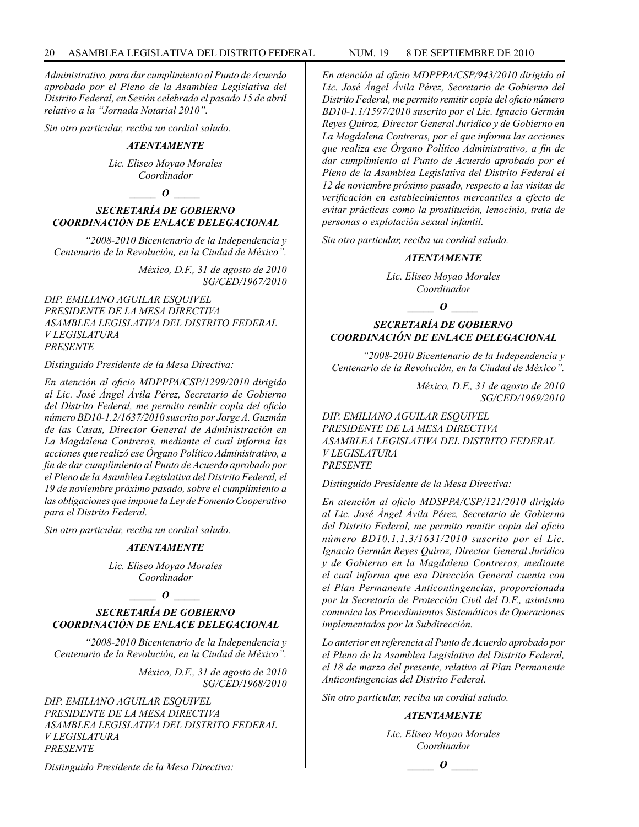*Administrativo, para dar cumplimiento al Punto de Acuerdo aprobado por el Pleno de la Asamblea Legislativa del Distrito Federal, en Sesión celebrada el pasado 15 de abril relativo a la "Jornada Notarial 2010".*

*Sin otro particular, reciba un cordial saludo.*

#### *ATENTAMENTE*

*Lic. Eliseo Moyao Morales Coordinador*

*\_\_\_\_\_ O \_\_\_\_\_*

## *SECRETARÍA DE GOBIERNO COORDINACIÓN DE ENLACE DELEGACIONAL*

*"2008-2010 Bicentenario de la Independencia y Centenario de la Revolución, en la Ciudad de México".*

> *México, D.F., 31 de agosto de 2010 SG/CED/1967/2010*

*DIP. EMILIANO AGUILAR ESQUIVEL PRESIDENTE DE LA MESA DIRECTIVA ASAMBLEA LEGISLATIVA DEL DISTRITO FEDERAL V LEGISLATURA PRESENTE*

*Distinguido Presidente de la Mesa Directiva:*

*En atención al oficio MDPPPA/CSP/1299/2010 dirigido al Lic. José Ángel Ávila Pérez, Secretario de Gobierno del Distrito Federal, me permito remitir copia del oficio número BD10-1.2/1637/2010 suscrito por Jorge A. Guzmán de las Casas, Director General de Administración en La Magdalena Contreras, mediante el cual informa las acciones que realizó ese Órgano Político Administrativo, a fin de dar cumplimiento al Punto de Acuerdo aprobado por el Pleno de la Asamblea Legislativa del Distrito Federal, el 19 de noviembre próximo pasado, sobre el cumplimiento a las obligaciones que impone la Ley de Fomento Cooperativo para el Distrito Federal.*

*Sin otro particular, reciba un cordial saludo.*

#### *ATENTAMENTE*

*Lic. Eliseo Moyao Morales Coordinador*

## *\_\_\_\_\_ O \_\_\_\_\_*

## *SECRETARÍA DE GOBIERNO COORDINACIÓN DE ENLACE DELEGACIONAL*

*"2008-2010 Bicentenario de la Independencia y Centenario de la Revolución, en la Ciudad de México".*

> *México, D.F., 31 de agosto de 2010 SG/CED/1968/2010*

*DIP. EMILIANO AGUILAR ESQUIVEL PRESIDENTE DE LA MESA DIRECTIVA ASAMBLEA LEGISLATIVA DEL DISTRITO FEDERAL V LEGISLATURA PRESENTE*

*Distinguido Presidente de la Mesa Directiva:*

*En atención al oficio MDPPPA/CSP/943/2010 dirigido al Lic. José Ángel Ávila Pérez, Secretario de Gobierno del Distrito Federal, me permito remitir copia del oficio número BD10-1.1/1597/2010 suscrito por el Lic. Ignacio Germán Reyes Quiroz, Director General Jurídico y de Gobierno en La Magdalena Contreras, por el que informa las acciones que realiza ese Órgano Político Administrativo, a fin de dar cumplimiento al Punto de Acuerdo aprobado por el Pleno de la Asamblea Legislativa del Distrito Federal el 12 de noviembre próximo pasado, respecto a las visitas de verificación en establecimientos mercantiles a efecto de evitar prácticas como la prostitución, lenocinio, trata de personas o explotación sexual infantil.*

*Sin otro particular, reciba un cordial saludo.*

## *ATENTAMENTE*

*Lic. Eliseo Moyao Morales Coordinador*

*\_\_\_\_\_ O \_\_\_\_\_*

## *SECRETARÍA DE GOBIERNO COORDINACIÓN DE ENLACE DELEGACIONAL*

*"2008-2010 Bicentenario de la Independencia y Centenario de la Revolución, en la Ciudad de México".*

> *México, D.F., 31 de agosto de 2010 SG/CED/1969/2010*

*DIP. EMILIANO AGUILAR ESQUIVEL PRESIDENTE DE LA MESA DIRECTIVA ASAMBLEA LEGISLATIVA DEL DISTRITO FEDERAL V LEGISLATURA PRESENTE*

*Distinguido Presidente de la Mesa Directiva:*

*En atención al oficio MDSPPA/CSP/121/2010 dirigido al Lic. José Ángel Ávila Pérez, Secretario de Gobierno del Distrito Federal, me permito remitir copia del oficio número BD10.1.1.3/1631/2010 suscrito por el Lic. Ignacio Germán Reyes Quiroz, Director General Jurídico y de Gobierno en la Magdalena Contreras, mediante el cual informa que esa Dirección General cuenta con el Plan Permanente Anticontingencias, proporcionada por la Secretaría de Protección Civil del D.F., asimismo comunica los Procedimientos Sistemáticos de Operaciones implementados por la Subdirección.* 

*Lo anterior en referencia al Punto de Acuerdo aprobado por el Pleno de la Asamblea Legislativa del Distrito Federal, el 18 de marzo del presente, relativo al Plan Permanente Anticontingencias del Distrito Federal.*

*Sin otro particular, reciba un cordial saludo.*

#### *ATENTAMENTE*

*Lic. Eliseo Moyao Morales Coordinador*

*\_\_\_\_\_ O \_\_\_\_\_*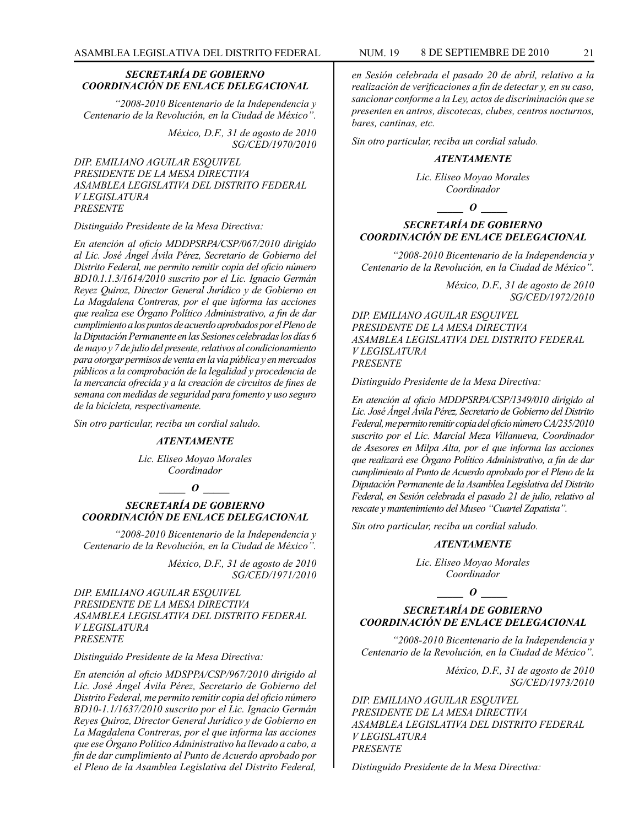#### *SECRETARÍA DE GOBIERNO COORDINACIÓN DE ENLACE DELEGACIONAL*

*"2008-2010 Bicentenario de la Independencia y Centenario de la Revolución, en la Ciudad de México".*

> *México, D.F., 31 de agosto de 2010 SG/CED/1970/2010*

*DIP. EMILIANO AGUILAR ESQUIVEL PRESIDENTE DE LA MESA DIRECTIVA ASAMBLEA LEGISLATIVA DEL DISTRITO FEDERAL V LEGISLATURA PRESENTE*

#### *Distinguido Presidente de la Mesa Directiva:*

*En atención al oficio MDDPSRPA/CSP/067/2010 dirigido al Lic. José Ángel Ávila Pérez, Secretario de Gobierno del Distrito Federal, me permito remitir copia del oficio número BD10.1.1.3/1614/2010 suscrito por el Lic. Ignacio Germán Reyez Quiroz, Director General Jurídico y de Gobierno en La Magdalena Contreras, por el que informa las acciones que realiza ese Órgano Político Administrativo, a fin de dar cumplimiento a los puntos de acuerdo aprobados por el Pleno de la Diputación Permanente en las Sesiones celebradas los días 6 de mayo y 7 de julio del presente, relativos al condicionamiento para otorgar permisos de venta en la vía pública y en mercados públicos a la comprobación de la legalidad y procedencia de la mercancía ofrecida y a la creación de circuitos de fines de semana con medidas de seguridad para fomento y uso seguro de la bicicleta, respectivamente.*

*Sin otro particular, reciba un cordial saludo.*

#### *ATENTAMENTE*

*Lic. Eliseo Moyao Morales Coordinador*

#### *\_\_\_\_\_ O \_\_\_\_\_*

## *SECRETARÍA DE GOBIERNO COORDINACIÓN DE ENLACE DELEGACIONAL*

*"2008-2010 Bicentenario de la Independencia y Centenario de la Revolución, en la Ciudad de México".*

> *México, D.F., 31 de agosto de 2010 SG/CED/1971/2010*

*DIP. EMILIANO AGUILAR ESQUIVEL PRESIDENTE DE LA MESA DIRECTIVA ASAMBLEA LEGISLATIVA DEL DISTRITO FEDERAL V LEGISLATURA PRESENTE*

#### *Distinguido Presidente de la Mesa Directiva:*

*En atención al oficio MDSPPA/CSP/967/2010 dirigido al Lic. José Ángel Ávila Pérez, Secretario de Gobierno del Distrito Federal, me permito remitir copia del oficio número BD10-1.1/1637/2010 suscrito por el Lic. Ignacio Germán Reyes Quiroz, Director General Jurídico y de Gobierno en La Magdalena Contreras, por el que informa las acciones que ese Órgano Político Administrativo ha llevado a cabo, a fin de dar cumplimiento al Punto de Acuerdo aprobado por el Pleno de la Asamblea Legislativa del Distrito Federal,* 

*en Sesión celebrada el pasado 20 de abril, relativo a la realización de verificaciones a fin de detectar y, en su caso, sancionar conforme a la Ley, actos de discriminación que se presenten en antros, discotecas, clubes, centros nocturnos, bares, cantinas, etc.*

*Sin otro particular, reciba un cordial saludo.*

#### *ATENTAMENTE*

*Lic. Eliseo Moyao Morales Coordinador*

*\_\_\_\_\_ O \_\_\_\_\_*

## *SECRETARÍA DE GOBIERNO COORDINACIÓN DE ENLACE DELEGACIONAL*

*"2008-2010 Bicentenario de la Independencia y Centenario de la Revolución, en la Ciudad de México".*

> *México, D.F., 31 de agosto de 2010 SG/CED/1972/2010*

*DIP. EMILIANO AGUILAR ESQUIVEL PRESIDENTE DE LA MESA DIRECTIVA ASAMBLEA LEGISLATIVA DEL DISTRITO FEDERAL V LEGISLATURA PRESENTE*

*Distinguido Presidente de la Mesa Directiva:*

*En atención al oficio MDDPSRPA/CSP/1349/010 dirigido al Lic. José Ángel Ávila Pérez, Secretario de Gobierno del Distrito Federal, me permito remitir copia del oficio número CA/235/2010 suscrito por el Lic. Marcial Meza Villanueva, Coordinador de Asesores en Milpa Alta, por el que informa las acciones que realizará ese Órgano Político Administrativo, a fin de dar cumplimiento al Punto de Acuerdo aprobado por el Pleno de la Diputación Permanente de la Asamblea Legislativa del Distrito Federal, en Sesión celebrada el pasado 21 de julio, relativo al rescate y mantenimiento del Museo "Cuartel Zapatista".*

*Sin otro particular, reciba un cordial saludo.*

#### *ATENTAMENTE*

*Lic. Eliseo Moyao Morales Coordinador*

 $\bm{o}$ 

## *SECRETARÍA DE GOBIERNO COORDINACIÓN DE ENLACE DELEGACIONAL*

*"2008-2010 Bicentenario de la Independencia y Centenario de la Revolución, en la Ciudad de México".*

> *México, D.F., 31 de agosto de 2010 SG/CED/1973/2010*

*DIP. EMILIANO AGUILAR ESQUIVEL PRESIDENTE DE LA MESA DIRECTIVA ASAMBLEA LEGISLATIVA DEL DISTRITO FEDERAL V LEGISLATURA PRESENTE*

*Distinguido Presidente de la Mesa Directiva:*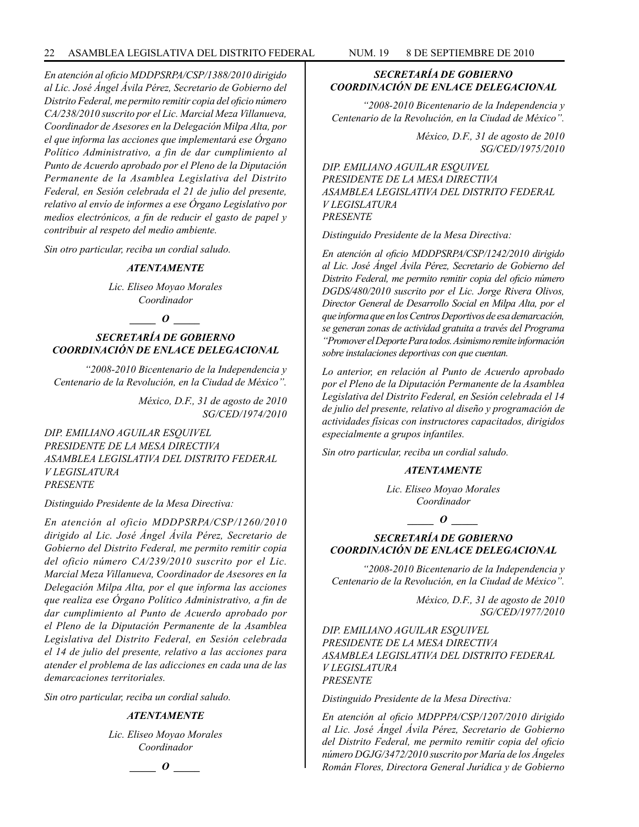*En atención al oficio MDDPSRPA/CSP/1388/2010 dirigido al Lic. José Ángel Ávila Pérez, Secretario de Gobierno del Distrito Federal, me permito remitir copia del oficio número CA/238/2010 suscrito por el Lic. Marcial Meza Villanueva, Coordinador de Asesores en la Delegación Milpa Alta, por el que informa las acciones que implementará ese Órgano Político Administrativo, a fin de dar cumplimiento al Punto de Acuerdo aprobado por el Pleno de la Diputación Permanente de la Asamblea Legislativa del Distrito Federal, en Sesión celebrada el 21 de julio del presente, relativo al envío de informes a ese Órgano Legislativo por medios electrónicos, a fin de reducir el gasto de papel y contribuir al respeto del medio ambiente.*

*Sin otro particular, reciba un cordial saludo.*

#### *ATENTAMENTE*

*Lic. Eliseo Moyao Morales Coordinador*

## $\bm{o}$

## *SECRETARÍA DE GOBIERNO COORDINACIÓN DE ENLACE DELEGACIONAL*

*"2008-2010 Bicentenario de la Independencia y Centenario de la Revolución, en la Ciudad de México".*

> *México, D.F., 31 de agosto de 2010 SG/CED/1974/2010*

*DIP. EMILIANO AGUILAR ESQUIVEL PRESIDENTE DE LA MESA DIRECTIVA ASAMBLEA LEGISLATIVA DEL DISTRITO FEDERAL V LEGISLATURA PRESENTE*

*Distinguido Presidente de la Mesa Directiva:*

*En atención al oficio MDDPSRPA/CSP/1260/2010 dirigido al Lic. José Ángel Ávila Pérez, Secretario de Gobierno del Distrito Federal, me permito remitir copia del oficio número CA/239/2010 suscrito por el Lic. Marcial Meza Villanueva, Coordinador de Asesores en la Delegación Milpa Alta, por el que informa las acciones que realiza ese Órgano Político Administrativo, a fin de dar cumplimiento al Punto de Acuerdo aprobado por el Pleno de la Diputación Permanente de la Asamblea Legislativa del Distrito Federal, en Sesión celebrada el 14 de julio del presente, relativo a las acciones para atender el problema de las adicciones en cada una de las demarcaciones territoriales.*

*Sin otro particular, reciba un cordial saludo.*

#### *ATENTAMENTE*

*Lic. Eliseo Moyao Morales Coordinador*

*\_\_\_\_\_ O \_\_\_\_\_*

## *SECRETARÍA DE GOBIERNO COORDINACIÓN DE ENLACE DELEGACIONAL*

*"2008-2010 Bicentenario de la Independencia y Centenario de la Revolución, en la Ciudad de México".*

> *México, D.F., 31 de agosto de 2010 SG/CED/1975/2010*

*DIP. EMILIANO AGUILAR ESQUIVEL PRESIDENTE DE LA MESA DIRECTIVA ASAMBLEA LEGISLATIVA DEL DISTRITO FEDERAL V LEGISLATURA PRESENTE*

*Distinguido Presidente de la Mesa Directiva:*

*En atención al oficio MDDPSRPA/CSP/1242/2010 dirigido al Lic. José Ángel Ávila Pérez, Secretario de Gobierno del Distrito Federal, me permito remitir copia del oficio número DGDS/480/2010 suscrito por el Lic. Jorge Rivera Olivos, Director General de Desarrollo Social en Milpa Alta, por el que informa que en los Centros Deportivos de esa demarcación, se generan zonas de actividad gratuita a través del Programa "Promover el Deporte Para todos. Asimismo remite información sobre instalaciones deportivas con que cuentan.*

*Lo anterior, en relación al Punto de Acuerdo aprobado por el Pleno de la Diputación Permanente de la Asamblea Legislativa del Distrito Federal, en Sesión celebrada el 14 de julio del presente, relativo al diseño y programación de actividades físicas con instructores capacitados, dirigidos especialmente a grupos infantiles.*

*Sin otro particular, reciba un cordial saludo.*

#### *ATENTAMENTE*

*Lic. Eliseo Moyao Morales Coordinador*

*\_\_\_\_\_ O \_\_\_\_\_*

## *SECRETARÍA DE GOBIERNO COORDINACIÓN DE ENLACE DELEGACIONAL*

*"2008-2010 Bicentenario de la Independencia y Centenario de la Revolución, en la Ciudad de México".*

> *México, D.F., 31 de agosto de 2010 SG/CED/1977/2010*

*DIP. EMILIANO AGUILAR ESQUIVEL PRESIDENTE DE LA MESA DIRECTIVA ASAMBLEA LEGISLATIVA DEL DISTRITO FEDERAL V LEGISLATURA PRESENTE*

*Distinguido Presidente de la Mesa Directiva:*

*En atención al oficio MDPPPA/CSP/1207/2010 dirigido al Lic. José Ángel Ávila Pérez, Secretario de Gobierno del Distrito Federal, me permito remitir copia del oficio número DGJG/3472/2010 suscrito por María de los Ángeles Román Flores, Directora General Jurídica y de Gobierno*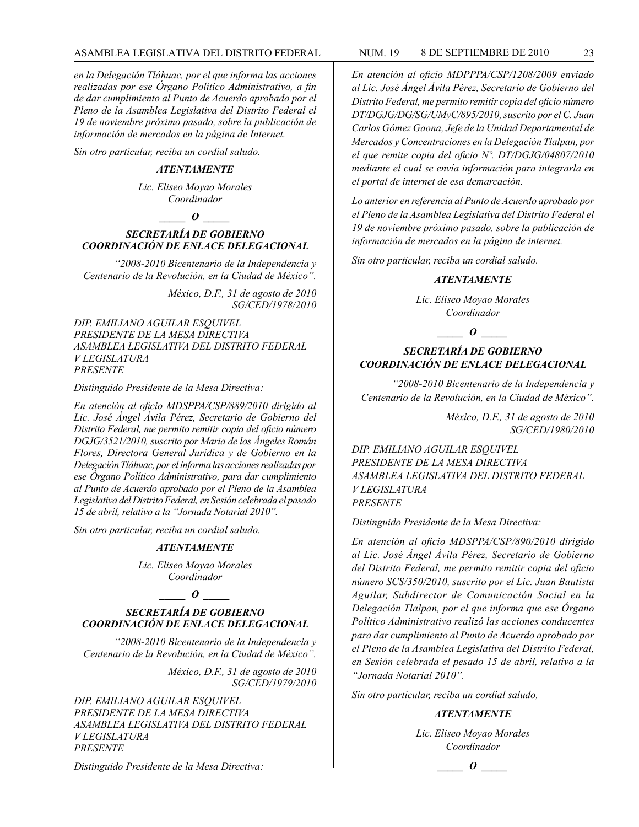*en la Delegación Tláhuac, por el que informa las acciones realizadas por ese Órgano Político Administrativo, a fin de dar cumplimiento al Punto de Acuerdo aprobado por el Pleno de la Asamblea Legislativa del Distrito Federal el 19 de noviembre próximo pasado, sobre la publicación de información de mercados en la página de Internet.*

*Sin otro particular, reciba un cordial saludo.*

#### *ATENTAMENTE*

*Lic. Eliseo Moyao Morales Coordinador*

## *\_\_\_\_\_ O \_\_\_\_\_*

## *SECRETARÍA DE GOBIERNO COORDINACIÓN DE ENLACE DELEGACIONAL*

*"2008-2010 Bicentenario de la Independencia y Centenario de la Revolución, en la Ciudad de México".*

> *México, D.F., 31 de agosto de 2010 SG/CED/1978/2010*

*DIP. EMILIANO AGUILAR ESQUIVEL PRESIDENTE DE LA MESA DIRECTIVA ASAMBLEA LEGISLATIVA DEL DISTRITO FEDERAL V LEGISLATURA PRESENTE*

#### *Distinguido Presidente de la Mesa Directiva:*

*En atención al oficio MDSPPA/CSP/889/2010 dirigido al Lic. José Ángel Ávila Pérez, Secretario de Gobierno del Distrito Federal, me permito remitir copia del oficio número DGJG/3521/2010, suscrito por Maria de los Ángeles Román Flores, Directora General Jurídica y de Gobierno en la Delegación Tláhuac, por el informa las acciones realizadas por ese Órgano Político Administrativo, para dar cumplimiento al Punto de Acuerdo aprobado por el Pleno de la Asamblea Legislativa del Distrito Federal, en Sesión celebrada el pasado 15 de abril, relativo a la "Jornada Notarial 2010".*

*Sin otro particular, reciba un cordial saludo.*

## *ATENTAMENTE*

*Lic. Eliseo Moyao Morales Coordinador*

#### *\_\_\_\_\_ O \_\_\_\_\_*

## *SECRETARÍA DE GOBIERNO COORDINACIÓN DE ENLACE DELEGACIONAL*

*"2008-2010 Bicentenario de la Independencia y Centenario de la Revolución, en la Ciudad de México".*

> *México, D.F., 31 de agosto de 2010 SG/CED/1979/2010*

*DIP. EMILIANO AGUILAR ESQUIVEL PRESIDENTE DE LA MESA DIRECTIVA ASAMBLEA LEGISLATIVA DEL DISTRITO FEDERAL V LEGISLATURA PRESENTE*

*Distinguido Presidente de la Mesa Directiva:*

*En atención al oficio MDPPPA/CSP/1208/2009 enviado al Lic. José Ángel Ávila Pérez, Secretario de Gobierno del Distrito Federal, me permito remitir copia del oficio número DT/DGJG/DG/SG/UMyC/895/2010, suscrito por el C. Juan Carlos Gómez Gaona, Jefe de la Unidad Departamental de Mercados y Concentraciones en la Delegación Tlalpan, por el que remite copia del oficio Nº. DT/DGJG/04807/2010 mediante el cual se envía información para integrarla en el portal de internet de esa demarcación.*

*Lo anterior en referencia al Punto de Acuerdo aprobado por el Pleno de la Asamblea Legislativa del Distrito Federal el 19 de noviembre próximo pasado, sobre la publicación de información de mercados en la página de internet.*

*Sin otro particular, reciba un cordial saludo.*

#### *ATENTAMENTE*

*Lic. Eliseo Moyao Morales Coordinador*

## *\_\_\_\_\_ O \_\_\_\_\_*

## *SECRETARÍA DE GOBIERNO COORDINACIÓN DE ENLACE DELEGACIONAL*

*"2008-2010 Bicentenario de la Independencia y Centenario de la Revolución, en la Ciudad de México".*

> *México, D.F., 31 de agosto de 2010 SG/CED/1980/2010*

*DIP. EMILIANO AGUILAR ESQUIVEL PRESIDENTE DE LA MESA DIRECTIVA ASAMBLEA LEGISLATIVA DEL DISTRITO FEDERAL V LEGISLATURA PRESENTE*

*Distinguido Presidente de la Mesa Directiva:*

*En atención al oficio MDSPPA/CSP/890/2010 dirigido al Lic. José Ángel Ávila Pérez, Secretario de Gobierno del Distrito Federal, me permito remitir copia del oficio número SCS/350/2010, suscrito por el Lic. Juan Bautista Aguilar, Subdirector de Comunicación Social en la Delegación Tlalpan, por el que informa que ese Órgano Político Administrativo realizó las acciones conducentes para dar cumplimiento al Punto de Acuerdo aprobado por el Pleno de la Asamblea Legislativa del Distrito Federal, en Sesión celebrada el pesado 15 de abril, relativo a la "Jornada Notarial 2010".*

*Sin otro particular, reciba un cordial saludo,*

#### *ATENTAMENTE*

*Lic. Eliseo Moyao Morales Coordinador*

*\_\_\_\_\_ O \_\_\_\_\_*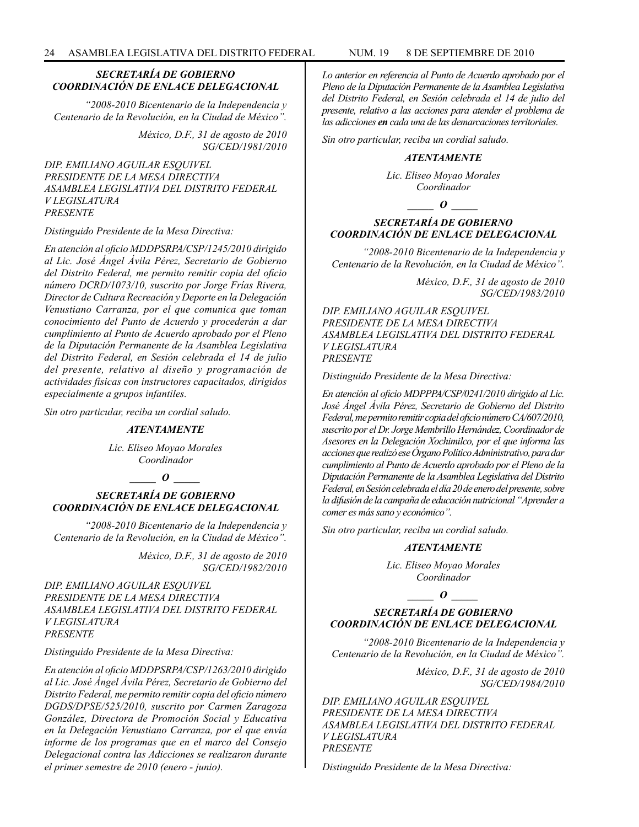## *SECRETARÍA DE GOBIERNO COORDINACIÓN DE ENLACE DELEGACIONAL*

*"2008-2010 Bicentenario de la Independencia y Centenario de la Revolución, en la Ciudad de México".*

> *México, D.F., 31 de agosto de 2010 SG/CED/1981/2010*

*DIP. EMILIANO AGUILAR ESQUIVEL PRESIDENTE DE LA MESA DIRECTIVA ASAMBLEA LEGISLATIVA DEL DISTRITO FEDERAL V LEGISLATURA PRESENTE*

*Distinguido Presidente de la Mesa Directiva:*

*En atención al oficio MDDPSRPA/CSP/1245/2010 dirigido al Lic. José Ángel Ávila Pérez, Secretario de Gobierno del Distrito Federal, me permito remitir copia del oficio número DCRD/1073/10, suscrito por Jorge Frías Rivera, Director de Cultura Recreación y Deporte en la Delegación Venustiano Carranza, por el que comunica que toman conocimiento del Punto de Acuerdo y procederán a dar cumplimiento al Punto de Acuerdo aprobado por el Pleno de la Diputación Permanente de la Asamblea Legislativa del Distrito Federal, en Sesión celebrada el 14 de julio del presente, relativo al diseño y programación de actividades físicas con instructores capacitados, dirigidos especialmente a grupos infantiles.*

*Sin otro particular, reciba un cordial saludo.*

#### *ATENTAMENTE*

*Lic. Eliseo Moyao Morales Coordinador*

*\_\_\_\_\_ O \_\_\_\_\_*

## *SECRETARÍA DE GOBIERNO COORDINACIÓN DE ENLACE DELEGACIONAL*

*"2008-2010 Bicentenario de la Independencia y Centenario de la Revolución, en la Ciudad de México".*

> *México, D.F., 31 de agosto de 2010 SG/CED/1982/2010*

*DIP. EMILIANO AGUILAR ESQUIVEL PRESIDENTE DE LA MESA DIRECTIVA ASAMBLEA LEGISLATIVA DEL DISTRITO FEDERAL V LEGISLATURA PRESENTE*

*Distinguido Presidente de la Mesa Directiva:*

*En atención al oficio MDDPSRPA/CSP/1263/2010 dirigido al Lic. José Ángel Ávila Pérez, Secretario de Gobierno del Distrito Federal, me permito remitir copia del oficio número DGDS/DPSE/525/2010, suscrito por Carmen Zaragoza González, Directora de Promoción Social y Educativa en la Delegación Venustiano Carranza, por el que envía informe de los programas que en el marco del Consejo Delegacional contra las Adicciones se realizaron durante el primer semestre de 2010 (enero - junio).*

*Lo anterior en referencia al Punto de Acuerdo aprobado por el Pleno de la Diputación Permanente de la Asamblea Legislativa del Distrito Federal, en Sesión celebrada el 14 de julio del presente, relativo a las acciones para atender el problema de las adicciones en cada una de las demarcaciones territoriales.*

*Sin otro particular, reciba un cordial saludo.*

#### *ATENTAMENTE*

*Lic. Eliseo Moyao Morales Coordinador*

*\_\_\_\_\_ O \_\_\_\_\_*

## *SECRETARÍA DE GOBIERNO COORDINACIÓN DE ENLACE DELEGACIONAL*

*"2008-2010 Bicentenario de la Independencia y Centenario de la Revolución, en la Ciudad de México".*

> *México, D.F., 31 de agosto de 2010 SG/CED/1983/2010*

*DIP. EMILIANO AGUILAR ESQUIVEL PRESIDENTE DE LA MESA DIRECTIVA ASAMBLEA LEGISLATIVA DEL DISTRITO FEDERAL V LEGISLATURA PRESENTE*

*Distinguido Presidente de la Mesa Directiva:*

*En atención al oficio MDPPPA/CSP/0241/2010 dirigido al Lic. José Ángel Ávila Pérez, Secretario de Gobierno del Distrito Federal, me permito remitir copia del oficio número CA/607/2010, suscrito por el Dr. Jorge Membrillo Hernández, Coordinador de Asesores en la Delegación Xochimilco, por el que informa las acciones que realizó ese Órgano Político Administrativo, para dar cumplimiento al Punto de Acuerdo aprobado por el Pleno de la Diputación Permanente de la Asamblea Legislativa del Distrito Federal, en Sesión celebrada el día 20 de enero del presente, sobre la difusión de la campaña de educación nutricional "Aprender a comer es más sano y económico".*

*Sin otro particular, reciba un cordial saludo.*

#### *ATENTAMENTE*

*Lic. Eliseo Moyao Morales Coordinador*

*\_\_\_\_\_ O \_\_\_\_\_*

## *SECRETARÍA DE GOBIERNO COORDINACIÓN DE ENLACE DELEGACIONAL*

*"2008-2010 Bicentenario de la Independencia y Centenario de la Revolución, en la Ciudad de México".*

> *México, D.F., 31 de agosto de 2010 SG/CED/1984/2010*

*DIP. EMILIANO AGUILAR ESQUIVEL PRESIDENTE DE LA MESA DIRECTIVA ASAMBLEA LEGISLATIVA DEL DISTRITO FEDERAL V LEGISLATURA PRESENTE*

*Distinguido Presidente de la Mesa Directiva:*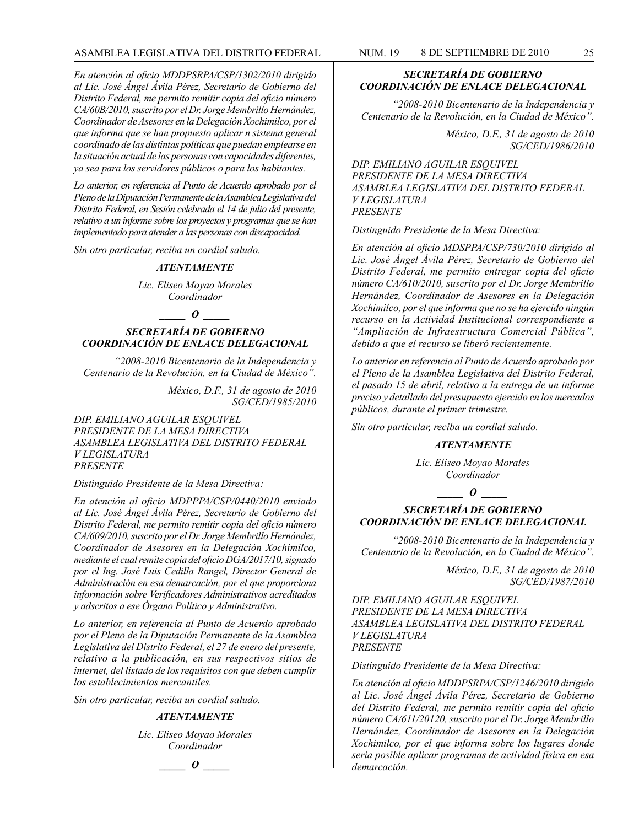*En atención al oficio MDDPSRPA/CSP/1302/2010 dirigido al Lic. José Ángel Ávila Pérez, Secretario de Gobierno del Distrito Federal, me permito remitir copia del oficio número CA/60B/2010, suscrito por el Dr. Jorge Membrillo Hernández, Coordinador de Asesores en la Delegación Xochimilco, por el que informa que se han propuesto aplicar n sistema general coordinado de las distintas políticas que puedan emplearse en la situación actual de las personas con capacidades diferentes, ya sea para los servidores públicos o para los habitantes.*

*Lo anterior, en referencia al Punto de Acuerdo aprobado por el Pleno de la Diputación Permanente de la Asamblea Legislativa del Distrito Federal, en Sesión celebrada el 14 de julio del presente, relativo a un informe sobre los proyectos y programas que se han implementado para atender a las personas con discapacidad.*

*Sin otro particular, reciba un cordial saludo.*

#### *ATENTAMENTE*

*Lic. Eliseo Moyao Morales Coordinador*

## *\_\_\_\_\_ O \_\_\_\_\_*

## *SECRETARÍA DE GOBIERNO COORDINACIÓN DE ENLACE DELEGACIONAL*

*"2008-2010 Bicentenario de la Independencia y Centenario de la Revolución, en la Ciudad de México".*

> *México, D.F., 31 de agosto de 2010 SG/CED/1985/2010*

*DIP. EMILIANO AGUILAR ESQUIVEL PRESIDENTE DE LA MESA DIRECTIVA ASAMBLEA LEGISLATIVA DEL DISTRITO FEDERAL V LEGISLATURA PRESENTE*

*Distinguido Presidente de la Mesa Directiva:*

*En atención al oficio MDPPPA/CSP/0440/2010 enviado al Lic. José Ángel Ávila Pérez, Secretario de Gobierno del Distrito Federal, me permito remitir copia del oficio número CA/609/2010, suscrito por el Dr. Jorge Membrillo Hernández, Coordinador de Asesores en la Delegación Xochimilco, mediante el cual remite copia del oficio DGA/2017/10, signado por el Ing. José Luis Cedilla Rangel, Director General de Administración en esa demarcación, por el que proporciona información sobre Verificadores Administrativos acreditados y adscritos a ese Órgano Político y Administrativo.*

*Lo anterior, en referencia al Punto de Acuerdo aprobado por el Pleno de la Diputación Permanente de la Asamblea Legislativa del Distrito Federal, el 27 de enero del presente, relativo a la publicación, en sus respectivos sitios de internet, del listado de los requisitos con que deben cumplir los establecimientos mercantiles.*

*Sin otro particular, reciba un cordial saludo.*

#### *ATENTAMENTE*

*Lic. Eliseo Moyao Morales Coordinador*

## *\_\_\_\_\_ O \_\_\_\_\_*

*SECRETARÍA DE GOBIERNO COORDINACIÓN DE ENLACE DELEGACIONAL*

*"2008-2010 Bicentenario de la Independencia y Centenario de la Revolución, en la Ciudad de México".*

> *México, D.F., 31 de agosto de 2010 SG/CED/1986/2010*

*DIP. EMILIANO AGUILAR ESQUIVEL PRESIDENTE DE LA MESA DIRECTIVA ASAMBLEA LEGISLATIVA DEL DISTRITO FEDERAL V LEGISLATURA PRESENTE*

*Distinguido Presidente de la Mesa Directiva:*

*En atención al oficio MDSPPA/CSP/730/2010 dirigido al Lic. José Ángel Ávila Pérez, Secretario de Gobierno del Distrito Federal, me permito entregar copia del oficio número CA/610/2010, suscrito por el Dr. Jorge Membrillo Hernández, Coordinador de Asesores en la Delegación Xochimilco, por el que informa que no se ha ejercido ningún recurso en la Actividad Institucional correspondiente a "Ampliación de Infraestructura Comercial Pública", debido a que el recurso se liberó recientemente.*

*Lo anterior en referencia al Punto de Acuerdo aprobado por el Pleno de la Asamblea Legislativa del Distrito Federal, el pasado 15 de abril, relativo a la entrega de un informe preciso y detallado del presupuesto ejercido en los mercados públicos, durante el primer trimestre.*

*Sin otro particular, reciba un cordial saludo.*

#### *ATENTAMENTE*

*Lic. Eliseo Moyao Morales Coordinador*

#### $\bm{o}$

## *SECRETARÍA DE GOBIERNO COORDINACIÓN DE ENLACE DELEGACIONAL*

*"2008-2010 Bicentenario de la Independencia y Centenario de la Revolución, en la Ciudad de México".*

> *México, D.F., 31 de agosto de 2010 SG/CED/1987/2010*

*DIP. EMILIANO AGUILAR ESQUIVEL PRESIDENTE DE LA MESA DIRECTIVA ASAMBLEA LEGISLATIVA DEL DISTRITO FEDERAL V LEGISLATURA PRESENTE*

*Distinguido Presidente de la Mesa Directiva:*

*En atención al oficio MDDPSRPA/CSP/1246/2010 dirigido al Lic. José Ángel Ávila Pérez, Secretario de Gobierno del Distrito Federal, me permito remitir copia del oficio número CA/611/20120, suscrito por el Dr. Jorge Membrillo Hernández, Coordinador de Asesores en la Delegación Xochimilco, por el que informa sobre los lugares donde sería posible aplicar programas de actividad física en esa demarcación.*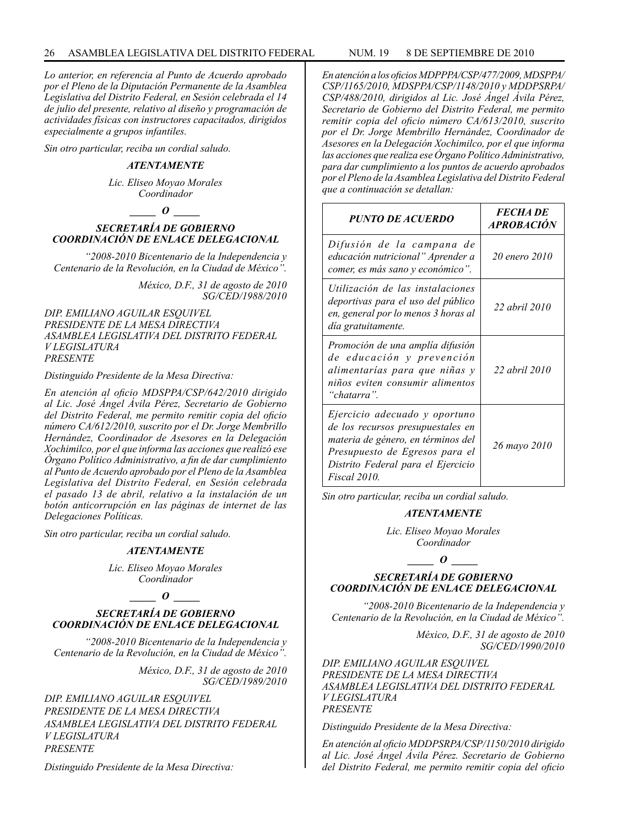*Lo anterior, en referencia al Punto de Acuerdo aprobado por el Pleno de la Diputación Permanente de la Asamblea Legislativa del Distrito Federal, en Sesión celebrada el 14 de julio del presente, relativo al diseño y programación de actividades físicas con instructores capacitados, dirigidos especialmente a grupos infantiles.*

*Sin otro particular, reciba un cordial saludo.*

## *ATENTAMENTE*

*Lic. Eliseo Moyao Morales Coordinador*

## *\_\_\_\_\_ O \_\_\_\_\_*

## *SECRETARÍA DE GOBIERNO COORDINACIÓN DE ENLACE DELEGACIONAL*

*"2008-2010 Bicentenario de la Independencia y Centenario de la Revolución, en la Ciudad de México".*

> *México, D.F., 31 de agosto de 2010 SG/CED/1988/2010*

*DIP. EMILIANO AGUILAR ESQUIVEL PRESIDENTE DE LA MESA DIRECTIVA ASAMBLEA LEGISLATIVA DEL DISTRITO FEDERAL V LEGISLATURA PRESENTE*

*Distinguido Presidente de la Mesa Directiva:*

*En atención al oficio MDSPPA/CSP/642/2010 dirigido al Lic. José Ángel Ávila Pérez, Secretario de Gobierno del Distrito Federal, me permito remitir copia del oficio número CA/612/2010, suscrito por el Dr. Jorge Membrillo Hernández, Coordinador de Asesores en la Delegación Xochimilco, por el que informa las acciones que realizó ese Órgano Político Administrativo, a fin de dar cumplimiento al Punto de Acuerdo aprobado por el Pleno de la Asamblea Legislativa del Distrito Federal, en Sesión celebrada el pasado 13 de abril, relativo a la instalación de un botón anticorrupción en las páginas de internet de las Delegaciones Políticas.*

*Sin otro particular, reciba un cordial saludo.*

#### *ATENTAMENTE*

*Lic. Eliseo Moyao Morales Coordinador*

#### $\bm{o}$

#### *SECRETARÍA DE GOBIERNO COORDINACIÓN DE ENLACE DELEGACIONAL*

*"2008-2010 Bicentenario de la Independencia y Centenario de la Revolución, en la Ciudad de México".*

> *México, D.F., 31 de agosto de 2010 SG/CED/1989/2010*

*DIP. EMILIANO AGUILAR ESQUIVEL PRESIDENTE DE LA MESA DIRECTIVA ASAMBLEA LEGISLATIVA DEL DISTRITO FEDERAL V LEGISLATURA PRESENTE*

*Distinguido Presidente de la Mesa Directiva:*

*En atención a los oficios MDPPPA/CSP/477/2009, MDSPPA/ CSP/1165/2010, MDSPPA/CSP/1148/2010 y MDDPSRPA/ CSP/488/2010, dirigidos al Lic. José Ángel Ávila Pérez, Secretario de Gobierno del Distrito Federal, me permito remitir copia del oficio número CA/613/2010, suscrito por el Dr. Jorge Membrillo Hernández, Coordinador de Asesores en la Delegación Xochimilco, por el que informa las acciones que realiza ese Órgano Político Administrativo, para dar cumplimiento a los puntos de acuerdo aprobados por el Pleno de la Asamblea Legislativa del Distrito Federal que a continuación se detallan:*

| <b>PUNTO DE ACUERDO</b>                                                                                                                                                                                 | <b>FECHADE</b><br><b>APROBACIÓN</b> |
|---------------------------------------------------------------------------------------------------------------------------------------------------------------------------------------------------------|-------------------------------------|
| Difusión de la campana de<br>educación nutricional" Aprender a<br>comer, es más sano y económico".                                                                                                      | 20 enero 2010                       |
| Utilización de las instalaciones<br>deportivas para el uso del público<br>en, general por lo menos 3 horas al<br>día gratuitamente.                                                                     | 22 abril 2010                       |
| Promoción de una amplía difusión<br>de educación y prevención<br>alimentarías para que niñas y<br>niños eviten consumir alimentos<br>"chatarra".                                                        | 22 abril 2010                       |
| Ejercicio adecuado y oportuno<br>de los recursos presupuestales en<br>materia de género, en términos del<br>Presupuesto de Egresos para el<br>Distrito Federal para el Ejercicio<br><i>Fiscal</i> 2010. | 26 mayo 2010                        |

*Sin otro particular, reciba un cordial saludo.*

#### *ATENTAMENTE*

*Lic. Eliseo Moyao Morales Coordinador*

## *\_\_\_\_\_ O \_\_\_\_\_*

## *SECRETARÍA DE GOBIERNO COORDINACIÓN DE ENLACE DELEGACIONAL*

*"2008-2010 Bicentenario de la Independencia y Centenario de la Revolución, en la Ciudad de México".*

> *México, D.F., 31 de agosto de 2010 SG/CED/1990/2010*

*DIP. EMILIANO AGUILAR ESQUIVEL PRESIDENTE DE LA MESA DIRECTIVA ASAMBLEA LEGISLATIVA DEL DISTRITO FEDERAL V LEGISLATURA PRESENTE*

*Distinguido Presidente de la Mesa Directiva:*

*En atención al oficio MDDPSRPA/CSP/1150/2010 dirigido al Lic. José Ángel Ávila Pérez. Secretario de Gobierno del Distrito Federal, me permito remitir copia del oficio*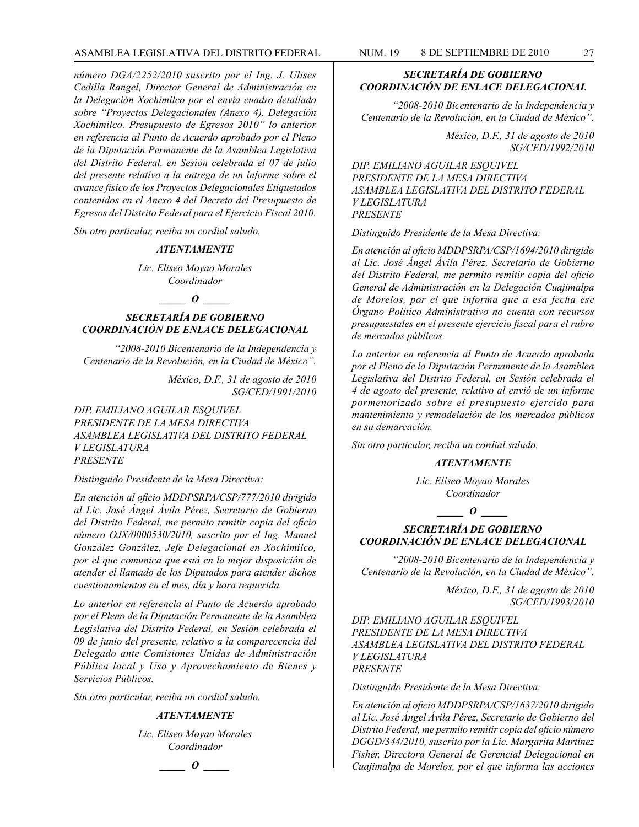*número DGA/2252/2010 suscrito por el Ing. J. Ulises Cedilla Rangel, Director General de Administración en la Delegación Xochimilco por el envía cuadro detallado sobre "Proyectos Delegacionales (Anexo 4). Delegación Xochimilco. Presupuesto de Egresos 2010" lo anterior en referencia al Punto de Acuerdo aprobado por el Pleno de la Diputación Permanente de la Asamblea Legislativa del Distrito Federal, en Sesión celebrada el 07 de julio del presente relativo a la entrega de un informe sobre el avance físico de los Proyectos Delegacionales Etiquetados contenidos en el Anexo 4 del Decreto del Presupuesto de Egresos del Distrito Federal para el Ejercicio Fiscal 2010.*

*Sin otro particular, reciba un cordial saludo.*

## *ATENTAMENTE*

*Lic. Eliseo Moyao Morales Coordinador*

## *\_\_\_\_\_ O \_\_\_\_\_*

## *SECRETARÍA DE GOBIERNO COORDINACIÓN DE ENLACE DELEGACIONAL*

*"2008-2010 Bicentenario de la Independencia y Centenario de la Revolución, en la Ciudad de México".*

> *México, D.F., 31 de agosto de 2010 SG/CED/1991/2010*

*DIP. EMILIANO AGUILAR ESQUIVEL PRESIDENTE DE LA MESA DIRECTIVA ASAMBLEA LEGISLATIVA DEL DISTRITO FEDERAL V LEGISLATURA PRESENTE*

*Distinguido Presidente de la Mesa Directiva:*

*En atención al oficio MDDPSRPA/CSP/777/2010 dirigido al Lic. José Ángel Ávila Pérez, Secretario de Gobierno del Distrito Federal, me permito remitir copia del oficio número OJX/0000530/2010, suscrito por el Ing. Manuel González González, Jefe Delegacional en Xochimilco, por el que comunica que está en la mejor disposición de atender el llamado de los Diputados para atender dichos cuestionamientos en el mes, día y hora requerida.*

*Lo anterior en referencia al Punto de Acuerdo aprobado por el Pleno de la Diputación Permanente de la Asamblea Legislativa del Distrito Federal, en Sesión celebrada el 09 de junio del presente, relativo a la comparecencia del Delegado ante Comisiones Unidas de Administración Pública local y Uso y Aprovechamiento de Bienes y Servicios Públicos.*

*Sin otro particular, reciba un cordial saludo.*

#### *ATENTAMENTE*

*Lic. Eliseo Moyao Morales Coordinador*

## *\_\_\_\_\_ O \_\_\_\_\_*

## *SECRETARÍA DE GOBIERNO COORDINACIÓN DE ENLACE DELEGACIONAL*

*"2008-2010 Bicentenario de la Independencia y Centenario de la Revolución, en la Ciudad de México".*

> *México, D.F., 31 de agosto de 2010 SG/CED/1992/2010*

*DIP. EMILIANO AGUILAR ESQUIVEL PRESIDENTE DE LA MESA DIRECTIVA ASAMBLEA LEGISLATIVA DEL DISTRITO FEDERAL V LEGISLATURA PRESENTE*

*Distinguido Presidente de la Mesa Directiva:*

*En atención al oficio MDDPSRPA/CSP/1694/2010 dirigido al Lic. José Ángel Ávila Pérez, Secretario de Gobierno del Distrito Federal, me permito remitir copia del oficio General de Administración en la Delegación Cuajimalpa de Morelos, por el que informa que a esa fecha ese Órgano Político Administrativo no cuenta con recursos presupuestales en el presente ejercicio fiscal para el rubro de mercados públicos.*

*Lo anterior en referencia al Punto de Acuerdo aprobada por el Pleno de la Diputación Permanente de la Asamblea Legislativa del Distrito Federal, en Sesión celebrada el 4 de agosto del presente, relativo al envió de un informe pormenorizado sobre el presupuesto ejercido para mantenimiento y remodelación de los mercados públicos en su demarcación.*

*Sin otro particular, reciba un cordial saludo.*

#### *ATENTAMENTE*

*Lic. Eliseo Moyao Morales Coordinador*

*\_\_\_\_\_ O \_\_\_\_\_*

## *SECRETARÍA DE GOBIERNO COORDINACIÓN DE ENLACE DELEGACIONAL*

*"2008-2010 Bicentenario de la Independencia y Centenario de la Revolución, en la Ciudad de México".*

> *México, D.F., 31 de agosto de 2010 SG/CED/1993/2010*

*DIP. EMILIANO AGUILAR ESQUIVEL PRESIDENTE DE LA MESA DIRECTIVA ASAMBLEA LEGISLATIVA DEL DISTRITO FEDERAL V LEGISLATURA PRESENTE*

*Distinguido Presidente de la Mesa Directiva:*

*En atención al oficio MDDPSRPA/CSP/1637/2010 dirigido al Lic. José Ángel Ávila Pérez, Secretario de Gobierno del Distrito Federal, me permito remitir copia del oficio número DGGD/344/2010, suscrito por la Lic. Margarita Martínez Fisher, Directora General de Gerencial Delegacional en Cuajimalpa de Morelos, por el que informa las acciones*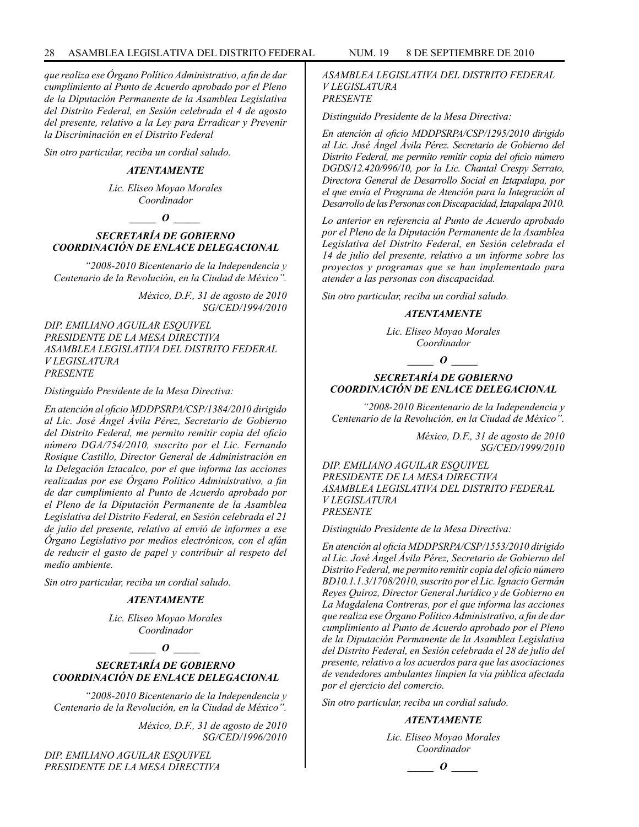*que realiza ese Órgano Político Administrativo, a fin de dar cumplimiento al Punto de Acuerdo aprobado por el Pleno de la Diputación Permanente de la Asamblea Legislativa del Distrito Federal, en Sesión celebrada el 4 de agosto del presente, relativo a la Ley para Erradicar y Prevenir la Discriminación en el Distrito Federal*

*Sin otro particular, reciba un cordial saludo.*

#### *ATENTAMENTE*

*Lic. Eliseo Moyao Morales Coordinador*

## $\bm{o}$

## *SECRETARÍA DE GOBIERNO COORDINACIÓN DE ENLACE DELEGACIONAL*

*"2008-2010 Bicentenario de la Independencia y Centenario de la Revolución, en la Ciudad de México".*

> *México, D.F., 31 de agosto de 2010 SG/CED/1994/2010*

*DIP. EMILIANO AGUILAR ESQUIVEL PRESIDENTE DE LA MESA DIRECTIVA ASAMBLEA LEGISLATIVA DEL DISTRITO FEDERAL V LEGISLATURA PRESENTE*

*Distinguido Presidente de la Mesa Directiva:*

*En atención al oficio MDDPSRPA/CSP/1384/2010 dirigido al Lic. José Ángel Ávila Pérez, Secretario de Gobierno del Distrito Federal, me permito remitir copia del oficio número DGA/754/2010, suscrito por el Lic. Fernando Rosique Castillo, Director General de Administración en la Delegación Iztacalco, por el que informa las acciones realizadas por ese Órgano Político Administrativo, a fin de dar cumplimiento al Punto de Acuerdo aprobado por el Pleno de la Diputación Permanente de la Asamblea Legislativa del Distrito Federal, en Sesión celebrada el 21 de julio del presente, relativo al envió de informes a ese Órgano Legislativo por medios electrónicos, con el afán de reducir el gasto de papel y contribuir al respeto del medio ambiente.*

*Sin otro particular, reciba un cordial saludo.*

#### *ATENTAMENTE*

*Lic. Eliseo Moyao Morales Coordinador*

 $\overline{\phantom{a}}$  *o*  $\overline{\phantom{a}}$ 

## *SECRETARÍA DE GOBIERNO COORDINACIÓN DE ENLACE DELEGACIONAL*

*"2008-2010 Bicentenario de la Independencia y Centenario de la Revolución, en la Ciudad de México".*

> *México, D.F., 31 de agosto de 2010 SG/CED/1996/2010*

*DIP. EMILIANO AGUILAR ESQUIVEL PRESIDENTE DE LA MESA DIRECTIVA* 

## *ASAMBLEA LEGISLATIVA DEL DISTRITO FEDERAL V LEGISLATURA PRESENTE*

*Distinguido Presidente de la Mesa Directiva:*

*En atención al oficio MDDPSRPA/CSP/1295/2010 dirigido al Lic. José Ángel Ávila Pérez. Secretario de Gobierno del Distrito Federal, me permito remitir copia del oficio número DGDS/12.420/996/10, por la Lic. Chantal Crespy Serrato, Directora General de Desarrollo Social en Iztapalapa, por el que envía el Programa de Atención para la Integración al Desarrollo de las Personas con Discapacidad, Iztapalapa 2010.*

*Lo anterior en referencia al Punto de Acuerdo aprobado por el Pleno de la Diputación Permanente de la Asamblea Legislativa del Distrito Federal, en Sesión celebrada el 14 de julio del presente, relativo a un informe sobre los proyectos y programas que se han implementado para atender a las personas con discapacidad.*

*Sin otro particular, reciba un cordial saludo.*

#### *ATENTAMENTE*

*Lic. Eliseo Moyao Morales Coordinador*

*\_\_\_\_\_ O \_\_\_\_\_*

## *SECRETARÍA DE GOBIERNO COORDINACIÓN DE ENLACE DELEGACIONAL*

*"2008-2010 Bicentenario de la Independencia y Centenario de la Revolución, en la Ciudad de México".*

> *México, D.F., 31 de agosto de 2010 SG/CED/1999/2010*

*DIP. EMILIANO AGUILAR ESQUIVEL PRESIDENTE DE LA MESA DIRECTIVA ASAMBLEA LEGISLATIVA DEL DISTRITO FEDERAL V LEGISLATURA PRESENTE*

*Distinguido Presidente de la Mesa Directiva:*

*En atención al oficia MDDPSRPA/CSP/1553/2010 dirigido al Lic. José Ángel Ávila Pérez, Secretario de Gobierno del Distrito Federal, me permito remitir copia del oficio número BD10.1.1.3/1708/2010, suscrito por el Lic. Ignacio Germán Reyes Quiroz, Director General Jurídico y de Gobierno en La Magdalena Contreras, por el que informa las acciones que realiza ese Órgano Político Administrativo, a fin de dar cumplimiento al Punto de Acuerdo aprobado por el Pleno de la Diputación Permanente de la Asamblea Legislativa del Distrito Federal, en Sesión celebrada el 28 de julio del presente, relativo a los acuerdos para que las asociaciones de vendedores ambulantes limpien la vía pública afectada por el ejercicio del comercio.*

*Sin otro particular, reciba un cordial saludo.*

## *ATENTAMENTE*

*Lic. Eliseo Moyao Morales Coordinador*

*\_\_\_\_\_ O \_\_\_\_\_*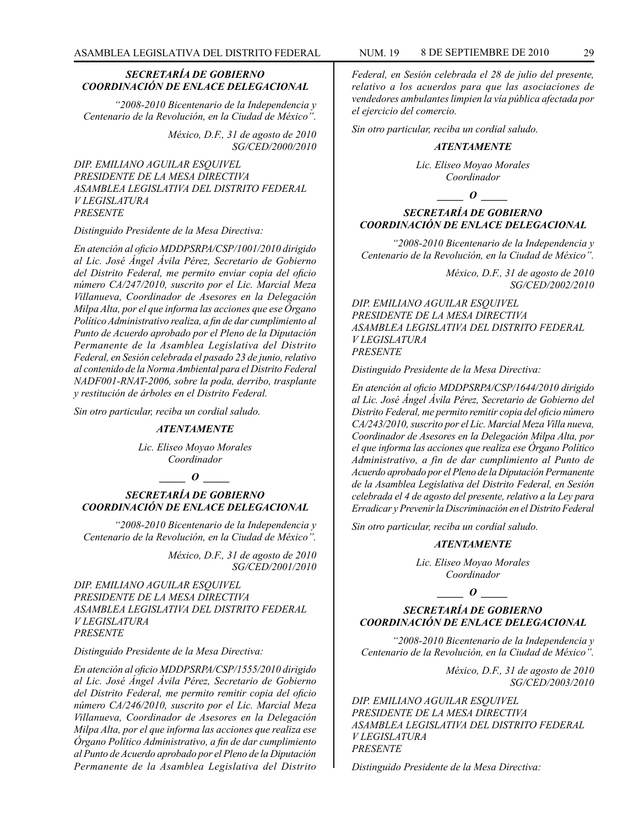#### *SECRETARÍA DE GOBIERNO COORDINACIÓN DE ENLACE DELEGACIONAL*

*"2008-2010 Bicentenario de la Independencia y Centenario de la Revolución, en la Ciudad de México".*

> *México, D.F., 31 de agosto de 2010 SG/CED/2000/2010*

*DIP. EMILIANO AGUILAR ESQUIVEL PRESIDENTE DE LA MESA DIRECTIVA ASAMBLEA LEGISLATIVA DEL DISTRITO FEDERAL V LEGISLATURA PRESENTE*

#### *Distinguido Presidente de la Mesa Directiva:*

*En atención al oficio MDDPSRPA/CSP/1001/2010 dirigido al Lic. José Ángel Ávila Pérez, Secretario de Gobierno del Distrito Federal, me permito enviar copia del oficio número CA/247/2010, suscrito por el Lic. Marcial Meza Villanueva, Coordinador de Asesores en la Delegación Milpa Alta, por el que informa las acciones que ese Órgano Político Administrativo realiza, a fin de dar cumplimiento al Punto de Acuerdo aprobado por el Pleno de la Diputación Permanente de la Asamblea Legislativa del Distrito Federal, en Sesión celebrada el pasado 23 de junio, relativo al contenido de la Norma Ambiental para el Distrito Federal NADF001-RNAT-2006, sobre la poda, derribo, trasplante y restitución de árboles en el Distrito Federal.*

*Sin otro particular, reciba un cordial saludo.*

#### *ATENTAMENTE*

*Lic. Eliseo Moyao Morales Coordinador*

#### *\_\_\_\_\_ O \_\_\_\_\_*

#### *SECRETARÍA DE GOBIERNO COORDINACIÓN DE ENLACE DELEGACIONAL*

*"2008-2010 Bicentenario de la Independencia y Centenario de la Revolución, en la Ciudad de México".*

> *México, D.F., 31 de agosto de 2010 SG/CED/2001/2010*

*DIP. EMILIANO AGUILAR ESQUIVEL PRESIDENTE DE LA MESA DIRECTIVA ASAMBLEA LEGISLATIVA DEL DISTRITO FEDERAL V LEGISLATURA PRESENTE*

#### *Distinguido Presidente de la Mesa Directiva:*

*En atención al oficio MDDPSRPA/CSP/1555/2010 dirigido al Lic. José Ángel Ávila Pérez, Secretario de Gobierno del Distrito Federal, me permito remitir copia del oficio número CA/246/2010, suscrito por el Lic. Marcial Meza Villanueva, Coordinador de Asesores en la Delegación Milpa Alta, por el que informa las acciones que realiza ese Órgano Político Administrativo, a fin de dar cumplimiento al Punto de Acuerdo aprobado por el Pleno de la Diputación Permanente de la Asamblea Legislativa del Distrito* 

*Federal, en Sesión celebrada el 28 de julio del presente, relativo a los acuerdos para que las asociaciones de vendedores ambulantes limpien la vía pública afectada por el ejercicio del comercio.*

*Sin otro particular, reciba un cordial saludo.*

#### *ATENTAMENTE*

*Lic. Eliseo Moyao Morales Coordinador*

#### $\bm{o}$

## *SECRETARÍA DE GOBIERNO COORDINACIÓN DE ENLACE DELEGACIONAL*

*"2008-2010 Bicentenario de la Independencia y Centenario de la Revolución, en la Ciudad de México".*

> *México, D.F., 31 de agosto de 2010 SG/CED/2002/2010*

*DIP. EMILIANO AGUILAR ESQUIVEL PRESIDENTE DE LA MESA DIRECTIVA ASAMBLEA LEGISLATIVA DEL DISTRITO FEDERAL V LEGISLATURA PRESENTE*

*Distinguido Presidente de la Mesa Directiva:*

*En atención al oficio MDDPSRPA/CSP/1644/2010 dirigido al Lic. José Ángel Ávila Pérez, Secretario de Gobierno del Distrito Federal, me permito remitir copia del oficio número CA/243/2010, suscrito por el Lic. Marcial Meza Villa nueva, Coordinador de Asesores en la Delegación Milpa Alta, por el que informa las acciones que realiza ese Órgano Político Administrativo, a fin de dar cumplimiento al Punto de Acuerdo aprobado por el Pleno de la Diputación Permanente de la Asamblea Legislativa del Distrito Federal, en Sesión celebrada el 4 de agosto del presente, relativo a la Ley para Erradicar y Prevenir la Discriminación en el Distrito Federal*

*Sin otro particular, reciba un cordial saludo.*

#### *ATENTAMENTE*

*Lic. Eliseo Moyao Morales Coordinador*

*\_\_\_\_\_ O \_\_\_\_\_*

#### *SECRETARÍA DE GOBIERNO COORDINACIÓN DE ENLACE DELEGACIONAL*

*"2008-2010 Bicentenario de la Independencia y Centenario de la Revolución, en la Ciudad de México".*

> *México, D.F., 31 de agosto de 2010 SG/CED/2003/2010*

*DIP. EMILIANO AGUILAR ESQUIVEL PRESIDENTE DE LA MESA DIRECTIVA ASAMBLEA LEGISLATIVA DEL DISTRITO FEDERAL V LEGISLATURA PRESENTE*

*Distinguido Presidente de la Mesa Directiva:*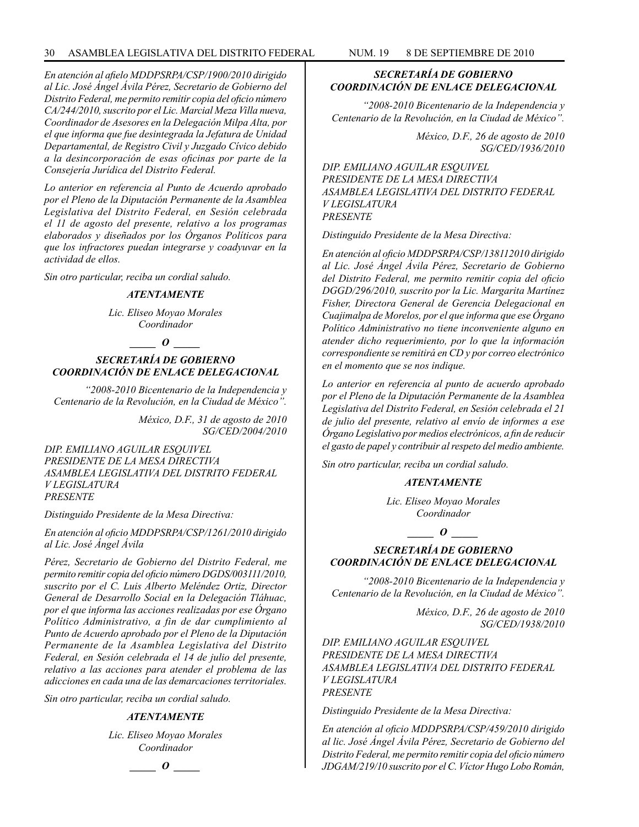*En atención al afielo MDDPSRPA/CSP/1900/2010 dirigido al Lic. José Ángel Ávila Pérez, Secretario de Gobierno del Distrito Federal, me permito remitir copia del oficio número CA/244/2010, suscrito por el Lic. Marcial Meza Villa nueva, Coordinador de Asesores en la Delegación Milpa Alta, por el que informa que fue desintegrada la Jefatura de Unidad Departamental, de Registro Civil y Juzgado Cívico debido a la desincorporación de esas oficinas por parte de la Consejería Jurídica del Distrito Federal.*

*Lo anterior en referencia al Punto de Acuerdo aprobado por el Pleno de la Diputación Permanente de la Asamblea Legislativa del Distrito Federal, en Sesión celebrada el 11 de agosto del presente, relativo a los programas elaborados y diseñados por los Órganos Políticos para que los infractores puedan integrarse y coadyuvar en la actividad de ellos.*

*Sin otro particular, reciba un cordial saludo.*

#### *ATENTAMENTE*

*Lic. Eliseo Moyao Morales Coordinador*

## *\_\_\_\_\_ O \_\_\_\_\_*

## *SECRETARÍA DE GOBIERNO COORDINACIÓN DE ENLACE DELEGACIONAL*

*"2008-2010 Bicentenario de la Independencia y Centenario de la Revolución, en la Ciudad de México".*

> *México, D.F., 31 de agosto de 2010 SG/CED/2004/2010*

*DIP. EMILIANO AGUILAR ESQUIVEL PRESIDENTE DE LA MESA DIRECTIVA ASAMBLEA LEGISLATIVA DEL DISTRITO FEDERAL V LEGISLATURA PRESENTE*

*Distinguido Presidente de la Mesa Directiva:*

*En atención al oficio MDDPSRPA/CSP/1261/2010 dirigido al Lic. José Ángel Ávila*

*Pérez, Secretario de Gobierno del Distrito Federal, me permito remitir copia del oficio número DGDS/003111/2010, suscrito por el C. Luis Alberto Meléndez Ortiz, Director General de Desarrollo Social en la Delegación Tláhuac, por el que informa las acciones realizadas por ese Órgano Político Administrativo, a fin de dar cumplimiento al Punto de Acuerdo aprobado por el Pleno de la Diputación Permanente de la Asamblea Legislativa del Distrito Federal, en Sesión celebrada el 14 de julio del presente, relativo a las acciones para atender el problema de las adicciones en cada una de las demarcaciones territoriales.*

*Sin otro particular, reciba un cordial saludo.*

#### *ATENTAMENTE*

*Lic. Eliseo Moyao Morales Coordinador*

*\_\_\_\_\_ O \_\_\_\_\_*

## *SECRETARÍA DE GOBIERNO COORDINACIÓN DE ENLACE DELEGACIONAL*

*"2008-2010 Bicentenario de la Independencia y Centenario de la Revolución, en la Ciudad de México".*

> *México, D.F., 26 de agosto de 2010 SG/CED/1936/2010*

*DIP. EMILIANO AGUILAR ESQUIVEL PRESIDENTE DE LA MESA DIRECTIVA ASAMBLEA LEGISLATIVA DEL DISTRITO FEDERAL V LEGISLATURA PRESENTE*

*Distinguido Presidente de la Mesa Directiva:*

*En atención al oficio MDDPSRPA/CSP/138112010 dirigido al Lic. José Ángel Ávila Pérez, Secretario de Gobierno del Distrito Federal, me permito remitir copia del oficio DGGD/296/2010, suscrito por la Lic. Margarita Martínez Fisher, Directora General de Gerencia Delegacional en Cuajimalpa de Morelos, por el que informa que ese Órgano Político Administrativo no tiene inconveniente alguno en atender dicho requerimiento, por lo que la información correspondiente se remitirá en CD y por correo electrónico en el momento que se nos indique.*

*Lo anterior en referencia al punto de acuerdo aprobado por el Pleno de la Diputación Permanente de la Asamblea Legislativa del Distrito Federal, en Sesión celebrada el 21 de julio del presente, relativo al envío de informes a ese Órgano Legislativo por medios electrónicos, a fin de reducir el gasto de papel y contribuir al respeto del medio ambiente.*

*Sin otro particular, reciba un cordial saludo.*

## *ATENTAMENTE*

*Lic. Eliseo Moyao Morales Coordinador*

*\_\_\_\_\_ O \_\_\_\_\_*

## *SECRETARÍA DE GOBIERNO COORDINACIÓN DE ENLACE DELEGACIONAL*

*"2008-2010 Bicentenario de la Independencia y Centenario de la Revolución, en la Ciudad de México".*

> *México, D.F., 26 de agosto de 2010 SG/CED/1938/2010*

*DIP. EMILIANO AGUILAR ESQUIVEL PRESIDENTE DE LA MESA DIRECTIVA ASAMBLEA LEGISLATIVA DEL DISTRITO FEDERAL V LEGISLATURA PRESENTE*

*Distinguido Presidente de la Mesa Directiva:*

*En atención al oficio MDDPSRPA/CSP/459/2010 dirigido al lic. José Ángel Ávila Pérez, Secretario de Gobierno del Distrito Federal, me permito remitir copia del oficio número JDGAM/219/10 suscrito por el C. Víctor Hugo Lobo Román,*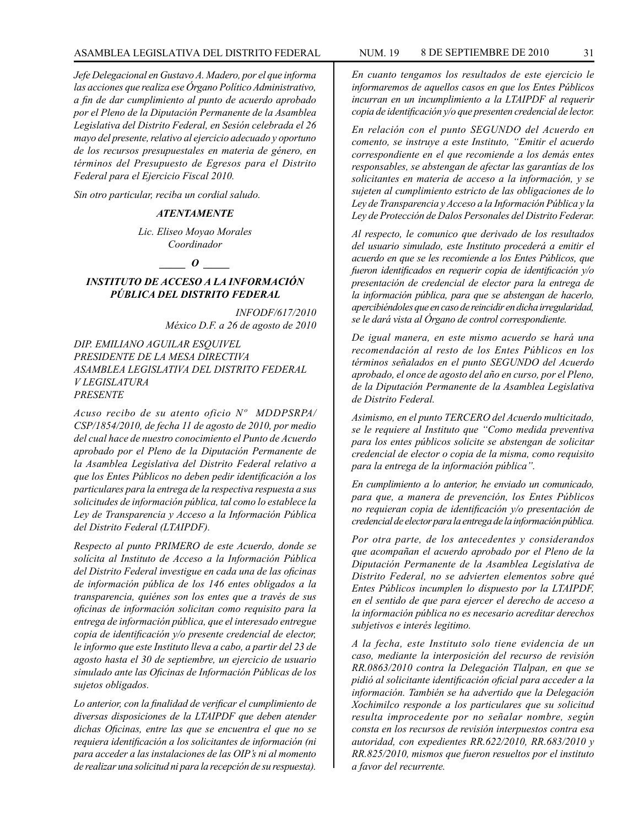*Jefe Delegacional en Gustavo A. Madero, por el que informa las acciones que realiza ese Órgano Político Administrativo, a fin de dar cumplimiento al punto de acuerdo aprobado por el Pleno de la Diputación Permanente de la Asamblea Legislativa del Distrito Federal, en Sesión celebrada el 26 mayo del presente, relativo al ejercicio adecuado y oportuno de los recursos presupuestales en materia de género, en términos del Presupuesto de Egresos para el Distrito Federal para el Ejercicio Fiscal 2010.*

*Sin otro particular, reciba un cordial saludo.*

## *ATENTAMENTE*

*Lic. Eliseo Moyao Morales Coordinador*

*\_\_\_\_\_ O \_\_\_\_\_*

## *INSTITUTO DE ACCESO A LA INFORMACIÓN PÚBLICA DEL DISTRITO FEDERAL*

*INFODF/617/2010 México D.F. a 26 de agosto de 2010*

*DIP. EMILIANO AGUILAR ESQUIVEL PRESIDENTE DE LA MESA DIRECTIVA ASAMBLEA LEGISLATIVA DEL DISTRITO FEDERAL V LEGISLATURA PRESENTE*

*Acuso recibo de su atento oficio Nº MDDPSRPA/ CSP/1854/2010, de fecha 11 de agosto de 2010, por medio del cual hace de nuestro conocimiento el Punto de Acuerdo aprobado por el Pleno de la Diputación Permanente de la Asamblea Legislativa del Distrito Federal relativo a que los Entes Públicos no deben pedir identificación a los particulares para la entrega de la respectiva respuesta a sus solicitudes de información pública, tal como lo establece la Ley de Transparencia y Acceso a la Información Pública del Distrito Federal (LTAIPDF).*

*Respecto al punto PRIMERO de este Acuerdo, donde se solícita al Instituto de Acceso a la Información Pública del Distrito Federal investigue en cada una de las oficinas de información pública de los 146 entes obligados a la transparencia, quiénes son los entes que a través de sus oficinas de información solicitan como requisito para la entrega de información pública, que el interesado entregue copia de identificación y/o presente credencial de elector, le informo que este Instituto lleva a cabo, a partir del 23 de agosto hasta el 30 de septiembre, un ejercicio de usuario simulado ante las Oficinas de Información Públicas de los sujetos obligados.*

*Lo anterior, con la finalidad de verificar el cumplimiento de diversas disposiciones de la LTAIPDF que deben atender dichas Oficinas, entre las que se encuentra el que no se requiera identificación a los solicitantes de información (ni para acceder a las instalaciones de las OIP's ni al momento de realizar una solicitud ni para la recepción de su respuesta).*

*En cuanto tengamos los resultados de este ejercicio le informaremos de aquellos casos en que los Entes Públicos incurran en un incumplimiento a la LTAIPDF al requerir copia de identificación y/o que presenten credencial de lector.*

*En relación con el punto SEGUNDO del Acuerdo en comento, se instruye a este Instituto, "Emitir el acuerdo correspondiente en el que recomiende a los demás entes responsables, se abstengan de afectar las garantías de los solicitantes en materia de acceso a la información, y se sujeten al cumplimiento estricto de las obligaciones de lo Ley de Transparencia y Acceso a la Información Pública y la Ley de Protección de Dalos Personales del Distrito Federar.*

*Al respecto, le comunico que derivado de los resultados del usuario simulado, este Instituto procederá a emitir el acuerdo en que se les recomiende a los Entes Públicos, que fueron identificados en requerir copia de identificación y/o presentación de credencial de elector para la entrega de la información pública, para que se abstengan de hacerlo, apercibiéndoles que en caso de reincidir en dicha irregularidad, se le dará vista al Órgano de control correspondiente.*

*De igual manera, en este mismo acuerdo se hará una recomendación al resto de los Entes Públicos en los términos señalados en el punto SEGUNDO del Acuerdo aprobado, el once de agosto del año en curso, por el Pleno, de la Diputación Permanente de la Asamblea Legislativa de Distrito Federal.*

*Asimismo, en el punto TERCERO del Acuerdo multicitado, se le requiere al Instituto que "Como medida preventiva para los entes públicos solicite se abstengan de solicitar credencial de elector o copia de la misma, como requisito para la entrega de la información pública".*

*En cumplimiento a lo anterior, he enviado un comunicado, para que, a manera de prevención, los Entes Públicos no requieran copia de identificación y/o presentación de credencial de elector para la entrega de la información pública.*

*Por otra parte, de los antecedentes y considerandos que acompañan el acuerdo aprobado por el Pleno de la Diputación Permanente de la Asamblea Legislativa de Distrito Federal, no se advierten elementos sobre qué Entes Públicos incumplen lo dispuesto por la LTAIPDF, en el sentido de que para ejercer el derecho de acceso a la información pública no es necesario acreditar derechos subjetivos e interés legitimo.*

*A la fecha, este Instituto solo tiene evidencia de un caso, mediante la interposición del recurso de revisión RR.0863/2010 contra la Delegación Tlalpan, en que se pidió al solicitante identificación oficial para acceder a la información. También se ha advertido que la Delegación Xochimilco responde a los particulares que su solicitud resulta improcedente por no señalar nombre, según consta en los recursos de revisión interpuestos contra esa autoridad, con expedientes RR.622/2010, RR.683/2010 y RR.825/2010, mismos que fueron resueltos por el instituto a favor del recurrente.*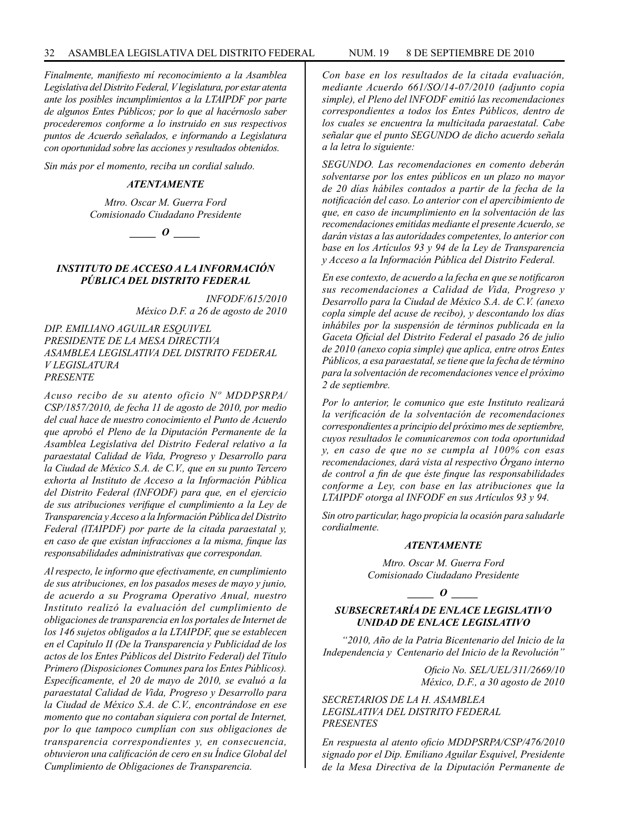*Finalmente, manifiesto mí reconocimiento a la Asamblea Legislativa del Distrito Federal, V legislatura, por estar atenta ante los posibles incumplimientos a la LTAIPDF por parte de algunos Entes Públicos; por lo que al hacérnoslo saber procederemos conforme a lo instruido en sus respectivos puntos de Acuerdo señalados, e informando a Legislatura con oportunidad sobre las acciones y resultados obtenidos.*

*Sin más por el momento, reciba un cordial saludo.*

#### *ATENTAMENTE*

*Mtro. Oscar M. Guerra Ford Comisionado Ciudadano Presidente*

*\_\_\_\_\_ O \_\_\_\_\_*

## *INSTITUTO DE ACCESO A LA INFORMACIÓN PÚBLICA DEL DISTRITO FEDERAL*

*INFODF/615/2010 México D.F. a 26 de agosto de 2010*

*DIP. EMILIANO AGUILAR ESQUIVEL PRESIDENTE DE LA MESA DIRECTIVA ASAMBLEA LEGISLATIVA DEL DISTRITO FEDERAL V LEGISLATURA PRESENTE*

*Acuso recibo de su atento oficio Nº MDDPSRPA/ CSP/1857/2010, de fecha 11 de agosto de 2010, por medio del cual hace de nuestro conocimiento el Punto de Acuerdo que aprobó el Pleno de la Diputación Permanente de la Asamblea Legislativa del Distrito Federal relativo a la paraestatal Calidad de Vida, Progreso y Desarrollo para la Ciudad de México S.A. de C.V., que en su punto Tercero exhorta al Instituto de Acceso a la Información Pública del Distrito Federal (INFODF) para que, en el ejercicio de sus atribuciones verifique el cumplimiento a la Ley de Transparencia y Acceso a la Información Pública del Distrito Federal (lTAIPDF) por parte de la citada paraestatal y, en caso de que existan infracciones a la misma, finque las responsabilidades administrativas que correspondan.*

*Al respecto, le informo que efectivamente, en cumplimiento de sus atribuciones, en los pasados meses de mayo y junio, de acuerdo a su Programa Operativo Anual, nuestro Instituto realizó la evaluación del cumplimiento de obligaciones de transparencia en los portales de Internet de los 146 sujetos obligados a la LTAIPDF, que se establecen en el Capítulo II (De la Transparencia y Publicidad de los actos de los Entes Públicos del Distrito Federal) del Título Primero (Disposiciones Comunes para los Entes Públicos). Específicamente, el 20 de mayo de 2010, se evaluó a la paraestatal Calidad de Vida, Progreso y Desarrollo para la Ciudad de México S.A. de C.V., encontrándose en ese momento que no contaban siquiera con portal de Internet, por lo que tampoco cumplían con sus obligaciones de transparencia correspondientes y, en consecuencia, obtuvieron una calificación de cero en su Índice Global del Cumplimiento de Obligaciones de Transparencia.*

*Con base en los resultados de la citada evaluación, mediante Acuerdo 661/SO/14-07/2010 (adjunto copia simple), el Pleno del lNFODF emitió las recomendaciones correspondientes a todos los Entes Públicos, dentro de los cuales se encuentra la multicitada paraestatal. Cabe señalar que el punto SEGUNDO de dicho acuerdo señala a la letra lo siguiente:*

*SEGUNDO. Las recomendaciones en comento deberán solventarse por los entes públicos en un plazo no mayor de 20 días hábiles contados a partir de la fecha de la notificación del caso. Lo anterior con el apercibimiento de que, en caso de incumplimiento en la solventación de las recomendaciones emitidas mediante el presente Acuerdo, se darán vistas a las autoridades competentes, lo anterior con base en los Artículos 93 y 94 de la Ley de Transparencia y Acceso a la Información Pública del Distrito Federal.*

*En ese contexto, de acuerdo a la fecha en que se notificaron sus recomendaciones a Calidad de Vida, Progreso y Desarrollo para la Ciudad de México S.A. de C.V. (anexo copla simple del acuse de recibo), y descontando los días inhábiles por la suspensión de términos publicada en la Gaceta Oficial del Distrito Federal el pasado 26 de julio de 2010 (anexo copia simple) que aplica, entre otros Entes Públicos, a esa paraestatal, se tiene que la fecha de término para la solventación de recomendaciones vence el próximo 2 de septiembre.*

*Por lo anterior, le comunico que este Instituto realizará la verificación de la solventación de recomendaciones correspondientes a principio del próximo mes de septiembre, cuyos resultados le comunicaremos con toda oportunidad y, en caso de que no se cumpla al 100% con esas recomendaciones, dará vista al respectivo Órgano interno de control a fin de que éste finque las responsabilidades conforme a Ley, con base en las atribuciones que la LTAIPDF otorga al INFODF en sus Artículos 93 y 94.*

*Sin otro particular, hago propicia la ocasión para saludarle cordialmente.*

#### *ATENTAMENTE*

*Mtro. Oscar M. Guerra Ford Comisionado Ciudadano Presidente*

*\_\_\_\_\_ O \_\_\_\_\_*

## *SUBSECRETARÍA DE ENLACE LEGISLATIVO UNIDAD DE ENLACE LEGISLATIVO*

*"2010, Año de la Patria Bicentenario del Inicio de la Independencia y Centenario del Inicio de la Revolución"*

> *Oficio No. SEL/UEL/311/2669/10 México, D.F., a 30 agosto de 2010*

*SECRETARIOS DE LA H. ASAMBLEA LEGISLATIVA DEL DISTRITO FEDERAL PRESENTES*

*En respuesta al atento oficio MDDPSRPA/CSP/476/2010 signado por el Dip. Emiliano Aguilar Esquivel, Presidente de la Mesa Directiva de la Diputación Permanente de*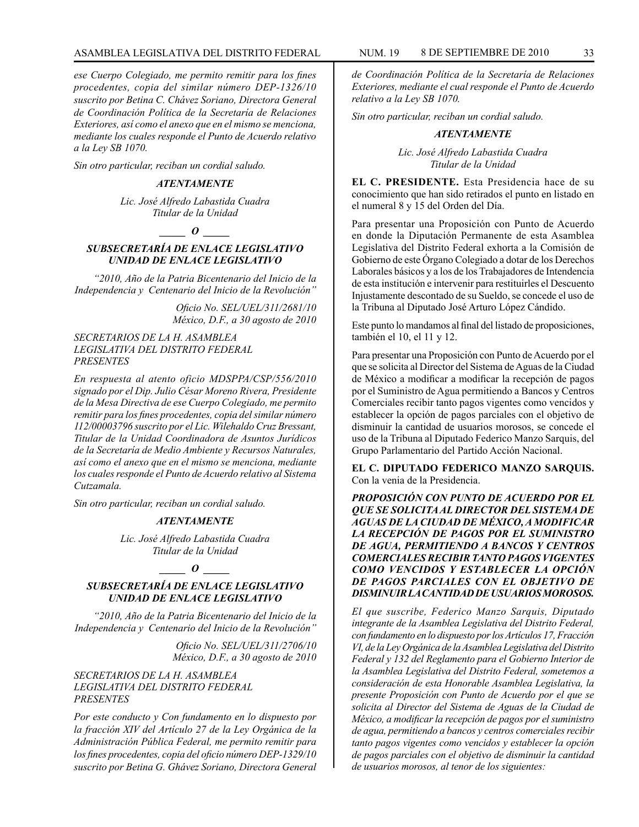*ese Cuerpo Colegiado, me permito remitir para los fines procedentes, copia del similar número DEP-1326/10 suscrito por Betina C. Chávez Soriano, Directora General de Coordinación Política de la Secretaría de Relaciones Exteriores, así como el anexo que en el mismo se menciona, mediante los cuales responde el Punto de Acuerdo relativo a la Ley SB 1070.*

*Sin otro particular, reciban un cordial saludo.*

#### *ATENTAMENTE*

*Lic. José Alfredo Labastida Cuadra Titular de la Unidad*

*\_\_\_\_\_ O \_\_\_\_\_*

## *SUBSECRETARÍA DE ENLACE LEGISLATIVO UNIDAD DE ENLACE LEGISLATIVO*

*"2010, Año de la Patria Bicentenario del Inicio de la Independencia y Centenario del Inicio de la Revolución"*

> *Oficio No. SEL/UEL/311/2681/10 México, D.F., a 30 agosto de 2010*

## *SECRETARIOS DE LA H. ASAMBLEA LEGISLATIVA DEL DISTRITO FEDERAL PRESENTES*

*En respuesta al atento oficio MDSPPA/CSP/556/2010 signado por el Dip. Julio César Moreno Rivera, Presidente de la Mesa Directiva de ese Cuerpo Colegiado, me permito remitir para los fines procedentes, copia del similar número 112/00003796 suscrito por el Lic. Wilehaldo Cruz Bressant, Titular de la Unidad Coordinadora de Asuntos Jurídicos de la Secretaría de Medio Ambiente y Recursos Naturales, así como el anexo que en el mismo se menciona, mediante los cuales responde el Punto de Acuerdo relativo al Sistema Cutzamala.*

*Sin otro particular, reciban un cordial saludo.*

## *ATENTAMENTE*

*Lic. José Alfredo Labastida Cuadra Titular de la Unidad*

#### *\_\_\_\_\_ O \_\_\_\_\_*

## *SUBSECRETARÍA DE ENLACE LEGISLATIVO UNIDAD DE ENLACE LEGISLATIVO*

*"2010, Año de la Patria Bicentenario del Inicio de la Independencia y Centenario del Inicio de la Revolución"*

> *Oficio No. SEL/UEL/311/2706/10 México, D.F., a 30 agosto de 2010*

## *SECRETARIOS DE LA H. ASAMBLEA LEGISLATIVA DEL DISTRITO FEDERAL PRESENTES*

*Por este conducto y Con fundamento en lo dispuesto por la fracción XIV del Artículo 27 de la Ley Orgánica de la Administración Pública Federal, me permito remitir para los fines procedentes, copia del oficio número DEP-1329/10 suscrito por Betina G. Ghávez Soriano, Directora General* 

*de Coordinación Política de la Secretaría de Relaciones Exteriores, mediante el cual responde el Punto de Acuerdo relativo a la Ley SB 1070.*

*Sin otro particular, reciban un cordial saludo.*

#### *ATENTAMENTE*

*Lic. José Alfredo Labastida Cuadra Titular de la Unidad*

**EL C. PRESIDENTE.** Esta Presidencia hace de su conocimiento que han sido retirados el punto en listado en el numeral 8 y 15 del Orden del Día.

Para presentar una Proposición con Punto de Acuerdo en donde la Diputación Permanente de esta Asamblea Legislativa del Distrito Federal exhorta a la Comisión de Gobierno de este Órgano Colegiado a dotar de los Derechos Laborales básicos y a los de los Trabajadores de Intendencia de esta institución e intervenir para restituirles el Descuento Injustamente descontado de su Sueldo, se concede el uso de la Tribuna al Diputado José Arturo López Cándido.

Este punto lo mandamos al final del listado de proposiciones, también el 10, el 11 y 12.

Para presentar una Proposición con Punto de Acuerdo por el que se solicita al Director del Sistema de Aguas de la Ciudad de México a modificar a modificar la recepción de pagos por el Suministro de Agua permitiendo a Bancos y Centros Comerciales recibir tanto pagos vigentes como vencidos y establecer la opción de pagos parciales con el objetivo de disminuir la cantidad de usuarios morosos, se concede el uso de la Tribuna al Diputado Federico Manzo Sarquis, del Grupo Parlamentario del Partido Acción Nacional.

**EL C. DIPUTADO FEDERICO MANZO SARQUIS.**  Con la venia de la Presidencia.

*PROPOSICIÓN CON PUNTO DE ACUERDO POR EL QUE SE SOLICITA AL DIRECTOR DEL SISTEMA DE AGUAS DE LA CIUDAD DE MÉXICO, A MODIFICAR LA RECEPCIÓN DE PAGOS POR EL SUMINISTRO DE AGUA, PERMITIENDO A BANCOS Y CENTROS COMERCIALES RECIBIR TANTO PAGOS VIGENTES COMO VENCIDOS Y ESTABLECER LA OPCIÓN DE PAGOS PARCIALES CON EL OBJETIVO DE DISMINUIR LA CANTIDAD DE USUARIOS MOROSOS.*

*El que suscribe, Federico Manzo Sarquis, Diputado integrante de la Asamblea Legislativa del Distrito Federal, con fundamento en lo dispuesto por los Artículos 17, Fracción VI, de la Ley Orgánica de la Asamblea Legislativa del Distrito Federal y 132 del Reglamento para el Gobierno Interior de la Asamblea Legislativa del Distrito Federal, sometemos a consideración de esta Honorable Asamblea Legislativa, la presente Proposición con Punto de Acuerdo por el que se solicita al Director del Sistema de Aguas de la Ciudad de México, a modificar la recepción de pagos por el suministro de agua, permitiendo a bancos y centros comerciales recibir tanto pagos vigentes como vencidos y establecer la opción de pagos parciales con el objetivo de disminuir la cantidad de usuarios morosos, al tenor de los siguientes:*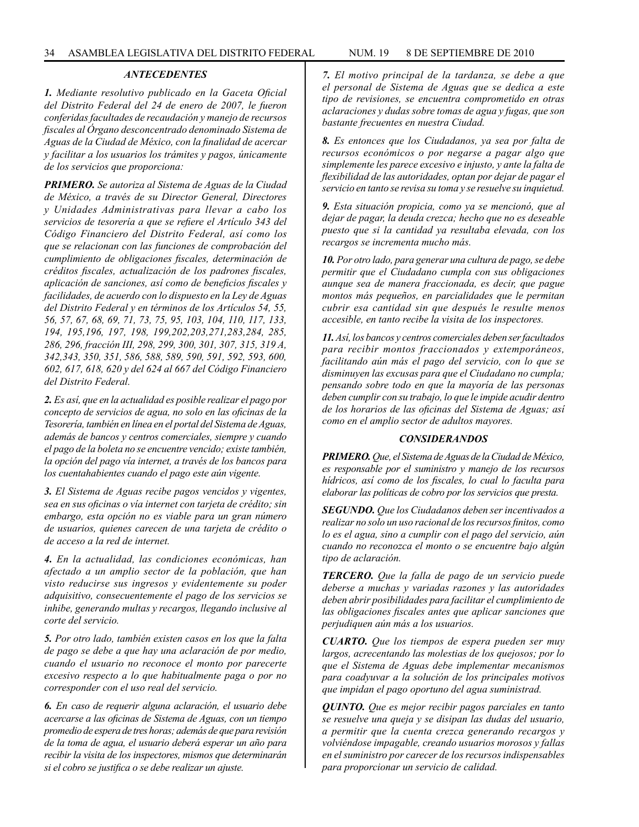## *ANTECEDENTES*

*1. Mediante resolutivo publicado en la Gaceta Oficial del Distrito Federal del 24 de enero de 2007, le fueron conferidas facultades de recaudación y manejo de recursos fiscales al Órgano desconcentrado denominado Sistema de Aguas de la Ciudad de México, con la finalidad de acercar y facilitar a los usuarios los trámites y pagos, únicamente de los servicios que proporciona:*

*PRIMERO. Se autoriza al Sistema de Aguas de la Ciudad de México, a través de su Director General, Directores y Unidades Administrativas para llevar a cabo los servicios de tesorería a que se refiere el Artículo 343 del Código Financiero del Distrito Federal, así como los que se relacionan con las funciones de comprobación del cumplimiento de obligaciones fiscales, determinación de créditos fiscales, actualización de los padrones fiscales, aplicación de sanciones, así como de beneficios fiscales y facilidades, de acuerdo con lo dispuesto en la Ley de Aguas del Distrito Federal y en términos de los Artículos 54, 55, 56, 57, 67, 68, 69, 71, 73, 75, 95, 103, 104, 110, 117, 133, 194, 195,196, 197, 198, 199,202,203,271,283,284, 285, 286, 296, fracción III, 298, 299, 300, 301, 307, 315, 319 A, 342,343, 350, 351, 586, 588, 589, 590, 591, 592, 593, 600, 602, 617, 618, 620 y del 624 al 667 del Código Financiero del Distrito Federal.*

*2. Es así, que en la actualidad es posible realizar el pago por concepto de servicios de agua, no solo en las oficinas de la Tesorería, también en línea en el portal del Sistema de Aguas, además de bancos y centros comerciales, siempre y cuando el pago de la boleta no se encuentre vencido; existe también, la opción del pago vía internet, a través de los bancos para los cuentahabientes cuando el pago este aún vigente.*

*3. El Sistema de Aguas recibe pagos vencidos y vigentes, sea en sus oficinas o vía internet con tarjeta de crédito; sin embargo, esta opción no es viable para un gran número de usuarios, quienes carecen de una tarjeta de crédito o de acceso a la red de internet.*

*4. En la actualidad, las condiciones económicas, han afectado a un amplio sector de la población, que han visto reducirse sus ingresos y evidentemente su poder adquisitivo, consecuentemente el pago de los servicios se inhibe, generando multas y recargos, llegando inclusive al corte del servicio.*

*5. Por otro lado, también existen casos en los que la falta de pago se debe a que hay una aclaración de por medio, cuando el usuario no reconoce el monto por parecerte excesivo respecto a lo que habitualmente paga o por no corresponder con el uso real del servicio.*

*6. En caso de requerir alguna aclaración, el usuario debe acercarse a las oficinas de Sistema de Aguas, con un tiempo promedio de espera de tres horas; además de que para revisión de la toma de agua, el usuario deberá esperar un año para recibir la visita de los inspectores, mismos que determinarán si el cobro se justifica o se debe realizar un ajuste.*

*7. El motivo principal de la tardanza, se debe a que el personal de Sistema de Aguas que se dedica a este tipo de revisiones, se encuentra comprometido en otras aclaraciones y dudas sobre tomas de agua y fugas, que son bastante frecuentes en nuestra Ciudad.*

*8. Es entonces que los Ciudadanos, ya sea por falta de recursos económicos o por negarse a pagar algo que simplemente les parece excesivo e injusto, y ante la falta de flexibilidad de las autoridades, optan por dejar de pagar el servicio en tanto se revisa su toma y se resuelve su inquietud.*

*9. Esta situación propicia, como ya se mencionó, que al dejar de pagar, la deuda crezca; hecho que no es deseable puesto que si la cantidad ya resultaba elevada, con los recargos se incrementa mucho más.*

*10. Por otro lado, para generar una cultura de pago, se debe permitir que el Ciudadano cumpla con sus obligaciones aunque sea de manera fraccionada, es decir, que pague montos más pequeños, en parcialidades que le permitan cubrir esa cantidad sin que después le resulte menos accesible, en tanto recibe la visita de los inspectores.*

*11. Así, los bancos y centros comerciales deben ser facultados para recibir montos fraccionados y extemporáneos, facilitando aún más el pago del servicio, con lo que se disminuyen las excusas para que el Ciudadano no cumpla; pensando sobre todo en que la mayoría de las personas deben cumplir con su trabajo, lo que le impide acudir dentro de los horarios de las oficinas del Sistema de Aguas; así como en el amplio sector de adultos mayores.*

#### *CONSIDERANDOS*

*PRIMERO. Que, el Sistema de Aguas de la Ciudad de México, es responsable por el suministro y manejo de los recursos hídricos, así como de los fiscales, lo cual lo faculta para elaborar las políticas de cobro por los servicios que presta.*

*SEGUNDO. Que los Ciudadanos deben ser incentivados a realizar no solo un uso racional de los recursos finitos, como lo es el agua, sino a cumplir con el pago del servicio, aún cuando no reconozca el monto o se encuentre bajo algún tipo de aclaración.*

*TERCERO. Que la falla de pago de un servicio puede deberse a muchas y variadas razones y las autoridades deben abrir posibilidades para facilitar el cumplimiento de las obligaciones fiscales antes que aplicar sanciones que perjudiquen aún más a los usuarios.*

*CUARTO. Que los tiempos de espera pueden ser muy largos, acrecentando las molestias de los quejosos; por lo que el Sistema de Aguas debe implementar mecanismos para coadyuvar a la solución de los principales motivos que impidan el pago oportuno del agua suministrad.*

*QUINTO. Que es mejor recibir pagos parciales en tanto se resuelve una queja y se disipan las dudas del usuario, a permitir que la cuenta crezca generando recargos y volviéndose impagable, creando usuarios morosos y fallas en el suministro por carecer de los recursos indispensables para proporcionar un servicio de calidad.*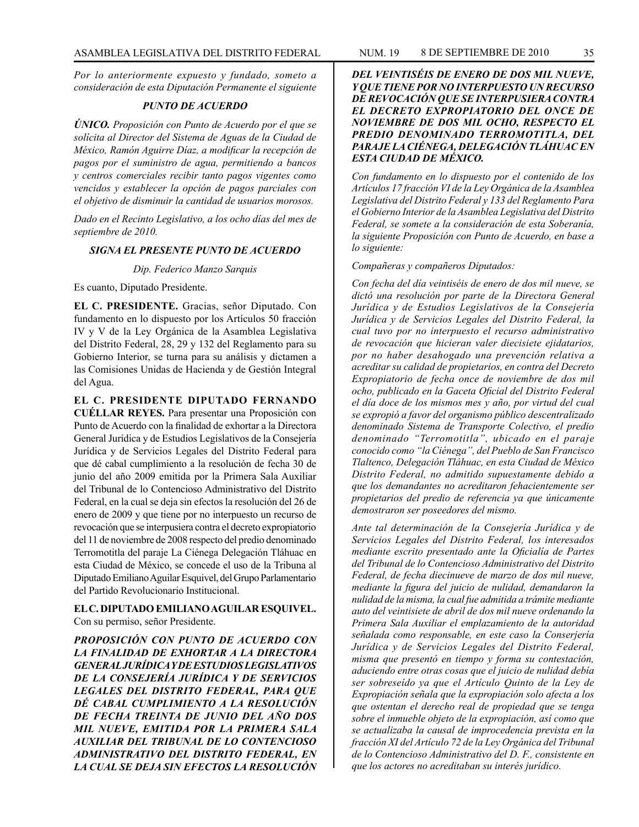*Por lo anteriormente expuesto y fundado, someto a consideración de esta Diputación Permanente el siguiente*

#### *PUNTO DE ACUERDO*

*ÚNICO. Proposición con Punto de Acuerdo por el que se solícita al Director del Sistema de Aguas de la Ciudad de México, Ramón Aguirre Díaz, a modificar la recepción de pagos por el suministro de agua, permitiendo a bancos y centros comerciales recibir tanto pagos vigentes como vencidos y establecer la opción de pagos parciales con el objetivo de disminuir la cantidad de usuarios morosos.*

*Dado en el Recinto Legislativo, a los ocho días del mes de septiembre de 2010.*

#### *SIGNA EL PRESENTE PUNTO DE ACUERDO*

*Dip. Federico Manzo Sarquis*

Es cuanto, Diputado Presidente.

**EL C. PRESIDENTE.** Gracias, señor Diputado. Con fundamento en lo dispuesto por los Artículos 50 fracción IV y V de la Ley Orgánica de la Asamblea Legislativa del Distrito Federal, 28, 29 y 132 del Reglamento para su Gobierno Interior, se turna para su análisis y dictamen a las Comisiones Unidas de Hacienda y de Gestión Integral del Agua.

**EL C. PRESIDENTE DIPUTADO FERNANDO CUÉLLAR REYES.** Para presentar una Proposición con Punto de Acuerdo con la finalidad de exhortar a la Directora General Jurídica y de Estudios Legislativos de la Consejería Jurídica y de Servicios Legales del Distrito Federal para que dé cabal cumplimiento a la resolución de fecha 30 de junio del año 2009 emitida por la Primera Sala Auxiliar del Tribunal de lo Contencioso Administrativo del Distrito Federal, en la cual se deja sin efectos la resolución del 26 de enero de 2009 y que tiene por no interpuesto un recurso de revocación que se interpusiera contra el decreto expropiatorio del 11 de noviembre de 2008 respecto del predio denominado Terromotitla del paraje La Ciénega Delegación Tláhuac en esta Ciudad de México, se concede el uso de la Tribuna al Diputado Emiliano Aguilar Esquivel, del Grupo Parlamentario del Partido Revolucionario Institucional.

**EL C. DIPUTADO EMILIANO AGUILAR ESQUIVEL.** Con su permiso, señor Presidente.

*PROPOSICIÓN CON PUNTO DE ACUERDO CON LA FINALIDAD DE EXHORTAR A LA DIRECTORA GENERAL JURÍDICA Y DE ESTUDIOS LEGISLATIVOS DE LA CONSEJERÍA JURÍDICA Y DE SERVICIOS LEGALES DEL DISTRITO FEDERAL, PARA QUE DÉ CABAL CUMPLIMIENTO A LA RESOLUCIÓN DE FECHA TREINTA DE JUNIO DEL AÑO DOS MIL NUEVE, EMITIDA POR LA PRIMERA SALA AUXILIAR DEL TRIBUNAL DE LO CONTENCIOSO ADMINISTRATIVO DEL DISTRITO FEDERAL, EN LA CUAL SE DEJA SIN EFECTOS LA RESOLUCIÓN* 

## *DEL VEINTISÉIS DE ENERO DE DOS MIL NUEVE, Y QUE TIENE POR NO INTERPUESTO UN RECURSO DE REVOCACIÓN QUE SE INTERPUSIERA CONTRA EL DECRETO EXPROPIATORIO DEL ONCE DE NOVIEMBRE DE DOS MIL OCHO, RESPECTO EL PREDIO DENOMINADO TERROMOTITLA, DEL PARAJE LA CIÉNEGA, DELEGACIÓN TLÁHUAC EN ESTA CIUDAD DE MÉXICO.*

*Con fundamento en lo dispuesto por el contenido de los Artículos 17 fracción VI de la Ley Orgánica de la Asamblea Legislativa del Distrito Federal y 133 del Reglamento Para el Gobierno Interior de la Asamblea Legislativa del Distrito Federal, se somete a la consideración de esta Soberanía, la siguiente Proposición con Punto de Acuerdo, en base a lo siguiente:*

*Compañeras y compañeros Diputados:*

*Con fecha del día veintiséis de enero de dos mil nueve, se dictó una resolución por parte de la Directora General Jurídica y de Estudios Legislativos de la Consejería Jurídica y de Servicios Legales del Distrito Federal, la cual tuvo por no interpuesto el recurso administrativo de revocación que hicieran valer diecisiete ejidatarios, por no haber desahogado una prevención relativa a acreditar su calidad de propietarios, en contra del Decreto Expropiatorio de fecha once de noviembre de dos mil ocho, publicado en la Gaceta Oficial del Distrito Federal el día doce de los mismos mes y año, por virtud del cual se expropió a favor del organismo público descentralizado denominado Sistema de Transporte Colectivo, el predio denominado "Terromotitla", ubicado en el paraje conocido como "la Ciénega", del Pueblo de San Francisco Tlaltenco, Delegación Tláhuac, en esta Ciudad de México Distrito Federal, no admitido supuestamente debido a que los demandantes no acreditaron fehacientemente ser propietarios del predio de referencia ya que únicamente demostraron ser poseedores del mismo.*

*Ante tal determinación de la Consejería Jurídica y de Servicios Legales del Distrito Federal, los interesados mediante escrito presentado ante la Oficialía de Partes del Tribunal de lo Contencioso Administrativo del Distrito Federal, de fecha diecinueve de marzo de dos mil nueve, mediante la figura del juicio de nulidad, demandaron la nulidad de la misma, la cual fue admitida a trámite mediante auto del veintisiete de abril de dos mil nueve ordenando la Primera Sala Auxiliar el emplazamiento de la autoridad señalada como responsable, en este caso la Conserjería Jurídica y de Servicios Legales del Distrito Federal, misma que presentó en tiempo y forma su contestación, aduciendo entre otras cosas que el juicio de nulidad debía ser sobreseído ya que el Artículo Quinto de la Ley de Expropiación señala que la expropiación solo afecta a los que ostentan el derecho real de propiedad que se tenga sobre el inmueble objeto de la expropiación, así como que se actualizaba la causal de improcedencia prevista en la fracción XI del Artículo 72 de la Ley Orgánica del Tribunal de lo Contencioso Administrativo del D. F., consistente en que los actores no acreditaban su interés jurídico.*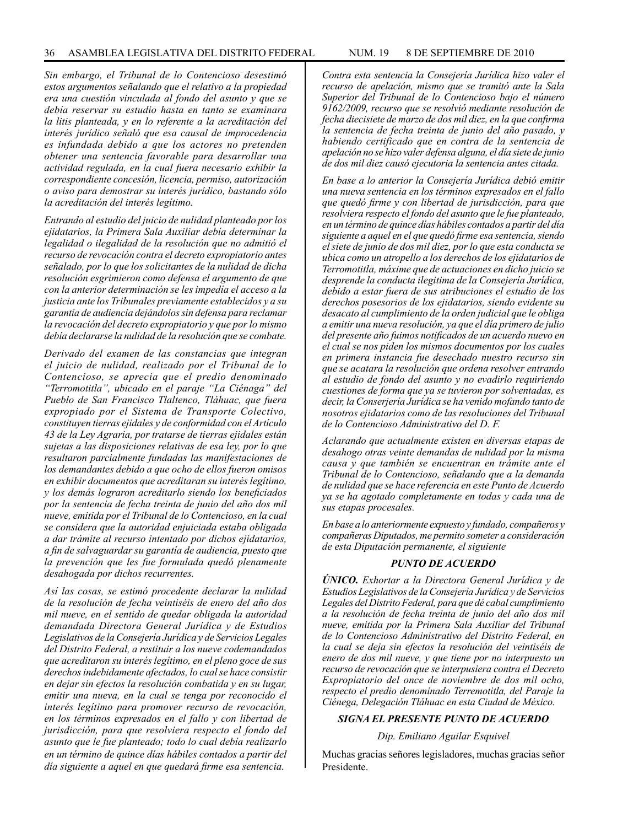*Sin embargo, el Tribunal de lo Contencioso desestimó estos argumentos señalando que el relativo a la propiedad era una cuestión vinculada al fondo del asunto y que se debía reservar su estudio hasta en tanto se examinara la litis planteada, y en lo referente a la acreditación del interés jurídico señaló que esa causal de improcedencia es infundada debido a que los actores no pretenden obtener una sentencia favorable para desarrollar una actividad regulada, en la cual fuera necesario exhibir la correspondiente concesión, licencia, permiso, autorización o aviso para demostrar su interés jurídico, bastando sólo la acreditación del interés legítimo.*

*Entrando al estudio del juicio de nulidad planteado por los ejidatarios, la Primera Sala Auxiliar debía determinar la legalidad o ilegalidad de la resolución que no admitió el recurso de revocación contra el decreto expropiatorio antes señalado, por lo que los solicitantes de la nulidad de dicha resolución esgrimieron como defensa el argumento de que con la anterior determinación se les impedía el acceso a la justicia ante los Tribunales previamente establecidos y a su garantía de audiencia dejándolos sin defensa para reclamar la revocación del decreto expropiatorio y que por lo mismo debía declararse la nulidad de la resolución que se combate.*

*Derivado del examen de las constancias que integran el juicio de nulidad, realizado por el Tribunal de lo Contencioso, se aprecia que el predio denominado "Terromotitla", ubicado en el paraje "La Ciénaga" del Pueblo de San Francisco Tlaltenco, Tláhuac, que fuera expropiado por el Sistema de Transporte Colectivo, constituyen tierras ejidales y de conformidad con el Artículo 43 de la Ley Agraria, por tratarse de tierras ejidales están sujetas a las disposiciones relativas de esa ley, por lo que resultaron parcialmente fundadas las manifestaciones de los demandantes debido a que ocho de ellos fueron omisos en exhibir documentos que acreditaran su interés legítimo, y los demás lograron acreditarlo siendo los beneficiados por la sentencia de fecha treinta de junio del año dos mil nueve, emitida por el Tribunal de lo Contencioso, en la cual se considera que la autoridad enjuiciada estaba obligada a dar trámite al recurso intentado por dichos ejidatarios, a fin de salvaguardar su garantía de audiencia, puesto que la prevención que les fue formulada quedó plenamente desahogada por dichos recurrentes.*

*Así las cosas, se estimó procedente declarar la nulidad de la resolución de fecha veintiséis de enero del año dos mil nueve, en el sentido de quedar obligada la autoridad demandada Directora General Jurídica y de Estudios Legislativos de la Consejería Jurídica y de Servicios Legales del Distrito Federal, a restituir a los nueve codemandados que acreditaron su interés legítimo, en el pleno goce de sus derechos indebidamente afectados, lo cual se hace consistir en dejar sin efectos la resolución combatida y en su lugar, emitir una nueva, en la cual se tenga por reconocido el interés legítimo para promover recurso de revocación, en los términos expresados en el fallo y con libertad de jurisdicción, para que resolviera respecto el fondo del asunto que le fue planteado; todo lo cual debía realizarlo en un término de quince días hábiles contados a partir del día siguiente a aquel en que quedará firme esa sentencia.*

*Contra esta sentencia la Consejería Jurídica hizo valer el recurso de apelación, mismo que se tramitó ante la Sala Superior del Tribunal de lo Contencioso bajo el número 9162/2009, recurso que se resolvió mediante resolución de fecha diecisiete de marzo de dos mil diez, en la que confirma la sentencia de fecha treinta de junio del año pasado, y habiendo certificado que en contra de la sentencia de apelación no se hizo valer defensa alguna, el día siete de junio de dos mil diez causó ejecutoria la sentencia antes citada.*

*En base a lo anterior la Consejería Jurídica debió emitir una nueva sentencia en los términos expresados en el fallo que quedó firme y con libertad de jurisdicción, para que resolviera respecto el fondo del asunto que le fue planteado, en un término de quince días hábiles contados a partir del día siguiente a aquel en el que quedó firme esa sentencia, siendo el siete de junio de dos mil diez, por lo que esta conducta se ubica como un atropello a los derechos de los ejidatarios de Terromotitla, máxime que de actuaciones en dicho juicio se desprende la conducta ilegitima de la Consejería Jurídica, debido a estar fuera de sus atribuciones el estudio de los derechos posesorios de los ejidatarios, siendo evidente su desacato al cumplimiento de la orden judicial que le obliga a emitir una nueva resolución, ya que el día primero de julio del presente año fuimos notificados de un acuerdo nuevo en el cual se nos piden los mismos documentos por los cuales en primera instancia fue desechado nuestro recurso sin que se acatara la resolución que ordena resolver entrando al estudio de fondo del asunto y no evadirlo requiriendo cuestiones de forma que ya se tuvieron por solventadas, es decir, la Conserjería Jurídica se ha venido mofando tanto de nosotros ejidatarios como de las resoluciones del Tribunal de lo Contencioso Administrativo del D. F.*

*Aclarando que actualmente existen en diversas etapas de desahogo otras veinte demandas de nulidad por la misma causa y que también se encuentran en trámite ante el Tribunal de lo Contencioso, señalando que a la demanda de nulidad que se hace referencia en este Punto de Acuerdo ya se ha agotado completamente en todas y cada una de sus etapas procesales.*

*En base a lo anteriormente expuesto y fundado, compañeros y compañeras Diputados, me permito someter a consideración de esta Diputación permanente, el siguiente*

#### *PUNTO DE ACUERDO*

*ÚNICO. Exhortar a la Directora General Jurídica y de Estudios Legislativos de la Consejería Jurídica y de Servicios Legales del Distrito Federal, para que dé cabal cumplimiento a la resolución de fecha treinta de junio del año dos mil nueve, emitida por la Primera Sala Auxiliar del Tribunal de lo Contencioso Administrativo del Distrito Federal, en la cual se deja sin efectos la resolución del veintiséis de enero de dos mil nueve, y que tiene por no interpuesto un recurso de revocación que se interpusiera contra el Decreto Expropiatorio del once de noviembre de dos mil ocho, respecto el predio denominado Terremotitla, del Paraje la Ciénega, Delegación Tláhuac en esta Ciudad de México.*

#### *SIGNA EL PRESENTE PUNTO DE ACUERDO*

*Dip. Emiliano Aguilar Esquivel*

Muchas gracias señores legisladores, muchas gracias señor Presidente.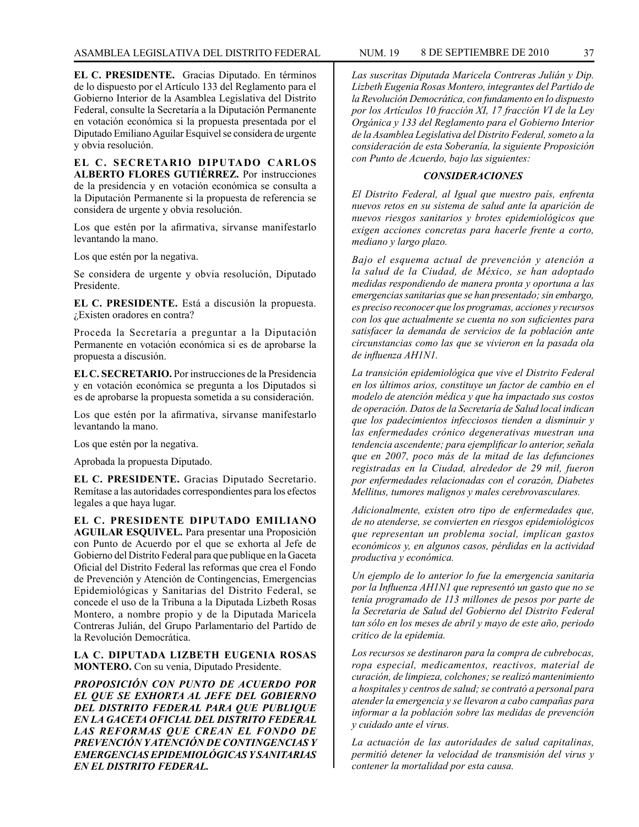**EL C. PRESIDENTE.** Gracias Diputado. En términos de lo dispuesto por el Artículo 133 del Reglamento para el Gobierno Interior de la Asamblea Legislativa del Distrito Federal, consulte la Secretaría a la Diputación Permanente en votación económica si la propuesta presentada por el Diputado Emiliano Aguilar Esquivel se considera de urgente y obvia resolución.

**EL C. SECRETARIO DIPUTADO CARLOS ALBERTO FLORES GUTIÉRREZ.** Por instrucciones de la presidencia y en votación económica se consulta a la Diputación Permanente si la propuesta de referencia se considera de urgente y obvia resolución.

Los que estén por la afirmativa, sírvanse manifestarlo levantando la mano.

Los que estén por la negativa.

Se considera de urgente y obvia resolución, Diputado Presidente.

**EL C. PRESIDENTE.** Está a discusión la propuesta. ¿Existen oradores en contra?

Proceda la Secretaría a preguntar a la Diputación Permanente en votación económica si es de aprobarse la propuesta a discusión.

**EL C. SECRETARIO.** Por instrucciones de la Presidencia y en votación económica se pregunta a los Diputados si es de aprobarse la propuesta sometida a su consideración.

Los que estén por la afirmativa, sírvanse manifestarlo levantando la mano.

Los que estén por la negativa.

Aprobada la propuesta Diputado.

**EL C. PRESIDENTE.** Gracias Diputado Secretario. Remítase a las autoridades correspondientes para los efectos legales a que haya lugar.

**EL C. PRESIDENTE DIPUTADO EMILIANO AGUILAR ESQUIVEL.** Para presentar una Proposición con Punto de Acuerdo por el que se exhorta al Jefe de Gobierno del Distrito Federal para que publique en la Gaceta Oficial del Distrito Federal las reformas que crea el Fondo de Prevención y Atención de Contingencias, Emergencias Epidemiológicas y Sanitarias del Distrito Federal, se concede el uso de la Tribuna a la Diputada Lizbeth Rosas Montero, a nombre propio y de la Diputada Maricela Contreras Julián, del Grupo Parlamentario del Partido de la Revolución Democrática.

**LA C. DIPUTADA LIZBETH EUGENIA ROSAS MONTERO.** Con su venia, Diputado Presidente.

*PROPOSICIÓN CON PUNTO DE ACUERDO POR EL QUE SE EXHORTA AL JEFE DEL GOBIERNO DEL DISTRITO FEDERAL PARA QUE PUBLIQUE EN LA GACETA OFICIAL DEL DISTRITO FEDERAL LAS REFORMAS QUE CREAN EL FONDO DE PREVENCIÓN Y ATENCIÓN DE CONTINGENCIAS Y EMERGENCIAS EPIDEMIOLÓGICAS Y SANITARIAS EN EL DISTRITO FEDERAL.*

*Las suscritas Diputada Maricela Contreras Julián y Dip. Lizbeth Eugenia Rosas Montero, integrantes del Partido de la Revolución Democrática, con fundamento en lo dispuesto por los Artículos 10 fracción XI, 17 fracción VI de la Ley Orgánica y 133 del Reglamento para el Gobierno Interior de la Asamblea Legislativa del Distrito Federal, someto a la consideración de esta Soberanía, la siguiente Proposición con Punto de Acuerdo, bajo las siguientes:*

### *CONSIDERACIONES*

*El Distrito Federal, al Igual que nuestro país, enfrenta nuevos retos en su sistema de salud ante la aparición de nuevos riesgos sanitarios y brotes epidemiológicos que exigen acciones concretas para hacerle frente a corto, mediano y largo plazo.*

*Bajo el esquema actual de prevención y atención a la salud de la Ciudad, de México, se han adoptado medidas respondiendo de manera pronta y oportuna a las emergencias sanitarias que se han presentado; sin embargo, es preciso reconocer que los programas, acciones y recursos con los que actualmente se cuenta no son suficientes para satisfacer la demanda de servicios de la población ante circunstancias como las que se vivieron en la pasada ola de influenza AH1N1.*

*La transición epidemiológica que vive el Distrito Federal en los últimos arios, constituye un factor de cambio en el modelo de atención médica y que ha impactado sus costos de operación. Datos de la Secretaría de Salud local indican que los padecimientos infecciosos tienden a disminuir y las enfermedades crónico degenerativas muestran una tendencia ascendente; para ejemplificar lo anterior, señala que en 2007, poco más de la mitad de las defunciones registradas en la Ciudad, alrededor de 29 mil, fueron por enfermedades relacionadas con el corazón, Diabetes Mellitus, tumores malignos y males cerebrovasculares.*

*Adicionalmente, existen otro tipo de enfermedades que, de no atenderse, se convierten en riesgos epidemiológicos que representan un problema social, implican gastos económicos y, en algunos casos, pérdidas en la actividad productiva y económica.* 

*Un ejemplo de lo anterior lo fue la emergencia sanitaria por la Influenza AH1N1 que representó un gasto que no se tenía programado de 113 millones de pesos por parte de la Secretaria de Salud del Gobierno del Distrito Federal tan sólo en los meses de abril y mayo de este año, periodo critico de la epidemia.*

*Los recursos se destinaron para la compra de cubrebocas, ropa especial, medicamentos, reactivos, material de curación, de limpieza, colchones; se realizó mantenimiento a hospitales y centros de salud; se contrató a personal para atender la emergencia y se llevaron a cabo campañas para informar a la población sobre las medidas de prevención y cuidado ante el virus.*

*La actuación de las autoridades de salud capitalinas, permitió detener la velocidad de transmisión del virus y contener la mortalidad por esta causa.*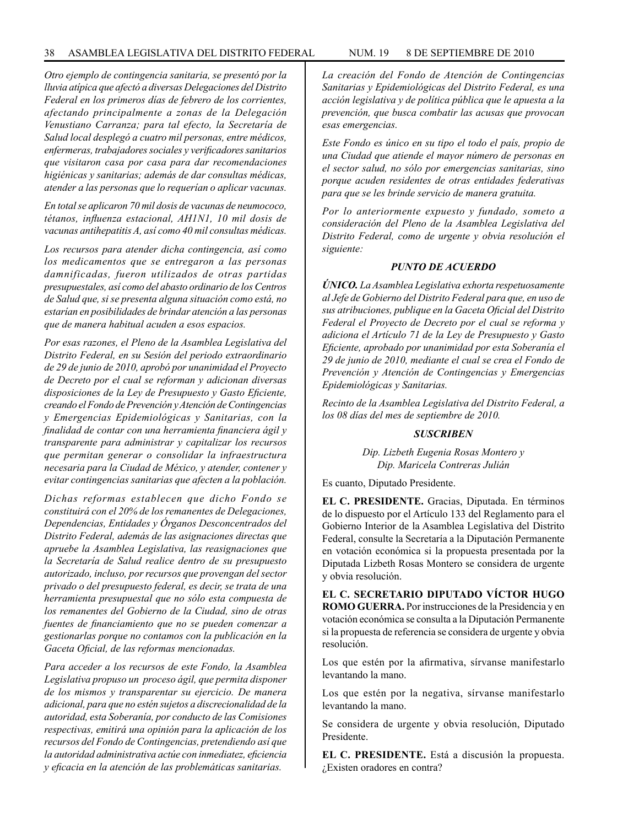*Otro ejemplo de contingencia sanitaria, se presentó por la lluvia atípica que afectó a diversas Delegaciones del Distrito Federal en los primeros días de febrero de los corrientes, afectando principalmente a zonas de la Delegación Venustiano Carranza; para tal efecto, la Secretaría de Salud local desplegó a cuatro mil personas, entre médicos, enfermeras, trabajadores sociales y verificadores sanitarios que visitaron casa por casa para dar recomendaciones higiénicas y sanitarias; además de dar consultas médicas, atender a las personas que lo requerían o aplicar vacunas.*

*En total se aplicaron 70 mil dosis de vacunas de neumococo, tétanos, influenza estacional, AH1N1, 10 mil dosis de vacunas antihepatitis A, así como 40 mil consultas médicas.*

*Los recursos para atender dicha contingencia, así como los medicamentos que se entregaron a las personas damnificadas, fueron utilizados de otras partidas presupuestales, así como del abasto ordinario de los Centros de Salud que, si se presenta alguna situación como está, no estarían en posibilidades de brindar atención a las personas que de manera habitual acuden a esos espacios.*

*Por esas razones, el Pleno de la Asamblea Legislativa del Distrito Federal, en su Sesión del periodo extraordinario de 29 de junio de 2010, aprobó por unanimidad el Proyecto de Decreto por el cual se reforman y adicionan diversas disposiciones de la Ley de Presupuesto y Gasto Eficiente, creando el Fondo de Prevención y Atención de Contingencias y Emergencias Epidemiológicas y Sanitarias, con la finalidad de contar con una herramienta financiera ágil y transparente para administrar y capitalizar los recursos que permitan generar o consolidar la infraestructura necesaria para la Ciudad de México, y atender, contener y evitar contingencias sanitarias que afecten a la población.*

*Dichas reformas establecen que dicho Fondo se constituirá con el 20% de los remanentes de Delegaciones, Dependencias, Entidades y Órganos Desconcentrados del Distrito Federal, además de las asignaciones directas que apruebe la Asamblea Legislativa, las reasignaciones que la Secretaría de Salud realice dentro de su presupuesto autorizado, incluso, por recursos que provengan del sector privado o del presupuesto federal, es decir, se trata de una herramienta presupuestal que no sólo esta compuesta de los remanentes del Gobierno de la Ciudad, sino de otras fuentes de financiamiento que no se pueden comenzar a gestionarlas porque no contamos con la publicación en la Gaceta Oficial, de las reformas mencionadas.*

*Para acceder a los recursos de este Fondo, la Asamblea Legislativa propuso un proceso ágil, que permita disponer de los mismos y transparentar su ejercicio. De manera adicional, para que no estén sujetos a discrecionalidad de la autoridad, esta Soberanía, por conducto de las Comisiones respectivas, emitirá una opinión para la aplicación de los recursos del Fondo de Contingencias, pretendiendo así que la autoridad administrativa actúe con inmediatez, eficiencia y eficacia en la atención de las problemáticas sanitarias.*

*La creación del Fondo de Atención de Contingencias Sanitarias y Epidemiológicas del Distrito Federal, es una acción legislativa y de política pública que le apuesta a la prevención, que busca combatir las acusas que provocan esas emergencias.*

*Este Fondo es único en su tipo el todo el país, propio de una Ciudad que atiende el mayor número de personas en el sector salud, no sólo por emergencias sanitarias, sino porque acuden residentes de otras entidades federativas para que se les brinde servicio de manera gratuita.*

*Por lo anteriormente expuesto y fundado, someto a consideración del Pleno de la Asamblea Legislativa del Distrito Federal, como de urgente y obvia resolución el siguiente:*

### *PUNTO DE ACUERDO*

*ÚNICO. La Asamblea Legislativa exhorta respetuosamente al Jefe de Gobierno del Distrito Federal para que, en uso de sus atribuciones, publique en la Gaceta Oficial del Distrito Federal el Proyecto de Decreto por el cual se reforma y adiciona el Artículo 71 de la Ley de Presupuesto y Gasto Eficiente, aprobado por unanimidad por esta Soberanía el 29 de junio de 2010, mediante el cual se crea el Fondo de Prevención y Atención de Contingencias y Emergencias Epidemiológicas y Sanitarias.*

*Recinto de la Asamblea Legislativa del Distrito Federal, a los 08 días del mes de septiembre de 2010.*

### *SUSCRIBEN*

*Dip. Lizbeth Eugenia Rosas Montero y Dip. Maricela Contreras Julián*

Es cuanto, Diputado Presidente.

**EL C. PRESIDENTE.** Gracias, Diputada. En términos de lo dispuesto por el Artículo 133 del Reglamento para el Gobierno Interior de la Asamblea Legislativa del Distrito Federal, consulte la Secretaría a la Diputación Permanente en votación económica si la propuesta presentada por la Diputada Lizbeth Rosas Montero se considera de urgente y obvia resolución.

**EL C. SECRETARIO DIPUTADO VÍCTOR HUGO ROMO GUERRA.** Por instrucciones de la Presidencia y en votación económica se consulta a la Diputación Permanente si la propuesta de referencia se considera de urgente y obvia resolución.

Los que estén por la afirmativa, sírvanse manifestarlo levantando la mano.

Los que estén por la negativa, sírvanse manifestarlo levantando la mano.

Se considera de urgente y obvia resolución, Diputado Presidente.

**EL C. PRESIDENTE.** Está a discusión la propuesta. ¿Existen oradores en contra?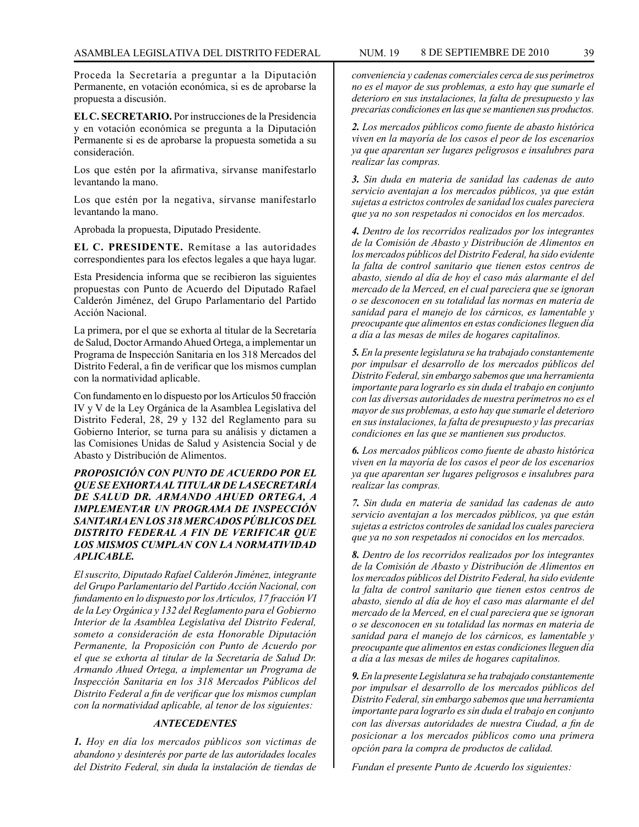Proceda la Secretaría a preguntar a la Diputación Permanente, en votación económica, si es de aprobarse la propuesta a discusión.

**EL C. SECRETARIO.** Por instrucciones de la Presidencia y en votación económica se pregunta a la Diputación Permanente si es de aprobarse la propuesta sometida a su consideración.

Los que estén por la afirmativa, sírvanse manifestarlo levantando la mano.

Los que estén por la negativa, sírvanse manifestarlo levantando la mano.

Aprobada la propuesta, Diputado Presidente.

**EL C. PRESIDENTE.** Remítase a las autoridades correspondientes para los efectos legales a que haya lugar.

Esta Presidencia informa que se recibieron las siguientes propuestas con Punto de Acuerdo del Diputado Rafael Calderón Jiménez, del Grupo Parlamentario del Partido Acción Nacional.

La primera, por el que se exhorta al titular de la Secretaría de Salud, Doctor Armando Ahued Ortega, a implementar un Programa de Inspección Sanitaria en los 318 Mercados del Distrito Federal, a fin de verificar que los mismos cumplan con la normatividad aplicable.

Con fundamento en lo dispuesto por los Artículos 50 fracción IV y V de la Ley Orgánica de la Asamblea Legislativa del Distrito Federal, 28, 29 y 132 del Reglamento para su Gobierno Interior, se turna para su análisis y dictamen a las Comisiones Unidas de Salud y Asistencia Social y de Abasto y Distribución de Alimentos.

## *PROPOSICIÓN CON PUNTO DE ACUERDO POR EL QUE SE EXHORTA AL TITULAR DE LA SECRETARÍA DE SALUD DR. ARMANDO AHUED ORTEGA, A IMPLEMENTAR UN PROGRAMA DE INSPECCIÓN SANITARIA EN LOS 318 MERCADOS PÚBLICOS DEL DISTRITO FEDERAL A FIN DE VERIFICAR QUE LOS MISMOS CUMPLAN CON LA NORMATIVIDAD APLICABLE.*

*El suscrito, Diputado Rafael Calderón Jiménez, integrante del Grupo Parlamentario del Partido Acción Nacional, con fundamento en lo dispuesto por los Artículos, 17 fracción VI de la Ley Orgánica y 132 del Reglamento para el Gobierno Interior de la Asamblea Legislativa del Distrito Federal, someto a consideración de esta Honorable Diputación Permanente, la Proposición con Punto de Acuerdo por el que se exhorta al titular de la Secretaría de Salud Dr. Armando Ahued Ortega, a implementar un Programa de Inspección Sanitaria en los 318 Mercados Públicos del Distrito Federal a fin de verificar que los mismos cumplan con la normatividad aplicable, al tenor de los siguientes:*

# *ANTECEDENTES*

*1. Hoy en día los mercados públicos son victimas de abandono y desinterés por parte de las autoridades locales del Distrito Federal, sin duda la instalación de tiendas de* 

*conveniencia y cadenas comerciales cerca de sus perímetros no es el mayor de sus problemas, a esto hay que sumarle el deterioro en sus instalaciones, la falta de presupuesto y las precarias condiciones en las que se mantienen sus productos.*

*2. Los mercados públicos como fuente de abasto histórica viven en la mayoría de los casos el peor de los escenarios ya que aparentan ser lugares peligrosos e insalubres para realizar las compras.*

*3. Sin duda en materia de sanidad las cadenas de auto servicio aventajan a los mercados públicos, ya que están sujetas a estrictos controles de sanidad los cuales pareciera que ya no son respetados ni conocidos en los mercados.*

*4. Dentro de los recorridos realizados por los integrantes de la Comisión de Abasto y Distribución de Alimentos en los mercados públicos del Distrito Federal, ha sido evidente la falta de control sanitario que tienen estos centros de abasto, siendo al día de hoy el caso más alarmante el del mercado de la Merced, en el cual pareciera que se ignoran o se desconocen en su totalidad las normas en materia de sanidad para el manejo de los cárnicos, es lamentable y preocupante que alimentos en estas condiciones lleguen día a día a las mesas de miles de hogares capitalinos.*

*5. En la presente legislatura se ha trabajado constantemente por impulsar el desarrollo de los mercados públicos del Distrito Federal, sin embargo sabemos que una herramienta importante para lograrlo es sin duda el trabajo en conjunto con las diversas autoridades de nuestra perímetros no es el mayor de sus problemas, a esto hay que sumarle el deterioro en sus instalaciones, la falta de presupuesto y las precarias condiciones en las que se mantienen sus productos.*

*6. Los mercados públicos como fuente de abasto histórica viven en la mayoría de los casos el peor de los escenarios ya que aparentan ser lugares peligrosos e insalubres para realizar las compras.*

*7. Sin duda en materia de sanidad las cadenas de auto servicio aventajan a los mercados públicos, ya que están sujetas a estrictos controles de sanidad los cuales pareciera que ya no son respetados ni conocidos en los mercados.*

*8. Dentro de los recorridos realizados por los integrantes de la Comisión de Abasto y Distribución de Alimentos en los mercados públicos del Distrito Federal, ha sido evidente la falta de control sanitario que tienen estos centros de abasto, siendo al día de hoy el caso mas alarmante el del mercado de la Merced, en el cual pareciera que se ignoran o se desconocen en su totalidad las normas en materia de sanidad para el manejo de los cárnicos, es lamentable y preocupante que alimentos en estas condiciones lleguen día a día a las mesas de miles de hogares capitalinos.*

*9. En la presente Legislatura se ha trabajado constantemente por impulsar el desarrollo de los mercados públicos del Distrito Federal, sin embargo sabemos que una herramienta importante para lograrlo es sin duda el trabajo en conjunto con las diversas autoridades de nuestra Ciudad, a fin de posicionar a los mercados públicos como una primera opción para la compra de productos de calidad.*

*Fundan el presente Punto de Acuerdo los siguientes:*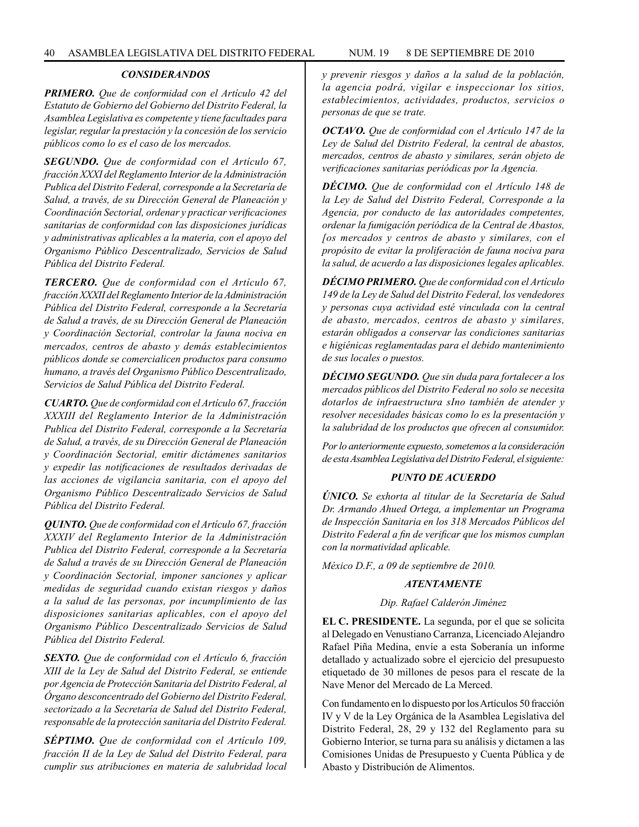### *CONSIDERANDOS*

*PRIMERO. Que de conformidad con el Artículo 42 del Estatuto de Gobierno del Gobierno del Distrito Federal, la Asamblea Legislativa es competente y tiene facultades para legislar, regular la prestación y la concesión de los servicio públicos como lo es el caso de los mercados.*

*SEGUNDO. Que de conformidad con el Artículo 67, fracción XXXI del Reglamento Interior de la Administración Publica del Distrito Federal, corresponde a la Secretaría de Salud, a través, de su Dirección General de Planeación y Coordinación Sectorial, ordenar y practicar verificaciones sanitarias de conformidad con las disposiciones jurídicas y administrativas aplicables a la materia, con el apoyo del Organismo Público Descentralizado, Servicios de Salud Pública del Distrito Federal.*

*TERCERO. Que de conformidad con el Artículo 67, fracción XXXII del Reglamento Interior de la Administración Pública del Distrito Federal, corresponde a la Secretaría de Salud a través, de su Dirección General de Planeación y Coordinación Sectorial, controlar la fauna nociva en mercados, centros de abasto y demás establecimientos públicos donde se comercialicen productos para consumo humano, a través del Organismo Público Descentralizado, Servicios de Salud Pública del Distrito Federal.*

*CUARTO. Que de conformidad con el Artículo 67, fracción XXXIII del Reglamento Interior de la Administración Publica del Distrito Federal, corresponde a la Secretaría de Salud, a través, de su Dirección General de Planeación y Coordinación Sectorial, emitir dictámenes sanitarios y expedir las notificaciones de resultados derivadas de las acciones de vigilancia sanitaria, con el apoyo del Organismo Público Descentralizado Servicios de Salud Pública del Distrito Federal.*

*QUINTO. Que de conformidad con el Artículo 67, fracción XXXIV del Reglamento Interior de la Administración Publica del Distrito Federal, corresponde a la Secretaría de Salud a través de su Dirección General de Planeación y Coordinación Sectorial, imponer sanciones y aplicar medidas de seguridad cuando existan riesgos y daños a la salud de las personas, por incumplimiento de las disposiciones sanitarias aplicables, con el apoyo del Organismo Público Descentralizado Servicios de Salud Pública del Distrito Federal.*

*SEXTO. Que de conformidad con el Artículo 6, fracción XIII de la Ley de Salud del Distrito Federal, se entiende por Agencia de Protección Sanitaria del Distrito Federal, al Órgano desconcentrado del Gobierno del Distrito Federal, sectorizado a la Secretaría de Salud del Distrito Federal, responsable de la protección sanitaria del Distrito Federal.*

*SÉPTIMO. Que de conformidad con el Artículo 109, fracción II de la Ley de Salud del Distrito Federal, para cumplir sus atribuciones en materia de salubridad local*  *y prevenir riesgos y daños a la salud de la población, la agencia podrá, vigilar e inspeccionar los sitios, establecimientos, actividades, productos, servicios o personas de que se trate.*

*OCTAVO. Que de conformidad con el Artículo 147 de la Ley de Salud del Distrito Federal, la central de abastos, mercados, centros de abasto y similares, serán objeto de verificaciones sanitarias periódicas por la Agencia.*

*DÉCIMO. Que de conformidad con el Artículo 148 de la Ley de Salud del Distrito Federal, Corresponde a la Agencia, por conducto de las autoridades competentes, ordenar la fumigación periódica de la Central de Abastos, [os mercados y centros de abasto y similares, con el propósito de evitar la proliferación de fauna nociva para la salud, de acuerdo a las disposiciones legales aplicables.*

*DÉCIMO PRIMERO. Que de conformidad con el Artículo 149 de la Ley de Salud del Distrito Federal, los vendedores y personas cuya actividad esté vinculada con la central de abasto, mercados, centros de abasto y similares, estarán obligados a conservar las condiciones sanitarias e higiénicas reglamentadas para el debido mantenimiento de sus locales o puestos.*

*DÉCIMO SEGUNDO. Que sin duda para fortalecer a los mercados públicos del Distrito Federal no solo se necesita dotarlos de infraestructura sIno también de atender y resolver necesidades básicas como lo es la presentación y la salubridad de los productos que ofrecen al consumidor.*

*Por lo anteriormente expuesto, sometemos a la consideración de esta Asamblea Legislativa del Distrito Federal, el siguiente:*

## *PUNTO DE ACUERDO*

*ÚNICO. Se exhorta al titular de la Secretaría de Salud Dr. Armando Ahued Ortega, a implementar un Programa de Inspección Sanitaria en los 318 Mercados Públicos del Distrito Federal a fin de verificar que los mismos cumplan con la normatividad aplicable.*

*México D.F., a 09 de septiembre de 2010.*

#### *ATENTAMENTE*

#### *Dip. Rafael Calderón Jiménez*

**EL C. PRESIDENTE.** La segunda, por el que se solicita al Delegado en Venustiano Carranza, Licenciado Alejandro Rafael Piña Medina, envíe a esta Soberanía un informe detallado y actualizado sobre el ejercicio del presupuesto etiquetado de 30 millones de pesos para el rescate de la Nave Menor del Mercado de La Merced.

Con fundamento en lo dispuesto por los Artículos 50 fracción IV y V de la Ley Orgánica de la Asamblea Legislativa del Distrito Federal, 28, 29 y 132 del Reglamento para su Gobierno Interior, se turna para su análisis y dictamen a las Comisiones Unidas de Presupuesto y Cuenta Pública y de Abasto y Distribución de Alimentos.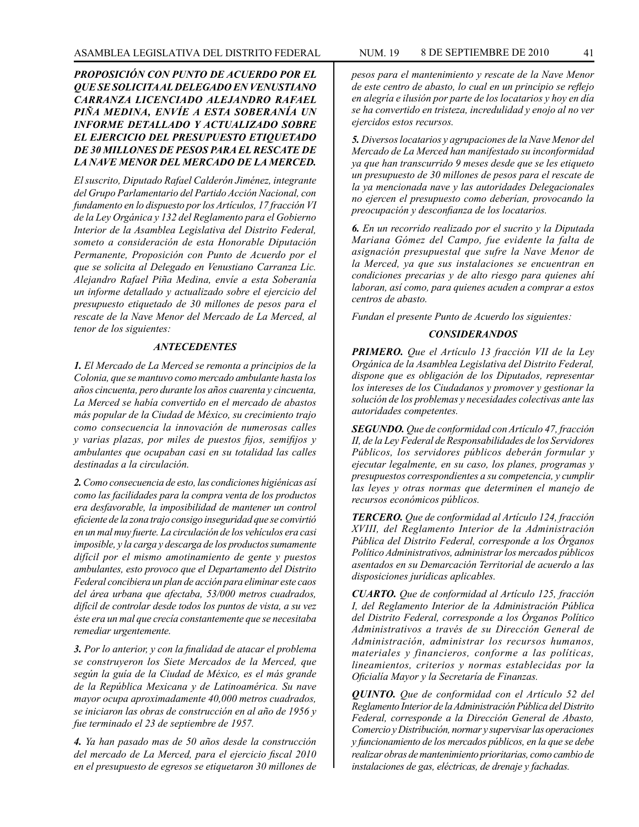# *PROPOSICIÓN CON PUNTO DE ACUERDO POR EL QUE SE SOLICITA AL DELEGADO EN VENUSTIANO CARRANZA LICENCIADO ALEJANDRO RAFAEL PIÑA MEDINA, ENVÍE A ESTA SOBERANÍA UN INFORME DETALLADO Y ACTUALIZADO SOBRE EL EJERCICIO DEL PRESUPUESTO ETIQUETADO DE 30 MILLONES DE PESOS PARA EL RESCATE DE LA NAVE MENOR DEL MERCADO DE LA MERCED.*

*El suscrito, Diputado Rafael Calderón Jiménez, integrante del Grupo Parlamentario del Partido Acción Nacional, con fundamento en lo dispuesto por los Artículos, 17 fracción VI de la Ley Orgánica y 132 del Reglamento para el Gobierno Interior de la Asamblea Legislativa del Distrito Federal, someto a consideración de esta Honorable Diputación Permanente, Proposición con Punto de Acuerdo por el que se solicita al Delegado en Venustiano Carranza Lic. Alejandro Rafael Piña Medina, envíe a esta Soberanía un informe detallado y actualizado sobre el ejercicio del presupuesto etiquetado de 30 millones de pesos para el rescate de la Nave Menor del Mercado de La Merced, al tenor de los siguientes:*

### *ANTECEDENTES*

*1. El Mercado de La Merced se remonta a principios de la Colonia, que se mantuvo como mercado ambulante hasta los años cincuenta, pero durante los años cuarenta y cincuenta, La Merced se había convertido en el mercado de abastos más popular de la Ciudad de México, su crecimiento trajo como consecuencia la innovación de numerosas calles y varias plazas, por miles de puestos fijos, semifijos y ambulantes que ocupaban casi en su totalidad las calles destinadas a la circulación.*

*2. Como consecuencia de esto, las condiciones higiénicas así como las facilidades para la compra venta de los productos era desfavorable, la imposibilidad de mantener un control eficiente de la zona trajo consigo inseguridad que se convirtió en un mal muy fuerte. La circulación de los vehículos era casi imposible, y la carga y descarga de los productos sumamente difícil por el mismo amotinamiento de gente y puestos ambulantes, esto provoco que el Departamento del Distrito Federal concibiera un plan de acción para eliminar este caos del área urbana que afectaba, 53/000 metros cuadrados, difícil de controlar desde todos los puntos de vista, a su vez éste era un mal que crecía constantemente que se necesitaba remediar urgentemente.*

*3. Por lo anterior, y con la finalidad de atacar el problema se construyeron los Siete Mercados de la Merced, que según la guía de la Ciudad de México, es el más grande de la República Mexicana y de Latinoamérica. Su nave mayor ocupa aproximadamente 40,000 metros cuadrados, se iniciaron las obras de construcción en al año de 1956 y fue terminado el 23 de septiembre de 1957.*

*4. Ya han pasado mas de 50 años desde la construcción del mercado de La Merced, para el ejercicio fiscal 2010 en el presupuesto de egresos se etiquetaron 30 millones de* 

*pesos para el mantenimiento y rescate de la Nave Menor de este centro de abasto, lo cual en un principio se reflejo en alegría e ilusión por parte de los locatarios y hoy en día se ha convertido en tristeza, incredulidad y enojo al no ver ejercidos estos recursos.*

*5. Diversos locatarios y agrupaciones de la Nave Menor del Mercado de La Merced han manifestado su inconformidad ya que han transcurrido 9 meses desde que se les etiqueto un presupuesto de 30 millones de pesos para el rescate de la ya mencionada nave y las autoridades Delegacionales no ejercen el presupuesto como deberían, provocando la preocupación y desconfianza de los locatarios.*

*6. En un recorrido realizado por el sucrito y la Diputada Mariana Gómez del Campo, fue evidente la falta de asignación presupuestal que sufre la Nave Menor de la Merced, ya que sus instalaciones se encuentran en condiciones precarias y de alto riesgo para quienes ahí laboran, así como, para quienes acuden a comprar a estos centros de abasto.*

*Fundan el presente Punto de Acuerdo los siguientes:*

### *CONSIDERANDOS*

*PRIMERO. Que el Artículo 13 fracción VII de la Ley Orgánica de la Asamblea Legislativa del Distrito Federal, dispone que es obligación de los Diputados, representar los intereses de los Ciudadanos y promover y gestionar la solución de los problemas y necesidades colectivas ante las autoridades competentes.*

*SEGUNDO. Que de conformidad con Artículo 47, fracción II, de la Ley Federal de Responsabilidades de los Servidores Públicos, los servidores públicos deberán formular y ejecutar legalmente, en su caso, los planes, programas y presupuestos correspondientes a su competencia, y cumplir las leyes y otras normas que determinen el manejo de recursos económicos públicos.*

*TERCERO. Que de conformidad al Artículo 124, fracción XVIII, del Reglamento Interior de la Administración Pública del Distrito Federal, corresponde a los Órganos Político Administrativos, administrar los mercados públicos asentados en su Demarcación Territorial de acuerdo a las disposiciones jurídicas aplicables.*

*CUARTO. Que de conformidad al Artículo 125, fracción I, del Reglamento Interior de la Administración Pública del Distrito Federal, corresponde a los Órganos Político Administrativos a través de su Dirección General de Administración, administrar los recursos humanos, materiales y financieros, conforme a las políticas, lineamientos, criterios y normas establecidas por la Oficialía Mayor y la Secretaría de Finanzas.*

*QUINTO. Que de conformidad con el Artículo 52 del Reglamento Interior de la Administración Pública del Distrito Federal, corresponde a la Dirección General de Abasto, Comercio y Distribución, normar y supervisar las operaciones y funcionamiento de los mercados públicos, en la que se debe realizar obras de mantenimiento prioritarias, como cambio de instalaciones de gas, eléctricas, de drenaje y fachadas.*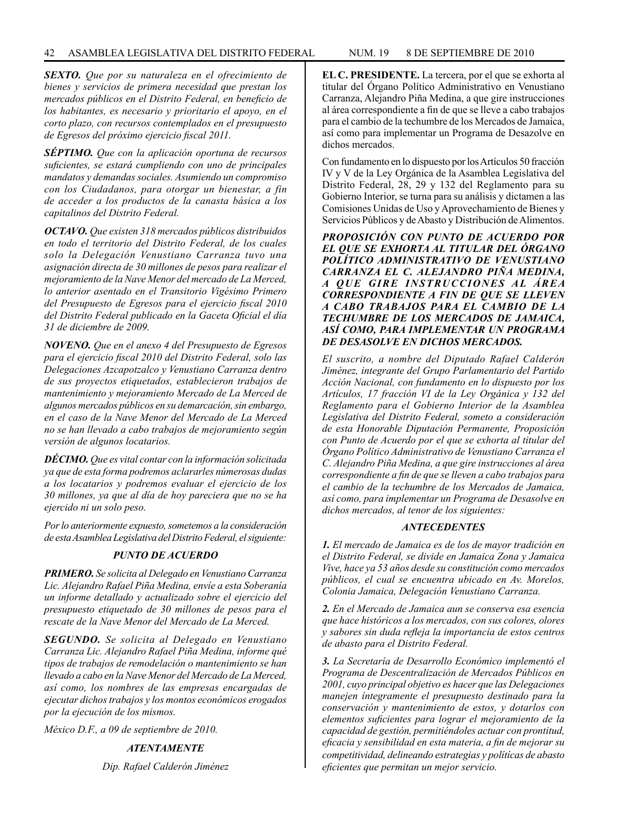*SEXTO. Que por su naturaleza en el ofrecimiento de bienes y servicios de primera necesidad que prestan los mercados públicos en el Distrito Federal, en beneficio de los habitantes, es necesario y prioritario el apoyo, en el corto plazo, con recursos contemplados en el presupuesto de Egresos del próximo ejercicio fiscal 2011.*

*SÉPTIMO. Que con la aplicación oportuna de recursos suficientes, se estará cumpliendo con uno de principales mandatos y demandas sociales. Asumiendo un compromiso con los Ciudadanos, para otorgar un bienestar, a fin de acceder a los productos de la canasta básica a los capitalinos del Distrito Federal.*

*OCTAVO. Que existen 318 mercados públicos distribuidos en todo el territorio del Distrito Federal, de los cuales solo la Delegación Venustiano Carranza tuvo una asignación directa de 30 millones de pesos para realizar el mejoramiento de la Nave Menor del mercado de La Merced, lo anterior asentado en el Transitorio Vigésimo Primero del Presupuesto de Egresos para el ejercicio fiscal 2010 del Distrito Federal publicado en la Gaceta Oficial el día 31 de diciembre de 2009.*

*NOVENO. Que en el anexo 4 del Presupuesto de Egresos para el ejercicio fiscal 2010 del Distrito Federal, solo las Delegaciones Azcapotzalco y Venustiano Carranza dentro de sus proyectos etiquetados, establecieron trabajos de mantenimiento y mejoramiento Mercado de La Merced de algunos mercados públicos en su demarcación, sin embargo, en el caso de la Nave Menor del Mercado de La Merced no se han llevado a cabo trabajos de mejoramiento según versión de algunos locatarios.*

*DÉCIMO. Que es vital contar con la información solicitada ya que de esta forma podremos aclararles númerosas dudas a los locatarios y podremos evaluar el ejercicio de los 30 millones, ya que al día de hoy pareciera que no se ha ejercido ni un solo peso.*

*Por lo anteriormente expuesto, sometemos a la consideración de esta Asamblea Legislativa del Distrito Federal, el siguiente:*

# *PUNTO DE ACUERDO*

*PRIMERO. Se solicita al Delegado en Venustiano Carranza Lic. Alejandro Rafael Piña Medina, envíe a esta Soberanía un informe detallado y actualizado sobre el ejercicio del presupuesto etiquetado de 30 millones de pesos para el rescate de la Nave Menor del Mercado de La Merced.*

*SEGUNDO. Se solicita al Delegado en Venustiano Carranza Lic. Alejandro Rafael Piña Medina, informe qué tipos de trabajos de remodelación o mantenimiento se han llevado a cabo en la Nave Menor del Mercado de La Merced, así como, los nombres de las empresas encargadas de ejecutar dichos trabajos y los montos económicos erogados por la ejecución de los mismos.*

*México D.F., a 09 de septiembre de 2010.*

# *ATENTAMENTE*

*Dip. Rafael Calderón Jiménez*

**EL C. PRESIDENTE.** La tercera, por el que se exhorta al titular del Órgano Político Administrativo en Venustiano Carranza, Alejandro Piña Medina, a que gire instrucciones al área correspondiente a fin de que se lleve a cabo trabajos para el cambio de la techumbre de los Mercados de Jamaica, así como para implementar un Programa de Desazolve en dichos mercados.

Con fundamento en lo dispuesto por los Artículos 50 fracción IV y V de la Ley Orgánica de la Asamblea Legislativa del Distrito Federal, 28, 29 y 132 del Reglamento para su Gobierno Interior, se turna para su análisis y dictamen a las Comisiones Unidas de Uso y Aprovechamiento de Bienes y Servicios Públicos y de Abasto y Distribución de Alimentos.

*PROPOSICIÓN CON PUNTO DE ACUERDO POR EL QUE SE EXHORTA AL TITULAR DEL ÓRGANO POLÍTICO ADMINISTRATIVO DE VENUSTIANO CARRANZA EL C. ALEJANDRO PIÑA MEDINA, A QUE GIRE INSTRUCCIONES AL ÁREA CORRESPONDIENTE A FIN DE QUE SE LLEVEN A CABO TRABAJOS PARA EL CAMBIO DE LA TECHUMBRE DE LOS MERCADOS DE JAMAICA, ASÍ COMO, PARA IMPLEMENTAR UN PROGRAMA DE DESASOLVE EN DICHOS MERCADOS.*

*El suscrito, a nombre del Diputado Rafael Calderón Jiménez, integrante del Grupo Parlamentario del Partido Acción Nacional, con fundamento en lo dispuesto por los Artículos, 17 fracción VI de la Ley Orgánica y 132 del Reglamento para el Gobierno Interior de la Asamblea Legislativa del Distrito Federal, someto a consideración de esta Honorable Diputación Permanente, Proposición con Punto de Acuerdo por el que se exhorta al titular del Órgano Político Administrativo de Venustiano Carranza el C. Alejandro Piña Medina, a que gire instrucciones al área correspondiente a fin de que se lleven a cabo trabajos para el cambio de la techumbre de los Mercados de Jamaica, así como, para implementar un Programa de Desasolve en dichos mercados, al tenor de los siguientes:*

### *ANTECEDENTES*

*1. El mercado de Jamaica es de los de mayor tradición en el Distrito Federal, se divide en Jamaica Zona y Jamaica Vive, hace ya 53 años desde su constitución como mercados públicos, el cual se encuentra ubicado en Av. Morelos, Colonia Jamaica, Delegación Venustiano Carranza.*

*2. En el Mercado de Jamaica aun se conserva esa esencia que hace históricos a los mercados, con sus colores, olores y sabores sin duda refleja la importancia de estos centros de abasto para el Distrito Federal.*

*3. La Secretaría de Desarrollo Económico implementó el Programa de Descentralización de Mercados Públicos en 2001, cuyo principal objetivo es hacer que las Delegaciones manejen íntegramente el presupuesto destinado para la conservación y mantenimiento de estos, y dotarlos con elementos suficientes para lograr el mejoramiento de la capacidad de gestión, permitiéndoles actuar con prontitud, eficacia y sensibilidad en esta materia, a fin de mejorar su competitividad, delineando estrategias y polítícas de abasto eficientes que permitan un mejor servicio.*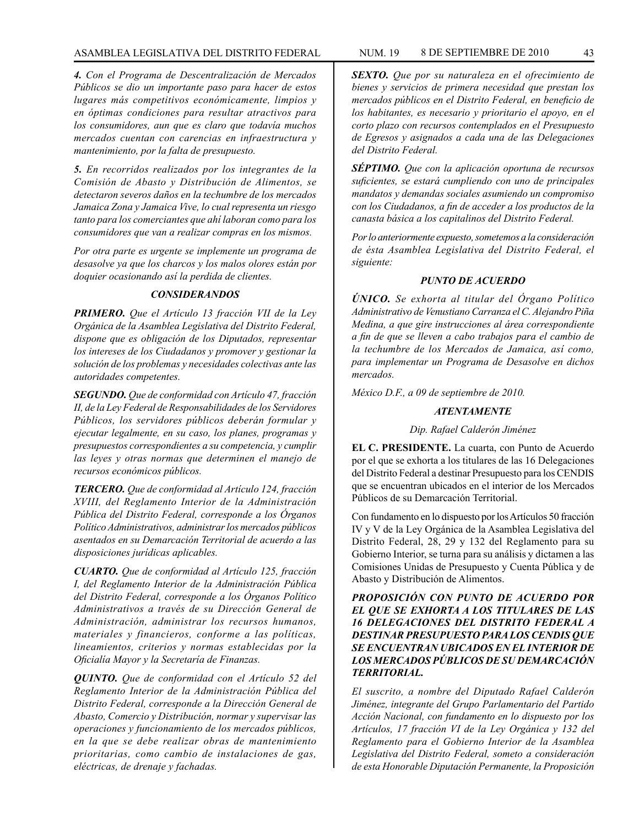# ASAMBLEA LEGISLATIVA DEL DISTRITO FEDERAL NUM. 19 8 DE SEPTIEMBRE DE 2010 43

*4. Con el Programa de Descentralización de Mercados Públicos se dio un importante paso para hacer de estos lugares más competitivos económicamente, limpios y en óptimas condiciones para resultar atractivos para los consumidores, aun que es claro que todavía muchos mercados cuentan con carencias en infraestructura y mantenimiento, por la falta de presupuesto.*

*5. En recorridos realizados por los integrantes de la Comisión de Abasto y Distribución de Alimentos, se detectaron severos daños en la techumbre de los mercados Jamaica Zona y Jamaica Vive, lo cual representa un riesgo tanto para los comerciantes que ahí laboran como para los consumidores que van a realizar compras en los mismos.*

*Por otra parte es urgente se implemente un programa de desasolve ya que los charcos y los malos olores están por doquier ocasionando así la perdida de clientes.*

# *CONSIDERANDOS*

*PRIMERO. Que el Artículo 13 fracción VII de la Ley Orgánica de la Asamblea Legislativa del Distrito Federal, dispone que es obligación de los Diputados, representar los intereses de los Ciudadanos y promover y gestionar la solución de los problemas y necesidades colectivas ante las autoridades competentes.*

*SEGUNDO. Que de conformidad con Artículo 47, fracción II, de la Ley Federal de Responsabilidades de los Servidores Públicos, los servidores públicos deberán formular y ejecutar legalmente, en su caso, los planes, programas y presupuestos correspondientes a su competencia, y cumplir las leyes y otras normas que determinen el manejo de recursos económicos públicos.*

*TERCERO. Que de conformidad al Artículo 124, fracción XVIII, del Reglamento Interior de la Administración Pública del Distrito Federal, corresponde a los Órganos Político Administrativos, administrar los mercados públicos asentados en su Demarcación Territorial de acuerdo a las disposiciones jurídicas aplicables.*

*CUARTO. Que de conformidad al Artículo 125, fracción I, del Reglamento Interior de la Administración Pública del Distrito Federal, corresponde a los Órganos Político Administrativos a través de su Dirección General de Administración, administrar los recursos humanos, materiales y financieros, conforme a las políticas, lineamientos, criterios y normas establecidas por la Oficialía Mayor y la Secretaría de Finanzas.*

*QUINTO. Que de conformidad con el Artículo 52 del Reglamento Interior de la Administración Pública del Distrito Federal, corresponde a la Dirección General de Abasto, Comercio y Distribución, normar y supervisar las operaciones y funcionamiento de los mercados públicos, en la que se debe realizar obras de mantenimiento prioritarias, como cambio de instalaciones de gas, eléctricas, de drenaje y fachadas.*

*SEXTO. Que por su naturaleza en el ofrecimiento de bienes y servicios de primera necesidad que prestan los mercados públicos en el Distrito Federal, en beneficio de los habitantes, es necesario y prioritario el apoyo, en el corto plazo con recursos contemplados en el Presupuesto de Egresos y asignados a cada una de las Delegaciones del Distrito Federal.*

*SÉPTIMO. Que con la aplicación oportuna de recursos suficientes, se estará cumpliendo con uno de principales mandatos y demandas sociales asumiendo un compromiso con los Ciudadanos, a fin de acceder a los productos de la canasta básica a los capitalinos del Distrito Federal.*

*Por lo anteriormente expuesto, sometemos a la consideración de ésta Asamblea Legislativa del Distrito Federal, el siguiente:*

# *PUNTO DE ACUERDO*

*ÚNICO. Se exhorta al titular del Órgano Político Administrativo de Venustiano Carranza el C. Alejandro Piña Medina, a que gire instrucciones al área correspondiente a fin de que se lleven a cabo trabajos para el cambio de la techumbre de los Mercados de Jamaica, así como, para implementar un Programa de Desasolve en dichos mercados.*

*México D.F., a 09 de septiembre de 2010.*

# *ATENTAMENTE*

# *Dip. Rafael Calderón Jiménez*

**EL C. PRESIDENTE.** La cuarta, con Punto de Acuerdo por el que se exhorta a los titulares de las 16 Delegaciones del Distrito Federal a destinar Presupuesto para los CENDIS que se encuentran ubicados en el interior de los Mercados Públicos de su Demarcación Territorial.

Con fundamento en lo dispuesto por los Artículos 50 fracción IV y V de la Ley Orgánica de la Asamblea Legislativa del Distrito Federal, 28, 29 y 132 del Reglamento para su Gobierno Interior, se turna para su análisis y dictamen a las Comisiones Unidas de Presupuesto y Cuenta Pública y de Abasto y Distribución de Alimentos.

# *PROPOSICIÓN CON PUNTO DE ACUERDO POR EL QUE SE EXHORTA A LOS TITULARES DE LAS 16 DELEGACIONES DEL DISTRITO FEDERAL A DESTINAR PRESUPUESTO PARA LOS CENDIS QUE SE ENCUENTRAN UBICADOS EN EL INTERIOR DE LOS MERCADOS PÚBLICOS DE SU DEMARCACIÓN TERRITORIAL.*

*El suscrito, a nombre del Diputado Rafael Calderón Jiménez, integrante del Grupo Parlamentario del Partido Acción Nacional, con fundamento en lo dispuesto por los Artículos, 17 fracción VI de la Ley Orgánica y 132 del Reglamento para el Gobierno Interior de la Asamblea Legislativa del Distrito Federal, someto a consideración de esta Honorable Diputación Permanente, la Proposición*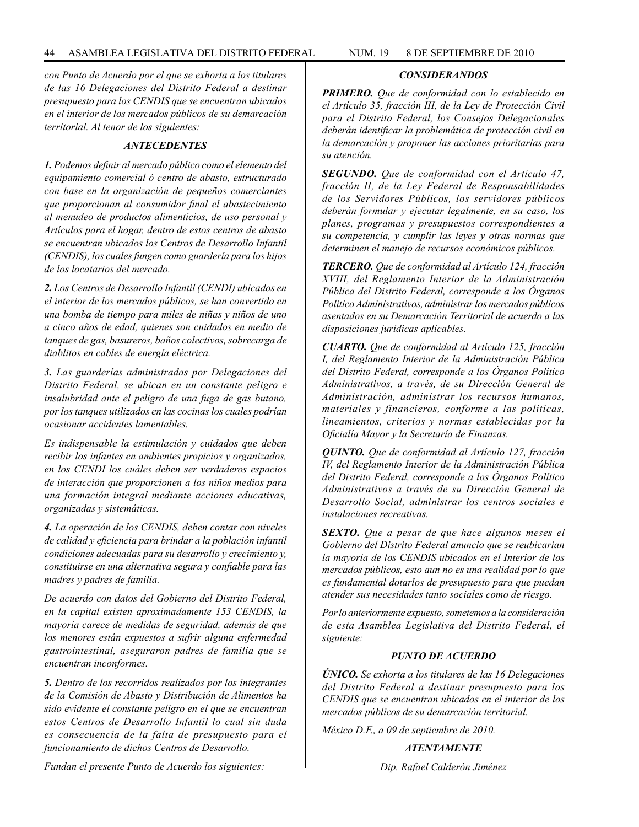*con Punto de Acuerdo por el que se exhorta a los titulares de las 16 Delegaciones del Distrito Federal a destinar presupuesto para los CENDIS que se encuentran ubicados en el interior de los mercados públicos de su demarcación territorial. Al tenor de los siguientes:*

## *ANTECEDENTES*

*1. Podemos definir al mercado público como el elemento del equipamiento comercial ó centro de abasto, estructurado con base en la organización de pequeños comerciantes que proporcionan al consumidor final el abastecimiento al menudeo de productos alimenticios, de uso personal y Artículos para el hogar, dentro de estos centros de abasto se encuentran ubicados los Centros de Desarrollo Infantil (CENDIS), los cuales fungen como guardería para los hijos de los locatarios del mercado.*

*2. Los Centros de Desarrollo Infantil (CENDI) ubicados en el interior de los mercados públicos, se han convertido en una bomba de tiempo para miles de niñas y niños de uno a cinco años de edad, quienes son cuidados en medio de tanques de gas, basureros, baños colectivos, sobrecarga de diablitos en cables de energía eléctrica.*

*3. Las guarderías administradas por Delegaciones del Distrito Federal, se ubican en un constante peligro e insalubridad ante el peligro de una fuga de gas butano, por los tanques utilizados en las cocinas los cuales podrían ocasionar accidentes lamentables.*

*Es indispensable la estimulación y cuidados que deben recibir los infantes en ambientes propicios y organizados, en los CENDI los cuáles deben ser verdaderos espacios de interacción que proporcionen a los niños medios para una formación integral mediante acciones educativas, organizadas y sistemáticas.*

*4. La operación de los CENDIS, deben contar con niveles de calidad y eficiencia para brindar a la población infantil condiciones adecuadas para su desarrollo y crecimiento y, constituirse en una alternativa segura y confiable para las madres y padres de familia.*

*De acuerdo con datos del Gobierno del Distrito Federal, en la capital existen aproximadamente 153 CENDIS, la mayoría carece de medidas de seguridad, además de que los menores están expuestos a sufrir alguna enfermedad gastrointestinal, aseguraron padres de familia que se encuentran inconformes.*

*5. Dentro de los recorridos realizados por los integrantes de la Comisión de Abasto y Distribución de Alimentos ha sido evidente el constante peligro en el que se encuentran estos Centros de Desarrollo Infantil lo cual sin duda es consecuencia de la falta de presupuesto para el funcionamiento de dichos Centros de Desarrollo.*

*CONSIDERANDOS*

*PRIMERO. Que de conformidad con lo establecido en el Artículo 35, fracción III, de la Ley de Protección Civil para el Distrito Federal, los Consejos Delegacionales deberán identificar la problemática de protección civil en la demarcación y proponer las acciones prioritarias para su atención.*

*SEGUNDO. Que de conformidad con el Artículo 47, fracción II, de la Ley Federal de Responsabilidades de los Servidores Públicos, los servidores públicos deberán formular y ejecutar legalmente, en su caso, los planes, programas y presupuestos correspondientes a su competencia, y cumplir las leyes y otras normas que determinen el manejo de recursos económicos públicos.*

*TERCERO. Que de conformidad al Artículo 124, fracción XVIII, del Reglamento Interior de la Administración Pública del Distrito Federal, corresponde a los Órganos Político Administrativos, administrar los mercados públicos asentados en su Demarcación Territorial de acuerdo a las disposiciones jurídicas aplicables.*

*CUARTO. Que de conformidad al Artículo 125, fracción I, del Reglamento Interior de la Administración Pública del Distrito Federal, corresponde a los Órganos Político Administrativos, a través, de su Dirección General de Administración, administrar los recursos humanos, materiales y financieros, conforme a las políticas, lineamientos, criterios y normas establecidas por la Oficialía Mayor y la Secretaría de Finanzas.*

*QUINTO. Que de conformidad al Artículo 127, fracción IV, del Reglamento Interior de la Administración Pública del Distrito Federal, corresponde a los Órganos Político Administrativos a través de su Dirección General de Desarrollo Social, administrar los centros sociales e instalaciones recreativas.*

*SEXTO. Que a pesar de que hace algunos meses el Gobierno del Distrito Federal anuncio que se reubicarían la mayoría de los CENDIS ubicados en el Interior de los mercados públicos, esto aun no es una realidad por lo que es fundamental dotarlos de presupuesto para que puedan atender sus necesidades tanto sociales como de riesgo.*

*Por lo anteriormente expuesto, sometemos a la consideración de esta Asamblea Legislativa del Distrito Federal, el siguiente:*

## *PUNTO DE ACUERDO*

*ÚNICO. Se exhorta a los titulares de las 16 Delegaciones del Distrito Federal a destinar presupuesto para los CENDIS que se encuentran ubicados en el interior de los mercados públicos de su demarcación territorial.*

*México D.F., a 09 de septiembre de 2010.*

*ATENTAMENTE*

*Dip. Rafael Calderón Jiménez*

*Fundan el presente Punto de Acuerdo los siguientes:*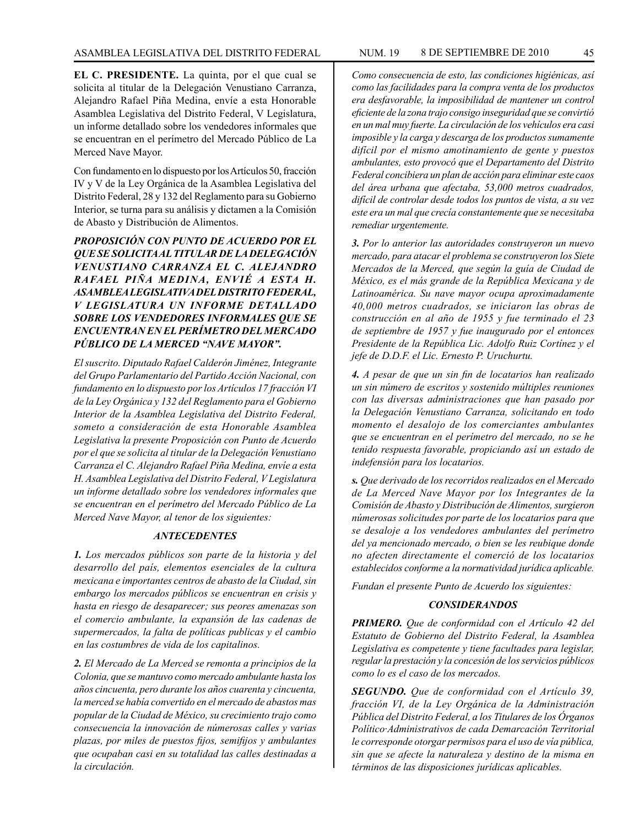**EL C. PRESIDENTE.** La quinta, por el que cual se solicita al titular de la Delegación Venustiano Carranza, Alejandro Rafael Piña Medina, envíe a esta Honorable Asamblea Legislativa del Distrito Federal, V Legislatura, un informe detallado sobre los vendedores informales que se encuentran en el perímetro del Mercado Público de La Merced Nave Mayor.

Con fundamento en lo dispuesto por los Artículos 50, fracción IV y V de la Ley Orgánica de la Asamblea Legislativa del Distrito Federal, 28 y 132 del Reglamento para su Gobierno Interior, se turna para su análisis y dictamen a la Comisión de Abasto y Distribución de Alimentos.

*PROPOSICIÓN CON PUNTO DE ACUERDO POR EL QUE SE SOLICITA AL TITULAR DE LA DELEGACIÓN VENUSTIANO CARRANZA EL C. ALEJANDRO RAFAEL PIÑA MEDINA, ENVIÉ A ESTA H. ASAMBLEA LEGISLATIVA DEL DISTRITO FEDERAL, V LEGISLATURA UN INFORME DETALLADO SOBRE LOS VENDEDORES INFORMALES QUE SE ENCUENTRAN EN EL PERÍMETRO DEL MERCADO PÚBLICO DE LA MERCED "NAVE MAYOR".*

*El suscrito. Diputado Rafael Calderón Jiménez, Integrante del Grupo Parlamentario del Partido Acción Nacional, con fundamento en lo dispuesto por los Artículos 17 fracción VI de la Ley Orgánica y 132 del Reglamento para el Gobierno Interior de la Asamblea Legislativa del Distrito Federal, someto a consideración de esta Honorable Asamblea Legislativa la presente Proposición con Punto de Acuerdo por el que se solicita al titular de la Delegación Venustiano Carranza el C. Alejandro Rafael Piña Medina, envíe a esta H. Asamblea Legislativa del Distrito Federal, V Legislatura un informe detallado sobre los vendedores informales que se encuentran en el perímetro del Mercado Público de La Merced Nave Mayor, al tenor de los siguientes:*

### *ANTECEDENTES*

*1. Los mercados públicos son parte de la historia y del desarrollo del país, elementos esenciales de la cultura mexicana e importantes centros de abasto de la Ciudad, sin embargo los mercados públicos se encuentran en crisis y hasta en riesgo de desaparecer; sus peores amenazas son el comercio ambulante, la expansión de las cadenas de supermercados, la falta de políticas publicas y el cambio en las costumbres de vida de los capitalinos.*

*2. El Mercado de La Merced se remonta a principios de la Colonia, que se mantuvo como mercado ambulante hasta los años cincuenta, pero durante los años cuarenta y cincuenta, la merced se había convertido en el mercado de abastos mas popular de la Ciudad de México, su crecimiento trajo como consecuencia la innovación de númerosas calles y varias plazas, por miles de puestos fijos, semifijos y ambulantes que ocupaban casi en su totalidad las calles destinadas a la circulación.*

*Como consecuencia de esto, las condiciones higiénicas, así como las facilidades para la compra venta de los productos era desfavorable, la imposibilidad de mantener un control eficiente de la zona trajo consigo inseguridad que se convirtió en un mal muy fuerte. La circulación de los vehículos era casi imposible y la carga y descarga de los productos sumamente difícil por el mismo amotinamiento de gente y puestos ambulantes, esto provocó que el Departamento del Distrito Federal concibiera un plan de acción para eliminar este caos del área urbana que afectaba, 53,000 metros cuadrados, difícil de controlar desde todos los puntos de vista, a su vez este era un mal que crecía constantemente que se necesitaba remediar urgentemente.*

*3. Por lo anterior las autoridades construyeron un nuevo mercado, para atacar el problema se construyeron los Siete Mercados de la Merced, que según la guía de Ciudad de México, es el más grande de la República Mexicana y de Latinoamérica. Su nave mayor ocupa aproximadamente 40,000 metros cuadrados, se iniciaron las obras de construcción en al año de 1955 y fue terminado el 23 de septiembre de 1957 y fue inaugurado por el entonces Presidente de la República Lic. Adolfo Ruiz Cortínez y el jefe de D.D.F. el Lic. Ernesto P. Uruchurtu.*

*4. A pesar de que un sin fin de locatarios han realizado un sin número de escritos y sostenido múltiples reuniones con las diversas administraciones que han pasado por la Delegación Venustiano Carranza, solicitando en todo momento el desalojo de los comerciantes ambulantes que se encuentran en el perímetro del mercado, no se he tenido respuesta favorable, propiciando así un estado de indefensión para los locatarios.*

*s. Que derivado de los recorridos realizados en el Mercado de La Merced Nave Mayor por los Integrantes de la Comisión de Abasto y Distribución de Alimentos, surgieron númerosas solicitudes por parte de los locatarios para que se desaloje a los vendedores ambulantes del perímetro del ya mencionado mercado, o bien se les reubique donde no afecten directamente el comerció de los locatarios establecidos conforme a la normatividad jurídica aplicable.*

*Fundan el presente Punto de Acuerdo los siguientes:*

## *CONSIDERANDOS*

*PRIMERO. Que de conformidad con el Artículo 42 del Estatuto de Gobierno del Distrito Federal, la Asamblea Legislativa es competente y tiene facultades para legislar, regular la prestación y la concesión de los servicios públicos como lo es el caso de los mercados.*

*SEGUNDO. Que de conformidad con el Artículo 39, fracción VI, de la Ley Orgánica de la Administración Pública del Distrito Federal, a los Titulares de los Órganos Político·Administrativos de cada Demarcación Territorial le corresponde otorgar permisos para el uso de vía pública, sin que se afecte la naturaleza y destino de la misma en términos de las disposiciones jurídicas aplicables.*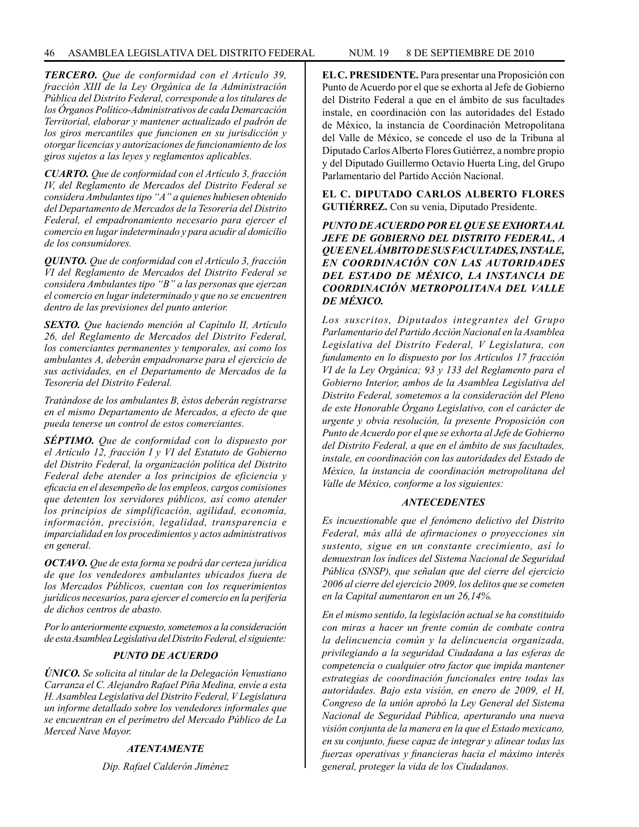*TERCERO. Que de conformidad con el Artículo 39, fracción XIII de la Ley Orgánica de la Administración Pública del Distrito Federal, corresponde a los titulares de los Órganos Político-Administrativos de cada Demarcación Territorial, elaborar y mantener actualizado el padrón de los giros mercantiles que funcionen en su jurisdicción y otorgar licencias y autorizaciones de funcionamiento de los giros sujetos a las leyes y reglamentos aplicables.*

*CUARTO. Que de conformidad con el Artículo 3, fracción IV, del Reglamento de Mercados del Distrito Federal se considera Ambulantes tipo "A" a quienes hubiesen obtenido del Departamento de Mercados de la Tesorería del Distrito Federal, el empadronamiento necesario para ejercer el comercio en lugar indeterminado y para acudir al domicilio de los consumidores.*

*QUINTO. Que de conformidad con el Artículo 3, fracción VI del Reglamento de Mercados del Distrito Federal se considera Ambulantes tipo "B" a las personas que ejerzan el comercio en lugar indeterminado y que no se encuentren dentro de las previsiones del punto anterior.*

*SEXTO. Que haciendo mención al Capítulo II, Artículo 26, del Reglamento de Mercados del Distrito Federal, los comerciantes permanentes y temporales, así como los ambulantes A, deberán empadronarse para el ejercicio de sus actividades, en el Departamento de Mercados de la Tesorería del Distrito Federal.*

*Tratándose de los ambulantes B, éstos deberán registrarse en el mismo Departamento de Mercados, a efecto de que pueda tenerse un control de estos comerciantes.*

*SÉPTIMO. Que de conformidad con lo dispuesto por el Artículo 12, fracción I y VI del Estatuto de Gobierno del Distrito Federal, la organización política del Distrito Federal debe atender a los principios de eficiencia y eficacia en el desempeño de los empleos, cargos comisiones que detenten los servidores públicos, así como atender los principios de simplificación, agilidad, economía, información, precisión, legalidad, transparencia e imparcialidad en los procedimientos y actos administrativos en general.*

*OCTAVO. Que de esta forma se podrá dar certeza jurídica de que los vendedores ambulantes ubicados fuera de los Mercados Públicos, cuentan con los requerimientos jurídicos necesarios, para ejercer el comercio en la periferia de dichos centros de abasto.*

*Por lo anteriormente expuesto, sometemos a la consideración de esta Asamblea Legislativa del Distrito Federal, el siguiente:*

# *PUNTO DE ACUERDO*

*ÚNICO. Se solicita al titular de la Delegación Venustiano Carranza el C. Alejandro Rafael Piña Medina, envíe a esta H. Asamblea Legislativa del Distrito Federal, V Legislatura un informe detallado sobre los vendedores informales que se encuentran en el perímetro del Mercado Público de La Merced Nave Mayor.*

### *ATENTAMENTE*

*Dip. Rafael Calderón Jiménez*

**EL C. PRESIDENTE.** Para presentar una Proposición con Punto de Acuerdo por el que se exhorta al Jefe de Gobierno del Distrito Federal a que en el ámbito de sus facultades instale, en coordinación con las autoridades del Estado de México, la instancia de Coordinación Metropolitana del Valle de México, se concede el uso de la Tribuna al Diputado Carlos Alberto Flores Gutiérrez, a nombre propio y del Diputado Guillermo Octavio Huerta Ling, del Grupo Parlamentario del Partido Acción Nacional.

**EL C. DIPUTADO CARLOS ALBERTO FLORES GUTIÉRREZ.** Con su venia, Diputado Presidente.

*PUNTO DE ACUERDO POR EL QUE SE EXHORTA AL JEFE DE GOBIERNO DEL DISTRITO FEDERAL, A QUE EN EL ÁMBITO DE SUS FACULTADES, INSTALE, EN COORDINACIÓN CON LAS AUTORIDADES DEL ESTADO DE MÉXICO, LA INSTANCIA DE COORDINACIÓN METROPOLITANA DEL VALLE DE MÉXICO.*

*Los suscritos, Diputados integrantes del Grupo Parlamentario del Partido Acción Nacional en la Asamblea Legislativa del Distrito Federal, V Legislatura, con fundamento en lo dispuesto por los Artículos 17 fracción VI de la Ley Orgánica; 93 y 133 del Reglamento para el Gobierno Interior, ambos de la Asamblea Legislativa del Distrito Federal, sometemos a la consideración del Pleno de este Honorable Órgano Legislativo, con el carácter de urgente y obvia resolución, la presente Proposición con Punto de Acuerdo por el que se exhorta al Jefe de Gobierno del Distrito Federal, a que en el ámbito de sus facultades, instale, en coordinación con las autoridades del Estado de México, la instancia de coordinación metropolitana del Valle de México, conforme a los siguientes:*

### *ANTECEDENTES*

*Es incuestionable que el fenómeno delictivo del Distrito Federal, más allá de afirmaciones o proyecciones sin sustento, sigue en un constante crecimiento, así lo demuestran los índices del Sistema Nacional de Seguridad Pública (SNSP), que señalan que del cierre del ejercicio 2006 al cierre del ejercicio 2009, los delitos que se cometen en la Capital aumentaron en un 26,14%.*

*En el mismo sentido, la legislación actual se ha constituido con miras a hacer un frente común de combate contra la delincuencia común y la delincuencia organizada, privilegiando a la seguridad Ciudadana a las esferas de competencia o cualquier otro factor que impida mantener estrategias de coordinación funcionales entre todas las autoridades. Bajo esta visión, en enero de 2009, el H, Congreso de la unión aprobó la Ley General del Sistema Nacional de Seguridad Pública, aperturando una nueva visión conjunta de la manera en la que el Estado mexicano, en su conjunto, fuese capaz de integrar y alinear todas las fuerzas operativas y financieras hacia el máximo interés general, proteger la vida de los Ciudadanos.*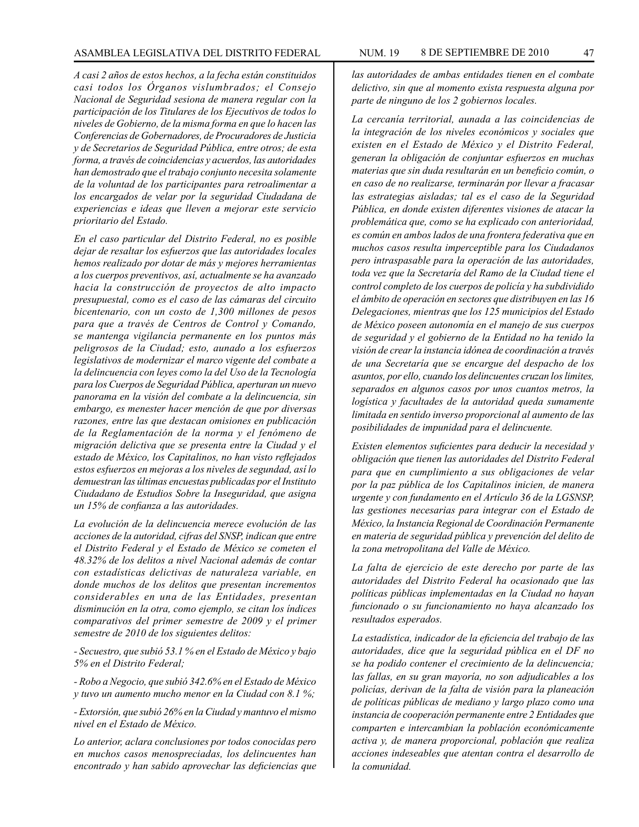# ASAMBLEA LEGISLATIVA DEL DISTRITO FEDERAL NUM. 19 8 DE SEPTIEMBRE DE 2010 47

*A casi 2 años de estos hechos, a la fecha están constituidos casi todos los Órganos vislumbrados; el Consejo Nacional de Seguridad sesiona de manera regular con la participación de los Titulares de los Ejecutivos de todos lo niveles de Gobierno, de la misma forma en que lo hacen las Conferencias de Gobernadores, de Procuradores de Justicia y de Secretarios de Seguridad Pública, entre otros; de esta forma, a través de coincidencias y acuerdos, las autoridades han demostrado que el trabajo conjunto necesita solamente de la voluntad de los participantes para retroalimentar a los encargados de velar por la seguridad Ciudadana de experiencias e ideas que lleven a mejorar este servicio prioritario del Estado.*

*En el caso particular del Distrito Federal, no es posible dejar de resaltar los esfuerzos que las autoridades locales hemos realizado por dotar de más y mejores herramientas a los cuerpos preventivos, así, actualmente se ha avanzado hacia la construcción de proyectos de alto impacto presupuestal, como es el caso de las cámaras del circuito bicentenario, con un costo de 1,300 millones de pesos para que a través de Centros de Control y Comando, se mantenga vigilancia permanente en los puntos más peligrosos de la Ciudad; esto, aunado a los esfuerzos legislativos de modernizar el marco vigente del combate a la delincuencia con leyes como la del Uso de la Tecnología para los Cuerpos de Seguridad Pública, aperturan un nuevo panorama en la visión del combate a la delincuencia, sin embargo, es menester hacer mención de que por diversas razones, entre las que destacan omisiones en publicación de la Reglamentación de la norma y el fenómeno de migración delictiva que se presenta entre la Ciudad y el estado de México, los Capitalinos, no han visto reflejados estos esfuerzos en mejoras a los niveles de segundad, así lo demuestran las últimas encuestas publicadas por el Instituto Ciudadano de Estudios Sobre la Inseguridad, que asigna un 15% de confianza a las autoridades.*

*La evolución de la delincuencia merece evolución de las acciones de la autoridad, cifras del SNSP, indican que entre el Distrito Federal y el Estado de México se cometen el 48.32% de los delitos a nivel Nacional además de contar con estadísticas delictivas de naturaleza variable, en donde muchos de los delitos que presentan incrementos considerables en una de las Entidades, presentan disminución en la otra, como ejemplo, se citan los índices comparativos del primer semestre de 2009 y el primer semestre de 2010 de los siguientes delitos:*

*- Secuestro, que subió 53.1 % en el Estado de México y bajo 5% en el Distrito Federal;*

*- Robo a Negocio, que subió 342.6% en el Estado de México y tuvo un aumento mucho menor en la Ciudad con 8.1 %;*

*- Extorsión, que subió 26% en la Ciudad y mantuvo el mismo nivel en el Estado de México.*

*Lo anterior, aclara conclusiones por todos conocidas pero en muchos casos menospreciadas, los delincuentes han encontrado y han sabido aprovechar las deficiencias que*  *las autoridades de ambas entidades tienen en el combate delictivo, sin que al momento exista respuesta alguna por parte de ninguno de los 2 gobiernos locales.*

*La cercanía territorial, aunada a las coincidencias de la integración de los niveles económicos y sociales que existen en el Estado de México y el Distrito Federal, generan la obligación de conjuntar esfuerzos en muchas materias que sin duda resultarán en un beneficio común, o en caso de no realizarse, terminarán por llevar a fracasar las estrategias aisladas; tal es el caso de la Seguridad Pública, en donde existen diferentes visiones de atacar la problemática que, como se ha explicado con anterioridad, es común en ambos lados de una frontera federativa que en muchos casos resulta imperceptible para los Ciudadanos pero intraspasable para la operación de las autoridades, toda vez que la Secretaría del Ramo de la Ciudad tiene el control completo de los cuerpos de policía y ha subdividido el ámbito de operación en sectores que distribuyen en las 16 Delegaciones, mientras que los 125 municipios del Estado de México poseen autonomía en el manejo de sus cuerpos de seguridad y el gobierno de la Entidad no ha tenido la visión de crear la instancia idónea de coordinación a través de una Secretaría que se encargue del despacho de los asuntos, por ello, cuando los delincuentes cruzan los limites, separados en algunos casos por unos cuantos metros, la logística y facultades de la autoridad queda sumamente limitada en sentido inverso proporcional al aumento de las posibilidades de impunidad para el delincuente.*

*Existen elementos suficientes para deducir la necesidad y obligación que tienen las autoridades del Distrito Federal para que en cumplimiento a sus obligaciones de velar por la paz pública de los Capitalinos inicien, de manera urgente y con fundamento en el Artículo 36 de la LGSNSP, las gestiones necesarias para integrar con el Estado de México, la Instancia Regional de Coordinación Permanente en materia de seguridad pública y prevención del delito de la zona metropolitana del Valle de México.*

*La falta de ejercicio de este derecho por parte de las autoridades del Distrito Federal ha ocasionado que las políticas públicas implementadas en la Ciudad no hayan funcionado o su funcionamiento no haya alcanzado los resultados esperados.*

*La estadística, indicador de la eficiencia del trabajo de las autoridades, dice que la seguridad pública en el DF no se ha podido contener el crecimiento de la delincuencia; las fallas, en su gran mayoría, no son adjudicables a los policías, derivan de la falta de visión para la planeación de políticas públicas de mediano y largo plazo como una instancia de cooperación permanente entre 2 Entidades que comparten e intercambian la población económicamente activa y, de manera proporcional, población que realiza acciones indeseables que atentan contra el desarrollo de la comunidad.*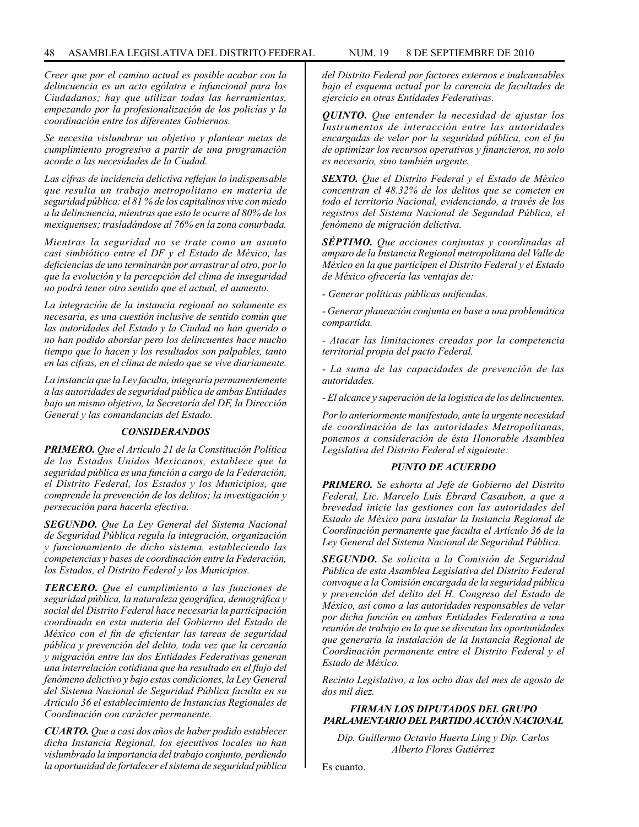*Creer que por el camino actual es posible acabar con la delincuencia es un acto ególatra e infuncional para los Ciudadanos; hay que utilizar todas las herramientas, empezando por la profesionalización de los policías y la coordinación entre los diferentes Gobiernos.*

*Se necesita vislumbrar un objetivo y plantear metas de cumplimiento progresivo a partir de una programación acorde a las necesidades de la Ciudad.* 

*Las cifras de incidencia delictiva reflejan lo indispensable que resulta un trabajo metropolitano en materia de seguridad pública: el 81 % de los capitalinos vive con miedo a la delincuencia, mientras que esto le ocurre al 80% de los mexiquenses; trasladándose al 76% en la zona conurbada.*

*Mientras la seguridad no se trate como un asunto casi simbiótico entre el DF y el Estado de México, las deficiencias de uno terminarán por arrastrar al otro, por lo que la evolución y la percepción del clima de inseguridad no podrá tener otro sentido que el actual, el aumento.*

*La integración de la instancia regional no solamente es necesaria, es una cuestión inclusive de sentido común que las autoridades del Estado y la Ciudad no han querido o no han podido abordar pero los delincuentes hace mucho tiempo que lo hacen y los resultados son palpables, tanto en las cifras, en el clima de miedo que se vive diariamente.*

*La instancia que la Ley faculta, integraría permanentemente a las autoridades de seguridad pública de ambas Entidades bajo un mismo objetivo, la Secretaría del DF, la Dirección General y las comandancias del Estado.*

### *CONSIDERANDOS*

*PRIMERO. Que el Artículo 21 de la Constitución Política de los Estados Unidos Mexicanos, establece que la seguridad pública es una función a cargo de la Federación, el Distrito Federal, los Estados y los Municipios, que comprende la prevención de los delitos; la investigación y persecución para hacerla efectiva.*

*SEGUNDO. Que La Ley General del Sistema Nacional de Seguridad Pública regula la integración, organización y funcionamiento de dicho sistema, estableciendo las competencias y bases de coordinación entre la Federación, los Estados, el Distrito Federal y los Municipios.*

*TERCERO. Que el cumplimiento a las funciones de seguridad pública, la naturaleza geográfica, demográfica y social del Distrito Federal hace necesaria la participación coordinada en esta materia del Gobierno del Estado de México con el fin de eficientar las tareas de seguridad pública y prevención del delito, toda vez que la cercanía y migración entre las dos Entidades Federativas generan una interrelación cotidiana que ha resultado en el flujo del fenómeno delictivo y bajo estas condiciones, la Ley General del Sistema Nacional de Seguridad Pública faculta en su Artículo 36 el establecimiento de Instancias Regionales de Coordinación con carácter permanente.*

*CUARTO. Que a casi dos años de haber podido establecer dicha Instancia Regional, los ejecutivos locales no han vislumbrado la importancia del trabajo conjunto, perdiendo la oportunidad de fortalecer el sistema de seguridad pública*  *del Distrito Federal por factores externos e inalcanzables bajo el esquema actual por la carencia de facultades de ejercicio en otras Entidades Federativas.*

*QUINTO. Que entender la necesidad de ajustar los Instrumentos de interacción entre las autoridades encargadas de velar por la seguridad pública, con el fin de optimizar los recursos operativos y financieros, no solo es necesario, sino también urgente.*

*SEXTO. Que el Distrito Federal y el Estado de México concentran el 48.32% de los delitos que se cometen en todo el territorio Nacional, evidenciando, a través de los registros del Sistema Nacional de Segundad Pública, el fenómeno de migración delictiva.*

*SÉPTIMO. Que acciones conjuntas y coordinadas al amparo de la Instancia Regional metropolitana del Valle de México en la que participen el Distrito Federal y el Estado de México ofrecería las ventajas de:*

*- Generar políticas públicas unificadas.*

*- Generar planeación conjunta en base a una problemática compartida.*

*- Atacar las limitaciones creadas por la competencia territorial propia del pacto Federal.*

*- La suma de las capacidades de prevención de las autoridades.*

*- El alcance y superación de la logística de los delincuentes.*

*Por lo anteriormente manifestado, ante la urgente necesidad de coordinación de las autoridades Metropolitanas, ponemos a consideración de ésta Honorable Asamblea Legislativa del Distrito Federal el siguiente:*

### *PUNTO DE ACUERDO*

*PRIMERO. Se exhorta al Jefe de Gobierno del Distrito Federal, Lic. Marcelo Luis Ebrard Casaubon, a que a brevedad inicie las gestiones con las autoridades del Estado de México para instalar la Instancia Regional de Coordinación permanente que faculta el Artículo 36 de la Ley General del Sistema Nacional de Seguridad Pública.*

*SEGUNDO. Se solicita a la Comisión de Seguridad Pública de esta Asamblea Legislativa del Distrito Federal convoque a la Comisión encargada de la seguridad pública y prevención del delito del H. Congreso del Estado de México, así como a las autoridades responsables de velar por dicha función en ambas Entidades Federativa a una reunión de trabajo en la que se discutan las oportunidades que generaría la instalación de la Instancia Regional de Coordinación permanente entre el Distrito Federal y el Estado de México.*

*Recinto Legislativo, a los ocho días del mes de agosto de dos mil diez.*

# *FIRMAN LOS DIPUTADOS DEL GRUPO PARLAMENTARIO DEL PARTIDO ACCIÓN NACIONAL*

*Dip. Guillermo Octavio Huerta Ling y Dip. Carlos Alberto Flores Gutiérrez*

Es cuanto.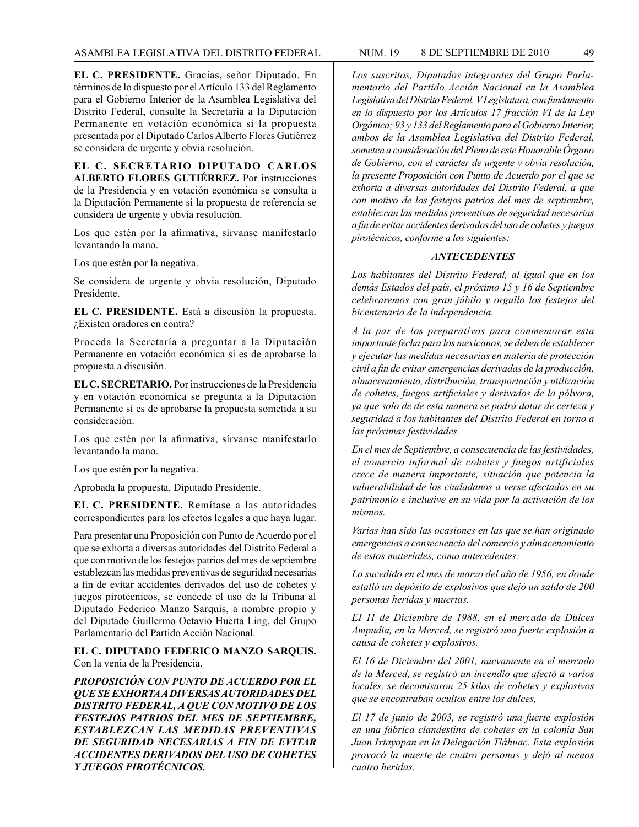**EL C. PRESIDENTE.** Gracias, señor Diputado. En términos de lo dispuesto por el Artículo 133 del Reglamento para el Gobierno Interior de la Asamblea Legislativa del Distrito Federal, consulte la Secretaría a la Diputación Permanente en votación económica si la propuesta presentada por el Diputado Carlos Alberto Flores Gutiérrez se considera de urgente y obvia resolución.

**EL C. SECRETARIO DIPUTADO CARLOS ALBERTO FLORES GUTIÉRREZ.** Por instrucciones de la Presidencia y en votación económica se consulta a la Diputación Permanente si la propuesta de referencia se considera de urgente y obvia resolución.

Los que estén por la afirmativa, sírvanse manifestarlo levantando la mano.

Los que estén por la negativa.

Se considera de urgente y obvia resolución, Diputado Presidente.

**EL C. PRESIDENTE.** Está a discusión la propuesta. ¿Existen oradores en contra?

Proceda la Secretaría a preguntar a la Diputación Permanente en votación económica si es de aprobarse la propuesta a discusión.

**EL C. SECRETARIO.** Por instrucciones de la Presidencia y en votación económica se pregunta a la Diputación Permanente si es de aprobarse la propuesta sometida a su consideración.

Los que estén por la afirmativa, sírvanse manifestarlo levantando la mano.

Los que estén por la negativa.

Aprobada la propuesta, Diputado Presidente.

**EL C. PRESIDENTE.** Remítase a las autoridades correspondientes para los efectos legales a que haya lugar.

Para presentar una Proposición con Punto de Acuerdo por el que se exhorta a diversas autoridades del Distrito Federal a que con motivo de los festejos patrios del mes de septiembre establezcan las medidas preventivas de seguridad necesarias a fin de evitar accidentes derivados del uso de cohetes y juegos pirotécnicos, se concede el uso de la Tribuna al Diputado Federico Manzo Sarquis, a nombre propio y del Diputado Guillermo Octavio Huerta Ling, del Grupo Parlamentario del Partido Acción Nacional.

**EL C. DIPUTADO FEDERICO MANZO SARQUIS.** Con la venia de la Presidencia.

*PROPOSICIÓN CON PUNTO DE ACUERDO POR EL QUE SE EXHORTA A DIVERSAS AUTORIDADES DEL DISTRITO FEDERAL, A QUE CON MOTIVO DE LOS FESTEJOS PATRIOS DEL MES DE SEPTIEMBRE, ESTABLEZCAN LAS MEDIDAS PREVENTIVAS DE SEGURIDAD NECESARIAS A FIN DE EVITAR ACCIDENTES DERIVADOS DEL USO DE COHETES Y JUEGOS PIROTÉCNICOS.*

*Los suscritos, Diputados integrantes del Grupo Parlamentario del Partido Acción Nacional en la Asamblea Legislativa del Distrito Federal, V Legislatura, con fundamento en lo dispuesto por los Artículos 17 fracción VI de la Ley Orgánica; 93 y 133 del Reglamento para el Gobierno Interior, ambos de la Asamblea Legislativa del Distrito Federal, someten a consideración del Pleno de este Honorable Órgano de Gobierno, con el carácter de urgente y obvia resolución, la presente Proposición con Punto de Acuerdo por el que se exhorta a diversas autoridades del Distrito Federal, a que con motivo de los festejos patrios del mes de septiembre, establezcan las medidas preventivas de seguridad necesarias a fin de evitar accidentes derivados del uso de cohetes y juegos pirotécnicos, conforme a los siguientes:*

### *ANTECEDENTES*

*Los habitantes del Distrito Federal, al igual que en los demás Estados del país, el próximo 15 y 16 de Septiembre celebraremos con gran júbilo y orgullo los festejos del bicentenario de la independencia.*

*A la par de los preparativos para conmemorar esta importante fecha para los mexicanos, se deben de establecer y ejecutar las medidas necesarias en materia de protección civil a fin de evitar emergencias derivadas de la producción, almacenamiento, distribución, transportación y utilización de cohetes, fuegos artificiales y derivados de la pólvora, ya que solo de de esta manera se podrá dotar de certeza y seguridad a los habitantes del Distrito Federal en torno a las próximas festividades.*

*En el mes de Septiembre, a consecuencia de las festividades, el comercio informal de cohetes y fuegos artificiales crece de manera importante, situación que potencia la vulnerabilidad de los ciudadanos a verse afectados en su patrimonio e inclusive en su vida por la activación de los mismos.*

*Varias han sido las ocasiones en las que se han originado emergencias a consecuencia del comercio y almacenamiento de estos materiales, como antecedentes:*

*Lo sucedido en el mes de marzo del año de 1956, en donde estalló un depósito de explosivos que dejó un saldo de 200 personas heridas y muertas.*

*EI 11 de Diciembre de 1988, en el mercado de Dulces Ampudia, en la Merced, se registró una fuerte explosión a causa de cohetes y explosivos.*

*El 16 de Diciembre del 2001, nuevamente en el mercado de la Merced, se registró un incendio que afectó a varios locales, se decomisaron 25 kilos de cohetes y explosivos que se encontraban ocultos entre los dulces,*

*El 17 de junio de 2003, se registró una fuerte explosión en una fábrica clandestina de cohetes en la colonia San Juan Ixtayopan en la Delegación Tláhuac. Esta explosión provocó la muerte de cuatro personas y dejó al menos cuatro heridas.*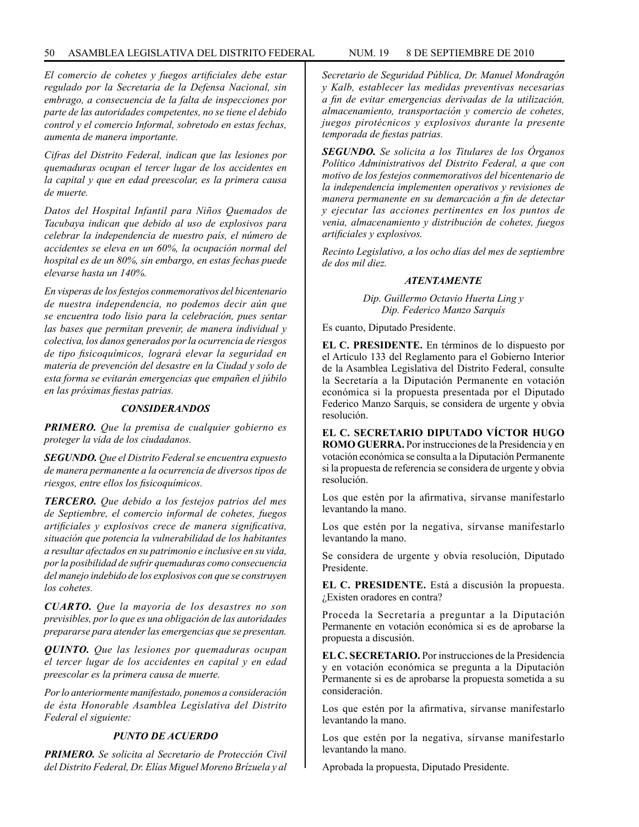## 50 ASAMBLEA LEGISLATIVA DEL DISTRITO FEDERAL NUM. 19 8 DE SEPTIEMBRE de 2010

*El comercio de cohetes y fuegos artificiales debe estar regulado por la Secretaria de la Defensa Nacional, sin embrago, a consecuencia de la falta de inspecciones por parte de las autoridades competentes, no se tiene el debido control y el comercio Informal, sobretodo en estas fechas, aumenta de manera importante.* 

*Cifras del Distrito Federal, indican que las lesiones por quemaduras ocupan el tercer lugar de los accidentes en la capital y que en edad preescolar, es la primera causa de muerte.*

*Datos del Hospital Infantil para Niños Quemados de Tacubaya indican que debido al uso de explosivos para celebrar la independencia de nuestro país, el número de accidentes se eleva en un 60%, la ocupación normal del hospital es de un 80%, sin embargo, en estas fechas puede elevarse hasta un 140%.*

*En visperas de los festejos conmemorativos del bicentenario de nuestra independencia, no podemos decir aún que se encuentra todo lisio para la celebración, pues sentar las bases que permitan prevenir, de manera individual y colectiva, los danos generados por la ocurrencia de riesgos de tipo fisicoquímicos, logrará elevar la seguridad en materia de prevención del desastre en la Ciudad y solo de esta forma se evitarán emergencias que empañen el júbilo en las próximas fiestas patrias.*

### *CONSIDERANDOS*

*PRIMERO. Que la premisa de cualquier gobierno es proteger la vida de los ciudadanos.*

*SEGUNDO. Que el Distrito Federal se encuentra expuesto de manera permanente a la ocurrencia de diversos tipos de riesgos, entre ellos los fisicoquímicos.*

*TERCERO. Que debido a los festejos patrios del mes de Septiembre, el comercio informal de cohetes, fuegos artificiales y explosivos crece de manera significativa, situación que potencia la vulnerabilidad de los habitantes a resultar afectados en su patrimonio e inclusive en su vida, por la posibilidad de sufrir quemaduras como consecuencia del manejo indebido de los explosivos con que se construyen los cohetes.*

*CUARTO. Que la mayoría de los desastres no son previsibles, por lo que es una obligación de las autoridades prepararse para atender las emergencias que se presentan.*

*QUINTO. Que las lesiones por quemaduras ocupan el tercer lugar de los accidentes en capital y en edad preescolar es la primera causa de muerte.*

*Por lo anteriormente manifestado, ponemos a consideración de ésta Honorable Asamblea Legislativa del Distrito Federal el siguiente:*

# *PUNTO DE ACUERDO*

*PRIMERO. Se solicita al Secretario de Protección Civil del Distrito Federal, Dr. Elías Miguel Moreno Brízuela y al*  *SEGUNDO. Se solicita a los Titulares de los Órganos Político Administrativos del Distrito Federal, a que con motivo de los festejos conmemorativos del bicentenario de la independencia implementen operativos y revisiones de manera permanente en su demarcación a fin de detectar y ejecutar las acciones pertinentes en los puntos de venia, almacenamiento y distribución de cohetes, fuegos artificiales y explosivos.*

*Recinto Legislativo, a los ocho días del mes de septiembre de dos mil diez.*

## *ATENTAMENTE*

*Dip. Guillermo Octavio Huerta Ling y Dip. Federico Manzo Sarquís*

Es cuanto, Diputado Presidente.

**EL C. PRESIDENTE.** En términos de lo dispuesto por el Artículo 133 del Reglamento para el Gobierno Interior de la Asamblea Legislativa del Distrito Federal, consulte la Secretaría a la Diputación Permanente en votación económica si la propuesta presentada por el Diputado Federico Manzo Sarquis, se considera de urgente y obvia resolución.

**EL C. SECRETARIO DIPUTADO VÍCTOR HUGO ROMO GUERRA.** Por instrucciones de la Presidencia y en votación económica se consulta a la Diputación Permanente si la propuesta de referencia se considera de urgente y obvia resolución.

Los que estén por la afirmativa, sírvanse manifestarlo levantando la mano.

Los que estén por la negativa, sírvanse manifestarlo levantando la mano.

Se considera de urgente y obvia resolución, Diputado Presidente.

**EL C. PRESIDENTE.** Está a discusión la propuesta. ¿Existen oradores en contra?

Proceda la Secretaría a preguntar a la Diputación Permanente en votación económica si es de aprobarse la propuesta a discusión.

**EL C. SECRETARIO.** Por instrucciones de la Presidencia y en votación económica se pregunta a la Diputación Permanente si es de aprobarse la propuesta sometida a su consideración.

Los que estén por la afirmativa, sírvanse manifestarlo levantando la mano.

Los que estén por la negativa, sírvanse manifestarlo levantando la mano.

Aprobada la propuesta, Diputado Presidente.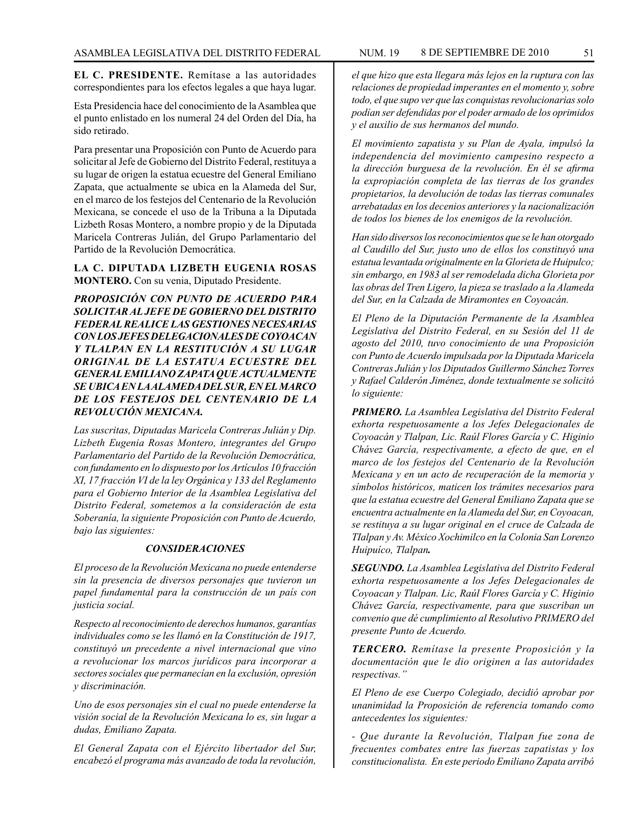**EL C. PRESIDENTE.** Remítase a las autoridades correspondientes para los efectos legales a que haya lugar.

Esta Presidencia hace del conocimiento de la Asamblea que el punto enlistado en los numeral 24 del Orden del Día, ha sido retirado.

Para presentar una Proposición con Punto de Acuerdo para solicitar al Jefe de Gobierno del Distrito Federal, restituya a su lugar de origen la estatua ecuestre del General Emiliano Zapata, que actualmente se ubica en la Alameda del Sur, en el marco de los festejos del Centenario de la Revolución Mexicana, se concede el uso de la Tribuna a la Diputada Lizbeth Rosas Montero, a nombre propio y de la Diputada Maricela Contreras Julián, del Grupo Parlamentario del Partido de la Revolución Democrática.

**LA C. DIPUTADA LIZBETH EUGENIA ROSAS MONTERO.** Con su venia, Diputado Presidente.

*PROPOSICIÓN CON PUNTO DE ACUERDO PARA SOLICITAR AL JEFE DE GOBIERNO DEL DISTRITO FEDERAL REALICE LAS GESTIONES NECESARIAS CON LOS JEFES DELEGACIONALES DE COYOACAN Y TLALPAN EN LA RESTITUCIÓN A SU LUGAR ORIGINAL DE LA ESTATUA ECUESTRE DEL GENERAL EMILIANO ZAPATA QUE ACTUALMENTE SE UBICA EN LA ALAMEDA DEL SUR, EN EL MARCO DE LOS FESTEJOS DEL CENTENARIO DE LA REVOLUCIÓN MEXICANA.*

*Las suscritas, Diputadas Maricela Contreras Julián y Dip. Lizbeth Eugenia Rosas Montero, integrantes del Grupo Parlamentario del Partido de la Revolución Democrática, con fundamento en lo dispuesto por los Artículos 10 fracción XI, 17 fracción VI de la ley Orgánica y 133 del Reglamento para el Gobierno Interior de la Asamblea Legislativa del Distrito Federal, sometemos a la consideración de esta Soberanía, la siguiente Proposición con Punto de Acuerdo, bajo las siguientes:*

### *CONSIDERACIONES*

*El proceso de la Revolución Mexicana no puede entenderse sin la presencia de diversos personajes que tuvieron un papel fundamental para la construcción de un país con justicia social.*

*Respecto al reconocimiento de derechos humanos, garantías individuales como se les llamó en la Constitución de 1917, constituyó un precedente a nivel internacional que vino a revolucionar los marcos jurídicos para incorporar a sectores sociales que permanecían en la exclusión, opresión y discriminación.*

*Uno de esos personajes sin el cual no puede entenderse la visión social de la Revolución Mexicana lo es, sin lugar a dudas, Emiliano Zapata.*

*El General Zapata con el Ejército libertador del Sur, encabezó el programa más avanzado de toda la revolución,* 

*el que hizo que esta llegara más lejos en la ruptura con las relaciones de propiedad imperantes en el momento y, sobre todo, el que supo ver que las conquistas revolucionarias solo podían ser defendidas por el poder armado de los oprimidos y el auxilio de sus hermanos del mundo.*

*El movimiento zapatista y su Plan de Ayala, impulsó la independencia del movimiento campesino respecto a la dirección burguesa de la revolución. En él se afirma la expropiación completa de las tierras de los grandes propietarios, la devolución de todas las tierras comunales arrebatadas en los decenios anteriores y la nacionalización de todos los bienes de los enemigos de la revolución.*

*Han sido diversos los reconocimientos que se le han otorgado al Caudillo del Sur, justo uno de ellos los constituyó una estatua levantada originalmente en la Glorieta de Huipulco; sin embargo, en 1983 al ser remodelada dicha Glorieta por las obras del Tren Ligero, la pieza se traslado a la Alameda del Sur, en la Calzada de Miramontes en Coyoacán.*

*El Pleno de la Diputación Permanente de la Asamblea Legislativa del Distrito Federal, en su Sesión del 11 de agosto del 2010, tuvo conocimiento de una Proposición con Punto de Acuerdo impulsada por la Diputada Maricela Contreras Julián y los Diputados Guillermo Sánchez Torres y Rafael Calderón Jiménez, donde textualmente se solicitó lo siguiente:*

*PRIMERO. La Asamblea Legislativa del Distrito Federal exhorta respetuosamente a los Jefes Delegacionales de Coyoacán y Tlalpan, Lic. Raúl Flores García y C. Higinio Chávez García, respectivamente, a efecto de que, en el marco de los festejos del Centenario de la Revolución Mexicana y en un acto de recuperación de la memoria y símbolos históricos, maticen los trámites necesarios para que la estatua ecuestre del General Emiliano Zapata que se encuentra actualmente en la Alameda del Sur, en Coyoacan, se restituya a su lugar original en el cruce de Calzada de TIalpan y Av. México Xochimilco en la Colonia San Lorenzo Huipuíco, Tlalpan.*

*SEGUNDO. La Asamblea Legislativa del Distrito Federal exhorta respetuosamente a los Jefes Delegacionales de Coyoacan y Tlalpan. Lic, Raúl Flores García y C. Higinio Chávez García, respectivamente, para que suscriban un convenio que dé cumplimiento al Resolutivo PRIMERO del presente Punto de Acuerdo.*

*TERCERO. Remítase la presente Proposición y la documentación que le dio originen a las autoridades respectivas."*

*El Pleno de ese Cuerpo Colegiado, decidió aprobar por unanimidad la Proposición de referencia tomando como antecedentes los siguientes:*

*- Que durante la Revolución, Tlalpan fue zona de frecuentes combates entre las fuerzas zapatistas y los constitucionalista. En este periodo Emiliano Zapata arribó*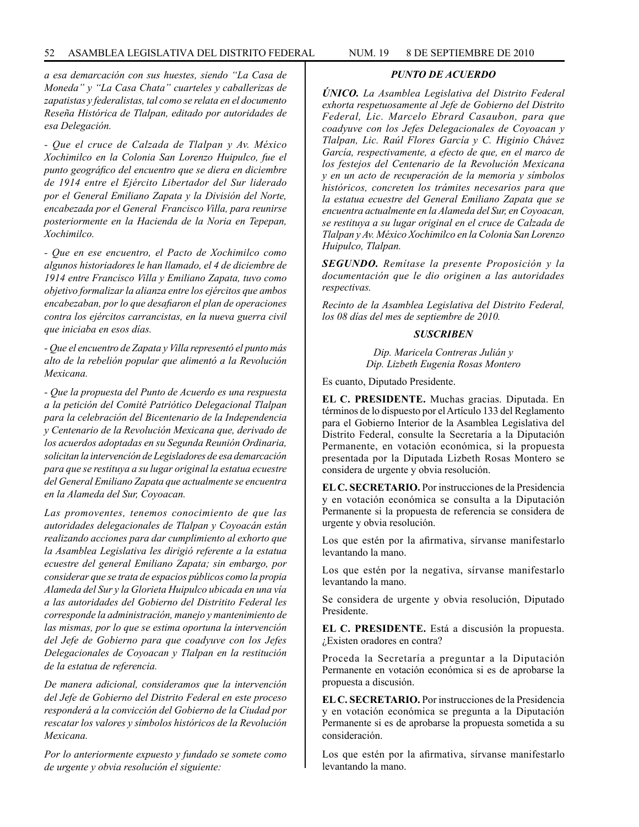*a esa demarcación con sus huestes, siendo "La Casa de Moneda" y "La Casa Chata" cuarteles y caballerizas de zapatistas y federalistas, tal como se relata en el documento Reseña Histórica de Tlalpan, editado por autoridades de esa Delegación.*

*- Que el cruce de Calzada de Tlalpan y Av. México Xochimilco en la Colonia San Lorenzo Huipulco, fue el punto geográfico del encuentro que se diera en diciembre de 1914 entre el Ejército Libertador del Sur liderado por el General Emiliano Zapata y la División del Norte, encabezada por el General Francisco Villa, para reunirse posteriormente en la Hacienda de la Noria en Tepepan, Xochimilco.* 

*- Que en ese encuentro, el Pacto de Xochimilco como algunos historiadores le han llamado, el 4 de diciembre de 1914 entre Francisco Villa y Emiliano Zapata, tuvo como objetivo formalizar la alianza entre los ejércitos que ambos encabezaban, por lo que desafiaron el plan de operaciones contra los ejércitos carrancistas, en la nueva guerra civil que iniciaba en esos días.*

*- Que el encuentro de Zapata y Villa representó el punto más alto de la rebelión popular que alimentó a la Revolución Mexicana.*

*- Que la propuesta del Punto de Acuerdo es una respuesta a la petición del Comité Patriótico Delegacional Tlalpan para la celebración del Bicentenario de la Independencia y Centenario de la Revolución Mexicana que, derivado de los acuerdos adoptadas en su Segunda Reunión Ordinaria, solicitan la intervención de Legisladores de esa demarcación para que se restituya a su lugar original la estatua ecuestre del General Emiliano Zapata que actualmente se encuentra en la Alameda del Sur, Coyoacan.*

*Las promoventes, tenemos conocimiento de que las autoridades delegacionales de Tlalpan y Coyoacán están realizando acciones para dar cumplimiento al exhorto que la Asamblea Legislativa les dirigió referente a la estatua ecuestre del general Emiliano Zapata; sin embargo, por considerar que se trata de espacios públicos como la propia Alameda del Sur y la Glorieta Huipulco ubicada en una vía a las autoridades del Gobierno del Distritito Federal les corresponde la administración, manejo y mantenimiento de las mismas, por lo que se estima oportuna la intervención del Jefe de Gobierno para que coadyuve con los Jefes Delegacionales de Coyoacan y Tlalpan en la restitución de la estatua de referencia.*

*De manera adicional, consideramos que la intervención del Jefe de Gobierno del Distrito Federal en este proceso responderá a la convicción del Gobierno de la Ciudad por rescatar los valores y símbolos históricos de la Revolución Mexicana.*

*Por lo anteriormente expuesto y fundado se somete como de urgente y obvia resolución el siguiente:*

## *PUNTO DE ACUERDO*

*ÚNICO. La Asamblea Legislativa del Distrito Federal exhorta respetuosamente al Jefe de Gobierno del Distrito Federal, Lic. Marcelo Ebrard Casaubon, para que coadyuve con los Jefes Delegacionales de Coyoacan y Tlalpan, Lic. Raúl Flores García y C. Higinio Chávez García, respectivamente, a efecto de que, en el marco de los festejos del Centenario de la Revolución Mexicana y en un acto de recuperación de la memoria y símbolos históricos, concreten los trámites necesarios para que la estatua ecuestre del General Emiliano Zapata que se encuentra actualmente en la Alameda del Sur, en Coyoacan, se restituya a su lugar original en el cruce de Calzada de Tlalpan y Av. México Xochimilco en la Colonia San Lorenzo Huipulco, Tlalpan.*

*SEGUNDO. Remítase la presente Proposición y la documentación que le dio originen a las autoridades respectivas.*

*Recinto de la Asamblea Legislativa del Distrito Federal, los 08 días del mes de septiembre de 2010.*

### *SUSCRIBEN*

*Dip. Maricela Contreras Julián y Dip. Lizbeth Eugenia Rosas Montero*

Es cuanto, Diputado Presidente.

**EL C. PRESIDENTE.** Muchas gracias. Diputada. En términos de lo dispuesto por el Artículo 133 del Reglamento para el Gobierno Interior de la Asamblea Legislativa del Distrito Federal, consulte la Secretaría a la Diputación Permanente, en votación económica, si la propuesta presentada por la Diputada Lizbeth Rosas Montero se considera de urgente y obvia resolución.

**EL C. SECRETARIO.** Por instrucciones de la Presidencia y en votación económica se consulta a la Diputación Permanente si la propuesta de referencia se considera de urgente y obvia resolución.

Los que estén por la afirmativa, sírvanse manifestarlo levantando la mano.

Los que estén por la negativa, sírvanse manifestarlo levantando la mano.

Se considera de urgente y obvia resolución, Diputado Presidente.

**EL C. PRESIDENTE.** Está a discusión la propuesta. ¿Existen oradores en contra?

Proceda la Secretaría a preguntar a la Diputación Permanente en votación económica si es de aprobarse la propuesta a discusión.

**EL C. SECRETARIO.** Por instrucciones de la Presidencia y en votación económica se pregunta a la Diputación Permanente si es de aprobarse la propuesta sometida a su consideración.

Los que estén por la afirmativa, sírvanse manifestarlo levantando la mano.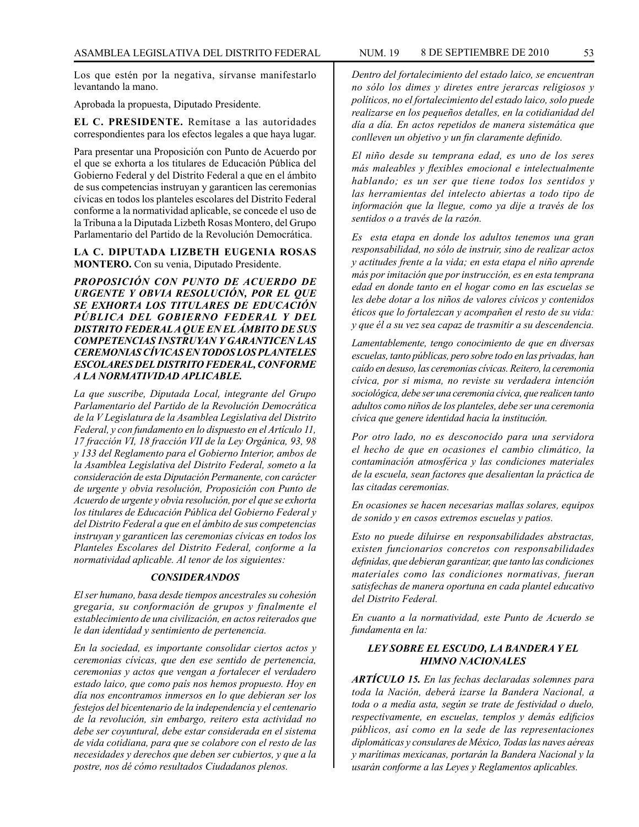Los que estén por la negativa, sírvanse manifestarlo levantando la mano.

Aprobada la propuesta, Diputado Presidente.

**EL C. PRESIDENTE.** Remítase a las autoridades correspondientes para los efectos legales a que haya lugar.

Para presentar una Proposición con Punto de Acuerdo por el que se exhorta a los titulares de Educación Pública del Gobierno Federal y del Distrito Federal a que en el ámbito de sus competencias instruyan y garanticen las ceremonias cívicas en todos los planteles escolares del Distrito Federal conforme a la normatividad aplicable, se concede el uso de la Tribuna a la Diputada Lizbeth Rosas Montero, del Grupo Parlamentario del Partido de la Revolución Democrática.

**LA C. DIPUTADA LIZBETH EUGENIA ROSAS MONTERO.** Con su venia, Diputado Presidente.

*PROPOSICIÓN CON PUNTO DE ACUERDO DE URGENTE Y OBVIA RESOLUCIÓN, POR EL QUE SE EXHORTA LOS TITULARES DE EDUCACIÓN PÚBLICA DEL GOBIERNO FEDERAL Y DEL DISTRITO FEDERAL A QUE EN EL ÁMBITO DE SUS COMPETENCIAS INSTRUYAN Y GARANTICEN LAS CEREMONIAS CÍVICAS EN TODOS LOS PLANTELES ESCOLARES DEL DISTRITO FEDERAL, CONFORME A LA NORMATIVIDAD APLICABLE.*

*La que suscribe, Diputada Local, integrante del Grupo Parlamentario del Partido de la Revolución Democrática de la V Legislatura de la Asamblea Legislativa del Distrito Federal, y con fundamento en lo dispuesto en el Artículo 11, 17 fracción VI, 18 fracción VII de la Ley Orgánica, 93, 98 y 133 del Reglamento para el Gobierno Interior, ambos de la Asamblea Legislativa del Distrito Federal, someto a la consideración de esta Diputación Permanente, con carácter de urgente y obvia resolución, Proposición con Punto de Acuerdo de urgente y obvia resolución, por el que se exhorta los titulares de Educación Pública del Gobierno Federal y del Distrito Federal a que en el ámbito de sus competencias instruyan y garanticen las ceremonias cívicas en todos los Planteles Escolares del Distrito Federal, conforme a la normatividad aplicable. Al tenor de los siguientes:*

#### *CONSIDERANDOS*

*El ser humano, basa desde tiempos ancestrales su cohesión gregaria, su conformación de grupos y finalmente el establecimiento de una civilización, en actos reiterados que le dan identidad y sentimiento de pertenencia.*

*En la sociedad, es importante consolidar ciertos actos y ceremonias cívicas, que den ese sentido de pertenencia, ceremonias y actos que vengan a fortalecer el verdadero estado laico, que como país nos hemos propuesto. Hoy en día nos encontramos inmersos en lo que debieran ser los festejos del bicentenario de la independencia y el centenario de la revolución, sin embargo, reitero esta actividad no debe ser coyuntural, debe estar considerada en el sistema de vida cotidiana, para que se colabore con el resto de las necesidades y derechos que deben ser cubiertos, y que a la postre, nos dé cómo resultados Ciudadanos plenos.*

*Dentro del fortalecimiento del estado laico, se encuentran no sólo los dimes y diretes entre jerarcas religiosos y políticos, no el fortalecimiento del estado laico, solo puede realizarse en los pequeños detalles, en la cotidianidad del día a día. En actos repetidos de manera sistemática que conlleven un objetivo y un fin claramente definido.*

*El niño desde su temprana edad, es uno de los seres más maleables y flexibles emocional e intelectualmente hablando; es un ser que tiene todos los sentidos y las herramientas del intelecto abiertas a todo tipo de información que la llegue, como ya dije a través de los sentidos o a través de la razón.*

*Es esta etapa en donde los adultos tenemos una gran responsabilidad, no sólo de instruir, sino de realizar actos y actitudes frente a la vida; en esta etapa el niño aprende más por imitación que por instrucción, es en esta temprana edad en donde tanto en el hogar como en las escuelas se les debe dotar a los niños de valores cívicos y contenidos éticos que lo fortalezcan y acompañen el resto de su vida: y que él a su vez sea capaz de trasmitir a su descendencia.*

*Lamentablemente, tengo conocimiento de que en diversas escuelas, tanto públicas, pero sobre todo en las privadas, han caído en desuso, las ceremonias cívicas. Reitero, la ceremonia cívica, por si misma, no reviste su verdadera intención sociológica, debe ser una ceremonia cívica, que realicen tanto adultos como niños de los planteles, debe ser una ceremonia cívica que genere identidad hacia la institución.*

*Por otro lado, no es desconocido para una servidora el hecho de que en ocasiones el cambio climático, la contaminación atmosférica y las condiciones materiales de la escuela, sean factores que desalientan la práctica de las citadas ceremonias.*

*En ocasiones se hacen necesarias mallas solares, equipos de sonido y en casos extremos escuelas y patios.*

*Esto no puede diluirse en responsabilidades abstractas, existen funcionarios concretos con responsabilidades definidas, que debieran garantizar, que tanto las condiciones materiales como las condiciones normativas, fueran satisfechas de manera oportuna en cada plantel educativo del Distrito Federal.*

*En cuanto a la normatividad, este Punto de Acuerdo se fundamenta en la:*

# *LEY SOBRE EL ESCUDO, LA BANDERA Y EL HIMNO NACIONALES*

*ARTÍCULO 15. En las fechas declaradas solemnes para toda la Nación, deberá izarse la Bandera Nacional, a toda o a media asta, según se trate de festividad o duelo, respectivamente, en escuelas, templos y demás edificios públicos, así como en la sede de las representaciones diplomáticas y consulares de México, Todas las naves aéreas y marítimas mexicanas, portarán la Bandera Nacional y la usarán conforme a las Leyes y Reglamentos aplicables.*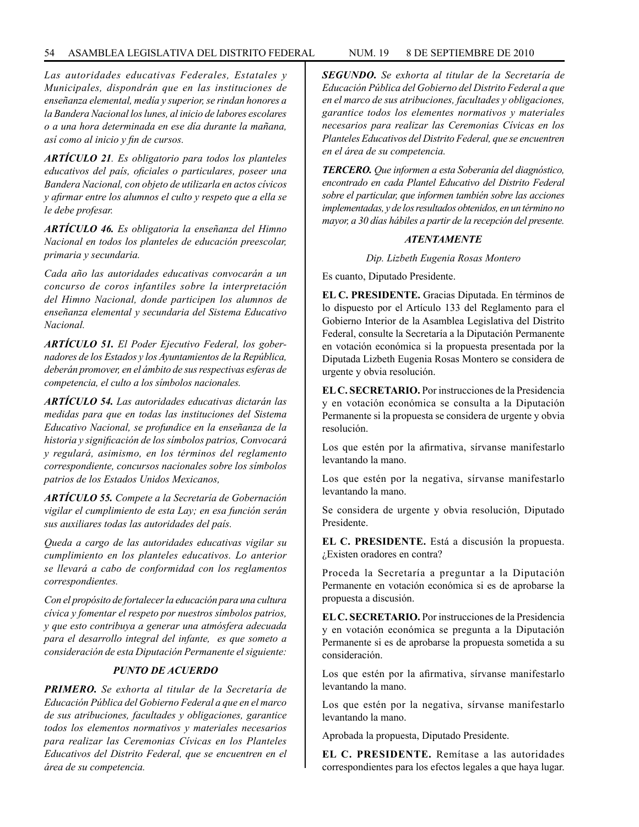# 54 ASAMBLEA LEGISLATIVA DEL DISTRITO FEDERAL NUM. 19 8 DE SEPTIEMBRE de 2010

*Las autoridades educativas Federales, Estatales y Municipales, dispondrán que en las instituciones de enseñanza elemental, medía y superior, se rindan honores a la Bandera Nacional los lunes, al inicio de labores escolares o a una hora determinada en ese día durante la mañana, así como al inicio y fin de cursos.*

*ARTÍCULO 21. Es obligatorio para todos los planteles educativos del país, oficiales o particulares, poseer una Bandera Nacional, con objeto de utilizarla en actos cívicos y afirmar entre los alumnos el culto y respeto que a ella se le debe profesar.*

*ARTÍCULO 46. Es obligatoria la enseñanza del Himno Nacional en todos los planteles de educación preescolar, primaria y secundaria.*

*Cada año las autoridades educativas convocarán a un concurso de coros infantiles sobre la interpretación del Himno Nacional, donde participen los alumnos de enseñanza elemental y secundaria del Sistema Educativo Nacional.*

*ARTÍCULO 51. El Poder Ejecutivo Federal, los gobernadores de los Estados y los Ayuntamientos de la República, deberán promover, en el ámbito de sus respectivas esferas de competencia, el culto a los símbolos nacionales.*

*ARTÍCULO 54. Las autoridades educativas dictarán las medidas para que en todas las instituciones del Sistema Educativo Nacional, se profundice en la enseñanza de la historia y significación de los símbolos patrios, Convocará y regulará, asimismo, en los términos del reglamento correspondiente, concursos nacionales sobre los símbolos patrios de los Estados Unidos Mexicanos,*

*ARTÍCULO 55. Compete a la Secretaría de Gobernación vigilar el cumplimiento de esta Lay; en esa función serán sus auxiliares todas las autoridades del país.*

*Queda a cargo de las autoridades educativas vigilar su cumplimiento en los planteles educativos. Lo anterior se llevará a cabo de conformidad con los reglamentos correspondientes.*

*Con el propósito de fortalecer la educación para una cultura cívica y fomentar el respeto por nuestros símbolos patrios, y que esto contribuya a generar una atmósfera adecuada para el desarrollo integral del infante, es que someto a consideración de esta Diputación Permanente el siguiente:*

# *PUNTO DE ACUERDO*

*PRIMERO. Se exhorta al titular de la Secretaría de Educación Pública del Gobierno Federal a que en el marco de sus atribuciones, facultades y obligaciones, garantice todos los elementos normativos y materiales necesarios para realizar las Ceremonias Cívicas en los Planteles Educativos del Distrito Federal, que se encuentren en el área de su competencia.*

*SEGUNDO. Se exhorta al titular de la Secretaría de Educación Pública del Gobierno del Distrito Federal a que en el marco de sus atribuciones, facultades y obligaciones, garantice todos los elementes normativos y materiales necesarios para realizar las Ceremonias Cívicas en los Planteles Educativos del Distrito Federal, que se encuentren en el área de su competencia.*

*TERCERO. Que informen a esta Soberanía del diagnóstico, encontrado en cada Plantel Educativo del Distrito Federal sobre el particular, que informen también sobre las acciones implementadas, y de los resultados obtenidos, en un término no mayor, a 30 días hábiles a partir de la recepción del presente.*

## *ATENTAMENTE*

*Dip. Lizbeth Eugenia Rosas Montero*

Es cuanto, Diputado Presidente.

**EL C. PRESIDENTE.** Gracias Diputada. En términos de lo dispuesto por el Artículo 133 del Reglamento para el Gobierno Interior de la Asamblea Legislativa del Distrito Federal, consulte la Secretaría a la Diputación Permanente en votación económica si la propuesta presentada por la Diputada Lizbeth Eugenia Rosas Montero se considera de urgente y obvia resolución.

**EL C. SECRETARIO.** Por instrucciones de la Presidencia y en votación económica se consulta a la Diputación Permanente si la propuesta se considera de urgente y obvia resolución.

Los que estén por la afirmativa, sírvanse manifestarlo levantando la mano.

Los que estén por la negativa, sírvanse manifestarlo levantando la mano.

Se considera de urgente y obvia resolución, Diputado Presidente.

**EL C. PRESIDENTE.** Está a discusión la propuesta. ¿Existen oradores en contra?

Proceda la Secretaría a preguntar a la Diputación Permanente en votación económica si es de aprobarse la propuesta a discusión.

**EL C. SECRETARIO.** Por instrucciones de la Presidencia y en votación económica se pregunta a la Diputación Permanente si es de aprobarse la propuesta sometida a su consideración.

Los que estén por la afirmativa, sírvanse manifestarlo levantando la mano.

Los que estén por la negativa, sírvanse manifestarlo levantando la mano.

Aprobada la propuesta, Diputado Presidente.

**EL C. PRESIDENTE.** Remítase a las autoridades correspondientes para los efectos legales a que haya lugar.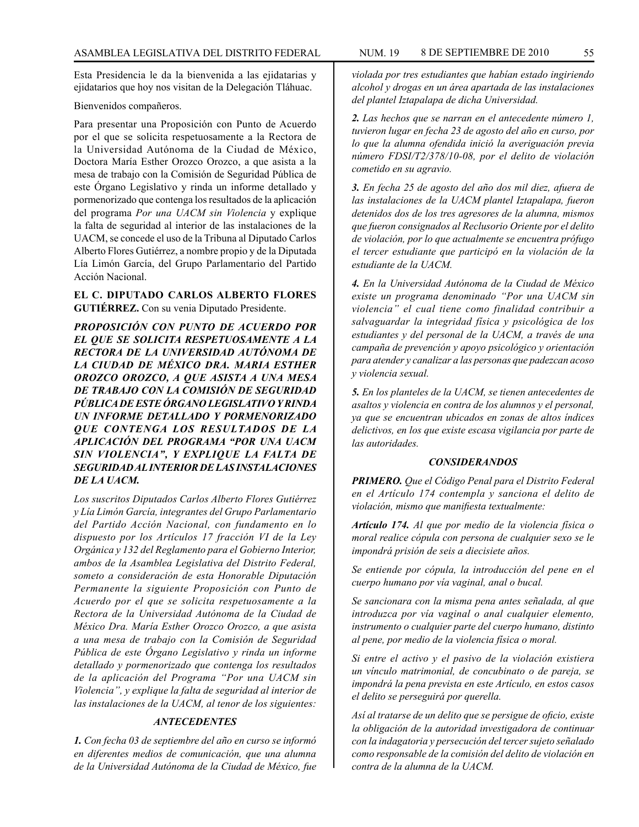Esta Presidencia le da la bienvenida a las ejidatarias y ejidatarios que hoy nos visitan de la Delegación Tláhuac.

### Bienvenidos compañeros.

Para presentar una Proposición con Punto de Acuerdo por el que se solicita respetuosamente a la Rectora de la Universidad Autónoma de la Ciudad de México, Doctora María Esther Orozco Orozco, a que asista a la mesa de trabajo con la Comisión de Seguridad Pública de este Órgano Legislativo y rinda un informe detallado y pormenorizado que contenga los resultados de la aplicación del programa *Por una UACM sin Violencia* y explique la falta de seguridad al interior de las instalaciones de la UACM, se concede el uso de la Tribuna al Diputado Carlos Alberto Flores Gutiérrez, a nombre propio y de la Diputada Lía Limón García, del Grupo Parlamentario del Partido Acción Nacional.

## **EL C. DIPUTADO CARLOS ALBERTO FLORES GUTIÉRREZ.** Con su venia Diputado Presidente.

*PROPOSICIÓN CON PUNTO DE ACUERDO POR EL QUE SE SOLICITA RESPETUOSAMENTE A LA RECTORA DE LA UNIVERSIDAD AUTÓNOMA DE LA CIUDAD DE MÉXICO DRA. MARIA ESTHER OROZCO OROZCO, A QUE ASISTA A UNA MESA DE TRABAJO CON LA COMISIÓN DE SEGURIDAD PÚBLICA DE ESTE ÓRGANO LEGISLATIVO Y RINDA UN INFORME DETALLADO Y PORMENORIZADO QUE CONTENGA LOS RESULTADOS DE LA APLICACIÓN DEL PROGRAMA "POR UNA UACM SIN VIOLENCIA", Y EXPLIQUE LA FALTA DE SEGURIDAD AL INTERIOR DE LAS INSTALACIONES DE LA UACM.*

*Los suscritos Diputados Carlos Alberto Flores Gutiérrez y Lía Limón García, integrantes del Grupo Parlamentario del Partido Acción Nacional, con fundamento en lo dispuesto por los Artículos 17 fracción VI de la Ley Orgánica y 132 del Reglamento para el Gobierno Interior, ambos de la Asamblea Legislativa del Distrito Federal, someto a consideración de esta Honorable Diputación Permanente la siguiente Proposición con Punto de Acuerdo por el que se solicita respetuosamente a la Rectora de la Universidad Autónoma de la Ciudad de México Dra. María Esther Orozco Orozco, a que asista a una mesa de trabajo con la Comisión de Seguridad Pública de este Órgano Legislativo y rinda un informe detallado y pormenorizado que contenga los resultados de la aplicación del Programa "Por una UACM sin Violencia", y explique la falta de seguridad al interior de las instalaciones de la UACM, al tenor de los siguientes:*

### *ANTECEDENTES*

*1. Con fecha 03 de septiembre del año en curso se informó en diferentes medios de comunicación, que una alumna de la Universidad Autónoma de la Ciudad de México, fue* 

*violada por tres estudiantes que habían estado ingiriendo alcohol y drogas en un área apartada de las instalaciones del plantel Iztapalapa de dicha Universidad.*

*2. Las hechos que se narran en el antecedente número 1, tuvieron lugar en fecha 23 de agosto del año en curso, por lo que la alumna ofendida inició la averiguación previa número FDSI/T2/378/10-08, por el delito de violación cometido en su agravio.*

*3. En fecha 25 de agosto del año dos mil diez, afuera de las instalaciones de la UACM plantel Iztapalapa, fueron detenidos dos de los tres agresores de la alumna, mismos que fueron consignados al Reclusorio Oriente por el delito de violación, por lo que actualmente se encuentra prófugo el tercer estudiante que participó en la violación de la estudiante de la UACM.*

*4. En la Universidad Autónoma de la Ciudad de México existe un programa denominado "Por una UACM sin violencia" el cual tiene como finalidad contribuir a salvaguardar la integridad física y psicológica de los estudiantes y del personal de la UACM, a través de una campaña de prevención y apoyo psicológico y orientación para atender y canalizar a las personas que padezcan acoso y violencia sexual.*

*5. En los planteles de la UACM, se tienen antecedentes de asaltos y violencia en contra de los alumnos y el personal, ya que se encuentran ubicados en zonas de altos índices delictivos, en los que existe escasa vigilancia por parte de las autoridades.*

## *CONSIDERANDOS*

*PRIMERO. Que el Código Penal para el Distrito Federal en el Artículo 174 contempla y sanciona el delito de violación, mismo que manifiesta textualmente:*

*Artículo 174. Al que por medio de la violencia física o moral realice cópula con persona de cualquier sexo se le impondrá prisión de seis a diecisiete años.*

*Se entiende por cópula, la introducción del pene en el cuerpo humano por vía vaginal, anal o bucal.*

*Se sancionara con la misma pena antes señalada, al que introduzca por vía vaginal o anal cualquier elemento, instrumento o cualquier parte del cuerpo humano, distinto al pene, por medio de la violencia física o moral.*

*Si entre el activo y el pasivo de la violación existiera un vínculo matrimonial, de concubinato o de pareja, se impondrá la pena prevista en este Artículo, en estos casos el delito se perseguirá por querella.* 

*Así al tratarse de un delito que se persigue de oficio, existe la obligación de la autoridad investigadora de continuar con la indagatoria y persecución del tercer sujeto señalado como responsable de la comisión del delito de violación en contra de la alumna de la UACM.*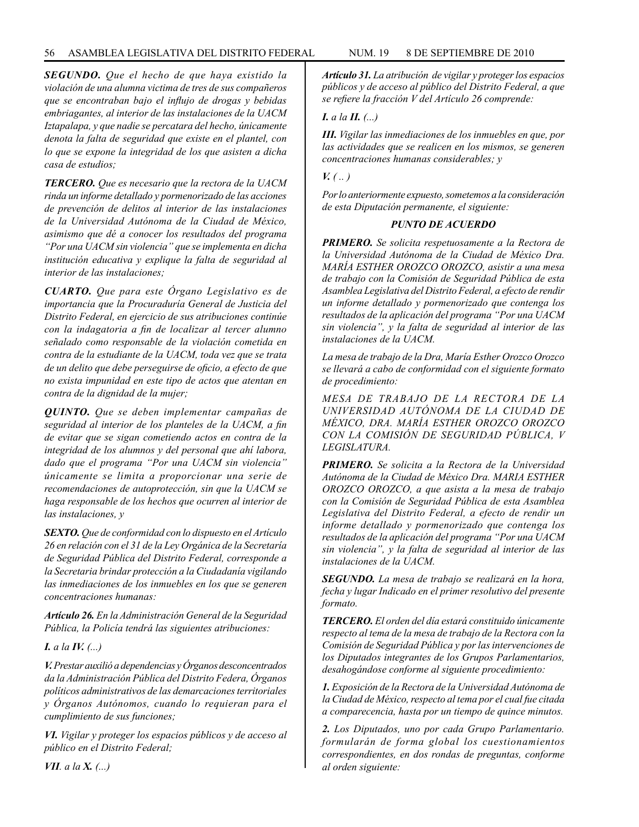*SEGUNDO. Que el hecho de que haya existido la violación de una alumna victima de tres de sus compañeros que se encontraban bajo el influjo de drogas y bebidas embriagantes, al interior de las instalaciones de la UACM Iztapalapa, y que nadie se percatara del hecho, únicamente denota la falta de seguridad que existe en el plantel, con lo que se expone la integridad de los que asisten a dicha casa de estudios;*

*TERCERO. Que es necesario que la rectora de la UACM rinda un informe detallado y pormenorizado de las acciones de prevención de delitos al interior de las instalaciones de la Universidad Autónoma de la Ciudad de México, asimismo que dé a conocer los resultados del programa "Por una UACM sin violencia" que se implementa en dicha institución educativa y explique la falta de seguridad al interior de las instalaciones;*

*CUARTO. Que para este Órgano Legislativo es de importancia que la Procuraduría General de Justicia del Distrito Federal, en ejercicio de sus atribuciones continúe con la indagatoria a fin de localizar al tercer alumno señalado como responsable de la violación cometida en contra de la estudiante de la UACM, toda vez que se trata de un delito que debe perseguirse de oficio, a efecto de que no exista impunidad en este tipo de actos que atentan en contra de la dignidad de la mujer;*

*QUINTO. Que se deben implementar campañas de seguridad al interior de los planteles de la UACM, a fin de evitar que se sigan cometiendo actos en contra de la integridad de los alumnos y del personal que ahí labora, dado que el programa "Por una UACM sin violencia" únicamente se limita a proporcionar una serie de recomendaciones de autoprotección, sin que la UACM se haga responsable de los hechos que ocurren al interior de las instalaciones, y*

*SEXTO. Que de conformidad con lo dispuesto en el Artículo 26 en relación con el 31 de la Ley Orgánica de la Secretaría de Seguridad Pública del Distrito Federal, corresponde a la Secretaria brindar protección a la Ciudadanía vigilando las inmediaciones de los inmuebles en los que se generen concentraciones humanas:*

*Artículo 26. En la Administración General de la Seguridad Pública, la Policía tendrá las siguientes atribuciones:*

*I. a la IV. (...)*

*V. Prestar auxilió a dependencias y Órganos desconcentrados da la Administración Pública del Distrito Federa, Órganos políticos administrativos de las demarcaciones territoriales y Órganos Autónomos, cuando lo requieran para el cumplimiento de sus funciones;*

*VI. Vigilar y proteger los espacios públicos y de acceso al público en el Distrito Federal;*

*Artículo 31. La atribución de vigilar y proteger los espacios públicos y de acceso al público del Distrito Federal, a que se refiere la fracción V del Artículo 26 comprende:*

# *I. a la II. (...)*

*III. Vigilar las inmediaciones de los inmuebles en que, por las actividades que se realicen en los mismos, se generen concentraciones humanas considerables; y* 

# $V_{\cdot}(u)$

*Por lo anteriormente expuesto, sometemos a la consideración de esta Diputación permanente, el siguiente:*

# *PUNTO DE ACUERDO*

*PRIMERO. Se solicita respetuosamente a la Rectora de la Universidad Autónoma de la Ciudad de México Dra. MARÍA ESTHER OROZCO OROZCO, asistir a una mesa de trabajo con la Comisión de Seguridad Pública de esta Asamblea Legislativa del Distrito Federal, a efecto de rendir un informe detallado y pormenorizado que contenga los resultados de la aplicación del programa "Por una UACM sin violencia", y la falta de seguridad al interior de las instalaciones de la UACM.*

*La mesa de trabajo de la Dra, María Esther Orozco Orozco se llevará a cabo de conformidad con el siguiente formato de procedimiento:*

*MESA DE TRABAJO DE LA RECTORA DE LA UNIVERSIDAD AUTÓNOMA DE LA CIUDAD DE MÉXICO, DRA. MARÍA ESTHER OROZCO OROZCO CON LA COMISIÓN DE SEGURIDAD PÚBLICA, V LEGISLATURA.*

*PRIMERO. Se solicita a la Rectora de la Universidad Autónoma de la Ciudad de México Dra. MARIA ESTHER OROZCO OROZCO, a que asista a la mesa de trabajo con la Comisión de Seguridad Pública de esta Asamblea Legislativa del Distrito Federal, a efecto de rendir un informe detallado y pormenorizado que contenga los resultados de la aplicación del programa "Por una UACM sin violencia", y la falta de seguridad al interior de las instalaciones de la UACM.*

*SEGUNDO. La mesa de trabajo se realizará en la hora, fecha y lugar Indicado en el primer resolutivo del presente formato.*

*TERCERO. El orden del día estará constituido únicamente respecto al tema de la mesa de trabajo de la Rectora con la Comisión de Seguridad Pública y por las intervenciones de los Diputados integrantes de los Grupos Parlamentarios, desahogándose conforme al siguiente procedimiento:* 

*1. Exposición de la Rectora de la Universidad Autónoma de la Ciudad de México, respecto al tema por el cual fue citada a comparecencia, hasta por un tiempo de quince minutos.*

*2. Los Diputados, uno por cada Grupo Parlamentario. formularán de forma global los cuestionamientos correspondientes, en dos rondas de preguntas, conforme al orden siguiente:*

*VII. a la X. (...)*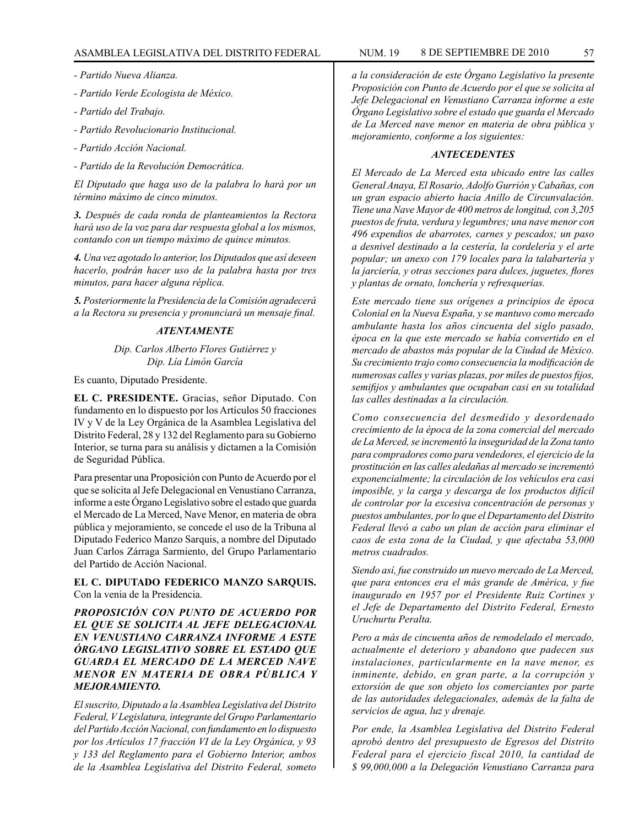- *Partido Nueva Alianza.*
- *Partido Verde Ecologista de México.*
- *Partido del Trabajo.*
- *Partido Revolucionario Institucional.*
- *Partido Acción Nacional.*
- *Partido de la Revolución Democrática.*

*El Diputado que haga uso de la palabra lo hará por un término máximo de cinco minutos.*

*3. Después de cada ronda de planteamientos la Rectora hará uso de la voz para dar respuesta global a los mismos, contando con un tiempo máximo de quince minutos.*

*4. Una vez agotado lo anterior, los Diputados que así deseen hacerlo, podrán hacer uso de la palabra hasta por tres minutos, para hacer alguna réplica.*

*5. Posteriormente la Presidencia de la Comisión agradecerá a la Rectora su presencia y pronunciará un mensaje final.*

### *ATENTAMENTE*

*Dip. Carlos Alberto Flores Gutiérrez y Dip. Lía Limón García*

Es cuanto, Diputado Presidente.

**EL C. PRESIDENTE.** Gracias, señor Diputado. Con fundamento en lo dispuesto por los Artículos 50 fracciones IV y V de la Ley Orgánica de la Asamblea Legislativa del Distrito Federal, 28 y 132 del Reglamento para su Gobierno Interior, se turna para su análisis y dictamen a la Comisión de Seguridad Pública.

Para presentar una Proposición con Punto de Acuerdo por el que se solicita al Jefe Delegacional en Venustiano Carranza, informe a este Órgano Legislativo sobre el estado que guarda el Mercado de La Merced, Nave Menor, en materia de obra pública y mejoramiento, se concede el uso de la Tribuna al Diputado Federico Manzo Sarquis, a nombre del Diputado Juan Carlos Zárraga Sarmiento, del Grupo Parlamentario del Partido de Acción Nacional.

**EL C. DIPUTADO FEDERICO MANZO SARQUIS.** Con la venia de la Presidencia.

*PROPOSICIÓN CON PUNTO DE ACUERDO POR EL QUE SE SOLICITA AL JEFE DELEGACIONAL EN VENUSTIANO CARRANZA INFORME A ESTE ÓRGANO LEGISLATIVO SOBRE EL ESTADO QUE GUARDA EL MERCADO DE LA MERCED NAVE MENOR EN MATERIA DE OBRA PÚBLICA Y MEJORAMIENTO.*

*El suscrito, Diputado a la Asamblea Legislativa del Distrito Federal, V Legislatura, integrante del Grupo Parlamentario del Partido Acción Nacional, con fundamento en lo dispuesto por los Artículos 17 fracción VI de la Ley Orgánica, y 93 y 133 del Reglamento para el Gobierno Interior, ambos de la Asamblea Legislativa del Distrito Federal, someto* 

*a la consideración de este Órgano Legislativo la presente Proposición con Punto de Acuerdo por el que se solicita al Jefe Delegacional en Venustiano Carranza informe a este Órgano Legislativo sobre el estado que guarda el Mercado de La Merced nave menor en materia de obra pública y mejoramiento, conforme a los siguientes:*

# *ANTECEDENTES*

*El Mercado de La Merced esta ubicado entre las calles General Anaya, El Rosario, Adolfo Gurrión y Cabañas, con un gran espacio abierto hacia Anillo de Circunvalación. Tiene una Nave Mayor de 400 metros de longitud, con 3,205 puestos de fruta, verdura y legumbres; una nave menor con 496 expendios de abarrotes, carnes y pescados; un paso a desnivel destinado a la cestería, la cordelería y el arte popular; un anexo con 179 locales para la talabartería y la jarciería, y otras secciones para dulces, juguetes, flores y plantas de ornato, lonchería y refresquerías.*

*Este mercado tiene sus orígenes a principios de época Colonial en la Nueva España, y se mantuvo como mercado ambulante hasta los años cincuenta del siglo pasado, época en la que este mercado se había convertido en el mercado de abastos más popular de la Ciudad de México. Su crecimiento trajo como consecuencia la modificación de numerosas calles y varias plazas, por miles de puestos fijos, semifijos y ambulantes que ocupaban casi en su totalidad las calles destinadas a la circulación.*

*Como consecuencia del desmedido y desordenado crecimiento de la época de la zona comercial del mercado de La Merced, se incrementó la inseguridad de la Zona tanto para compradores como para vendedores, el ejercicio de la prostitución en las calles aledañas al mercado se incrementó exponencialmente; la circulación de los vehículos era casi imposible, y la carga y descarga de los productos difícil de controlar por la excesiva concentración de personas y puestos ambulantes, por lo que el Departamento del Distrito Federal llevó a cabo un plan de acción para eliminar el caos de esta zona de la Ciudad, y que afectaba 53,000 metros cuadrados.*

*Siendo así, fue construido un nuevo mercado de La Merced, que para entonces era el más grande de América, y fue inaugurado en 1957 por el Presidente Ruiz Cortines y el Jefe de Departamento del Distrito Federal, Ernesto Uruchurtu Peralta.*

*Pero a más de cincuenta años de remodelado el mercado, actualmente el deterioro y abandono que padecen sus instalaciones, particularmente en la nave menor, es inminente, debido, en gran parte, a la corrupción y extorsión de que son objeto los comerciantes por parte de las autoridades delegacionales, además de la falta de servicios de agua, luz y drenaje.*

*Por ende, la Asamblea Legislativa del Distrito Federal aprobó dentro del presupuesto de Egresos del Distrito Federal para el ejercicio fiscal 2010, la cantidad de \$ 99,000,000 a la Delegación Venustiano Carranza para*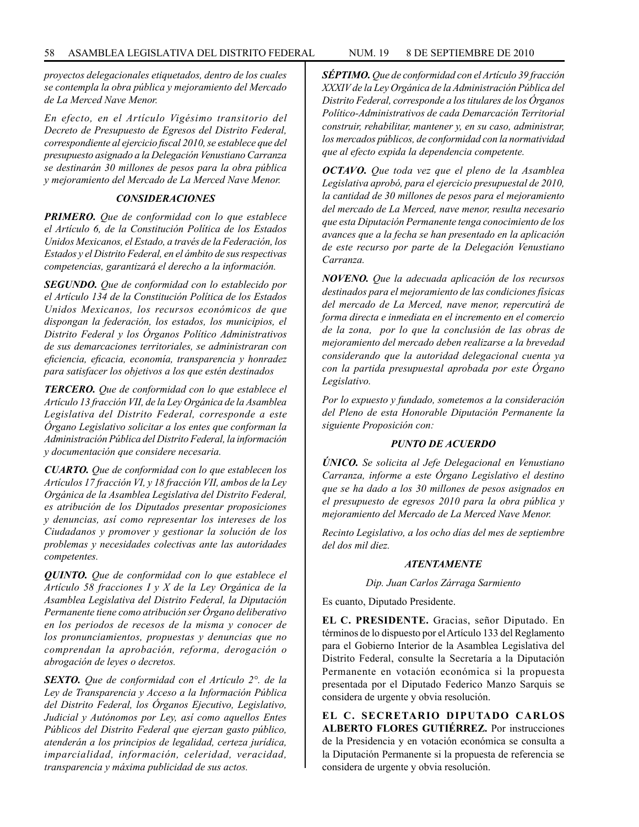*proyectos delegacionales etiquetados, dentro de los cuales se contempla la obra pública y mejoramiento del Mercado de La Merced Nave Menor.*

*En efecto, en el Artículo Vigésimo transitorio del Decreto de Presupuesto de Egresos del Distrito Federal, correspondiente al ejercicio fiscal 2010, se establece que del presupuesto asignado a la Delegación Venustiano Carranza se destinarán 30 millones de pesos para la obra pública y mejoramiento del Mercado de La Merced Nave Menor.*

### *CONSIDERACIONES*

*PRIMERO. Que de conformidad con lo que establece el Artículo 6, de la Constitución Política de los Estados Unidos Mexicanos, el Estado, a través de la Federación, los Estados y el Distrito Federal, en el ámbito de sus respectivas competencias, garantizará el derecho a la información.*

*SEGUNDO. Que de conformidad con lo establecido por el Artículo 134 de la Constitución Política de los Estados Unidos Mexicanos, los recursos económicos de que dispongan la federación, los estados, los municipios, el Distrito Federal y los Órganos Político Administrativos de sus demarcaciones territoriales, se administraran con eficiencia, eficacia, economía, transparencia y honradez para satisfacer los objetivos a los que estén destinados*

*TERCERO. Que de conformidad con lo que establece el Artículo 13 fracción VII, de la Ley Orgánica de la Asamblea Legislativa del Distrito Federal, corresponde a este Órgano Legislativo solicitar a los entes que conforman la Administración Pública del Distrito Federal, la información y documentación que considere necesaria.*

*CUARTO. Que de conformidad con lo que establecen los Artículos 17 fracción VI, y 18 fracción VII, ambos de la Ley Orgánica de la Asamblea Legislativa del Distrito Federal, es atribución de los Diputados presentar proposiciones y denuncias, así como representar los intereses de los Ciudadanos y promover y gestionar la solución de los problemas y necesidades colectivas ante las autoridades competentes.*

*QUINTO. Que de conformidad con lo que establece el Artículo 58 fracciones I y X de la Ley Orgánica de la Asamblea Legislativa del Distrito Federal, la Diputación Permanente tiene como atribución ser Órgano deliberativo en los periodos de recesos de la misma y conocer de los pronunciamientos, propuestas y denuncias que no comprendan la aprobación, reforma, derogación o abrogación de leyes o decretos.*

*SEXTO. Que de conformidad con el Artículo 2°. de la Ley de Transparencia y Acceso a la Información Pública del Distrito Federal, los Órganos Ejecutivo, Legislativo, Judicial y Autónomos por Ley, así como aquellos Entes Públicos del Distrito Federal que ejerzan gasto público, atenderán a los principios de legalidad, certeza jurídica, imparcialidad, información, celeridad, veracidad, transparencia y máxima publicidad de sus actos.*

*SÉPTIMO. Que de conformidad con el Artículo 39 fracción XXXIV de la Ley Orgánica de la Administración Pública del Distrito Federal, corresponde a los titulares de los Órganos Político-Administrativos de cada Demarcación Territorial construir, rehabilitar, mantener y, en su caso, administrar, los mercados públicos, de conformidad con la normatividad que al efecto expida la dependencia competente.*

*OCTAVO. Que toda vez que el pleno de la Asamblea Legislativa aprobó, para el ejercicio presupuestal de 2010, la cantidad de 30 millones de pesos para el mejoramiento del mercado de La Merced, nave menor, resulta necesario que esta Diputación Permanente tenga conocimiento de los avances que a la fecha se han presentado en la aplicación de este recurso por parte de la Delegación Venustiano Carranza.*

*NOVENO. Que la adecuada aplicación de los recursos destinados para el mejoramiento de las condiciones físicas del mercado de La Merced, nave menor, repercutirá de forma directa e inmediata en el incremento en el comercio de la zona, por lo que la conclusión de las obras de mejoramiento del mercado deben realizarse a la brevedad considerando que la autoridad delegacional cuenta ya con la partida presupuestal aprobada por este Órgano Legislativo.*

*Por lo expuesto y fundado, sometemos a la consideración del Pleno de esta Honorable Diputación Permanente la siguiente Proposición con:*

### *PUNTO DE ACUERDO*

*ÚNICO. Se solicita al Jefe Delegacional en Venustiano Carranza, informe a este Órgano Legislativo el destino que se ha dado a los 30 millones de pesos asignados en el presupuesto de egresos 2010 para la obra pública y mejoramiento del Mercado de La Merced Nave Menor.*

*Recinto Legislativo, a los ocho días del mes de septiembre del dos mil diez.*

#### *ATENTAMENTE*

*Dip. Juan Carlos Zárraga Sarmiento*

Es cuanto, Diputado Presidente.

**EL C. PRESIDENTE.** Gracias, señor Diputado. En términos de lo dispuesto por el Artículo 133 del Reglamento para el Gobierno Interior de la Asamblea Legislativa del Distrito Federal, consulte la Secretaría a la Diputación Permanente en votación económica si la propuesta presentada por el Diputado Federico Manzo Sarquis se considera de urgente y obvia resolución.

**EL C. SECRETARIO DIPUTADO CARLOS ALBERTO FLORES GUTIÉRREZ.** Por instrucciones de la Presidencia y en votación económica se consulta a la Diputación Permanente si la propuesta de referencia se considera de urgente y obvia resolución.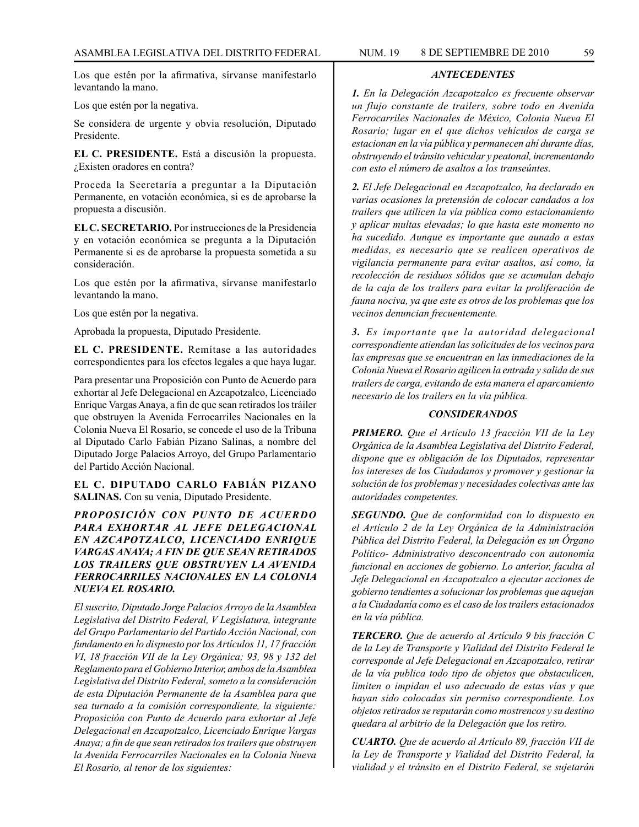Los que estén por la afirmativa, sírvanse manifestarlo levantando la mano.

Los que estén por la negativa.

Se considera de urgente y obvia resolución, Diputado Presidente.

**EL C. PRESIDENTE.** Está a discusión la propuesta. ¿Existen oradores en contra?

Proceda la Secretaría a preguntar a la Diputación Permanente, en votación económica, si es de aprobarse la propuesta a discusión.

**EL C. SECRETARIO.** Por instrucciones de la Presidencia y en votación económica se pregunta a la Diputación Permanente si es de aprobarse la propuesta sometida a su consideración.

Los que estén por la afirmativa, sírvanse manifestarlo levantando la mano.

Los que estén por la negativa.

Aprobada la propuesta, Diputado Presidente.

**EL C. PRESIDENTE.** Remítase a las autoridades correspondientes para los efectos legales a que haya lugar.

Para presentar una Proposición con Punto de Acuerdo para exhortar al Jefe Delegacional en Azcapotzalco, Licenciado Enrique Vargas Anaya, a fin de que sean retirados los tráiler que obstruyen la Avenida Ferrocarriles Nacionales en la Colonia Nueva El Rosario, se concede el uso de la Tribuna al Diputado Carlo Fabián Pizano Salinas, a nombre del Diputado Jorge Palacios Arroyo, del Grupo Parlamentario del Partido Acción Nacional.

**EL C. DIPUTADO CARLO FABIÁN PIZANO SALINAS.** Con su venia, Diputado Presidente.

*PROPOSICIÓN CON PUNTO DE ACUERDO PARA EXHORTAR AL JEFE DELEGACIONAL EN AZCAPOTZALCO, LICENCIADO ENRIQUE VARGAS ANAYA; A FIN DE QUE SEAN RETIRADOS LOS TRAILERS QUE OBSTRUYEN LA AVENIDA FERROCARRILES NACIONALES EN LA COLONIA NUEVA EL ROSARIO.*

*El suscrito, Diputado Jorge Palacios Arroyo de la Asamblea Legislativa del Distrito Federal, V Legislatura, integrante del Grupo Parlamentario del Partido Acción Nacional, con fundamento en lo dispuesto por los Artículos 11, 17 fracción VI, 18 fracción VII de la Ley Orgánica; 93, 98 y 132 del Reglamento para el Gobierno Interior, ambos de la Asamblea Legislativa del Distrito Federal, someto a la consideración de esta Diputación Permanente de la Asamblea para que sea turnado a la comisión correspondiente, la siguiente: Proposición con Punto de Acuerdo para exhortar al Jefe Delegacional en Azcapotzalco, Licenciado Enrique Vargas Anaya; a fin de que sean retirados los trailers que obstruyen la Avenida Ferrocarriles Nacionales en la Colonia Nueva El Rosario, al tenor de los siguientes:*

## *ANTECEDENTES*

*1. En la Delegación Azcapotzalco es frecuente observar un flujo constante de trailers, sobre todo en Avenida Ferrocarriles Nacionales de México, Colonia Nueva El Rosario; lugar en el que dichos vehículos de carga se estacionan en la vía pública y permanecen ahí durante días, obstruyendo el tránsito vehicular y peatonal, incrementando con esto el número de asaltos a los transeúntes.*

*2. El Jefe Delegacional en Azcapotzalco, ha declarado en varias ocasiones la pretensión de colocar candados a los trailers que utilicen la vía pública como estacionamiento y aplicar multas elevadas; lo que hasta este momento no ha sucedido. Aunque es importante que aunado a estas medidas, es necesario que se realicen operativos de vigilancia permanente para evitar asaltos, así como, la recolección de residuos sólidos que se acumulan debajo de la caja de los trailers para evitar la proliferación de fauna nociva, ya que este es otros de los problemas que los vecinos denuncian frecuentemente.*

*3. Es importante que la autoridad delegacional correspondiente atiendan las solicitudes de los vecinos para las empresas que se encuentran en las inmediaciones de la Colonia Nueva el Rosario agilicen la entrada y salida de sus trailers de carga, evitando de esta manera el aparcamiento necesario de los trailers en la vía pública.*

# *CONSIDERANDOS*

*PRIMERO. Que el Artículo 13 fracción VII de la Ley Orgánica de la Asamblea Legislativa del Distrito Federal, dispone que es obligación de los Diputados, representar los intereses de los Ciudadanos y promover y gestionar la solución de los problemas y necesidades colectivas ante las autoridades competentes.*

*SEGUNDO. Que de conformidad con lo dispuesto en el Artículo 2 de la Ley Orgánica de la Administración Pública del Distrito Federal, la Delegación es un Órgano Político- Administrativo desconcentrado con autonomía funcional en acciones de gobierno. Lo anterior, faculta al Jefe Delegacional en Azcapotzalco a ejecutar acciones de gobierno tendientes a solucionar los problemas que aquejan a la Ciudadanía como es el caso de los trailers estacionados en la vía pública.*

*TERCERO. Que de acuerdo al Artículo 9 bis fracción C de la Ley de Transporte y Vialidad del Distrito Federal le corresponde al Jefe Delegacional en Azcapotzalco, retirar de la vía publica todo tipo de objetos que obstaculicen, limiten o impidan el uso adecuado de estas vías y que hayan sido colocadas sin permiso correspondiente. Los objetos retirados se reputarán como mostrencos y su destino quedara al arbitrio de la Delegación que los retiro.*

*CUARTO. Que de acuerdo al Artículo 89, fracción VII de la Ley de Transporte y Vialidad del Distrito Federal, la vialidad y el tránsito en el Distrito Federal, se sujetarán*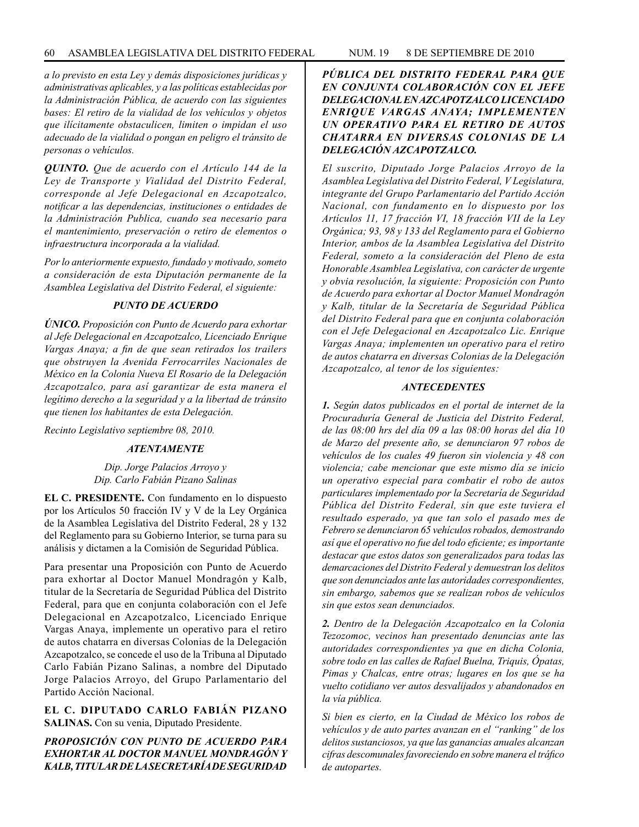*a lo previsto en esta Ley y demás disposiciones jurídicas y administrativas aplicables, y a las políticas establecidas por la Administración Pública, de acuerdo con las siguientes bases: El retiro de la vialidad de los vehículos y objetos que ilícitamente obstaculicen, limiten o impidan el uso adecuado de la vialidad o pongan en peligro el tránsito de personas o vehículos.*

*QUINTO. Que de acuerdo con el Artículo 144 de la Ley de Transporte y Vialidad del Distrito Federal, corresponde al Jefe Delegacional en Azcapotzalco, notificar a las dependencias, instituciones o entidades de la Administración Publica, cuando sea necesario para el mantenimiento, preservación o retiro de elementos o infraestructura incorporada a la vialidad.*

*Por lo anteriormente expuesto, fundado y motivado, someto a consideración de esta Diputación permanente de la Asamblea Legislativa del Distrito Federal, el siguiente:*

# *PUNTO DE ACUERDO*

*ÚNICO. Proposición con Punto de Acuerdo para exhortar al Jefe Delegacional en Azcapotzalco, Licenciado Enrique Vargas Anaya; a fin de que sean retirados los trailers que obstruyen la Avenida Ferrocarriles Nacionales de México en la Colonia Nueva El Rosario de la Delegación Azcapotzalco, para así garantizar de esta manera el legítimo derecho a la seguridad y a la libertad de tránsito que tienen los habitantes de esta Delegación.*

*Recinto Legislativo septiembre 08, 2010.*

# *ATENTAMENTE*

*Dip. Jorge Palacios Arroyo y Dip. Carlo Fabián Pizano Salinas*

**EL C. PRESIDENTE.** Con fundamento en lo dispuesto por los Artículos 50 fracción IV y V de la Ley Orgánica de la Asamblea Legislativa del Distrito Federal, 28 y 132 del Reglamento para su Gobierno Interior, se turna para su análisis y dictamen a la Comisión de Seguridad Pública.

Para presentar una Proposición con Punto de Acuerdo para exhortar al Doctor Manuel Mondragón y Kalb, titular de la Secretaría de Seguridad Pública del Distrito Federal, para que en conjunta colaboración con el Jefe Delegacional en Azcapotzalco, Licenciado Enrique Vargas Anaya, implemente un operativo para el retiro de autos chatarra en diversas Colonias de la Delegación Azcapotzalco, se concede el uso de la Tribuna al Diputado Carlo Fabián Pizano Salinas, a nombre del Diputado Jorge Palacios Arroyo, del Grupo Parlamentario del Partido Acción Nacional.

**EL C. DIPUTADO CARLO FABIÁN PIZANO SALINAS.** Con su venia, Diputado Presidente.

*PROPOSICIÓN CON PUNTO DE ACUERDO PARA EXHORTAR AL DOCTOR MANUEL MONDRAGÓN Y KALB, TITULAR DE LA SECRETARÍA DE SEGURIDAD* 

# *PÚBLICA DEL DISTRITO FEDERAL PARA QUE EN CONJUNTA COLABORACIÓN CON EL JEFE DELEGACIONAL EN AZCAPOTZALCO LICENCIADO ENRIQUE VARGAS ANAYA; IMPLEMENTEN UN OPERATIVO PARA EL RETIRO DE AUTOS CHATARRA EN DIVERSAS COLONIAS DE LA DELEGACIÓN AZCAPOTZALCO.*

*El suscrito, Diputado Jorge Palacios Arroyo de la Asamblea Legislativa del Distrito Federal, V Legislatura, integrante del Grupo Parlamentario del Partido Acción Nacional, con fundamento en lo dispuesto por los Artículos 11, 17 fracción VI, 18 fracción VII de la Ley Orgánica; 93, 98 y 133 del Reglamento para el Gobierno Interior, ambos de la Asamblea Legislativa del Distrito Federal, someto a la consideración del Pleno de esta Honorable Asamblea Legislativa, con carácter de urgente y obvia resolución, la siguiente: Proposición con Punto de Acuerdo para exhortar al Doctor Manuel Mondragón y Kalb, titular de la Secretaría de Seguridad Pública del Distrito Federal para que en conjunta colaboración con el Jefe Delegacional en Azcapotzalco Lic. Enrique Vargas Anaya; implementen un operativo para el retiro de autos chatarra en diversas Colonias de la Delegación Azcapotzalco, al tenor de los siguientes:*

### *ANTECEDENTES*

*1. Según datos publicados en el portal de internet de la Procuraduría General de Justicia del Distrito Federal, de las 08:00 hrs del día 09 a las 08:00 horas del día 10 de Marzo del presente año, se denunciaron 97 robos de vehículos de los cuales 49 fueron sin violencia y 48 con violencia; cabe mencionar que este mismo día se inicio un operativo especial para combatir el robo de autos particulares implementado por la Secretaría de Seguridad Pública del Distrito Federal, sin que este tuviera el resultado esperado, ya que tan solo el pasado mes de Febrero se denunciaron 65 vehículos robados, demostrando así que el operativo no fue del todo eficiente; es importante destacar que estos datos son generalizados para todas las demarcaciones del Distrito Federal y demuestran los delitos que son denunciados ante las autoridades correspondientes, sin embargo, sabemos que se realizan robos de vehículos sin que estos sean denunciados.*

*2. Dentro de la Delegación Azcapotzalco en la Colonia Tezozomoc, vecinos han presentado denuncias ante las autoridades correspondientes ya que en dicha Colonia, sobre todo en las calles de Rafael Buelna, Triquis, Ópatas, Pimas y Chalcas, entre otras; lugares en los que se ha vuelto cotidiano ver autos desvalijados y abandonados en la vía pública.*

*Si bien es cierto, en la Ciudad de México los robos de vehículos y de auto partes avanzan en el "ranking" de los delitos sustanciosos, ya que las ganancias anuales alcanzan cifras descomunales favoreciendo en sobre manera el tráfico de autopartes.*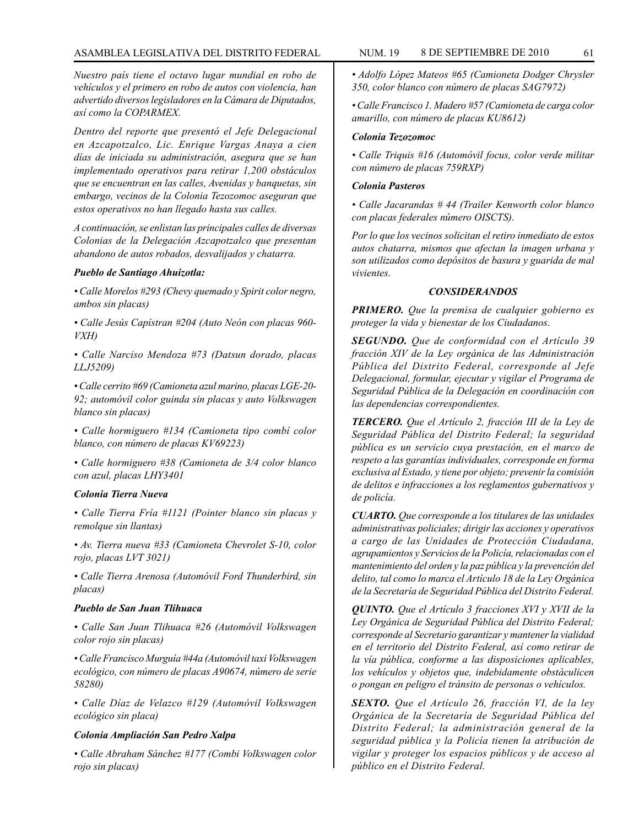## ASAMBLEA LEGISLATIVA DEL DISTRITO FEDERAL NUM. 19 8 DE SEPTIEMBRE DE 2010 61

*Nuestro país tiene el octavo lugar mundial en robo de vehículos y el primero en robo de autos con violencia, han advertido diversos legisladores en la Cámara de Diputados, así como la COPARMEX.*

*Dentro del reporte que presentó el Jefe Delegacional en Azcapotzalco, Lic. Enrique Vargas Anaya a cien días de iniciada su administración, asegura que se han implementado operativos para retirar 1,200 obstáculos que se encuentran en las calles, Avenidas y banquetas, sin embargo, vecinos de la Colonia Tezozomoc aseguran que estos operativos no han llegado hasta sus calles.*

*A continuación, se enlistan las principales calles de diversas Colonias de la Delegación Azcapotzalco que presentan abandono de autos robados, desvalijados y chatarra.*

### *Pueblo de Santiago Ahuizotla:*

*• Calle Morelos #293 (Chevy quemado y Spirit color negro, ambos sin placas)*

*• Calle Jesús Capístran #204 (Auto Neón con placas 960- VXH)*

*• Calle Narciso Mendoza #73 (Datsun dorado, placas LLJ5209)*

*• Calle cerrito #69 (Camioneta azul marino, placas LGE-20- 92; automóvil color guinda sin placas y auto Volkswagen blanco sin placas)*

*• Calle hormiguero #134 (Camioneta tipo combí color blanco, con número de placas KV69223)*

*• Calle hormiguero #38 (Camioneta de 3/4 color blanco con azul, placas LHY3401* 

## *Colonia Tierra Nueva*

*• Calle Tierra Fría #1121 (Pointer blanco sin placas y remolque sin llantas)*

*• Av. Tierra nueva #33 (Camioneta Chevrolet S-10, color rojo, placas LVT 3021)*

*• Calle Tierra Arenosa (Automóvil Ford Thunderbird, sin placas)*

### *Pueblo de San Juan Tlihuaca*

*• Calle San Juan Tlihuaca #26 (Automóvil Volkswagen color rojo sin placas)*

*• Calle Francisco Murguía #44a (Automóvil taxi Volkswagen ecológico, con número de placas A90674, número de serie 58280)*

*• Calle Díaz de Velazco #129 (Automóvil Volkswagen ecológico sin placa)*

### *Colonia Ampliación San Pedro Xalpa*

*• Calle Abraham Sánchez #177 (Combi Volkswagen color rojo sin placas)*

*• Adolfo López Mateos #65 (Camioneta Dodger Chrysler 350, color blanco con número de placas SAG7972)*

*• Calle Francisco 1. Madero #57 (Camioneta de carga color amarillo, con número de placas KU8612)*

### *Colonia Tezozomoc*

*• Calle Triquis #16 (Automóvil focus, color verde militar con número de placas 759RXP)*

## *Colonia Pasteros*

*• Calle Jacarandas # 44 (Trailer Kenworth color blanco con placas federales número OISCTS).*

*Por lo que los vecinos solicitan el retiro inmediato de estos autos chatarra, mismos que afectan la imagen urbana y son utilizados como depósitos de basura y guarida de mal vivientes.*

## *CONSIDERANDOS*

*PRIMERO. Que la premisa de cualquier gobierno es proteger la vida y bienestar de los Ciudadanos.*

*SEGUNDO. Que de conformidad con el Artículo 39 fracción XIV de la Ley orgánica de las Administración Pública del Distrito Federal, corresponde al Jefe Delegacional, formular, ejecutar y vigilar el Programa de Seguridad Pública de la Delegación en coordinación con las dependencias correspondientes.*

*TERCERO. Que el Artículo 2, fracción III de la Ley de Seguridad Pública del Distrito Federal; la seguridad pública es un servicio cuya prestación, en el marco de respeto a las garantías individuales, corresponde en forma exclusiva al Estado, y tiene por objeto; prevenir la comisión de delitos e infracciones a los reglamentos gubernativos y de policía.*

*CUARTO. Que corresponde a los titulares de las unidades administrativas policiales; dirigir las acciones y operativos a cargo de las Unidades de Protección Ciudadana, agrupamientos y Servicios de la Policía, relacionadas con el mantenimiento del orden y la paz pública y la prevención del delito, tal como lo marca el Artículo 18 de la Ley Orgánica de la Secretaría de Seguridad Pública del Distrito Federal.*

*QUINTO. Que el Artículo 3 fracciones XVI y XVII de la Ley Orgánica de Seguridad Pública del Distrito Federal; corresponde al Secretario garantizar y mantener la vialidad en el territorio del Distrito Federal, así como retirar de la vía pública, conforme a las disposiciones aplicables, los vehículos y objetos que, indebidamente obstáculicen o pongan en peligro el tránsito de personas o vehículos.*

*SEXTO. Que el Artículo 26, fracción VI, de la ley Orgánica de la Secretaría de Seguridad Pública del Distrito Federal; la administración general de la seguridad pública y la Policía tienen la atribución de vigilar y proteger los espacios públicos y de acceso al público en el Distrito Federal.*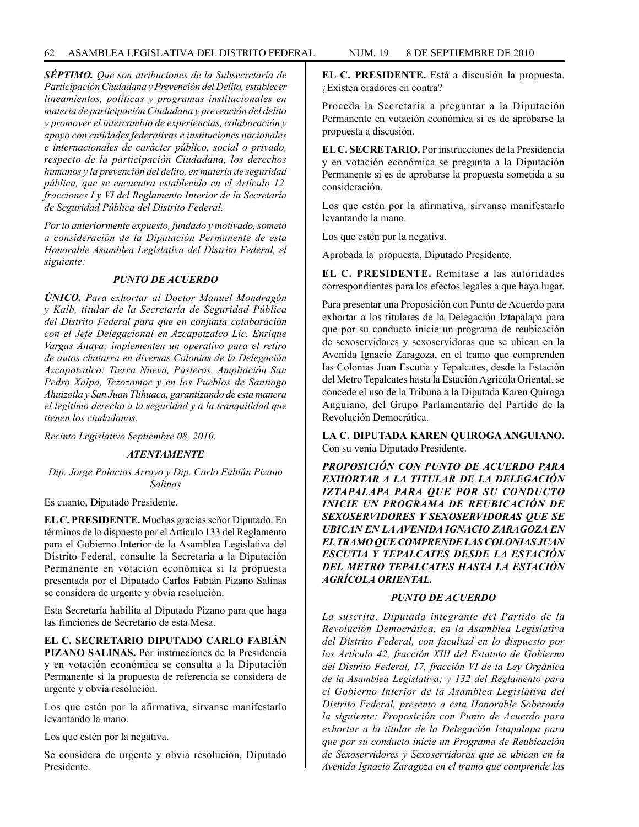*SÉPTIMO. Que son atribuciones de la Subsecretaría de Participación Ciudadana y Prevención del Delito, establecer lineamientos, políticas y programas institucionales en materia de participación Ciudadana y prevención del delito y promover el intercambio de experiencias, colaboración y apoyo con entidades federativas e instituciones nacionales e internacionales de carácter público, social o privado, respecto de la participación Ciudadana, los derechos humanos y la prevención del delito, en materia de seguridad pública, que se encuentra establecido en el Artículo 12, fracciones I y VI del Reglamento Interior de la Secretaría de Seguridad Pública del Distrito Federal.*

*Por lo anteriormente expuesto, fundado y motivado, someto a consideración de la Diputación Permanente de esta Honorable Asamblea Legislativa del Distrito Federal, el siguiente:*

### *PUNTO DE ACUERDO*

*ÚNICO. Para exhortar al Doctor Manuel Mondragón y Kalb, titular de la Secretaría de Seguridad Pública del Distrito Federal para que en conjunta colaboración con el Jefe Delegacional en Azcapotzalco Lic. Enrique Vargas Anaya; implementen un operativo para el retiro de autos chatarra en diversas Colonias de la Delegación Azcapotzalco: Tierra Nueva, Pasteros, Ampliación San Pedro Xalpa, Tezozomoc y en los Pueblos de Santiago Ahuizotla y San Juan Tlihuaca, garantizando de esta manera el legítimo derecho a la seguridad y a la tranquilidad que tienen los ciudadanos.*

*Recinto Legislativo Septiembre 08, 2010.*

### *ATENTAMENTE*

*Dip. Jorge Palacios Arroyo y Dip. Carlo Fabián Pizano Salinas*

Es cuanto, Diputado Presidente.

**EL C. PRESIDENTE.** Muchas gracias señor Diputado. En términos de lo dispuesto por el Artículo 133 del Reglamento para el Gobierno Interior de la Asamblea Legislativa del Distrito Federal, consulte la Secretaría a la Diputación Permanente en votación económica si la propuesta presentada por el Diputado Carlos Fabián Pizano Salinas se considera de urgente y obvia resolución.

Esta Secretaría habilita al Diputado Pizano para que haga las funciones de Secretario de esta Mesa.

**EL C. SECRETARIO DIPUTADO CARLO FABIÁN PIZANO SALINAS.** Por instrucciones de la Presidencia y en votación económica se consulta a la Diputación Permanente si la propuesta de referencia se considera de urgente y obvia resolución.

Los que estén por la afirmativa, sírvanse manifestarlo levantando la mano.

Los que estén por la negativa.

Se considera de urgente y obvia resolución, Diputado Presidente.

**EL C. PRESIDENTE.** Está a discusión la propuesta. ¿Existen oradores en contra?

Proceda la Secretaría a preguntar a la Diputación Permanente en votación económica si es de aprobarse la propuesta a discusión.

**EL C. SECRETARIO.** Por instrucciones de la Presidencia y en votación económica se pregunta a la Diputación Permanente si es de aprobarse la propuesta sometida a su consideración.

Los que estén por la afirmativa, sírvanse manifestarlo levantando la mano.

Los que estén por la negativa.

Aprobada la propuesta, Diputado Presidente.

**EL C. PRESIDENTE.** Remítase a las autoridades correspondientes para los efectos legales a que haya lugar.

Para presentar una Proposición con Punto de Acuerdo para exhortar a los titulares de la Delegación Iztapalapa para que por su conducto inicie un programa de reubicación de sexoservidores y sexoservidoras que se ubican en la Avenida Ignacio Zaragoza, en el tramo que comprenden las Colonias Juan Escutia y Tepalcates, desde la Estación del Metro Tepalcates hasta la Estación Agrícola Oriental, se concede el uso de la Tribuna a la Diputada Karen Quiroga Anguiano, del Grupo Parlamentario del Partido de la Revolución Democrática.

**LA C. DIPUTADA KAREN QUIROGA ANGUIANO.**  Con su venia Diputado Presidente.

*PROPOSICIÓN CON PUNTO DE ACUERDO PARA EXHORTAR A LA TITULAR DE LA DELEGACIÓN IZTAPALAPA PARA QUE POR SU CONDUCTO INICIE UN PROGRAMA DE REUBICACIÓN DE SEXOSERVIDORES Y SEXOSERVIDORAS QUE SE UBICAN EN LA AVENIDA IGNACIO ZARAGOZA EN EL TRAMO QUE COMPRENDE LAS COLONIAS JUAN ESCUTIA Y TEPALCATES DESDE LA ESTACIÓN DEL METRO TEPALCATES HASTA LA ESTACIÓN AGRÍCOLA ORIENTAL.*

## *PUNTO DE ACUERDO*

*La suscrita, Diputada integrante del Partido de la Revolución Democrática, en la Asamblea Legislativa del Distrito Federal, con facultad en lo dispuesto por los Artículo 42, fracción XIII del Estatuto de Gobierno del Distrito Federal, 17, fracción VI de la Ley Orgánica de la Asamblea Legislativa; y 132 del Reglamento para el Gobierno Interior de la Asamblea Legislativa del Distrito Federal, presento a esta Honorable Soberanía la siguiente: Proposición con Punto de Acuerdo para exhortar a la titular de la Delegación Iztapalapa para que por su conducto inicie un Programa de Reubicación de Sexoservidores y Sexoservidoras que se ubican en la Avenida Ignacio Zaragoza en el tramo que comprende las*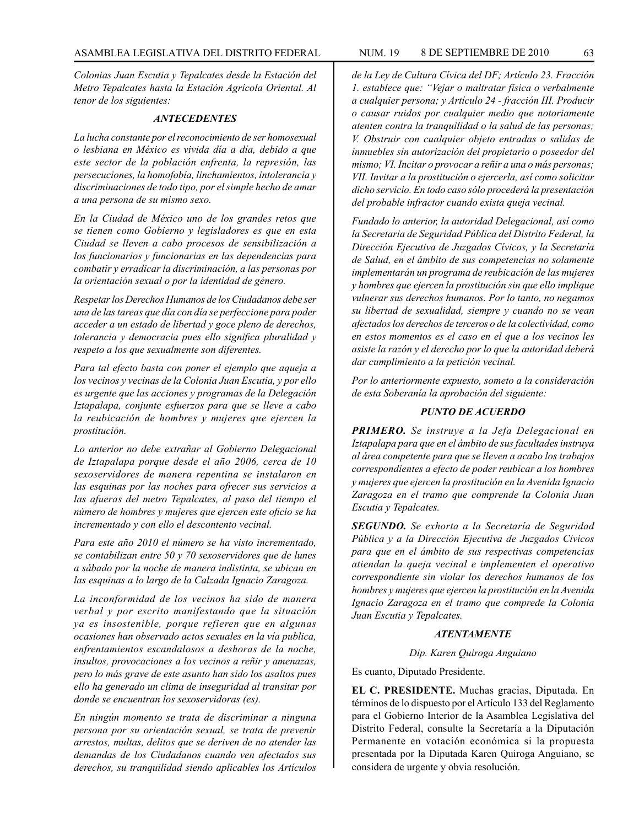*Colonias Juan Escutia y Tepalcates desde la Estación del Metro Tepalcates hasta la Estación Agrícola Oriental. Al tenor de los siguientes:*

#### *ANTECEDENTES*

*La lucha constante por el reconocimiento de ser homosexual o lesbiana en México es vivida día a día, debido a que este sector de la población enfrenta, la represión, las persecuciones, la homofobía, linchamientos, intolerancia y discriminaciones de todo tipo, por el simple hecho de amar a una persona de su mismo sexo.*

*En la Ciudad de México uno de los grandes retos que se tienen como Gobierno y legisladores es que en esta Ciudad se lleven a cabo procesos de sensibilización a los funcionarios y funcionarias en las dependencias para combatir y erradicar la discriminación, a las personas por la orientación sexual o por la identidad de género.*

*Respetar los Derechos Humanos de los Ciudadanos debe ser una de las tareas que día con día se perfeccione para poder acceder a un estado de libertad y goce pleno de derechos, tolerancia y democracia pues ello significa pluralidad y respeto a los que sexualmente son diferentes.*

*Para tal efecto basta con poner el ejemplo que aqueja a los vecinos y vecinas de la Colonia Juan Escutia, y por ello es urgente que las acciones y programas de la Delegación Iztapalapa, conjunte esfuerzos para que se lleve a cabo la reubicación de hombres y mujeres que ejercen la prostitución.*

*Lo anterior no debe extrañar al Gobierno Delegacional de Iztapalapa porque desde el año 2006, cerca de 10 sexoservidores de manera repentina se instalaron en las esquinas por las noches para ofrecer sus servicios a las afueras del metro Tepalcates, al paso del tiempo el número de hombres y mujeres que ejercen este oficio se ha incrementado y con ello el descontento vecinal.*

*Para este año 2010 el número se ha visto incrementado, se contabilizan entre 50 y 70 sexoservidores que de lunes a sábado por la noche de manera indistinta, se ubican en las esquinas a lo largo de la Calzada Ignacio Zaragoza.*

*La inconformidad de los vecinos ha sido de manera verbal y por escrito manifestando que la situación ya es insostenible, porque refieren que en algunas ocasiones han observado actos sexuales en la vía publica, enfrentamientos escandalosos a deshoras de la noche, insultos, provocaciones a los vecinos a reñir y amenazas, pero lo más grave de este asunto han sido los asaltos pues ello ha generado un clima de inseguridad al transitar por donde se encuentran los sexoservidoras (es).*

*En ningún momento se trata de discriminar a ninguna persona por su orientación sexual, se trata de prevenir arrestos, multas, delitos que se deriven de no atender las demandas de los Ciudadanos cuando ven afectados sus derechos, su tranquilidad siendo aplicables los Artículos* 

*de la Ley de Cultura Cívica del DF; Artículo 23. Fracción 1. establece que: "Vejar o maltratar física o verbalmente a cualquier persona; y Artículo 24 - fracción III. Producir o causar ruidos por cualquier medio que notoriamente atenten contra la tranquilidad o la salud de las personas; V. Obstruir con cualquier objeto entradas o salidas de inmuebles sin autorización del propietario o poseedor del mismo; VI. Incitar o provocar a reñir a una o más personas; VII. Invitar a la prostitución o ejercerla, así como solicitar dicho servicio. En todo caso sólo procederá la presentación del probable infractor cuando exista queja vecinal.*

*Fundado lo anterior, la autoridad Delegacional, así como la Secretaria de Seguridad Pública del Distrito Federal, la Dirección Ejecutiva de Juzgados Cívicos, y la Secretaría de Salud, en el ámbito de sus competencias no solamente implementarán un programa de reubicación de las mujeres y hombres que ejercen la prostitución sin que ello implique vulnerar sus derechos humanos. Por lo tanto, no negamos su libertad de sexualidad, siempre y cuando no se vean afectados los derechos de terceros o de la colectividad, como en estos momentos es el caso en el que a los vecinos les asiste la razón y el derecho por lo que la autoridad deberá dar cumplimiento a la petición vecinal.*

*Por lo anteriormente expuesto, someto a la consideración de esta Soberanía la aprobación del siguiente:*

### *PUNTO DE ACUERDO*

*PRIMERO. Se instruye a la Jefa Delegacional en Iztapalapa para que en el ámbito de sus facultades instruya al área competente para que se lleven a acabo los trabajos correspondientes a efecto de poder reubicar a los hombres y mujeres que ejercen la prostitución en la Avenida Ignacio Zaragoza en el tramo que comprende la Colonia Juan Escutia y Tepalcates.*

*SEGUNDO. Se exhorta a la Secretaría de Seguridad Pública y a la Dirección Ejecutiva de Juzgados Cívicos para que en el ámbito de sus respectivas competencias atiendan la queja vecinal e implementen el operativo correspondiente sin violar los derechos humanos de los hombres y mujeres que ejercen la prostitución en la Avenida Ignacio Zaragoza en el tramo que comprede la Colonia Juan Escutia y Tepalcates.*

### *ATENTAMENTE*

*Dip. Karen Quiroga Anguiano*

Es cuanto, Diputado Presidente.

**EL C. PRESIDENTE.** Muchas gracias, Diputada. En términos de lo dispuesto por el Artículo 133 del Reglamento para el Gobierno Interior de la Asamblea Legislativa del Distrito Federal, consulte la Secretaría a la Diputación Permanente en votación económica si la propuesta presentada por la Diputada Karen Quiroga Anguiano, se considera de urgente y obvia resolución.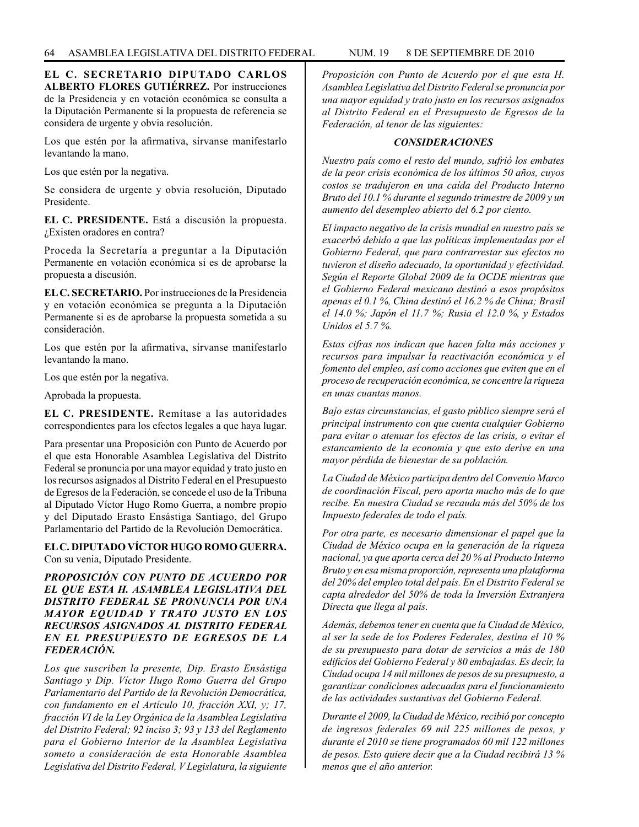**EL C. SECRETARIO DIPUTADO CARLOS ALBERTO FLORES GUTIÉRREZ.** Por instrucciones de la Presidencia y en votación económica se consulta a la Diputación Permanente si la propuesta de referencia se considera de urgente y obvia resolución.

Los que estén por la afirmativa, sírvanse manifestarlo levantando la mano.

Los que estén por la negativa.

Se considera de urgente y obvia resolución, Diputado Presidente.

**EL C. PRESIDENTE.** Está a discusión la propuesta. ¿Existen oradores en contra?

Proceda la Secretaría a preguntar a la Diputación Permanente en votación económica si es de aprobarse la propuesta a discusión.

**EL C. SECRETARIO.** Por instrucciones de la Presidencia y en votación económica se pregunta a la Diputación Permanente si es de aprobarse la propuesta sometida a su consideración.

Los que estén por la afirmativa, sírvanse manifestarlo levantando la mano.

Los que estén por la negativa.

Aprobada la propuesta.

**EL C. PRESIDENTE.** Remítase a las autoridades correspondientes para los efectos legales a que haya lugar.

Para presentar una Proposición con Punto de Acuerdo por el que esta Honorable Asamblea Legislativa del Distrito Federal se pronuncia por una mayor equidad y trato justo en los recursos asignados al Distrito Federal en el Presupuesto de Egresos de la Federación, se concede el uso de la Tribuna al Diputado Víctor Hugo Romo Guerra, a nombre propio y del Diputado Erasto Ensástiga Santiago, del Grupo Parlamentario del Partido de la Revolución Democrática.

**EL C. DIPUTADO VÍCTOR HUGO ROMO GUERRA.**  Con su venia, Diputado Presidente.

# *PROPOSICIÓN CON PUNTO DE ACUERDO POR EL QUE ESTA H. ASAMBLEA LEGISLATIVA DEL DISTRITO FEDERAL SE PRONUNCIA POR UNA MAYOR EQUIDAD Y TRATO JUSTO EN LOS RECURSOS ASIGNADOS AL DISTRITO FEDERAL EN EL PRESUPUESTO DE EGRESOS DE LA FEDERACIÓN.*

*Los que suscriben la presente, Dip. Erasto Ensástiga Santiago y Dip. Víctor Hugo Romo Guerra del Grupo Parlamentario del Partido de la Revolución Democrática, con fundamento en el Artículo 10, fracción XXI, y; 17, fracción VI de la Ley Orgánica de la Asamblea Legislativa del Distrito Federal; 92 inciso 3; 93 y 133 del Reglamento para el Gobierno Interior de la Asamblea Legislativa someto a consideración de esta Honorable Asamblea Legislativa del Distrito Federal, V Legislatura, la siguiente*  *Proposición con Punto de Acuerdo por el que esta H. Asamblea Legislativa del Distrito Federal se pronuncia por una mayor equidad y trato justo en los recursos asignados al Distrito Federal en el Presupuesto de Egresos de la Federación, al tenor de las siguientes:*

### *CONSIDERACIONES*

*Nuestro país como el resto del mundo, sufrió los embates de la peor crisis económica de los últimos 50 años, cuyos costos se tradujeron en una caída del Producto Interno Bruto del 10.1 % durante el segundo trimestre de 2009 y un aumento del desempleo abierto del 6.2 por ciento.*

*El impacto negativo de la crisis mundial en nuestro país se exacerbó debido a que las políticas implementadas por el Gobierno Federal, que para contrarrestar sus efectos no tuvieron el diseño adecuado, la oportunidad y efectividad. Según el Reporte Global 2009 de la OCDE mientras que el Gobierno Federal mexicano destinó a esos propósitos apenas el 0.1 %, China destinó el 16.2 % de China; Brasil el 14.0 %; Japón el 11.7 %; Rusia el 12.0 %, y Estados Unidos el 5.7 %.*

*Estas cifras nos indican que hacen falta más acciones y recursos para impulsar la reactivación económica y el fomento del empleo, así como acciones que eviten que en el proceso de recuperación económica, se concentre la riqueza en unas cuantas manos.*

*Bajo estas circunstancias, el gasto público siempre será el principal instrumento con que cuenta cualquier Gobierno para evitar o atenuar los efectos de las crisis, o evitar el estancamiento de la economía y que esto derive en una mayor pérdida de bienestar de su población.*

*La Ciudad de México participa dentro del Convenio Marco de coordinación Fiscal, pero aporta mucho más de lo que recibe. En nuestra Ciudad se recauda más del 50% de los Impuesto federales de todo el país.*

*Por otra parte, es necesario dimensionar el papel que la Ciudad de México ocupa en la generación de la riqueza nacional, ya que aporta cerca del 20 % al Producto Interno Bruto y en esa misma proporción, representa una plataforma del 20% del empleo total del país. En el Distrito Federal se capta alrededor del 50% de toda la Inversión Extranjera Directa que llega al país.*

*Además, debemos tener en cuenta que la Ciudad de México, al ser la sede de los Poderes Federales, destina el 10 % de su presupuesto para dotar de servicios a más de 180 edificios del Gobierno Federal y 80 embajadas. Es decir, la Ciudad ocupa 14 mil millones de pesos de su presupuesto, a garantizar condiciones adecuadas para el funcionamiento de las actividades sustantivas del Gobierno Federal.* 

*Durante el 2009, la Ciudad de México, recibió por concepto de ingresos federales 69 mil 225 millones de pesos, y durante el 2010 se tiene programados 60 mil 122 millones de pesos. Esto quiere decir que a la Ciudad recibirá 13 % menos que el año anterior.*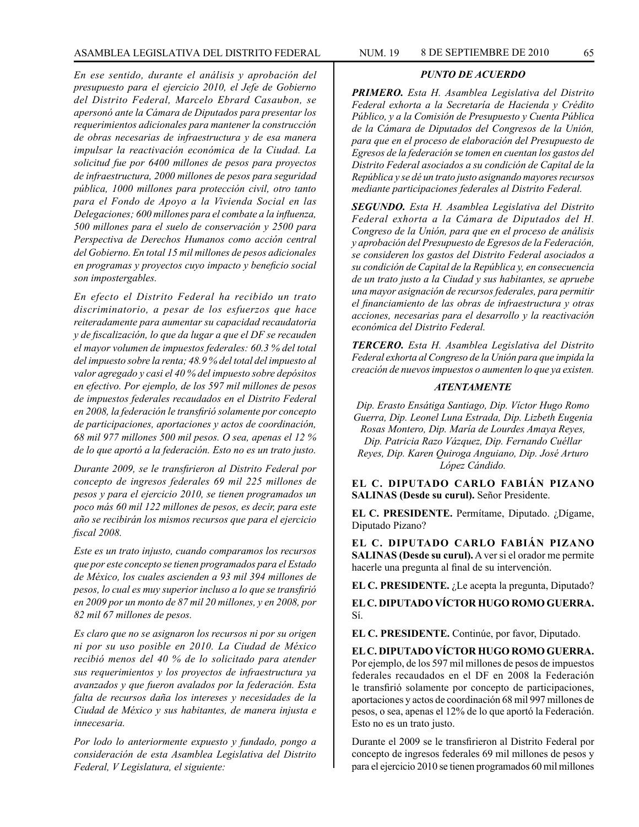*En ese sentido, durante el análisis y aprobación del presupuesto para el ejercicio 2010, el Jefe de Gobierno del Distrito Federal, Marcelo Ebrard Casaubon, se apersonó ante la Cámara de Diputados para presentar los requerimientos adicionales para mantener la construcción de obras necesarias de infraestructura y de esa manera impulsar la reactivación económica de la Ciudad. La solicitud fue por 6400 millones de pesos para proyectos de infraestructura, 2000 millones de pesos para seguridad pública, 1000 millones para protección civil, otro tanto para el Fondo de Apoyo a la Vivienda Social en las Delegaciones; 600 millones para el combate a la influenza, 500 millones para el suelo de conservación y 2500 para Perspectiva de Derechos Humanos como acción central del Gobierno. En total 15 mil millones de pesos adicionales en programas y proyectos cuyo impacto y beneficio social son impostergables.*

*En efecto el Distrito Federal ha recibido un trato discriminatorio, a pesar de los esfuerzos que hace reiteradamente para aumentar su capacidad recaudatoria y de fiscalización, lo que da lugar a que el DF se recauden el mayor volumen de impuestos federales: 60.3 % del total del impuesto sobre la renta; 48.9 % del total del impuesto al valor agregado y casi el 40 % del impuesto sobre depósitos en efectivo. Por ejemplo, de los 597 mil millones de pesos de impuestos federales recaudados en el Distrito Federal en 2008, la federación le transfirió solamente por concepto de participaciones, aportaciones y actos de coordinación, 68 mil 977 millones 500 mil pesos. O sea, apenas el 12 % de lo que aportó a la federación. Esto no es un trato justo.*

*Durante 2009, se le transfirieron al Distrito Federal por concepto de ingresos federales 69 mil 225 millones de pesos y para el ejercicio 2010, se tienen programados un poco más 60 mil 122 millones de pesos, es decir, para este año se recibirán los mismos recursos que para el ejercicio fiscal 2008.*

*Este es un trato injusto, cuando comparamos los recursos que por este concepto se tienen programados para el Estado de México, los cuales ascienden a 93 mil 394 millones de pesos, lo cual es muy superior incluso a lo que se transfirió en 2009 por un monto de 87 mil 20 millones, y en 2008, por 82 mil 67 millones de pesos.*

*Es claro que no se asignaron los recursos ni por su origen ni por su uso posible en 2010. La Ciudad de México recibió menos del 40 % de lo solicitado para atender sus requerimientos y los proyectos de infraestructura ya avanzados y que fueron avalados por la federación. Esta falta de recursos daña los intereses y necesidades de la Ciudad de México y sus habitantes, de manera injusta e innecesaria.*

*Por lodo lo anteriormente expuesto y fundado, pongo a consideración de esta Asamblea Legislativa del Distrito Federal, V Legislatura, el siguiente:*

# *PUNTO DE ACUERDO*

*PRIMERO. Esta H. Asamblea Legislativa del Distrito Federal exhorta a la Secretaría de Hacienda y Crédito Público, y a la Comisión de Presupuesto y Cuenta Pública de la Cámara de Diputados del Congresos de la Unión, para que en el proceso de elaboración del Presupuesto de Egresos de la federación se tomen en cuentan los gastos del Distrito Federal asociados a su condición de Capital de la República y se dé un trato justo asignando mayores recursos mediante participaciones federales al Distrito Federal.*

*SEGUNDO. Esta H. Asamblea Legislativa del Distrito Federal exhorta a la Cámara de Diputados del H. Congreso de la Unión, para que en el proceso de análisis y aprobación del Presupuesto de Egresos de la Federación, se consideren los gastos del Distrito Federal asociados a su condición de Capital de la República y, en consecuencia de un trato justo a la Ciudad y sus habitantes, se apruebe una mayor asignación de recursos federales, para permitir el financiamiento de las obras de infraestructura y otras acciones, necesarias para el desarrollo y la reactivación económica del Distrito Federal.*

*TERCERO. Esta H. Asamblea Legislativa del Distrito Federal exhorta al Congreso de la Unión para que impida la creación de nuevos impuestos o aumenten lo que ya existen.*

### *ATENTAMENTE*

*Dip. Erasto Ensátiga Santiago, Dip. Víctor Hugo Romo Guerra, Dip. Leonel Luna Estrada, Dip. Lizbeth Eugenia Rosas Montero, Dip. María de Lourdes Amaya Reyes, Dip. Patricia Razo Vázquez, Dip. Fernando Cuéllar Reyes, Dip. Karen Quiroga Anguiano, Dip. José Arturo López Cándido.*

**EL C. DIPUTADO CARLO FABIÁN PIZANO SALINAS (Desde su curul).** Señor Presidente.

**EL C. PRESIDENTE.** Permítame, Diputado. ¿Dígame, Diputado Pizano?

**EL C. DIPUTADO CARLO FABIÁN PIZANO SALINAS (Desde su curul).** A ver si el orador me permite hacerle una pregunta al final de su intervención.

**EL C. PRESIDENTE.** ¿Le acepta la pregunta, Diputado?

**EL C. DIPUTADO VÍCTOR HUGO ROMO GUERRA.** Sí.

**EL C. PRESIDENTE.** Continúe, por favor, Diputado.

**EL C. DIPUTADO VÍCTOR HUGO ROMO GUERRA.** Por ejemplo, de los 597 mil millones de pesos de impuestos federales recaudados en el DF en 2008 la Federación le transfirió solamente por concepto de participaciones, aportaciones y actos de coordinación 68 mil 997 millones de pesos, o sea, apenas el 12% de lo que aportó la Federación. Esto no es un trato justo.

Durante el 2009 se le transfirieron al Distrito Federal por concepto de ingresos federales 69 mil millones de pesos y para el ejercicio 2010 se tienen programados 60 mil millones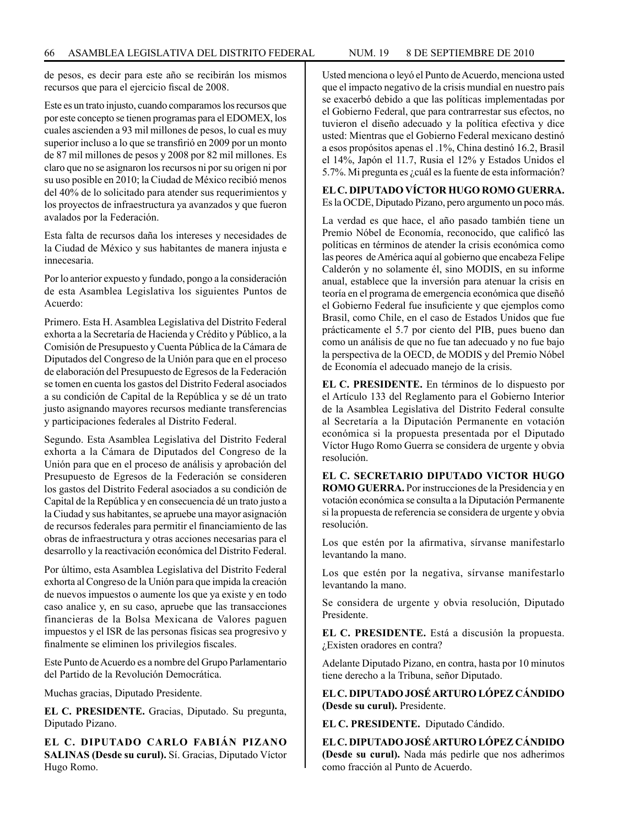de pesos, es decir para este año se recibirán los mismos recursos que para el ejercicio fiscal de 2008.

Este es un trato injusto, cuando comparamos los recursos que por este concepto se tienen programas para el EDOMEX, los cuales ascienden a 93 mil millones de pesos, lo cual es muy superior incluso a lo que se transfirió en 2009 por un monto de 87 mil millones de pesos y 2008 por 82 mil millones. Es claro que no se asignaron los recursos ni por su origen ni por su uso posible en 2010; la Ciudad de México recibió menos del 40% de lo solicitado para atender sus requerimientos y los proyectos de infraestructura ya avanzados y que fueron avalados por la Federación.

Esta falta de recursos daña los intereses y necesidades de la Ciudad de México y sus habitantes de manera injusta e innecesaria.

Por lo anterior expuesto y fundado, pongo a la consideración de esta Asamblea Legislativa los siguientes Puntos de Acuerdo:

Primero. Esta H. Asamblea Legislativa del Distrito Federal exhorta a la Secretaría de Hacienda y Crédito y Público, a la Comisión de Presupuesto y Cuenta Pública de la Cámara de Diputados del Congreso de la Unión para que en el proceso de elaboración del Presupuesto de Egresos de la Federación se tomen en cuenta los gastos del Distrito Federal asociados a su condición de Capital de la República y se dé un trato justo asignando mayores recursos mediante transferencias y participaciones federales al Distrito Federal.

Segundo. Esta Asamblea Legislativa del Distrito Federal exhorta a la Cámara de Diputados del Congreso de la Unión para que en el proceso de análisis y aprobación del Presupuesto de Egresos de la Federación se consideren los gastos del Distrito Federal asociados a su condición de Capital de la República y en consecuencia dé un trato justo a la Ciudad y sus habitantes, se apruebe una mayor asignación de recursos federales para permitir el financiamiento de las obras de infraestructura y otras acciones necesarias para el desarrollo y la reactivación económica del Distrito Federal.

Por último, esta Asamblea Legislativa del Distrito Federal exhorta al Congreso de la Unión para que impida la creación de nuevos impuestos o aumente los que ya existe y en todo caso analice y, en su caso, apruebe que las transacciones financieras de la Bolsa Mexicana de Valores paguen impuestos y el ISR de las personas físicas sea progresivo y finalmente se eliminen los privilegios fiscales.

Este Punto de Acuerdo es a nombre del Grupo Parlamentario del Partido de la Revolución Democrática.

Muchas gracias, Diputado Presidente.

**EL C. PRESIDENTE.** Gracias, Diputado. Su pregunta, Diputado Pizano.

**EL C. DIPUTADO CARLO FABIÁN PIZANO SALINAS (Desde su curul).** Sí. Gracias, Diputado Víctor Hugo Romo.

Usted menciona o leyó el Punto de Acuerdo, menciona usted que el impacto negativo de la crisis mundial en nuestro país se exacerbó debido a que las políticas implementadas por el Gobierno Federal, que para contrarrestar sus efectos, no tuvieron el diseño adecuado y la política efectiva y dice usted: Mientras que el Gobierno Federal mexicano destinó a esos propósitos apenas el .1%, China destinó 16.2, Brasil el 14%, Japón el 11.7, Rusia el 12% y Estados Unidos el 5.7%. Mi pregunta es ¿cuál es la fuente de esta información?

**EL C. DIPUTADO VÍCTOR HUGO ROMO GUERRA.** Es la OCDE, Diputado Pizano, pero argumento un poco más.

La verdad es que hace, el año pasado también tiene un Premio Nóbel de Economía, reconocido, que calificó las políticas en términos de atender la crisis económica como las peores de América aquí al gobierno que encabeza Felipe Calderón y no solamente él, sino MODIS, en su informe anual, establece que la inversión para atenuar la crisis en teoría en el programa de emergencia económica que diseñó el Gobierno Federal fue insuficiente y que ejemplos como Brasil, como Chile, en el caso de Estados Unidos que fue prácticamente el 5.7 por ciento del PIB, pues bueno dan como un análisis de que no fue tan adecuado y no fue bajo la perspectiva de la OECD, de MODIS y del Premio Nóbel de Economía el adecuado manejo de la crisis.

**EL C. PRESIDENTE.** En términos de lo dispuesto por el Artículo 133 del Reglamento para el Gobierno Interior de la Asamblea Legislativa del Distrito Federal consulte al Secretaría a la Diputación Permanente en votación económica si la propuesta presentada por el Diputado Víctor Hugo Romo Guerra se considera de urgente y obvia resolución.

**EL C. SECRETARIO DIPUTADO VICTOR HUGO ROMO GUERRA.** Por instrucciones de la Presidencia y en votación económica se consulta a la Diputación Permanente si la propuesta de referencia se considera de urgente y obvia resolución.

Los que estén por la afirmativa, sírvanse manifestarlo levantando la mano.

Los que estén por la negativa, sírvanse manifestarlo levantando la mano.

Se considera de urgente y obvia resolución, Diputado Presidente.

**EL C. PRESIDENTE.** Está a discusión la propuesta. ¿Existen oradores en contra?

Adelante Diputado Pizano, en contra, hasta por 10 minutos tiene derecho a la Tribuna, señor Diputado.

**EL C. DIPUTADO JOSÉ ARTURO LÓPEZ CÁNDIDO (Desde su curul).** Presidente.

**EL C. PRESIDENTE.** Diputado Cándido.

**EL C. DIPUTADO JOSÉ ARTURO LÓPEZ CÁNDIDO (Desde su curul).** Nada más pedirle que nos adherimos como fracción al Punto de Acuerdo.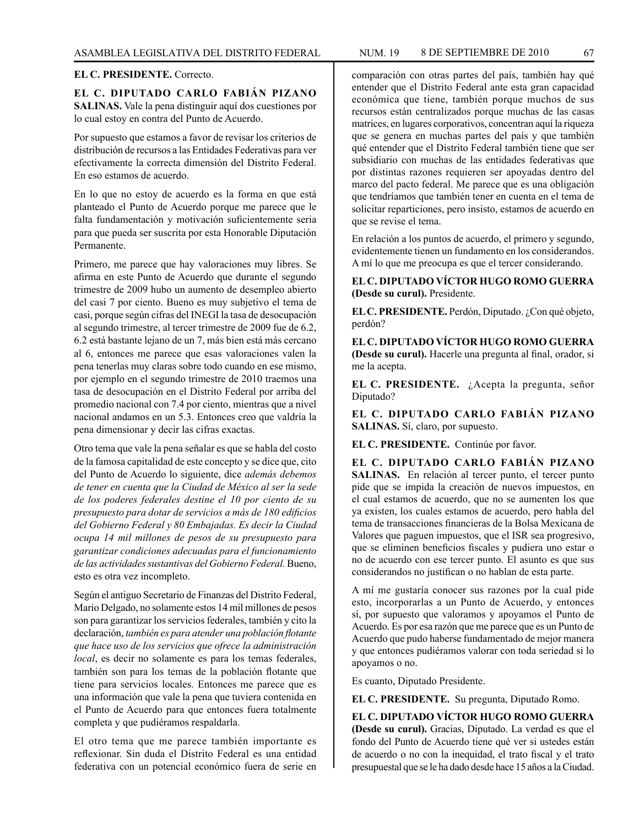# **EL C. PRESIDENTE.** Correcto.

**EL C. DIPUTADO CARLO FABIÁN PIZANO SALINAS.** Vale la pena distinguir aquí dos cuestiones por lo cual estoy en contra del Punto de Acuerdo.

Por supuesto que estamos a favor de revisar los criterios de distribución de recursos a las Entidades Federativas para ver efectivamente la correcta dimensión del Distrito Federal. En eso estamos de acuerdo.

En lo que no estoy de acuerdo es la forma en que está planteado el Punto de Acuerdo porque me parece que le falta fundamentación y motivación suficientemente seria para que pueda ser suscrita por esta Honorable Diputación Permanente.

Primero, me parece que hay valoraciones muy libres. Se afirma en este Punto de Acuerdo que durante el segundo trimestre de 2009 hubo un aumento de desempleo abierto del casi 7 por ciento. Bueno es muy subjetivo el tema de casi, porque según cifras del INEGI la tasa de desocupación al segundo trimestre, al tercer trimestre de 2009 fue de 6.2, 6.2 está bastante lejano de un 7, más bien está más cercano al 6, entonces me parece que esas valoraciones valen la pena tenerlas muy claras sobre todo cuando en ese mismo, por ejemplo en el segundo trimestre de 2010 traemos una tasa de desocupación en el Distrito Federal por arriba del promedio nacional con 7.4 por ciento, mientras que a nivel nacional andamos en un 5.3. Entonces creo que valdría la pena dimensionar y decir las cifras exactas.

Otro tema que vale la pena señalar es que se habla del costo de la famosa capitalidad de este concepto y se dice que, cito del Punto de Acuerdo lo siguiente, dice *además debemos de tener en cuenta que la Ciudad de México al ser la sede de los poderes federales destine el 10 por ciento de su presupuesto para dotar de servicios a más de 180 edificios del Gobierno Federal y 80 Embajadas. Es decir la Ciudad ocupa 14 mil millones de pesos de su presupuesto para garantizar condiciones adecuadas para el funcionamiento de las actividades sustantivas del Gobierno Federal.* Bueno, esto es otra vez incompleto.

Según el antiguo Secretario de Finanzas del Distrito Federal, Mario Delgado, no solamente estos 14 mil millones de pesos son para garantizar los servicios federales, también y cito la declaración, *también es para atender una población flotante que hace uso de los servicios que ofrece la administración local*, es decir no solamente es para los temas federales, también son para los temas de la población flotante que tiene para servicios locales. Entonces me parece que es una información que vale la pena que tuviera contenida en el Punto de Acuerdo para que entonces fuera totalmente completa y que pudiéramos respaldarla.

El otro tema que me parece también importante es reflexionar. Sin duda el Distrito Federal es una entidad federativa con un potencial económico fuera de serie en comparación con otras partes del país, también hay qué entender que el Distrito Federal ante esta gran capacidad económica que tiene, también porque muchos de sus recursos están centralizados porque muchas de las casas matrices, en lugares corporativos, concentran aquí la riqueza que se genera en muchas partes del país y que también qué entender que el Distrito Federal también tiene que ser subsidiario con muchas de las entidades federativas que por distintas razones requieren ser apoyadas dentro del marco del pacto federal. Me parece que es una obligación que tendríamos que también tener en cuenta en el tema de solicitar reparticiones, pero insisto, estamos de acuerdo en que se revise el tema.

En relación a los puntos de acuerdo, el primero y segundo, evidentemente tienen un fundamento en los considerandos. A mí lo que me preocupa es que el tercer considerando.

**EL C. DIPUTADO VÍCTOR HUGO ROMO GUERRA (Desde su curul).** Presidente.

**EL C. PRESIDENTE.** Perdón, Diputado. ¿Con qué objeto, perdón?

**EL C. DIPUTADO VÍCTOR HUGO ROMO GUERRA (Desde su curul).** Hacerle una pregunta al final, orador, si me la acepta.

**EL C. PRESIDENTE.** ¿Acepta la pregunta, señor Diputado?

**EL C. DIPUTADO CARLO FABIÁN PIZANO SALINAS.** Sí, claro, por supuesto.

**EL C. PRESIDENTE.** Continúe por favor.

**EL C. DIPUTADO CARLO FABIÁN PIZANO**  SALINAS. En relación al tercer punto, el tercer punto pide que se impida la creación de nuevos impuestos, en el cual estamos de acuerdo, que no se aumenten los que ya existen, los cuales estamos de acuerdo, pero habla del tema de transacciones financieras de la Bolsa Mexicana de Valores que paguen impuestos, que el ISR sea progresivo, que se eliminen beneficios fiscales y pudiera uno estar o no de acuerdo con ese tercer punto. El asunto es que sus considerandos no justifican o no hablan de esta parte.

A mí me gustaría conocer sus razones por la cual pide esto, incorporarlas a un Punto de Acuerdo, y entonces sí, por supuesto que valoramos y apoyamos el Punto de Acuerdo. Es por esa razón que me parece que es un Punto de Acuerdo que pudo haberse fundamentado de mejor manera y que entonces pudiéramos valorar con toda seriedad si lo apoyamos o no.

Es cuanto, Diputado Presidente.

**EL C. PRESIDENTE.** Su pregunta, Diputado Romo.

**EL C. DIPUTADO VÍCTOR HUGO ROMO GUERRA (Desde su curul).** Gracias, Diputado. La verdad es que el fondo del Punto de Acuerdo tiene qué ver si ustedes están de acuerdo o no con la inequidad, el trato fiscal y el trato presupuestal que se le ha dado desde hace 15 años a la Ciudad.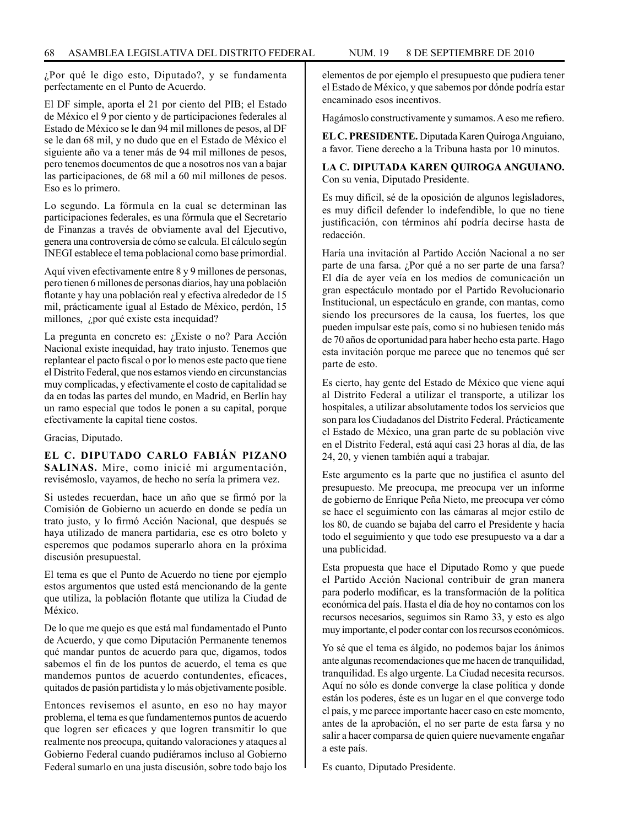¿Por qué le digo esto, Diputado?, y se fundamenta perfectamente en el Punto de Acuerdo.

El DF simple, aporta el 21 por ciento del PIB; el Estado de México el 9 por ciento y de participaciones federales al Estado de México se le dan 94 mil millones de pesos, al DF se le dan 68 mil, y no dudo que en el Estado de México el siguiente año va a tener más de 94 mil millones de pesos, pero tenemos documentos de que a nosotros nos van a bajar las participaciones, de 68 mil a 60 mil millones de pesos. Eso es lo primero.

Lo segundo. La fórmula en la cual se determinan las participaciones federales, es una fórmula que el Secretario de Finanzas a través de obviamente aval del Ejecutivo, genera una controversia de cómo se calcula. El cálculo según INEGI establece el tema poblacional como base primordial.

Aquí viven efectivamente entre 8 y 9 millones de personas, pero tienen 6 millones de personas diarios, hay una población flotante y hay una población real y efectiva alrededor de 15 mil, prácticamente igual al Estado de México, perdón, 15 millones, ¿por qué existe esta inequidad?

La pregunta en concreto es: ¿Existe o no? Para Acción Nacional existe inequidad, hay trato injusto. Tenemos que replantear el pacto fiscal o por lo menos este pacto que tiene el Distrito Federal, que nos estamos viendo en circunstancias muy complicadas, y efectivamente el costo de capitalidad se da en todas las partes del mundo, en Madrid, en Berlín hay un ramo especial que todos le ponen a su capital, porque efectivamente la capital tiene costos.

Gracias, Diputado.

**EL C. DIPUTADO CARLO FABIÁN PIZANO SALINAS.** Mire, como inicié mi argumentación, revisémoslo, vayamos, de hecho no sería la primera vez.

Si ustedes recuerdan, hace un año que se firmó por la Comisión de Gobierno un acuerdo en donde se pedía un trato justo, y lo firmó Acción Nacional, que después se haya utilizado de manera partidaria, ese es otro boleto y esperemos que podamos superarlo ahora en la próxima discusión presupuestal.

El tema es que el Punto de Acuerdo no tiene por ejemplo estos argumentos que usted está mencionando de la gente que utiliza, la población flotante que utiliza la Ciudad de México.

De lo que me quejo es que está mal fundamentado el Punto de Acuerdo, y que como Diputación Permanente tenemos qué mandar puntos de acuerdo para que, digamos, todos sabemos el fin de los puntos de acuerdo, el tema es que mandemos puntos de acuerdo contundentes, eficaces, quitados de pasión partidista y lo más objetivamente posible.

Entonces revisemos el asunto, en eso no hay mayor problema, el tema es que fundamentemos puntos de acuerdo que logren ser eficaces y que logren transmitir lo que realmente nos preocupa, quitando valoraciones y ataques al Gobierno Federal cuando pudiéramos incluso al Gobierno Federal sumarlo en una justa discusión, sobre todo bajo los elementos de por ejemplo el presupuesto que pudiera tener el Estado de México, y que sabemos por dónde podría estar encaminado esos incentivos.

Hagámoslo constructivamente y sumamos. A eso me refiero.

**EL C. PRESIDENTE.** Diputada Karen Quiroga Anguiano, a favor. Tiene derecho a la Tribuna hasta por 10 minutos.

**LA C. DIPUTADA KAREN QUIROGA ANGUIANO.**  Con su venia, Diputado Presidente.

Es muy difícil, sé de la oposición de algunos legisladores, es muy difícil defender lo indefendible, lo que no tiene justificación, con términos ahí podría decirse hasta de redacción.

Haría una invitación al Partido Acción Nacional a no ser parte de una farsa. ¿Por qué a no ser parte de una farsa? El día de ayer veía en los medios de comunicación un gran espectáculo montado por el Partido Revolucionario Institucional, un espectáculo en grande, con mantas, como siendo los precursores de la causa, los fuertes, los que pueden impulsar este país, como si no hubiesen tenido más de 70 años de oportunidad para haber hecho esta parte. Hago esta invitación porque me parece que no tenemos qué ser parte de esto.

Es cierto, hay gente del Estado de México que viene aquí al Distrito Federal a utilizar el transporte, a utilizar los hospitales, a utilizar absolutamente todos los servicios que son para los Ciudadanos del Distrito Federal. Prácticamente el Estado de México, una gran parte de su población vive en el Distrito Federal, está aquí casi 23 horas al día, de las 24, 20, y vienen también aquí a trabajar.

Este argumento es la parte que no justifica el asunto del presupuesto. Me preocupa, me preocupa ver un informe de gobierno de Enrique Peña Nieto, me preocupa ver cómo se hace el seguimiento con las cámaras al mejor estilo de los 80, de cuando se bajaba del carro el Presidente y hacía todo el seguimiento y que todo ese presupuesto va a dar a una publicidad.

Esta propuesta que hace el Diputado Romo y que puede el Partido Acción Nacional contribuir de gran manera para poderlo modificar, es la transformación de la política económica del país. Hasta el día de hoy no contamos con los recursos necesarios, seguimos sin Ramo 33, y esto es algo muy importante, el poder contar con los recursos económicos.

Yo sé que el tema es álgido, no podemos bajar los ánimos ante algunas recomendaciones que me hacen de tranquilidad, tranquilidad. Es algo urgente. La Ciudad necesita recursos. Aquí no sólo es donde converge la clase política y donde están los poderes, éste es un lugar en el que converge todo el país, y me parece importante hacer caso en este momento, antes de la aprobación, el no ser parte de esta farsa y no salir a hacer comparsa de quien quiere nuevamente engañar a este país.

Es cuanto, Diputado Presidente.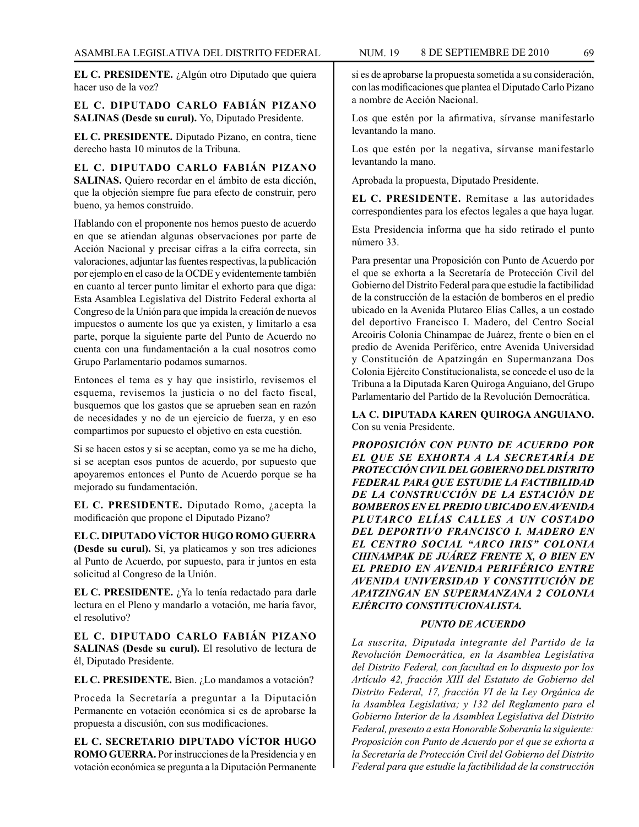**EL C. PRESIDENTE.** ¿Algún otro Diputado que quiera hacer uso de la voz?

**EL C. DIPUTADO CARLO FABIÁN PIZANO SALINAS (Desde su curul).** Yo, Diputado Presidente.

**EL C. PRESIDENTE.** Diputado Pizano, en contra, tiene derecho hasta 10 minutos de la Tribuna.

**EL C. DIPUTADO CARLO FABIÁN PIZANO SALINAS.** Quiero recordar en el ámbito de esta dicción, que la objeción siempre fue para efecto de construir, pero bueno, ya hemos construido.

Hablando con el proponente nos hemos puesto de acuerdo en que se atiendan algunas observaciones por parte de Acción Nacional y precisar cifras a la cifra correcta, sin valoraciones, adjuntar las fuentes respectivas, la publicación por ejemplo en el caso de la OCDE y evidentemente también en cuanto al tercer punto limitar el exhorto para que diga: Esta Asamblea Legislativa del Distrito Federal exhorta al Congreso de la Unión para que impida la creación de nuevos impuestos o aumente los que ya existen, y limitarlo a esa parte, porque la siguiente parte del Punto de Acuerdo no cuenta con una fundamentación a la cual nosotros como Grupo Parlamentario podamos sumarnos.

Entonces el tema es y hay que insistirlo, revisemos el esquema, revisemos la justicia o no del facto fiscal, busquemos que los gastos que se aprueben sean en razón de necesidades y no de un ejercicio de fuerza, y en eso compartimos por supuesto el objetivo en esta cuestión.

Si se hacen estos y si se aceptan, como ya se me ha dicho, si se aceptan esos puntos de acuerdo, por supuesto que apoyaremos entonces el Punto de Acuerdo porque se ha mejorado su fundamentación.

**EL C. PRESIDENTE.** Diputado Romo, ¿acepta la modificación que propone el Diputado Pizano?

**EL C. DIPUTADO VÍCTOR HUGO ROMO GUERRA (Desde su curul).** Sí, ya platicamos y son tres adiciones al Punto de Acuerdo, por supuesto, para ir juntos en esta solicitud al Congreso de la Unión.

**EL C. PRESIDENTE.** ¿Ya lo tenía redactado para darle lectura en el Pleno y mandarlo a votación, me haría favor, el resolutivo?

**EL C. DIPUTADO CARLO FABIÁN PIZANO SALINAS (Desde su curul).** El resolutivo de lectura de él, Diputado Presidente.

**EL C. PRESIDENTE.** Bien. ¿Lo mandamos a votación?

Proceda la Secretaría a preguntar a la Diputación Permanente en votación económica si es de aprobarse la propuesta a discusión, con sus modificaciones.

**EL C. SECRETARIO DIPUTADO VÍCTOR HUGO ROMO GUERRA.** Por instrucciones de la Presidencia y en votación económica se pregunta a la Diputación Permanente

si es de aprobarse la propuesta sometida a su consideración, con las modificaciones que plantea el Diputado Carlo Pizano a nombre de Acción Nacional.

Los que estén por la afirmativa, sírvanse manifestarlo levantando la mano.

Los que estén por la negativa, sírvanse manifestarlo levantando la mano.

Aprobada la propuesta, Diputado Presidente.

**EL C. PRESIDENTE.** Remítase a las autoridades correspondientes para los efectos legales a que haya lugar.

Esta Presidencia informa que ha sido retirado el punto número 33.

Para presentar una Proposición con Punto de Acuerdo por el que se exhorta a la Secretaría de Protección Civil del Gobierno del Distrito Federal para que estudie la factibilidad de la construcción de la estación de bomberos en el predio ubicado en la Avenida Plutarco Elías Calles, a un costado del deportivo Francisco I. Madero, del Centro Social Arcoiris Colonia Chinampac de Juárez, frente o bien en el predio de Avenida Periférico, entre Avenida Universidad y Constitución de Apatzingán en Supermanzana Dos Colonia Ejército Constitucionalista, se concede el uso de la Tribuna a la Diputada Karen Quiroga Anguiano, del Grupo Parlamentario del Partido de la Revolución Democrática.

**LA C. DIPUTADA KAREN QUIROGA ANGUIANO.**  Con su venia Presidente.

*PROPOSICIÓN CON PUNTO DE ACUERDO POR EL QUE SE EXHORTA A LA SECRETARÍA DE PROTECCIÓN CIVIL DEL GOBIERNO DEL DISTRITO FEDERAL PARA QUE ESTUDIE LA FACTIBILIDAD DE LA CONSTRUCCIÓN DE LA ESTACIÓN DE BOMBEROS EN EL PREDIO UBICADO EN AVENIDA PLUTARCO ELÍAS CALLES A UN COSTADO DEL DEPORTIVO FRANCISCO I. MADERO EN EL CENTRO SOCIAL "ARCO IRIS" COLONIA CHINAMPAK DE JUÁREZ FRENTE X, O BIEN EN EL PREDIO EN AVENIDA PERIFÉRICO ENTRE AVENIDA UNIVERSIDAD Y CONSTITUCIÓN DE APATZINGAN EN SUPERMANZANA 2 COLONIA EJÉRCITO CONSTITUCIONALISTA.*

### *PUNTO DE ACUERDO*

*La suscrita, Diputada integrante del Partido de la Revolución Democrática, en la Asamblea Legislativa del Distrito Federal, con facultad en lo dispuesto por los Artículo 42, fracción XIII del Estatuto de Gobierno del Distrito Federal, 17, fracción VI de la Ley Orgánica de la Asamblea Legislativa; y 132 del Reglamento para el Gobierno Interior de la Asamblea Legislativa del Distrito Federal, presento a esta Honorable Soberanía la siguiente: Proposición con Punto de Acuerdo por el que se exhorta a la Secretaría de Protección Civil del Gobierno del Distrito Federal para que estudie la factibilidad de la construcción*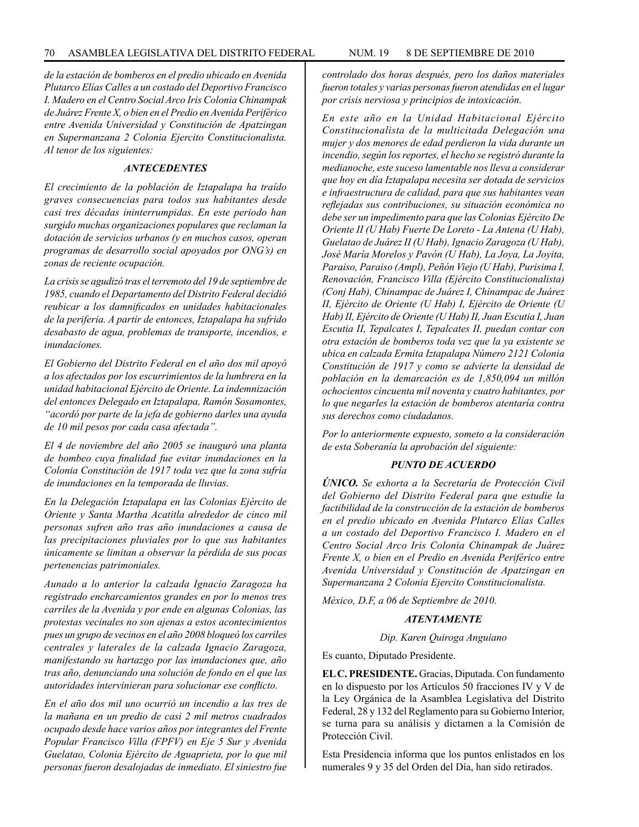*de la estación de bomberos en el predio ubicado en Avenida Plutarco Elías Calles a un costado del Deportivo Francisco I. Madero en el Centro Social Arco Iris Colonia Chinampak de Juárez Frente X, o bien en el Predio en Avenida Periférico entre Avenida Universidad y Constitución de Apatzingan en Supermanzana 2 Colonia Ejercito Constitucionalista. Al tenor de los siguientes:*

### *ANTECEDENTES*

*El crecimiento de la población de Iztapalapa ha traído graves consecuencias para todos sus habitantes desde casi tres décadas ininterrumpidas. En este periodo han surgido muchas organizaciones populares que reclaman la dotación de servicios urbanos (y en muchos casos, operan programas de desarrollo social apoyados por ONG's) en zonas de reciente ocupación.*

*La crisis se agudizó tras el terremoto del 19 de septiembre de 1985, cuando el Departamento del Distrito Federal decidió reubicar a los damnificados en unidades habitacionales de la periferia. A partir de entonces, Iztapalapa ha sufrido desabasto de agua, problemas de transporte, incendios, e inundaciones.*

*El Gobierno del Distrito Federal en el año dos mil apoyó a los afectados por los escurrimientos de la lumbrera en la unidad habitacional Ejército de Oriente. La indemnización del entonces Delegado en Iztapalapa, Ramón Sosamontes, "acordó por parte de la jefa de gobierno darles una ayuda de 10 mil pesos por cada casa afectada".*

*El 4 de noviembre del año 2005 se inauguró una planta de bombeo cuya finalidad fue evitar inundaciones en la Colonia Constitución de 1917 toda vez que la zona sufría de inundaciones en la temporada de lluvias.*

*En la Delegación Iztapalapa en las Colonias Ejército de Oriente y Santa Martha Acatitla alrededor de cinco mil personas sufren año tras año inundaciones a causa de las precipitaciones pluviales por lo que sus habitantes únicamente se limitan a observar la pérdida de sus pocas pertenencias patrimoniales.*

*Aunado a lo anterior la calzada Ignacio Zaragoza ha registrado encharcamientos grandes en por lo menos tres carriles de la Avenida y por ende en algunas Colonias, las protestas vecinales no son ajenas a estos acontecimientos pues un grupo de vecinos en el año 2008 bloqueó los carriles centrales y laterales de la calzada Ignacio Zaragoza, manifestando su hartazgo por las inundaciones que, año tras año, denunciando una solución de fondo en el que las autoridades intervinieran para solucionar ese conflicto.*

*En el año dos mil uno ocurrió un incendio a las tres de la mañana en un predio de casi 2 mil metros cuadrados ocupado desde hace varios años por integrantes del Frente Popular Francisco Villa (FPFV) en Eje 5 Sur y Avenida Guelatao, Colonia Ejército de Aguaprieta, por lo que mil personas fueron desalojadas de inmediato. El siniestro fue* 

*controlado dos horas después, pero los daños materiales fueron totales y varias personas fueron atendidas en el lugar por crisis nerviosa y principios de intoxicación.*

*En este año en la Unidad Habitacional Ejército Constitucionalista de la multicitada Delegación una mujer y dos menores de edad perdieron la vida durante un incendio, según los reportes, el hecho se registró durante la medianoche, este suceso lamentable nos lleva a considerar que hoy en día Iztapalapa necesita ser dotada de servicios e infraestructura de calidad, para que sus habitantes vean reflejadas sus contribuciones, su situación económica no debe ser un impedimento para que las Colonias Ejército De Oriente II (U Hab) Fuerte De Loreto - La Antena (U Hab), Guelatao de Juárez II (U Hab), Ignacio Zaragoza (U Hab), José María Morelos y Pavón (U Hab), La Joya, La Joyita, Paraiso, Paraiso (Ampl), Peñón Viejo (U Hab), Purisima I, Renovación, Francisco Villa (Ejército Constitucionalista) (Conj Hab), Chinampac de Juárez I, Chinampac de Juárez II, Ejército de Oriente (U Hab) I, Ejército de Oriente (U Hab) II, Ejército de Oriente (U Hab) II, Juan Escutia I, Juan Escutia II, Tepalcates I, Tepalcates II, puedan contar con otra estación de bomberos toda vez que la ya existente se ubica en calzada Ermita Iztapalapa Número 2121 Colonia Constitución de 1917 y como se advierte la densidad de población en la demarcación es de 1,850,094 un millón ochocientos cincuenta mil noventa y cuatro habitantes, por lo que negarles la estación de bomberos atentaría contra sus derechos como ciudadanos.*

*Por lo anteriormente expuesto, someto a la consideración de esta Soberanía la aprobación del siguiente:*

# *PUNTO DE ACUERDO*

*ÚNICO. Se exhorta a la Secretaría de Protección Civil del Gobierno del Distrito Federal para que estudie la factibilidad de la construcción de la estación de bomberos en el predio ubicado en Avenida Plutarco Elías Calles a un costado del Deportivo Francisco I. Madero en el Centro Social Arco Iris Colonia Chinampak de Juárez Frente X, o bien en el Predio en Avenida Periférico entre Avenida Universidad y Constitución de Apatzingan en Supermanzana 2 Colonia Ejercito Constitucionalista.*

*México, D.F, a 06 de Septiembre de 2010.*

## *ATENTAMENTE*

*Dip. Karen Quiroga Anguiano*

Es cuanto, Diputado Presidente.

**EL C. PRESIDENTE.** Gracias, Diputada. Con fundamento en lo dispuesto por los Artículos 50 fracciones IV y V de la Ley Orgánica de la Asamblea Legislativa del Distrito Federal, 28 y 132 del Reglamento para su Gobierno Interior, se turna para su análisis y dictamen a la Comisión de Protección Civil.

Esta Presidencia informa que los puntos enlistados en los numerales 9 y 35 del Orden del Día, han sido retirados.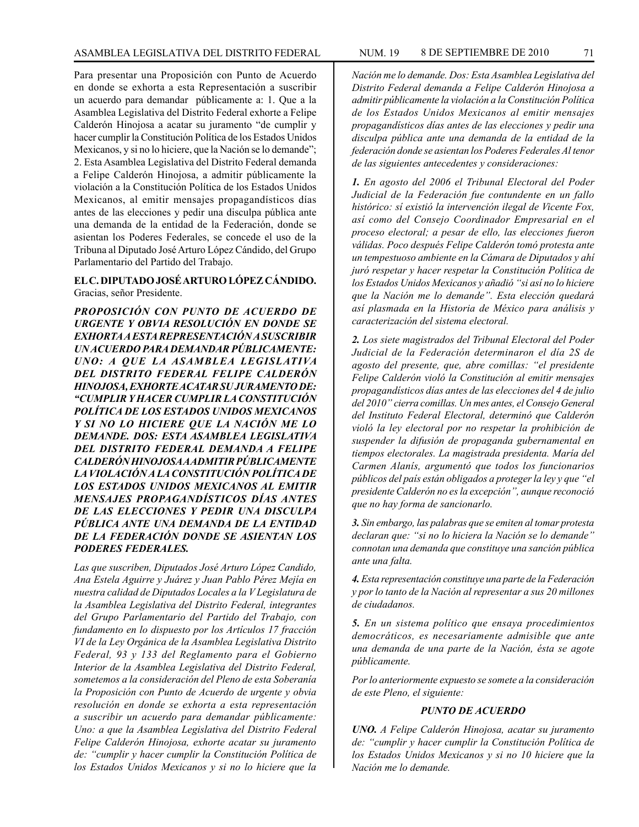Para presentar una Proposición con Punto de Acuerdo en donde se exhorta a esta Representación a suscribir un acuerdo para demandar públicamente a: 1. Que a la Asamblea Legislativa del Distrito Federal exhorte a Felipe Calderón Hinojosa a acatar su juramento "de cumplir y hacer cumplir la Constitución Política de los Estados Unidos Mexicanos, y si no lo hiciere, que la Nación se lo demande"; 2. Esta Asamblea Legislativa del Distrito Federal demanda a Felipe Calderón Hinojosa, a admitir públicamente la violación a la Constitución Política de los Estados Unidos Mexicanos, al emitir mensajes propagandísticos días antes de las elecciones y pedir una disculpa pública ante una demanda de la entidad de la Federación, donde se asientan los Poderes Federales, se concede el uso de la Tribuna al Diputado José Arturo López Cándido, del Grupo Parlamentario del Partido del Trabajo.

## **EL C. DIPUTADO JOSÉ ARTURO LÓPEZ CÁNDIDO.** Gracias, señor Presidente.

*PROPOSICIÓN CON PUNTO DE ACUERDO DE URGENTE Y OBVIA RESOLUCIÓN EN DONDE SE EXHORTA A ESTA REPRESENTACIÓN A SUSCRIBIR UN ACUERDO PARA DEMANDAR PÚBLICAMENTE: UNO: A QUE LA ASAMBLEA LEGISLATIVA DEL DISTRITO FEDERAL FELIPE CALDERÓN HINOJOSA, EXHORTE ACATAR SU JURAMENTO DE: "CUMPLIR Y HACER CUMPLIR LA CONSTITUCIÓN POLÍTICA DE LOS ESTADOS UNIDOS MEXICANOS Y SI NO LO HICIERE QUE LA NACIÓN ME LO DEMANDE. DOS: ESTA ASAMBLEA LEGISLATIVA DEL DISTRITO FEDERAL DEMANDA A FELIPE CALDERÓN HINOJOSA A ADMITIR PÚBLICAMENTE LA VIOLACIÓN A LA CONSTITUCIÓN POLÍTICA DE LOS ESTADOS UNIDOS MEXICANOS AL EMITIR MENSAJES PROPAGANDÍSTICOS DÍAS ANTES DE LAS ELECCIONES Y PEDIR UNA DISCULPA PÚBLICA ANTE UNA DEMANDA DE LA ENTIDAD DE LA FEDERACIÓN DONDE SE ASIENTAN LOS PODERES FEDERALES.*

*Las que suscriben, Diputados José Arturo López Candido, Ana Estela Aguirre y Juárez y Juan Pablo Pérez Mejía en nuestra calidad de Diputados Locales a la V Legislatura de la Asamblea Legislativa del Distrito Federal, integrantes del Grupo Parlamentario del Partido del Trabajo, con fundamento en lo dispuesto por los Artículos 17 fracción VI de la Ley Orgánica de la Asamblea Legislativa Distrito Federal, 93 y 133 del Reglamento para el Gobierno Interior de la Asamblea Legislativa del Distrito Federal, sometemos a la consideración del Pleno de esta Soberanía la Proposición con Punto de Acuerdo de urgente y obvia resolución en donde se exhorta a esta representación a suscribir un acuerdo para demandar públicamente: Uno: a que la Asamblea Legislativa del Distrito Federal Felipe Calderón Hinojosa, exhorte acatar su juramento de: "cumplir y hacer cumplir la Constitución Política de los Estados Unidos Mexicanos y si no lo hiciere que la* 

*Nación me lo demande. Dos: Esta Asamblea Legislativa del Distrito Federal demanda a Felipe Calderón Hinojosa a admitir públicamente la violación a la Constitución Política de los Estados Unidos Mexicanos al emitir mensajes propagandísticos días antes de las elecciones y pedir una disculpa pública ante una demanda de la entidad de la federación donde se asientan los Poderes Federales Al tenor de las siguientes antecedentes y consideraciones:*

*1. En agosto del 2006 el Tribunal Electoral del Poder Judicial de la Federación fue contundente en un fallo histórico: sí existió la intervención ilegal de Vicente Fox, así como del Consejo Coordinador Empresarial en el proceso electoral; a pesar de ello, las elecciones fueron válidas. Poco después Felipe Calderón tomó protesta ante un tempestuoso ambiente en la Cámara de Diputados y ahí juró respetar y hacer respetar la Constitución Política de los Estados Unidos Mexicanos y añadió "si así no lo hiciere que la Nación me lo demande". Esta elección quedará así plasmada en la Historia de México para análisis y caracterización del sistema electoral.*

*2. Los siete magistrados del Tribunal Electoral del Poder Judicial de la Federación determinaron el día 2S de agosto del presente, que, abre comillas: "el presidente Felipe Calderón violó la Constitución al emitir mensajes propagandísticos días antes de las elecciones del 4 de julio del 2010" cierra comillas. Un mes antes, el Consejo General del Instituto Federal Electoral, determinó que Calderón violó la ley electoral por no respetar la prohibición de suspender la difusión de propaganda gubernamental en tiempos electorales. La magistrada presidenta. María del Carmen Alanís, argumentó que todos los funcionarios públicos del país están obligados a proteger la ley y que "el presidente Calderón no es la excepción", aunque reconoció que no hay forma de sancionarlo.*

*3. Sin embargo, las palabras que se emiten al tomar protesta declaran que: "si no lo hiciera la Nación se lo demande" connotan una demanda que constituye una sanción pública ante una falta.*

*4. Esta representación constituye una parte de la Federación y por lo tanto de la Nación al representar a sus 20 millones de ciudadanos.*

*5. En un sistema político que ensaya procedimientos democráticos, es necesariamente admisible que ante una demanda de una parte de la Nación, ésta se agote públicamente.*

*Por lo anteriormente expuesto se somete a la consideración de este Pleno, el siguiente:*

#### *PUNTO DE ACUERDO*

*UNO. A Felipe Calderón Hinojosa, acatar su juramento de: "cumplir y hacer cumplir la Constitución Política de los Estados Unidos Mexicanos y si no 10 hiciere que la Nación me lo demande.*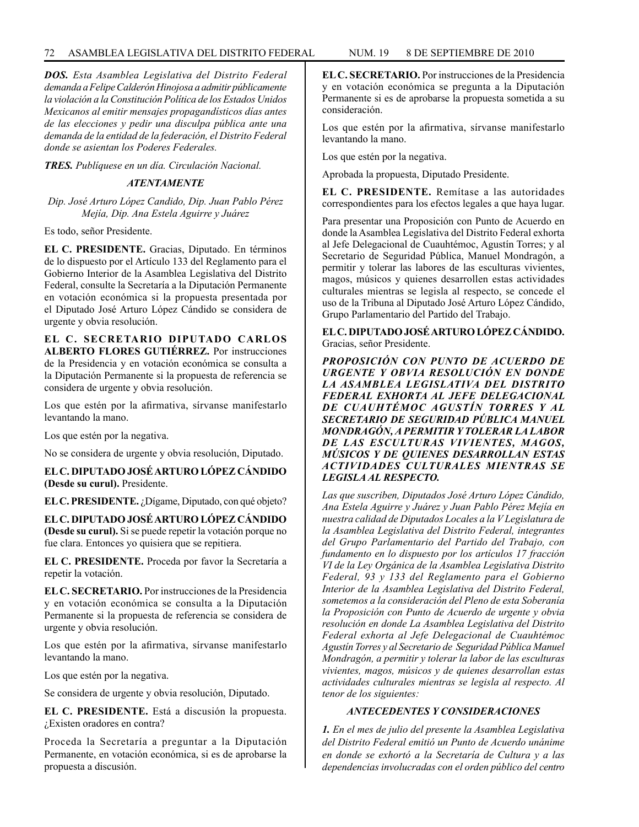*DOS. Esta Asamblea Legislativa del Distrito Federal demanda a Felipe Calderón Hinojosa a admitir públicamente la violación a la Constitución Política de los Estados Unidos Mexicanos al emitir mensajes propagandísticos días antes de las elecciones y pedir una disculpa pública ante una demanda de la entidad de la federación, el Distrito Federal donde se asientan los Poderes Federales.*

*TRES. Publíquese en un día. Circulación Nacional.*

## *ATENTAMENTE*

*Dip. José Arturo López Candido, Dip. Juan Pablo Pérez Mejía, Dip. Ana Estela Aguirre y Juárez*

Es todo, señor Presidente.

**EL C. PRESIDENTE.** Gracias, Diputado. En términos de lo dispuesto por el Artículo 133 del Reglamento para el Gobierno Interior de la Asamblea Legislativa del Distrito Federal, consulte la Secretaría a la Diputación Permanente en votación económica si la propuesta presentada por el Diputado José Arturo López Cándido se considera de urgente y obvia resolución.

**EL C. SECRETARIO DIPUTADO CARLOS ALBERTO FLORES GUTIÉRREZ.** Por instrucciones de la Presidencia y en votación económica se consulta a la Diputación Permanente si la propuesta de referencia se considera de urgente y obvia resolución.

Los que estén por la afirmativa, sírvanse manifestarlo levantando la mano.

Los que estén por la negativa.

No se considera de urgente y obvia resolución, Diputado.

**EL C. DIPUTADO JOSÉ ARTURO LÓPEZ CÁNDIDO (Desde su curul).** Presidente.

**EL C. PRESIDENTE.** ¿Dígame, Diputado, con qué objeto?

**EL C. DIPUTADO JOSÉ ARTURO LÓPEZ CÁNDIDO (Desde su curul).** Si se puede repetir la votación porque no fue clara. Entonces yo quisiera que se repitiera.

**EL C. PRESIDENTE.** Proceda por favor la Secretaría a repetir la votación.

**EL C. SECRETARIO.** Por instrucciones de la Presidencia y en votación económica se consulta a la Diputación Permanente si la propuesta de referencia se considera de urgente y obvia resolución.

Los que estén por la afirmativa, sírvanse manifestarlo levantando la mano.

Los que estén por la negativa.

Se considera de urgente y obvia resolución, Diputado.

**EL C. PRESIDENTE.** Está a discusión la propuesta. ¿Existen oradores en contra?

Proceda la Secretaría a preguntar a la Diputación Permanente, en votación económica, si es de aprobarse la propuesta a discusión.

Los que estén por la afirmativa, sírvanse manifestarlo levantando la mano.

Los que estén por la negativa.

Aprobada la propuesta, Diputado Presidente.

**EL C. PRESIDENTE.** Remítase a las autoridades correspondientes para los efectos legales a que haya lugar.

Para presentar una Proposición con Punto de Acuerdo en donde la Asamblea Legislativa del Distrito Federal exhorta al Jefe Delegacional de Cuauhtémoc, Agustín Torres; y al Secretario de Seguridad Pública, Manuel Mondragón, a permitir y tolerar las labores de las esculturas vivientes, magos, músicos y quienes desarrollen estas actividades culturales mientras se legisla al respecto, se concede el uso de la Tribuna al Diputado José Arturo López Cándido, Grupo Parlamentario del Partido del Trabajo.

### **EL C. DIPUTADO JOSÉ ARTURO LÓPEZ CÁNDIDO.**  Gracias, señor Presidente.

*PROPOSICIÓN CON PUNTO DE ACUERDO DE URGENTE Y OBVIA RESOLUCIÓN EN DONDE LA ASAMBLEA LEGISLATIVA DEL DISTRITO FEDERAL EXHORTA AL JEFE DELEGACIONAL DE CUAUHTÉMOC AGUSTÍN TORRES Y AL SECRETARIO DE SEGURIDAD PÚBLICA MANUEL MONDRAGÓN, A PERMITIR Y TOLERAR LA LABOR DE LAS ESCULTURAS VIVIENTES, MAGOS, MÚSICOS Y DE QUIENES DESARROLLAN ESTAS ACTIVIDADES CULTURALES MIENTRAS SE LEGISLA AL RESPECTO.*

*Las que suscriben, Diputados José Arturo López Cándido, Ana Estela Aguirre y Juárez y Juan Pablo Pérez Mejía en nuestra calidad de Diputados Locales a la V Legislatura de la Asamblea Legislativa del Distrito Federal, integrantes del Grupo Parlamentario del Partido del Trabajo, con fundamento en lo dispuesto por los artículos 17 fracción VI de la Ley Orgánica de la Asamblea Legislativa Distrito Federal, 93 y 133 del Reglamento para el Gobierno Interior de la Asamblea Legislativa del Distrito Federal, sometemos a la consideración del Pleno de esta Soberanía la Proposición con Punto de Acuerdo de urgente y obvia resolución en donde La Asamblea Legislativa del Distrito Federal exhorta al Jefe Delegacional de Cuauhtémoc Agustín Torres y al Secretario de Seguridad Pública Manuel Mondragón, a permitir y tolerar la labor de las esculturas vivientes, magos, músicos y de quienes desarrollan estas actividades culturales mientras se legisla al respecto. Al tenor de los siguientes:*

# *ANTECEDENTES Y CONSIDERACIONES*

*1. En el mes de julio del presente la Asamblea Legislativa del Distrito Federal emitió un Punto de Acuerdo unánime en donde se exhortó a la Secretaría de Cultura y a las dependencias involucradas con el orden público del centro*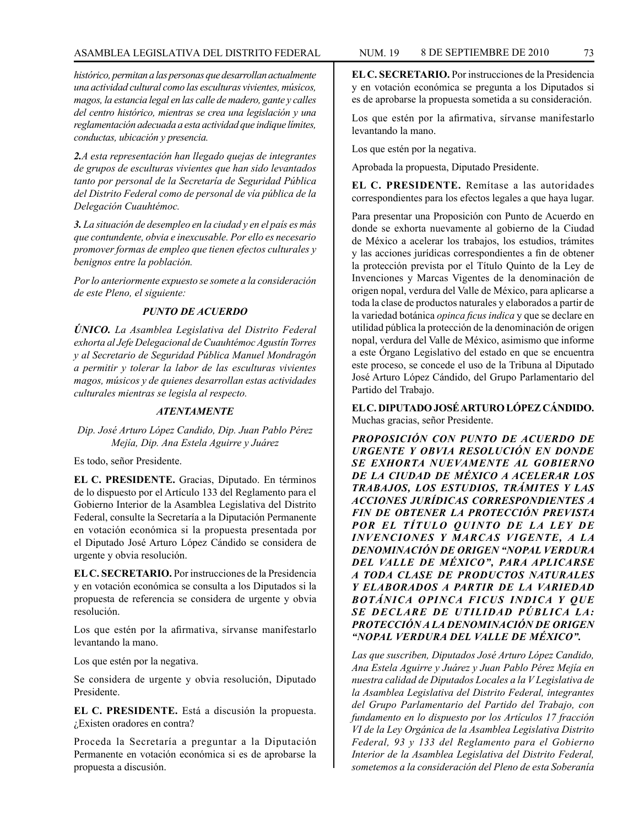# ASAMBLEA LEGISLATIVA DEL DISTRITO FEDERAL NUM. 19 8 DE SEPTIEMBRE DE 2010 73

*histórico, permitan a las personas que desarrollan actualmente una actividad cultural como las esculturas vivientes, músicos, magos, la estancia legal en las calle de madero, gante y calles del centro histórico, mientras se crea una legislación y una reglamentación adecuada a esta actividad que indique límites, conductas, ubicación y presencia.* 

*2.A esta representación han llegado quejas de integrantes de grupos de esculturas vivientes que han sido levantados tanto por personal de la Secretaría de Seguridad Pública del Distrito Federal como de personal de vía pública de la Delegación Cuauhtémoc.*

*3. La situación de desempleo en la ciudad y en el país es más que contundente, obvia e inexcusable. Por ello es necesario promover formas de empleo que tienen efectos culturales y benignos entre la población.*

*Por lo anteriormente expuesto se somete a la consideración de este Pleno, el siguiente:*

## *PUNTO DE ACUERDO*

*ÚNICO. La Asamblea Legislativa del Distrito Federal exhorta al Jefe Delegacional de Cuauhtémoc Agustín Torres y al Secretario de Seguridad Pública Manuel Mondragón a permitir y tolerar la labor de las esculturas vivientes magos, músicos y de quienes desarrollan estas actividades culturales mientras se legisla al respecto.*

# *ATENTAMENTE*

*Dip. José Arturo López Candido, Dip. Juan Pablo Pérez Mejía, Dip. Ana Estela Aguirre y Juárez*

Es todo, señor Presidente.

**EL C. PRESIDENTE.** Gracias, Diputado. En términos de lo dispuesto por el Artículo 133 del Reglamento para el Gobierno Interior de la Asamblea Legislativa del Distrito Federal, consulte la Secretaría a la Diputación Permanente en votación económica si la propuesta presentada por el Diputado José Arturo López Cándido se considera de urgente y obvia resolución.

**EL C. SECRETARIO.** Por instrucciones de la Presidencia y en votación económica se consulta a los Diputados si la propuesta de referencia se considera de urgente y obvia resolución.

Los que estén por la afirmativa, sírvanse manifestarlo levantando la mano.

Los que estén por la negativa.

Se considera de urgente y obvia resolución, Diputado Presidente.

**EL C. PRESIDENTE.** Está a discusión la propuesta. ¿Existen oradores en contra?

Proceda la Secretaría a preguntar a la Diputación Permanente en votación económica si es de aprobarse la propuesta a discusión.

**EL C. SECRETARIO.** Por instrucciones de la Presidencia y en votación económica se pregunta a los Diputados si es de aprobarse la propuesta sometida a su consideración.

Los que estén por la afirmativa, sírvanse manifestarlo levantando la mano.

Los que estén por la negativa.

Aprobada la propuesta, Diputado Presidente.

**EL C. PRESIDENTE.** Remítase a las autoridades correspondientes para los efectos legales a que haya lugar.

Para presentar una Proposición con Punto de Acuerdo en donde se exhorta nuevamente al gobierno de la Ciudad de México a acelerar los trabajos, los estudios, trámites y las acciones jurídicas correspondientes a fin de obtener la protección prevista por el Título Quinto de la Ley de Invenciones y Marcas Vigentes de la denominación de origen nopal, verdura del Valle de México, para aplicarse a toda la clase de productos naturales y elaborados a partir de la variedad botánica *opinca ficus indica* y que se declare en utilidad pública la protección de la denominación de origen nopal, verdura del Valle de México, asimismo que informe a este Órgano Legislativo del estado en que se encuentra este proceso, se concede el uso de la Tribuna al Diputado José Arturo López Cándido, del Grupo Parlamentario del Partido del Trabajo.

**EL C. DIPUTADO JOSÉ ARTURO LÓPEZ CÁNDIDO.** Muchas gracias, señor Presidente.

*PROPOSICIÓN CON PUNTO DE ACUERDO DE URGENTE Y OBVIA RESOLUCIÓN EN DONDE SE EXHORTA NUEVAMENTE AL GOBIERNO DE LA CIUDAD DE MÉXICO A ACELERAR LOS TRABAJOS, LOS ESTUDIOS, TRÁMITES Y LAS ACCIONES JURÍDICAS CORRESPONDIENTES A FIN DE OBTENER LA PROTECCIÓN PREVISTA POR EL TÍTULO QUINTO DE LA LEY DE INVENCIONES Y MARCAS VIGENTE, A LA DENOMINACIÓN DE ORIGEN "NOPAL VERDURA DEL VALLE DE MÉXICO", PARA APLICARSE A TODA CLASE DE PRODUCTOS NATURALES Y ELABORADOS A PARTIR DE LA VARIEDAD BOTÁNICA OPINCA FICUS INDICA Y QUE SE DECLARE DE UTILIDAD PÚBLICA LA: PROTECCIÓN A LA DENOMINACIÓN DE ORIGEN "NOPAL VERDURA DEL VALLE DE MÉXICO".*

*Las que suscriben, Diputados José Arturo López Candido, Ana Estela Aguirre y Juárez y Juan Pablo Pérez Mejía en nuestra calidad de Diputados Locales a la V Legislativa de la Asamblea Legislativa del Distrito Federal, integrantes del Grupo Parlamentario del Partido del Trabajo, con fundamento en lo dispuesto por los Artículos 17 fracción VI de la Ley Orgánica de la Asamblea Legislativa Distrito Federal, 93 y 133 del Reglamento para el Gobierno Interior de la Asamblea Legislativa del Distrito Federal, sometemos a la consideración del Pleno de esta Soberanía*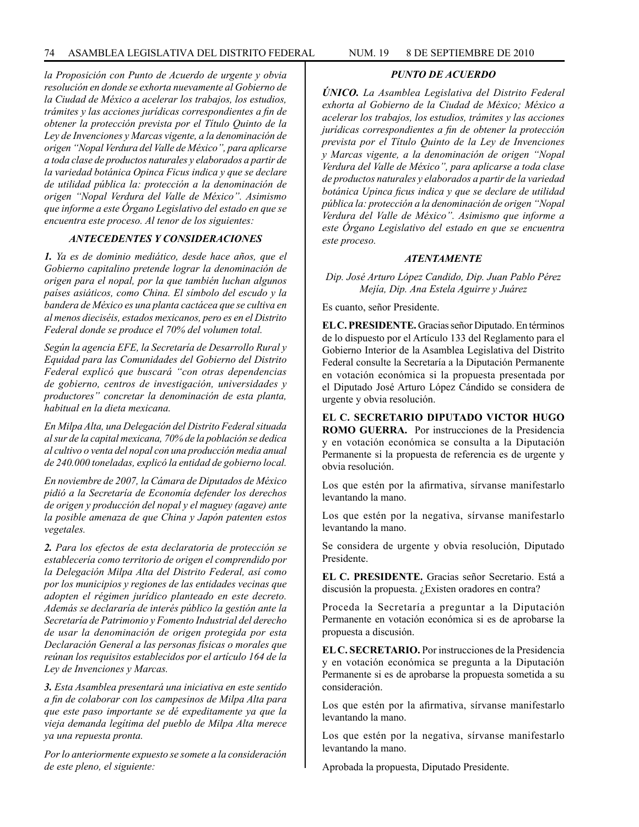*la Proposición con Punto de Acuerdo de urgente y obvia resolución en donde se exhorta nuevamente al Gobierno de la Ciudad de México a acelerar los trabajos, los estudios, trámites y las acciones jurídicas correspondientes a fin de obtener la protección prevista por el Título Quinto de la Ley de Invenciones y Marcas vigente, a la denominación de origen "Nopal Verdura del Valle de México", para aplicarse a toda clase de productos naturales y elaborados a partir de la variedad botánica Opinca Ficus indica y que se declare de utilidad pública la: protección a la denominación de origen "Nopal Verdura del Valle de México". Asimismo que informe a este Órgano Legislativo del estado en que se encuentra este proceso. Al tenor de los siguientes:*

### *ANTECEDENTES Y CONSIDERACIONES*

*1. Ya es de dominio mediático, desde hace años, que el Gobierno capitalino pretende lograr la denominación de origen para el nopal, por la que también luchan algunos países asiáticos, como China. El símbolo del escudo y la bandera de México es una planta cactácea que se cultiva en al menos dieciséis, estados mexicanos, pero es en el Distrito Federal donde se produce el 70% del volumen total.*

*Según la agencia EFE, la Secretaría de Desarrollo Rural y Equidad para las Comunidades del Gobierno del Distrito Federal explicó que buscará "con otras dependencias de gobierno, centros de investigación, universidades y productores" concretar la denominación de esta planta, habitual en la dieta mexicana.*

*En Milpa Alta, una Delegación del Distrito Federal situada al sur de la capital mexicana, 70% de la población se dedica al cultivo o venta del nopal con una producción media anual de 240.000 toneladas, explicó la entidad de gobierno local.*

*En noviembre de 2007, la Cámara de Diputados de México pidió a la Secretaría de Economía defender los derechos de origen y producción del nopal y el maguey (agave) ante la posible amenaza de que China y Japón patenten estos vegetales.*

*2. Para los efectos de esta declaratoria de protección se establecería como territorio de origen el comprendido por la Delegación Milpa Alta del Distrito Federal, así como por los municipios y regiones de las entidades vecinas que adopten el régimen jurídico planteado en este decreto. Además se declararía de interés público la gestión ante la Secretaría de Patrimonio y Fomento Industrial del derecho de usar la denominación de origen protegida por esta Declaración General a las personas físicas o morales que reúnan los requisitos establecidos por el artículo 164 de la Ley de Invenciones y Marcas.*

*3. Esta Asamblea presentará una iniciativa en este sentido a fin de colaborar con los campesinos de Milpa Alta para que este paso importante se dé expeditamente ya que la vieja demanda legítima del pueblo de Milpa Alta merece ya una repuesta pronta.*

*Por lo anteriormente expuesto se somete a la consideración de este pleno, el siguiente:*

## *PUNTO DE ACUERDO*

*ÚNICO. La Asamblea Legislativa del Distrito Federal exhorta al Gobierno de la Ciudad de México; México a acelerar los trabajos, los estudios, trámites y las acciones jurídicas correspondientes a fin de obtener la protección prevista por el Título Quinto de la Ley de Invenciones y Marcas vigente, a la denominación de origen "Nopal Verdura del Valle de México", para aplicarse a toda clase de productos naturales y elaborados a partir de la variedad botánica Upinca ficus indica y que se declare de utilidad pública la: protección a la denominación de origen "Nopal Verdura del Valle de México". Asimismo que informe a este Órgano Legislativo del estado en que se encuentra este proceso.*

#### *ATENTAMENTE*

*Dip. José Arturo López Candido, Dip. Juan Pablo Pérez Mejía, Dip. Ana Estela Aguirre y Juárez*

Es cuanto, señor Presidente.

**EL C. PRESIDENTE.** Gracias señor Diputado. En términos de lo dispuesto por el Artículo 133 del Reglamento para el Gobierno Interior de la Asamblea Legislativa del Distrito Federal consulte la Secretaría a la Diputación Permanente en votación económica si la propuesta presentada por el Diputado José Arturo López Cándido se considera de urgente y obvia resolución.

**EL C. SECRETARIO DIPUTADO VICTOR HUGO ROMO GUERRA.** Por instrucciones de la Presidencia y en votación económica se consulta a la Diputación Permanente si la propuesta de referencia es de urgente y obvia resolución.

Los que estén por la afirmativa, sírvanse manifestarlo levantando la mano.

Los que estén por la negativa, sírvanse manifestarlo levantando la mano.

Se considera de urgente y obvia resolución, Diputado Presidente.

**EL C. PRESIDENTE.** Gracias señor Secretario. Está a discusión la propuesta. ¿Existen oradores en contra?

Proceda la Secretaría a preguntar a la Diputación Permanente en votación económica si es de aprobarse la propuesta a discusión.

**EL C. SECRETARIO.** Por instrucciones de la Presidencia y en votación económica se pregunta a la Diputación Permanente si es de aprobarse la propuesta sometida a su consideración.

Los que estén por la afirmativa, sírvanse manifestarlo levantando la mano.

Los que estén por la negativa, sírvanse manifestarlo levantando la mano.

Aprobada la propuesta, Diputado Presidente.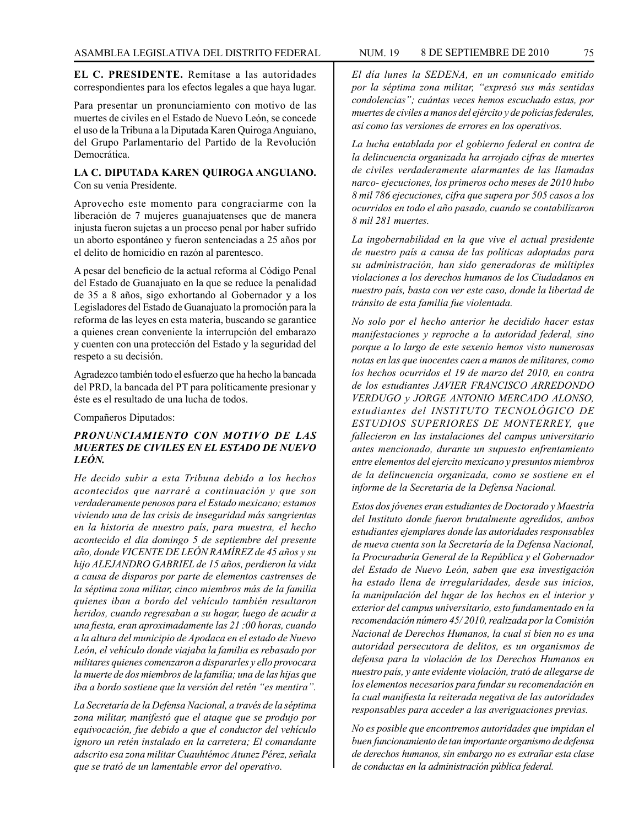**EL C. PRESIDENTE.** Remítase a las autoridades correspondientes para los efectos legales a que haya lugar.

Para presentar un pronunciamiento con motivo de las muertes de civiles en el Estado de Nuevo León, se concede el uso de la Tribuna a la Diputada Karen Quiroga Anguiano, del Grupo Parlamentario del Partido de la Revolución Democrática.

#### **LA C. DIPUTADA KAREN QUIROGA ANGUIANO.**  Con su venia Presidente.

Aprovecho este momento para congraciarme con la liberación de 7 mujeres guanajuatenses que de manera injusta fueron sujetas a un proceso penal por haber sufrido un aborto espontáneo y fueron sentenciadas a 25 años por el delito de homicidio en razón al parentesco.

A pesar del beneficio de la actual reforma al Código Penal del Estado de Guanajuato en la que se reduce la penalidad de 35 a 8 años, sigo exhortando al Gobernador y a los Legisladores del Estado de Guanajuato la promoción para la reforma de las leyes en esta materia, buscando se garantice a quienes crean conveniente la interrupción del embarazo y cuenten con una protección del Estado y la seguridad del respeto a su decisión.

Agradezco también todo el esfuerzo que ha hecho la bancada del PRD, la bancada del PT para políticamente presionar y éste es el resultado de una lucha de todos.

Compañeros Diputados:

## *PRONUNCIAMIENTO CON MOTIVO DE LAS MUERTES DE CIVILES EN EL ESTADO DE NUEVO LEÓN.*

*He decido subir a esta Tribuna debido a los hechos acontecidos que narraré a continuación y que son verdaderamente penosos para el Estado mexicano; estamos viviendo una de las crisis de inseguridad más sangrientas en la historia de nuestro país, para muestra, el hecho acontecido el día domingo 5 de septiembre del presente año, donde VICENTE DE LEÓN RAMÍREZ de 45 años y su hijo ALEJANDRO GABRIEL de 15 años, perdieron la vida a causa de disparos por parte de elementos castrenses de la séptima zona militar, cinco miembros más de la familia quienes iban a bordo del vehículo también resultaron heridos, cuando regresaban a su hogar, luego de acudir a una fiesta, eran aproximadamente las 21 :00 horas, cuando a la altura del municipio de Apodaca en el estado de Nuevo León, el vehículo donde viajaba la familia es rebasado por militares quienes comenzaron a dispararles y ello provocara la muerte de dos miembros de la familia; una de las hijas que iba a bordo sostiene que la versión del retén "es mentira".*

*La Secretaría de la Defensa Nacional, a través de la séptima zona militar, manifestó que el ataque que se produjo por equivocación, fue debido a que el conductor del vehículo ignoro un retén instalado en la carretera; El comandante adscrito esa zona militar Cuauhtémoc Atunez Pérez, señala que se trató de un lamentable error del operativo.*

*El día lunes la SEDENA, en un comunicado emitido por la séptima zona militar, "expresó sus más sentidas condolencias"; cuántas veces hemos escuchado estas, por muertes de civiles a manos del ejército y de policías federales, así como las versiones de errores en los operativos.*

*La lucha entablada por el gobierno federal en contra de la delincuencia organizada ha arrojado cifras de muertes de civiles verdaderamente alarmantes de las llamadas narco- ejecuciones, los primeros ocho meses de 2010 hubo 8 mil 786 ejecuciones, cifra que supera por 505 casos a los ocurridos en todo el año pasado, cuando se contabilizaron 8 mil 281 muertes.*

*La ingobernabilidad en la que vive el actual presidente de nuestro país a causa de las políticas adoptadas para su administración, han sido generadoras de múltiples violaciones a los derechos humanos de los Ciudadanos en nuestro país, basta con ver este caso, donde la libertad de tránsito de esta familia fue violentada.*

*No solo por el hecho anterior he decidido hacer estas manifestaciones y reproche a la autoridad federal, sino porque a lo largo de este sexenio hemos visto numerosas notas en las que inocentes caen a manos de militares, como los hechos ocurridos el 19 de marzo del 2010, en contra de los estudiantes JAVIER FRANCISCO ARREDONDO VERDUGO y JORGE ANTONIO MERCADO ALONSO, estudiantes del INSTITUTO TECNOLÓGICO DE ESTUDIOS SUPERIORES DE MONTERREY, que fallecieron en las instalaciones del campus universitario antes mencionado, durante un supuesto enfrentamiento entre elementos del ejercito mexicano y presuntos miembros de la delincuencia organizada, como se sostiene en el informe de la Secretaria de la Defensa Nacional.*

*Estos dos jóvenes eran estudiantes de Doctorado y Maestría del Instituto donde fueron brutalmente agredidos, ambos estudiantes ejemplares donde las autoridades responsables de nueva cuenta son la Secretaría de la Defensa Nacional, la Procuraduría General de la República y el Gobernador del Estado de Nuevo León, saben que esa investigación ha estado llena de irregularidades, desde sus inicios, la manipulación del lugar de los hechos en el interior y exterior del campus universitario, esto fundamentado en la recomendación número 45/ 2010, realizada por la Comisión Nacional de Derechos Humanos, la cual si bien no es una autoridad persecutora de delitos, es un organismos de defensa para la violación de los Derechos Humanos en nuestro país, y ante evidente violación, trató de allegarse de los elementos necesarios para fundar su recomendación en la cual manifiesta la reiterada negativa de las autoridades responsables para acceder a las averiguaciones previas.*

*No es posible que encontremos autoridades que impidan el buen funcionamiento de tan importante organismo de defensa de derechos humanos, sin embargo no es extrañar esta clase de conductas en la administración pública federal.*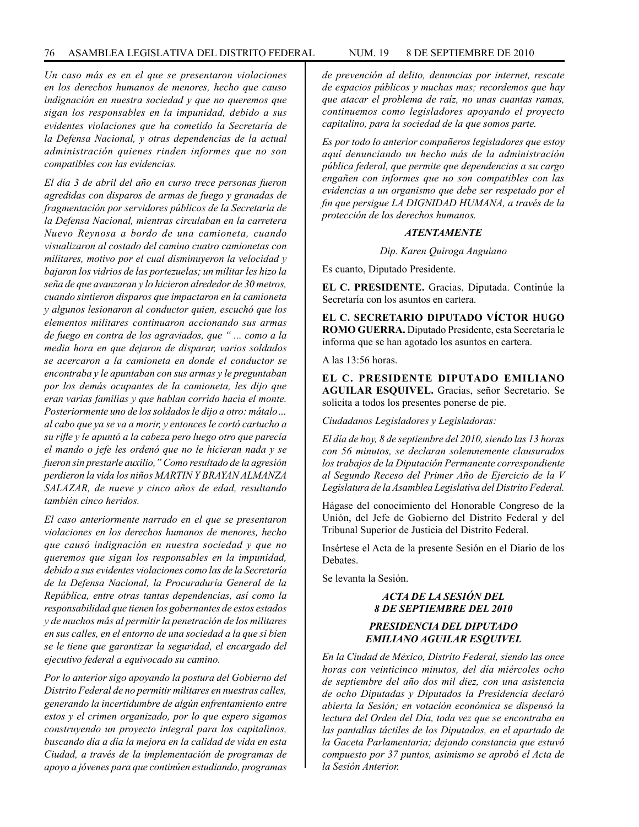*Un caso más es en el que se presentaron violaciones en los derechos humanos de menores, hecho que causo indignación en nuestra sociedad y que no queremos que sigan los responsables en la impunidad, debido a sus evidentes violaciones que ha cometido la Secretaría de la Defensa Nacional, y otras dependencias de la actual administración quienes rinden informes que no son compatibles con las evidencias.*

*El día 3 de abril del año en curso trece personas fueron agredidas con disparos de armas de fuego y granadas de fragmentación por servidores públicos de la Secretaria de la Defensa Nacional, mientras circulaban en la carretera Nuevo Reynosa a bordo de una camioneta, cuando visualizaron al costado del camino cuatro camionetas con militares, motivo por el cual disminuyeron la velocidad y bajaron los vidrios de las portezuelas; un militar les hizo la seña de que avanzaran y lo hicieron alrededor de 30 metros, cuando sintieron disparos que impactaron en la camioneta y algunos lesionaron al conductor quien, escuchó que los elementos militares continuaron accionando sus armas de fuego en contra de los agraviados, que " ... como a la media hora en que dejaron de disparar, varios soldados se acercaron a la camioneta en donde el conductor se encontraba y le apuntaban con sus armas y le preguntaban por los demás ocupantes de la camioneta, les dijo que eran varias familias y que hablan corrido hacia el monte. Posteriormente uno de los soldados le dijo a otro: mátalo… al cabo que ya se va a morir, y entonces le cortó cartucho a su rifle y le apuntó a la cabeza pero luego otro que parecía el mando o jefe les ordenó que no le hicieran nada y se fueron sin prestarle auxilio," Como resultado de la agresión perdieron la vida los niños MARTIN Y BRAYAN ALMANZA SALAZAR, de nueve y cinco años de edad, resultando también cinco heridos.*

*El caso anteriormente narrado en el que se presentaron violaciones en los derechos humanos de menores, hecho que causó indignación en nuestra sociedad y que no queremos que sigan los responsables en la impunidad, debido a sus evidentes violaciones como las de la Secretaría de la Defensa Nacional, la Procuraduría General de la República, entre otras tantas dependencias, así como la responsabilidad que tienen los gobernantes de estos estados y de muchos más al permitir la penetración de los militares en sus calles, en el entorno de una sociedad a la que si bien se le tiene que garantizar la seguridad, el encargado del ejecutivo federal a equivocado su camino.*

*Por lo anterior sigo apoyando la postura del Gobierno del Distrito Federal de no permitir militares en nuestras calles, generando la incertidumbre de algún enfrentamiento entre estos y el crimen organizado, por lo que espero sigamos construyendo un proyecto integral para los capitalinos, buscando día a día la mejora en la calidad de vida en esta Ciudad, a través de la implementación de programas de apoyo a jóvenes para que continúen estudiando, programas* 

*Es por todo lo anterior compañeros legisladores que estoy aquí denunciando un hecho más de la administración pública federal, que permite que dependencias a su cargo engañen con informes que no son compatibles con las evidencias a un organismo que debe ser respetado por el fin que persigue LA DIGNIDAD HUMANA, a través de la protección de los derechos humanos.*

#### *ATENTAMENTE*

*Dip. Karen Quiroga Anguiano*

Es cuanto, Diputado Presidente.

**EL C. PRESIDENTE.** Gracias, Diputada. Continúe la Secretaría con los asuntos en cartera.

**EL C. SECRETARIO DIPUTADO VÍCTOR HUGO ROMO GUERRA.** Diputado Presidente, esta Secretaría le informa que se han agotado los asuntos en cartera.

A las 13:56 horas.

**EL C. PRESIDENTE DIPUTADO EMILIANO AGUILAR ESQUIVEL.** Gracias, señor Secretario. Se solicita a todos los presentes ponerse de pie.

*Ciudadanos Legisladores y Legisladoras:*

*El día de hoy, 8 de septiembre del 2010, siendo las 13 horas con 56 minutos, se declaran solemnemente clausurados los trabajos de la Diputación Permanente correspondiente al Segundo Receso del Primer Año de Ejercicio de la V Legislatura de la Asamblea Legislativa del Distrito Federal.*

Hágase del conocimiento del Honorable Congreso de la Unión, del Jefe de Gobierno del Distrito Federal y del Tribunal Superior de Justicia del Distrito Federal.

Insértese el Acta de la presente Sesión en el Diario de los **Debates** 

Se levanta la Sesión.

# *ACTA DE LA SESIÓN DEL 8 DE SEPTIEMBRE DEL 2010*

## *PRESIDENCIA DEL DIPUTADO EMILIANO AGUILAR ESQUIVEL*

*En la Ciudad de México, Distrito Federal, siendo las once horas con veinticinco minutos, del día miércoles ocho de septiembre del año dos mil diez, con una asistencia de ocho Diputadas y Diputados la Presidencia declaró abierta la Sesión; en votación económica se dispensó la lectura del Orden del Día, toda vez que se encontraba en las pantallas táctiles de los Diputados, en el apartado de la Gaceta Parlamentaria; dejando constancia que estuvó compuesto por 37 puntos, asimismo se aprobó el Acta de la Sesión Anterior.*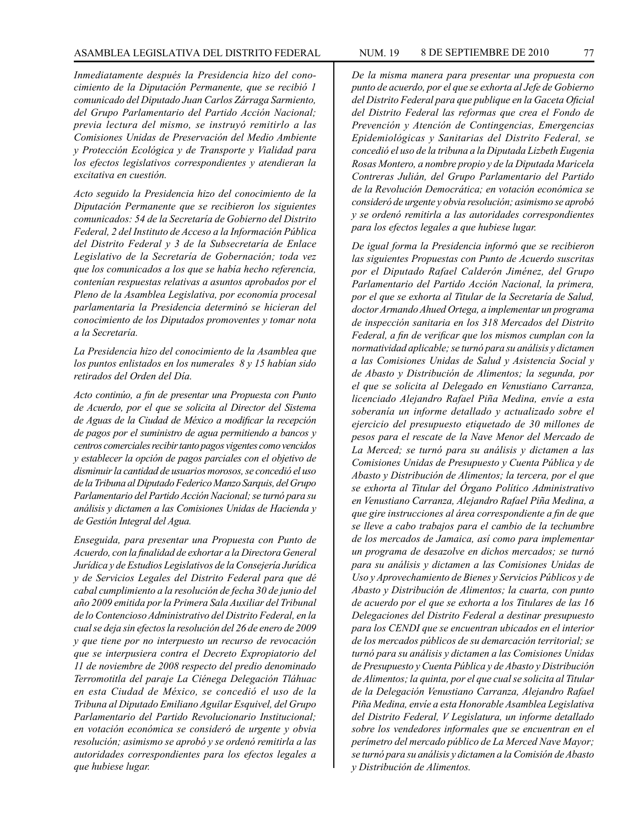*Inmediatamente después la Presidencia hizo del conocimiento de la Diputación Permanente, que se recibió 1 comunicado del Diputado Juan Carlos Zárraga Sarmiento, del Grupo Parlamentario del Partido Acción Nacional; previa lectura del mismo, se instruyó remitirlo a las Comisiones Unidas de Preservación del Medio Ambiente y Protección Ecológica y de Transporte y Vialidad para los efectos legislativos correspondientes y atendieran la excitativa en cuestión.*

*Acto seguido la Presidencia hizo del conocimiento de la Diputación Permanente que se recibieron los siguientes comunicados: 54 de la Secretaría de Gobierno del Distrito Federal, 2 del Instituto de Acceso a la Información Pública del Distrito Federal y 3 de la Subsecretaría de Enlace Legislativo de la Secretaría de Gobernación; toda vez que los comunicados a los que se había hecho referencia, contenían respuestas relativas a asuntos aprobados por el Pleno de la Asamblea Legislativa, por economía procesal parlamentaria la Presidencia determinó se hicieran del conocimiento de los Diputados promoventes y tomar nota a la Secretaría.*

*La Presidencia hizo del conocimiento de la Asamblea que los puntos enlistados en los numerales 8 y 15 habían sido retirados del Orden del Día.*

*Acto continúo, a fin de presentar una Propuesta con Punto de Acuerdo, por el que se solicita al Director del Sistema de Aguas de la Ciudad de México a modificar la recepción de pagos por el suministro de agua permitiendo a bancos y centros comerciales recibir tanto pagos vigentes como vencidos y establecer la opción de pagos parciales con el objetivo de disminuir la cantidad de usuarios morosos, se concedió el uso de la Tribuna al Diputado Federico Manzo Sarquis, del Grupo Parlamentario del Partido Acción Nacional; se turnó para su análisis y dictamen a las Comisiones Unidas de Hacienda y de Gestión Integral del Agua.*

*Enseguida, para presentar una Propuesta con Punto de Acuerdo, con la finalidad de exhortar a la Directora General Jurídica y de Estudios Legislativos de la Consejería Jurídica y de Servicios Legales del Distrito Federal para que dé cabal cumplimiento a la resolución de fecha 30 de junio del año 2009 emitida por la Primera Sala Auxiliar del Tribunal de lo Contencioso Administrativo del Distrito Federal, en la cual se deja sin efectos la resolución del 26 de enero de 2009 y que tiene por no interpuesto un recurso de revocación que se interpusiera contra el Decreto Expropiatorio del 11 de noviembre de 2008 respecto del predio denominado Terromotitla del paraje La Ciénega Delegación Tláhuac en esta Ciudad de México, se concedió el uso de la Tribuna al Diputado Emiliano Aguilar Esquivel, del Grupo Parlamentario del Partido Revolucionario Institucional; en votación económica se consideró de urgente y obvia resolución; asimismo se aprobó y se ordenó remitirla a las autoridades correspondientes para los efectos legales a que hubiese lugar.*

*De la misma manera para presentar una propuesta con punto de acuerdo, por el que se exhorta al Jefe de Gobierno del Distrito Federal para que publique en la Gaceta Oficial del Distrito Federal las reformas que crea el Fondo de Prevención y Atención de Contingencias, Emergencias Epidemiológicas y Sanitarias del Distrito Federal, se concedió el uso de la tribuna a la Diputada Lizbeth Eugenia Rosas Montero, a nombre propio y de la Diputada Maricela Contreras Julián, del Grupo Parlamentario del Partido de la Revolución Democrática; en votación económica se consideró de urgente y obvia resolución; asimismo se aprobó y se ordenó remitirla a las autoridades correspondientes para los efectos legales a que hubiese lugar.*

*De igual forma la Presidencia informó que se recibieron las siguientes Propuestas con Punto de Acuerdo suscritas por el Diputado Rafael Calderón Jiménez, del Grupo Parlamentario del Partido Acción Nacional, la primera, por el que se exhorta al Titular de la Secretaría de Salud, doctor Armando Ahued Ortega, a implementar un programa de inspección sanitaria en los 318 Mercados del Distrito Federal, a fin de verificar que los mismos cumplan con la normatividad aplicable; se turnó para su análisis y dictamen a las Comisiones Unidas de Salud y Asistencia Social y de Abasto y Distribución de Alimentos; la segunda, por el que se solicita al Delegado en Venustiano Carranza, licenciado Alejandro Rafael Piña Medina, envíe a esta soberanía un informe detallado y actualizado sobre el ejercicio del presupuesto etiquetado de 30 millones de pesos para el rescate de la Nave Menor del Mercado de La Merced; se turnó para su análisis y dictamen a las Comisiones Unidas de Presupuesto y Cuenta Pública y de Abasto y Distribución de Alimentos; la tercera, por el que se exhorta al Titular del Órgano Político Administrativo en Venustiano Carranza, Alejandro Rafael Piña Medina, a que gire instrucciones al área correspondiente a fin de que se lleve a cabo trabajos para el cambio de la techumbre de los mercados de Jamaica, así como para implementar un programa de desazolve en dichos mercados; se turnó para su análisis y dictamen a las Comisiones Unidas de Uso y Aprovechamiento de Bienes y Servicios Públicos y de Abasto y Distribución de Alimentos; la cuarta, con punto de acuerdo por el que se exhorta a los Titulares de las 16 Delegaciones del Distrito Federal a destinar presupuesto para los CENDI que se encuentran ubicados en el interior de los mercados públicos de su demarcación territorial; se turnó para su análisis y dictamen a las Comisiones Unidas de Presupuesto y Cuenta Pública y de Abasto y Distribución de Alimentos; la quinta, por el que cual se solicita al Titular de la Delegación Venustiano Carranza, Alejandro Rafael Piña Medina, envíe a esta Honorable Asamblea Legislativa del Distrito Federal, V Legislatura, un informe detallado sobre los vendedores informales que se encuentran en el perímetro del mercado público de La Merced Nave Mayor; se turnó para su análisis y dictamen a la Comisión de Abasto y Distribución de Alimentos.*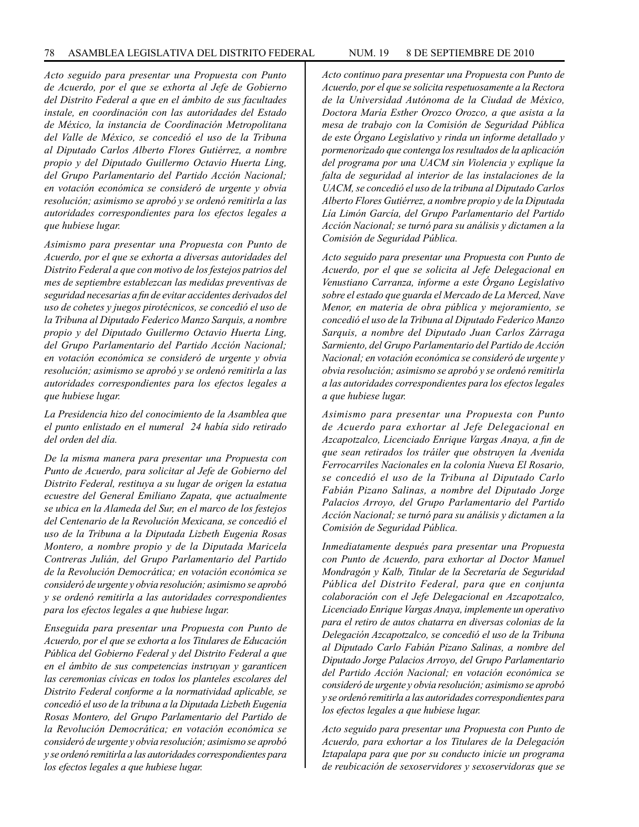*Acto seguido para presentar una Propuesta con Punto de Acuerdo, por el que se exhorta al Jefe de Gobierno del Distrito Federal a que en el ámbito de sus facultades instale, en coordinación con las autoridades del Estado de México, la instancia de Coordinación Metropolitana del Valle de México, se concedió el uso de la Tribuna al Diputado Carlos Alberto Flores Gutiérrez, a nombre propio y del Diputado Guillermo Octavio Huerta Ling, del Grupo Parlamentario del Partido Acción Nacional; en votación económica se consideró de urgente y obvia resolución; asimismo se aprobó y se ordenó remitirla a las autoridades correspondientes para los efectos legales a que hubiese lugar.* 

*Asimismo para presentar una Propuesta con Punto de Acuerdo, por el que se exhorta a diversas autoridades del Distrito Federal a que con motivo de los festejos patrios del mes de septiembre establezcan las medidas preventivas de seguridad necesarias a fin de evitar accidentes derivados del uso de cohetes y juegos pirotécnicos, se concedió el uso de la Tribuna al Diputado Federico Manzo Sarquis, a nombre propio y del Diputado Guillermo Octavio Huerta Ling, del Grupo Parlamentario del Partido Acción Nacional; en votación económica se consideró de urgente y obvia resolución; asimismo se aprobó y se ordenó remitirla a las autoridades correspondientes para los efectos legales a que hubiese lugar.*

*La Presidencia hizo del conocimiento de la Asamblea que el punto enlistado en el numeral 24 había sido retirado del orden del día.*

*De la misma manera para presentar una Propuesta con Punto de Acuerdo, para solicitar al Jefe de Gobierno del Distrito Federal, restituya a su lugar de origen la estatua ecuestre del General Emiliano Zapata, que actualmente se ubica en la Alameda del Sur, en el marco de los festejos del Centenario de la Revolución Mexicana, se concedió el uso de la Tribuna a la Diputada Lizbeth Eugenia Rosas Montero, a nombre propio y de la Diputada Maricela Contreras Julián, del Grupo Parlamentario del Partido de la Revolución Democrática; en votación económica se consideró de urgente y obvia resolución; asimismo se aprobó y se ordenó remitirla a las autoridades correspondientes para los efectos legales a que hubiese lugar.*

*Enseguida para presentar una Propuesta con Punto de Acuerdo, por el que se exhorta a los Titulares de Educación Pública del Gobierno Federal y del Distrito Federal a que en el ámbito de sus competencias instruyan y garanticen las ceremonias cívicas en todos los planteles escolares del Distrito Federal conforme a la normatividad aplicable, se concedió el uso de la tribuna a la Diputada Lizbeth Eugenia Rosas Montero, del Grupo Parlamentario del Partido de la Revolución Democrática; en votación económica se consideró de urgente y obvia resolución; asimismo se aprobó y se ordenó remitirla a las autoridades correspondientes para los efectos legales a que hubiese lugar.*

*Acuerdo, por el que se solicita respetuosamente a la Rectora de la Universidad Autónoma de la Ciudad de México, Doctora María Esther Orozco Orozco, a que asista a la mesa de trabajo con la Comisión de Seguridad Pública de este Órgano Legislativo y rinda un informe detallado y pormenorizado que contenga los resultados de la aplicación del programa por una UACM sin Violencia y explique la falta de seguridad al interior de las instalaciones de la UACM, se concedió el uso de la tribuna al Diputado Carlos Alberto Flores Gutiérrez, a nombre propio y de la Diputada Lía Limón García, del Grupo Parlamentario del Partido Acción Nacional; se turnó para su análisis y dictamen a la Comisión de Seguridad Pública.*

*Acto seguido para presentar una Propuesta con Punto de Acuerdo, por el que se solicita al Jefe Delegacional en Venustiano Carranza, informe a este Órgano Legislativo sobre el estado que guarda el Mercado de La Merced, Nave Menor, en materia de obra pública y mejoramiento, se concedió el uso de la Tribuna al Diputado Federico Manzo Sarquis, a nombre del Diputado Juan Carlos Zárraga Sarmiento, del Grupo Parlamentario del Partido de Acción Nacional; en votación económica se consideró de urgente y obvia resolución; asimismo se aprobó y se ordenó remitirla a las autoridades correspondientes para los efectos legales a que hubiese lugar.* 

*Asimismo para presentar una Propuesta con Punto de Acuerdo para exhortar al Jefe Delegacional en Azcapotzalco, Licenciado Enrique Vargas Anaya, a fin de que sean retirados los tráiler que obstruyen la Avenida Ferrocarriles Nacionales en la colonia Nueva El Rosario, se concedió el uso de la Tribuna al Diputado Carlo Fabián Pizano Salinas, a nombre del Diputado Jorge Palacios Arroyo, del Grupo Parlamentario del Partido Acción Nacional; se turnó para su análisis y dictamen a la Comisión de Seguridad Pública.*

*Inmediatamente después para presentar una Propuesta con Punto de Acuerdo, para exhortar al Doctor Manuel Mondragón y Kalb, Titular de la Secretaría de Seguridad Pública del Distrito Federal, para que en conjunta colaboración con el Jefe Delegacional en Azcapotzalco, Licenciado Enrique Vargas Anaya, implemente un operativo para el retiro de autos chatarra en diversas colonias de la Delegación Azcapotzalco, se concedió el uso de la Tribuna al Diputado Carlo Fabián Pizano Salinas, a nombre del Diputado Jorge Palacios Arroyo, del Grupo Parlamentario del Partido Acción Nacional; en votación económica se consideró de urgente y obvia resolución; asimismo se aprobó y se ordenó remitirla a las autoridades correspondientes para los efectos legales a que hubiese lugar.* 

*Acto seguido para presentar una Propuesta con Punto de Acuerdo, para exhortar a los Titulares de la Delegación Iztapalapa para que por su conducto inicie un programa de reubicación de sexoservidores y sexoservidoras que se*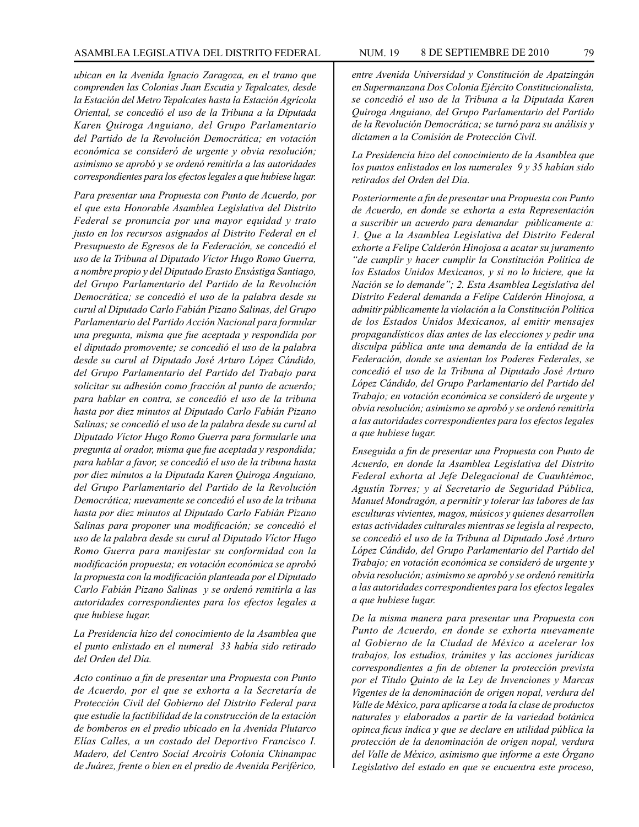*ubican en la Avenida Ignacio Zaragoza, en el tramo que comprenden las Colonias Juan Escutia y Tepalcates, desde la Estación del Metro Tepalcates hasta la Estación Agrícola Oriental, se concedió el uso de la Tribuna a la Diputada Karen Quiroga Anguiano, del Grupo Parlamentario del Partido de la Revolución Democrática; en votación económica se consideró de urgente y obvia resolución; asimismo se aprobó y se ordenó remitirla a las autoridades correspondientes para los efectos legales a que hubiese lugar.*

*Para presentar una Propuesta con Punto de Acuerdo, por el que esta Honorable Asamblea Legislativa del Distrito Federal se pronuncia por una mayor equidad y trato justo en los recursos asignados al Distrito Federal en el Presupuesto de Egresos de la Federación, se concedió el uso de la Tribuna al Diputado Víctor Hugo Romo Guerra, a nombre propio y del Diputado Erasto Ensástiga Santiago, del Grupo Parlamentario del Partido de la Revolución Democrática; se concedió el uso de la palabra desde su curul al Diputado Carlo Fabián Pizano Salinas, del Grupo Parlamentario del Partido Acción Nacional para formular una pregunta, misma que fue aceptada y respondida por el diputado promovente; se concedió el uso de la palabra desde su curul al Diputado José Arturo López Cándido, del Grupo Parlamentario del Partido del Trabajo para solicitar su adhesión como fracción al punto de acuerdo; para hablar en contra, se concedió el uso de la tribuna hasta por diez minutos al Diputado Carlo Fabián Pizano Salinas; se concedió el uso de la palabra desde su curul al Diputado Víctor Hugo Romo Guerra para formularle una pregunta al orador, misma que fue aceptada y respondida; para hablar a favor, se concedió el uso de la tribuna hasta por diez minutos a la Diputada Karen Quiroga Anguiano, del Grupo Parlamentario del Partido de la Revolución Democrática; nuevamente se concedió el uso de la tribuna hasta por diez minutos al Diputado Carlo Fabián Pizano Salinas para proponer una modificación; se concedió el uso de la palabra desde su curul al Diputado Víctor Hugo Romo Guerra para manifestar su conformidad con la modificación propuesta; en votación económica se aprobó la propuesta con la modificación planteada por el Diputado Carlo Fabián Pizano Salinas y se ordenó remitirla a las autoridades correspondientes para los efectos legales a que hubiese lugar.* 

*La Presidencia hizo del conocimiento de la Asamblea que el punto enlistado en el numeral 33 había sido retirado del Orden del Día.*

*Acto continuo a fin de presentar una Propuesta con Punto de Acuerdo, por el que se exhorta a la Secretaría de Protección Civil del Gobierno del Distrito Federal para que estudie la factibilidad de la construcción de la estación de bomberos en el predio ubicado en la Avenida Plutarco Elías Calles, a un costado del Deportivo Francisco I. Madero, del Centro Social Arcoiris Colonia Chinampac de Juárez, frente o bien en el predio de Avenida Periférico,* 

*entre Avenida Universidad y Constitución de Apatzingán en Supermanzana Dos Colonia Ejército Constitucionalista, se concedió el uso de la Tribuna a la Diputada Karen Quiroga Anguiano, del Grupo Parlamentario del Partido de la Revolución Democrática; se turnó para su análisis y dictamen a la Comisión de Protección Civil.*

*La Presidencia hizo del conocimiento de la Asamblea que los puntos enlistados en los numerales 9 y 35 habían sido retirados del Orden del Día.*

*Posteriormente a fin de presentar una Propuesta con Punto de Acuerdo, en donde se exhorta a esta Representación a suscribir un acuerdo para demandar públicamente a: 1. Que a la Asamblea Legislativa del Distrito Federal exhorte a Felipe Calderón Hinojosa a acatar su juramento "de cumplir y hacer cumplir la Constitución Política de los Estados Unidos Mexicanos, y si no lo hiciere, que la Nación se lo demande"; 2. Esta Asamblea Legislativa del Distrito Federal demanda a Felipe Calderón Hinojosa, a admitir públicamente la violación a la Constitución Política de los Estados Unidos Mexicanos, al emitir mensajes propagandísticos días antes de las elecciones y pedir una disculpa pública ante una demanda de la entidad de la Federación, donde se asientan los Poderes Federales, se concedió el uso de la Tribuna al Diputado José Arturo López Cándido, del Grupo Parlamentario del Partido del Trabajo; en votación económica se consideró de urgente y obvia resolución; asimismo se aprobó y se ordenó remitirla a las autoridades correspondientes para los efectos legales a que hubiese lugar.*

*Enseguida a fin de presentar una Propuesta con Punto de Acuerdo, en donde la Asamblea Legislativa del Distrito Federal exhorta al Jefe Delegacional de Cuauhtémoc, Agustín Torres; y al Secretario de Seguridad Pública, Manuel Mondragón, a permitir y tolerar las labores de las esculturas vivientes, magos, músicos y quienes desarrollen estas actividades culturales mientras se legisla al respecto, se concedió el uso de la Tribuna al Diputado José Arturo López Cándido, del Grupo Parlamentario del Partido del Trabajo; en votación económica se consideró de urgente y obvia resolución; asimismo se aprobó y se ordenó remitirla a las autoridades correspondientes para los efectos legales a que hubiese lugar.*

*De la misma manera para presentar una Propuesta con Punto de Acuerdo, en donde se exhorta nuevamente al Gobierno de la Ciudad de México a acelerar los trabajos, los estudios, trámites y las acciones jurídicas correspondientes a fin de obtener la protección prevista por el Título Quinto de la Ley de Invenciones y Marcas Vigentes de la denominación de origen nopal, verdura del Valle de México, para aplicarse a toda la clase de productos naturales y elaborados a partir de la variedad botánica opinca ficus indica y que se declare en utilidad pública la protección de la denominación de origen nopal, verdura del Valle de México, asimismo que informe a este Órgano Legislativo del estado en que se encuentra este proceso,*